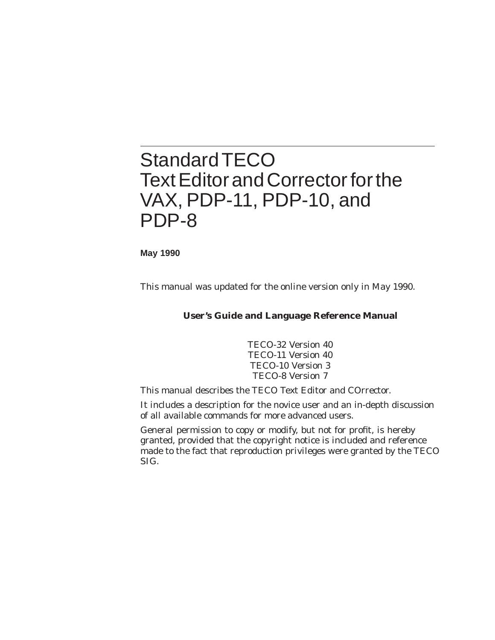# Standard TECO Text Editor and Corrector for the VAX, PDP-11, PDP-10, and PDP-8

**May 1990**

This manual was updated for the online version only in May 1990.

#### **User's Guide and Language Reference Manual**

TECO-32 Version 40 TECO-11 Version 40 TECO-10 Version 3 TECO-8 Version 7

This manual describes the TECO Text Editor and COrrector.

It includes a description for the novice user and an in-depth discussion of all available commands for more advanced users.

General permission to copy or modify, but not for profit, is hereby granted, provided that the copyright notice is included and reference made to the fact that reproduction privileges were granted by the TECO SIG.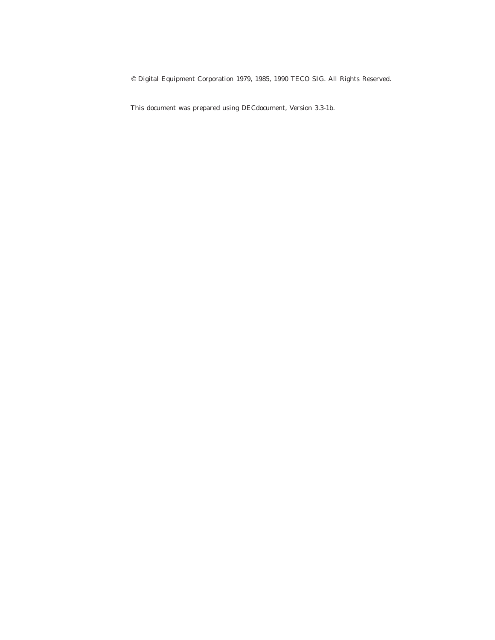© Digital Equipment Corporation 1979, 1985, 1990 TECO SIG. All Rights Reserved.

This document was prepared using DECdocument, Version 3.3-1b.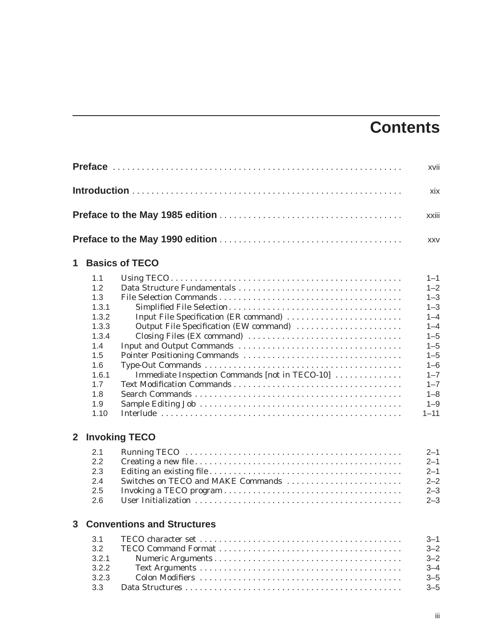# **Contents**

|                |                                                                                                                 |                                                                                                                                                                 | xvii                                                                                                                                                               |
|----------------|-----------------------------------------------------------------------------------------------------------------|-----------------------------------------------------------------------------------------------------------------------------------------------------------------|--------------------------------------------------------------------------------------------------------------------------------------------------------------------|
|                |                                                                                                                 |                                                                                                                                                                 | xix                                                                                                                                                                |
|                |                                                                                                                 |                                                                                                                                                                 | xxiii                                                                                                                                                              |
|                |                                                                                                                 |                                                                                                                                                                 | <b>XXV</b>                                                                                                                                                         |
| $\mathbf 1$    |                                                                                                                 | <b>Basics of TECO</b>                                                                                                                                           |                                                                                                                                                                    |
|                | 1.1<br>1.2<br>1.3<br>1.3.1<br>1.3.2<br>1.3.3<br>1.3.4<br>1.4<br>1.5<br>1.6<br>1.6.1<br>17<br>1.8<br>1.9<br>1.10 | Input File Specification (ER command)<br>Output File Specification (EW command)<br>Closing Files (EX command)<br>Immediate Inspection Commands [not in TECO-10] | $1 - 1$<br>$1 - 2$<br>$1 - 3$<br>$1 - 3$<br>$1 - 4$<br>$1 - 4$<br>$1 - 5$<br>$1 - 5$<br>$1 - 5$<br>$1 - 6$<br>$1 - 7$<br>$1 - 7$<br>$1 - 8$<br>$1 - 9$<br>$1 - 11$ |
| $\overline{2}$ |                                                                                                                 | <b>Invoking TECO</b>                                                                                                                                            |                                                                                                                                                                    |
|                | 2.1<br>2.2<br>2.3<br>2.4<br>2.5<br>2.6                                                                          | Switches on TECO and MAKE Commands                                                                                                                              | $2 - 1$<br>$2 - 1$<br>$2 - 1$<br>$2 - 2$<br>$2 - 3$<br>$2 - 3$                                                                                                     |
| 3              |                                                                                                                 | <b>Conventions and Structures</b>                                                                                                                               |                                                                                                                                                                    |
|                | 3.1<br>3.2<br>3.2.1<br>3.2.2                                                                                    |                                                                                                                                                                 | $3 - 1$<br>$3 - 2$<br>$3 - 2$<br>$3 - 4$                                                                                                                           |

3.2.3 Colon Modifiers . . ........................................ 3–5 3.3 Data Structures ............................................. 3–5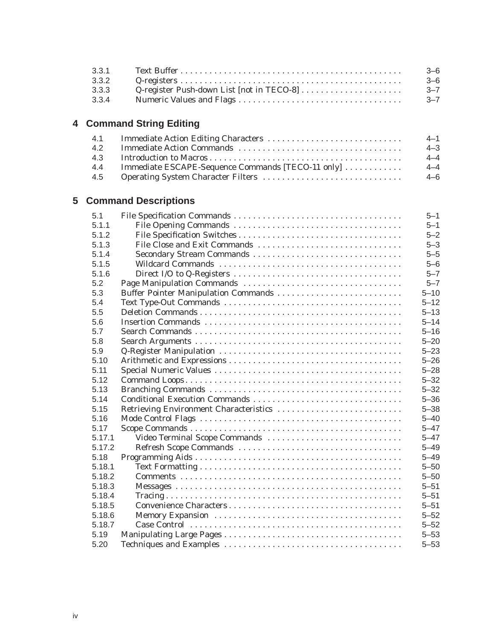| 3.3.1 | -3–6     |
|-------|----------|
| 3.3.2 | -3–6     |
| 3.3.3 | $-3-7$   |
| 3.3.4 | $-3 - 7$ |

# **4 Command String Editing**

|                                                       | $4 - 1$ |
|-------------------------------------------------------|---------|
|                                                       | $4 - 3$ |
|                                                       | $4 - 4$ |
| 4.4 Immediate ESCAPE-Sequence Commands [TECO-11 only] | $4 - 4$ |
|                                                       | $4 - 6$ |

# **5 Command Descriptions**

| 5.1    |                                        | $5 - 1$  |
|--------|----------------------------------------|----------|
| 5.1.1  |                                        | $5 - 1$  |
| 5.1.2  |                                        | $5 - 2$  |
| 5.1.3  | File Close and Exit Commands           | $5 - 3$  |
| 5.1.4  |                                        | $5 - 5$  |
| 5.1.5  |                                        | $5 - 6$  |
| 5.1.6  |                                        | $5 - 7$  |
| 5.2    |                                        | $5 - 7$  |
| 5.3    | Buffer Pointer Manipulation Commands   | $5 - 10$ |
| 5.4    |                                        | $5 - 12$ |
| 5.5    |                                        | $5 - 13$ |
| 5.6    |                                        | $5 - 14$ |
| 5.7    |                                        | $5 - 16$ |
| 5.8    |                                        | $5 - 20$ |
| 5.9    |                                        | $5 - 23$ |
| 5.10   |                                        | $5 - 26$ |
| 5.11   |                                        | $5 - 28$ |
| 5.12   |                                        | $5 - 32$ |
| 5.13   |                                        | $5 - 32$ |
| 5.14   | Conditional Execution Commands         | $5 - 36$ |
| 5.15   | Retrieving Environment Characteristics | $5 - 38$ |
| 5.16   |                                        | $5 - 40$ |
| 5.17   |                                        | $5 - 47$ |
| 5.17.1 | Video Terminal Scope Commands          | $5 - 47$ |
| 5.17.2 |                                        | $5 - 49$ |
| 5.18   |                                        | $5 - 49$ |
| 5.18.1 |                                        | $5 - 50$ |
| 5.18.2 |                                        | $5 - 50$ |
| 5.18.3 |                                        | $5 - 51$ |
| 5.18.4 |                                        | $5 - 51$ |
| 5.18.5 |                                        | $5 - 51$ |
| 5.18.6 |                                        | $5 - 52$ |
| 5.18.7 |                                        | $5 - 52$ |
| 5.19   |                                        | $5 - 53$ |
| 5.20   |                                        | $5 - 53$ |
|        |                                        |          |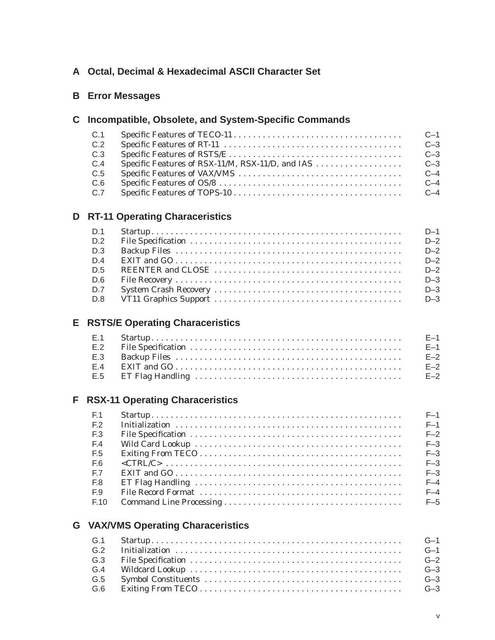#### **A Octal, Decimal & Hexadecimal ASCII Character Set**

## **B Error Messages**

#### **C Incompatible, Obsolete, and System-Specific Commands**

| C.1 | $C-1$ |
|-----|-------|
| C.2 | $C-3$ |
| C.3 | $C-3$ |
| C.4 |       |
| C.5 | $C-4$ |
| C.6 | $C-4$ |
| C.7 | $C-4$ |

#### **D RT-11 Operating Characeristics**

| D.1 | $D-1$   |
|-----|---------|
| D.2 | $D-2$   |
| D.3 | $D-2$   |
| D.4 | $D-2$   |
| D.5 | $D-2$   |
| D.6 | $D-3$   |
| D.7 | $D - 3$ |
| D.8 | $D-3$   |

#### **E RSTS/E Operating Characeristics**

|  | $E-1$ |
|--|-------|
|  | $E-1$ |
|  | $E-2$ |
|  | $E-2$ |
|  |       |

#### **F RSX-11 Operating Characeristics**

| F.1              | $F-1$   |
|------------------|---------|
| F <sub>2</sub>   | $F-1$   |
| F <sub>0</sub> 3 | $F-2$   |
| F.4              | $F - 3$ |
| F.5              | $F - 3$ |
| F.6              | $F - 3$ |
| F.7              | $F-3$   |
| F.8              | $F-4$   |
| F.9              | $F-4$   |
| F.10             | $F-5$   |

#### **G VAX/VMS Operating Characeristics**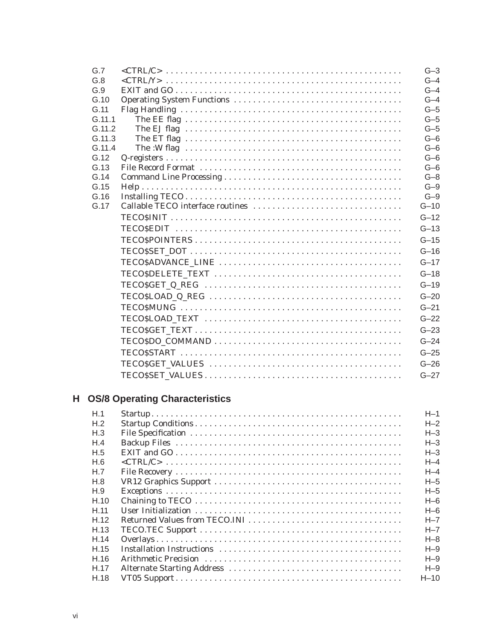| G.7    |                                                                                                               | $G-3$    |
|--------|---------------------------------------------------------------------------------------------------------------|----------|
| G.8    |                                                                                                               | $G-4$    |
| G.9    |                                                                                                               | $G-4$    |
| G.10   |                                                                                                               | $G-4$    |
| G.11   |                                                                                                               | $G-5$    |
| G.11.1 |                                                                                                               | $G-5$    |
| G.11.2 |                                                                                                               | $G-5$    |
| G.11.3 |                                                                                                               | $G-6$    |
| G.11.4 | The :W flag $\dots \dots \dots \dots \dots \dots \dots \dots \dots \dots \dots \dots \dots \dots \dots \dots$ | $G-6$    |
| G.12   |                                                                                                               | $G-6$    |
| G.13   |                                                                                                               | $G-6$    |
| G.14   |                                                                                                               | $G - 8$  |
| G.15   |                                                                                                               | $G-9$    |
| G.16   |                                                                                                               | $G-9$    |
| G.17   | Callable TECO interface routines                                                                              | $G-10$   |
|        |                                                                                                               | $G-12$   |
|        |                                                                                                               | $G-13$   |
|        |                                                                                                               | $G-15$   |
|        |                                                                                                               | $G-16$   |
|        |                                                                                                               | $G - 17$ |
|        |                                                                                                               | $G-18$   |
|        |                                                                                                               | $G-19$   |
|        |                                                                                                               | $G-20$   |
|        |                                                                                                               | $G-21$   |
|        |                                                                                                               | $G-22$   |
|        |                                                                                                               | $G-23$   |
|        |                                                                                                               | $G-24$   |
|        |                                                                                                               | $G-25$   |
|        |                                                                                                               | $G-26$   |
|        |                                                                                                               | $G-27$   |

# H OS/8 Operating Characteristics

| H.1  | $H-1$   |
|------|---------|
| H.2  | $H - 2$ |
| H.3  | $H-3$   |
| H.4  | $H-3$   |
| H.5  | $H - 3$ |
| H.6  | $H - 4$ |
| H.7  | $H - 4$ |
| H.8  | $H-5$   |
| H.9  | $H-5$   |
| H.10 | $H - 6$ |
| H.11 | $H - 6$ |
| H.12 | $H - 7$ |
| H.13 | $H - 7$ |
| H.14 | $H - 8$ |
| H.15 | $H - 9$ |
| H.16 | $H-9$   |
| H.17 | $H - 9$ |
| H.18 | $H-10$  |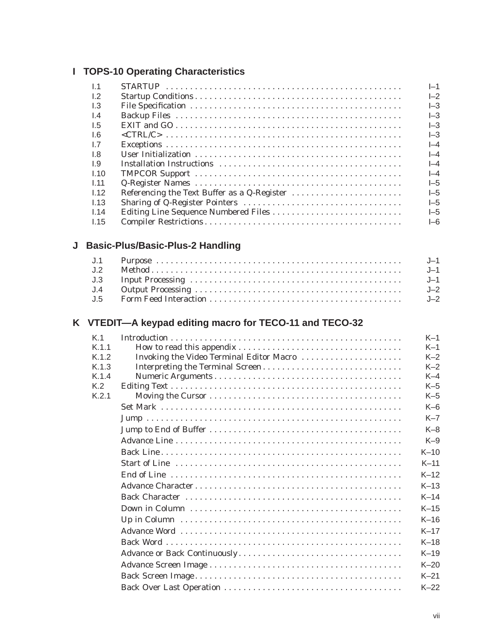#### **I TOPS-10 Operating Characteristics**

| $\pm$ 1.1        |                                             | $I - 1$ |
|------------------|---------------------------------------------|---------|
| 1.2              |                                             | $I-2$   |
| $\perp$ 3        |                                             | $ -3$   |
| $\overline{1.4}$ |                                             | $ -3$   |
| 1.5              |                                             | $ -3$   |
| 1.6              |                                             | $ -3$   |
| $\overline{1.7}$ |                                             | $ -4$   |
| <b>L8</b>        |                                             | $I - 4$ |
| <b>1.9</b>       |                                             | $ -4$   |
| 1.10             |                                             | $I - 4$ |
| 1.11             |                                             | $I-5$   |
| 1.12             | Referencing the Text Buffer as a Q-Register | $I-5$   |
| 1.13             |                                             | $I-5$   |
| 1.14             |                                             | $I-5$   |
| 1.15             |                                             | I–6     |

# **J Basic-Plus/Basic-Plus-2 Handling**

| $\overline{12}$  | $J-1$ |
|------------------|-------|
|                  |       |
| J.4              |       |
| $\overline{.}15$ | $J=2$ |

# **K VTEDIT—A keypad editing macro for TECO-11 and TECO-32**

| K.1   |                                          | $K-1$  |
|-------|------------------------------------------|--------|
| K 1 1 |                                          | $K-1$  |
| K 1 2 | Invoking the Video Terminal Editor Macro | $K-2$  |
| K.1.3 | Interpreting the Terminal Screen         | $K-2$  |
| K.1.4 |                                          | $K-4$  |
| K.2   |                                          | $K-5$  |
| K 2 1 |                                          | $K-5$  |
|       |                                          | $K-6$  |
|       |                                          | $K-7$  |
|       |                                          | $K-8$  |
|       |                                          | $K-9$  |
|       |                                          | $K-10$ |
|       |                                          | $K-11$ |
|       |                                          | $K-12$ |
|       |                                          | $K-13$ |
|       |                                          | $K-14$ |
|       |                                          | $K-15$ |
|       |                                          | $K-16$ |
|       |                                          | $K-17$ |
|       |                                          | $K-18$ |
|       |                                          | $K-19$ |
|       |                                          | $K-20$ |
|       |                                          | $K-21$ |
|       |                                          | $K-22$ |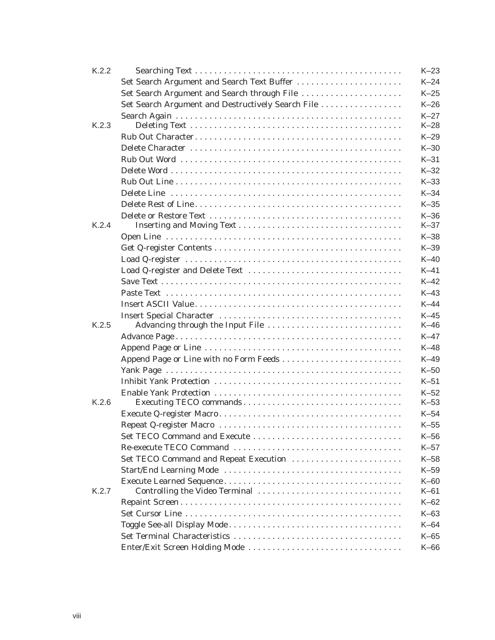| K.2.2 |                                                   | $K-23$ |
|-------|---------------------------------------------------|--------|
|       | Set Search Argument and Search Text Buffer        | $K-24$ |
|       | Set Search Argument and Search through File       | $K-25$ |
|       | Set Search Argument and Destructively Search File | $K-26$ |
|       |                                                   | $K-27$ |
| K.2.3 |                                                   | $K-28$ |
|       |                                                   | $K-29$ |
|       |                                                   | $K-30$ |
|       |                                                   | $K-31$ |
|       |                                                   | $K-32$ |
|       |                                                   | $K-33$ |
|       |                                                   | $K-34$ |
|       |                                                   | $K-35$ |
|       |                                                   | $K-36$ |
| K.2.4 |                                                   | $K-37$ |
|       |                                                   | $K-38$ |
|       |                                                   | $K-39$ |
|       |                                                   | $K-40$ |
|       | Load Q-register and Delete Text                   | $K-41$ |
|       |                                                   | $K-42$ |
|       |                                                   | $K-43$ |
|       |                                                   | $K-44$ |
|       |                                                   | $K-45$ |
| K.2.5 | Advancing through the Input File                  | $K-46$ |
|       |                                                   | $K-47$ |
|       |                                                   | $K-48$ |
|       |                                                   | $K-49$ |
|       |                                                   | $K-50$ |
|       |                                                   | $K-51$ |
|       |                                                   | $K-52$ |
| K.2.6 |                                                   | $K-53$ |
|       |                                                   | $K-54$ |
|       |                                                   | $K-55$ |
|       | Set TECO Command and Execute                      | $K-56$ |
|       |                                                   | $K-57$ |
|       | Set TECO Command and Repeat Execution             | $K-58$ |
|       |                                                   | $K-59$ |
|       |                                                   | $K-60$ |
| K.2.7 | Controlling the Video Terminal                    | $K-61$ |
|       |                                                   | $K-62$ |
|       |                                                   | $K-63$ |
|       |                                                   | $K-64$ |
|       |                                                   | $K-65$ |
|       | Enter/Exit Screen Holding Mode                    | $K-66$ |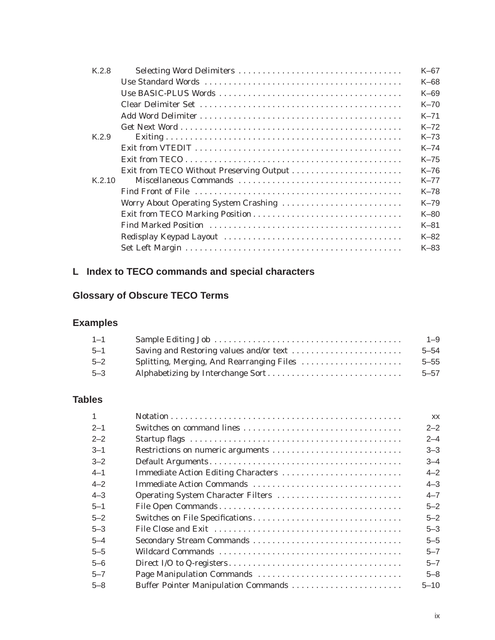| K.2.8  |                                          | $K-67$ |
|--------|------------------------------------------|--------|
|        |                                          | $K-68$ |
|        |                                          | $K-69$ |
|        |                                          | $K-70$ |
|        |                                          | $K-71$ |
|        |                                          | $K-72$ |
| K.2.9  |                                          | $K-73$ |
|        |                                          | $K-74$ |
|        |                                          | $K-75$ |
|        | Exit from TECO Without Preserving Output | $K-76$ |
| K.2.10 |                                          | $K-77$ |
|        |                                          | $K-78$ |
|        | Worry About Operating System Crashing    | $K-79$ |
|        |                                          | $K-80$ |
|        |                                          | $K-81$ |
|        |                                          | $K-82$ |
|        |                                          | $K-83$ |
|        |                                          |        |

# **L Index to TECO commands and special characters**

# **Glossary of Obscure TECO Terms**

# **Examples**

| $1 - 1$ |                                           | $1 - 9$  |
|---------|-------------------------------------------|----------|
| $5 - 1$ |                                           | $5 - 54$ |
| $5 - 2$ | Splitting, Merging, And Rearranging Files | $5 - 55$ |
| $5 - 3$ |                                           | $5 - 57$ |

## **Tables**

|         |                                      | <b>XX</b> |
|---------|--------------------------------------|-----------|
| $2 - 1$ |                                      | $2 - 2$   |
| $2 - 2$ |                                      | $2 - 4$   |
| $3 - 1$ |                                      | $3 - 3$   |
| $3 - 2$ |                                      | $3 - 4$   |
| $4 - 1$ |                                      | $4 - 2$   |
| $4 - 2$ | Immediate Action Commands            | $4 - 3$   |
| $4 - 3$ | Operating System Character Filters   | $4 - 7$   |
| $5 - 1$ |                                      | $5 - 2$   |
| $5 - 2$ |                                      | $5 - 2$   |
| $5 - 3$ |                                      | $5 - 3$   |
| $5 - 4$ |                                      | $5 - 5$   |
| $5 - 5$ |                                      | $5 - 7$   |
| $5 - 6$ |                                      | $5 - 7$   |
| $5 - 7$ | Page Manipulation Commands           | $5 - 8$   |
| $5 - 8$ | Buffer Pointer Manipulation Commands | $5 - 10$  |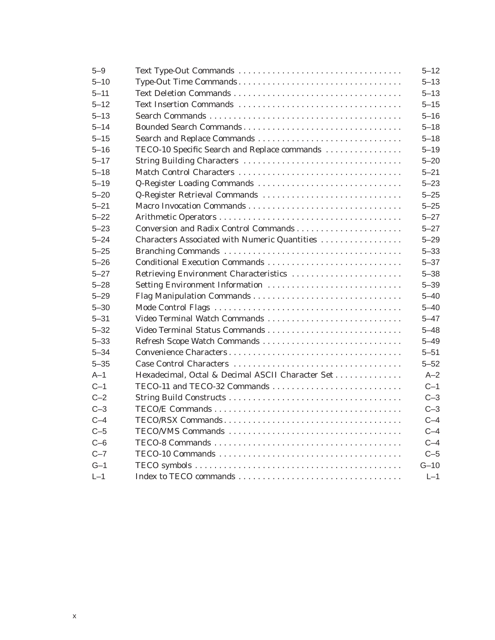| $5 - 9$  |                                                  | $5 - 12$ |
|----------|--------------------------------------------------|----------|
| $5 - 10$ |                                                  | $5 - 13$ |
| $5 - 11$ |                                                  | $5 - 13$ |
| $5 - 12$ |                                                  | $5 - 15$ |
| $5 - 13$ |                                                  | $5 - 16$ |
| $5 - 14$ | Bounded Search Commands                          | $5 - 18$ |
| $5 - 15$ |                                                  | $5 - 18$ |
| $5 - 16$ | TECO-10 Specific Search and Replace commands     | $5 - 19$ |
| $5 - 17$ |                                                  | $5 - 20$ |
| $5 - 18$ |                                                  | $5 - 21$ |
| $5 - 19$ | Q-Register Loading Commands                      | $5 - 23$ |
| $5 - 20$ | Q-Register Retrieval Commands                    | $5 - 25$ |
| $5 - 21$ |                                                  | $5 - 25$ |
| $5 - 22$ |                                                  | $5 - 27$ |
| $5 - 23$ |                                                  | $5 - 27$ |
| $5 - 24$ | Characters Associated with Numeric Quantities    | $5 - 29$ |
| $5 - 25$ |                                                  | $5 - 33$ |
| $5 - 26$ | Conditional Execution Commands                   | $5 - 37$ |
| $5 - 27$ | Retrieving Environment Characteristics           | $5 - 38$ |
| $5 - 28$ | Setting Environment Information                  | $5 - 39$ |
| $5 - 29$ |                                                  | $5 - 40$ |
| $5 - 30$ |                                                  | $5 - 40$ |
| $5 - 31$ | Video Terminal Watch Commands                    | $5 - 47$ |
| $5 - 32$ | Video Terminal Status Commands                   | $5 - 48$ |
| $5 - 33$ | Refresh Scope Watch Commands                     | $5 - 49$ |
| $5 - 34$ |                                                  | $5 - 51$ |
| $5 - 35$ |                                                  | $5 - 52$ |
| $A-1$    | Hexadecimal, Octal & Decimal ASCII Character Set | $A-2$    |
| $C-1$    | TECO-11 and TECO-32 Commands                     | $C-1$    |
| $C-2$    |                                                  | $C-3$    |
| $C-3$    |                                                  | $C-3$    |
| $C-4$    |                                                  | $C-4$    |
| $C-5$    |                                                  | $C-4$    |
| $C-6$    |                                                  | $C-4$    |
| $C-7$    |                                                  | $C-5$    |
| $G-1$    |                                                  | $G-10$   |
| $L-1$    |                                                  | $L-1$    |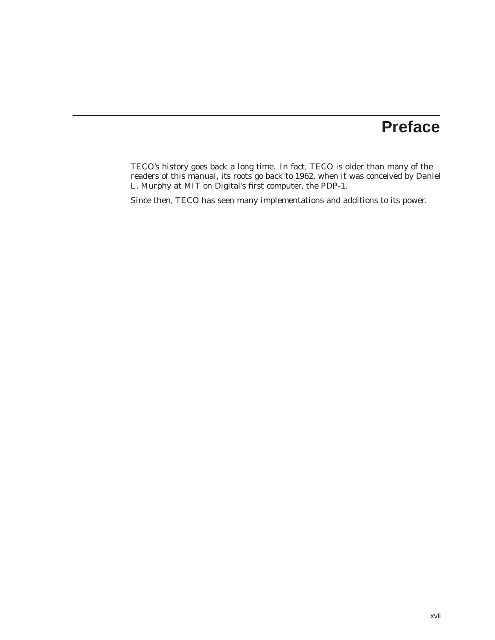# **Preface**

TECO's history goes back a long time. In fact, TECO is older than many of the readers of this manual, its roots go back to 1962, when it was conceived by Daniel L. Murphy at MIT on Digital's first computer, the PDP-1.

Since then, TECO has seen many implementations and additions to its power.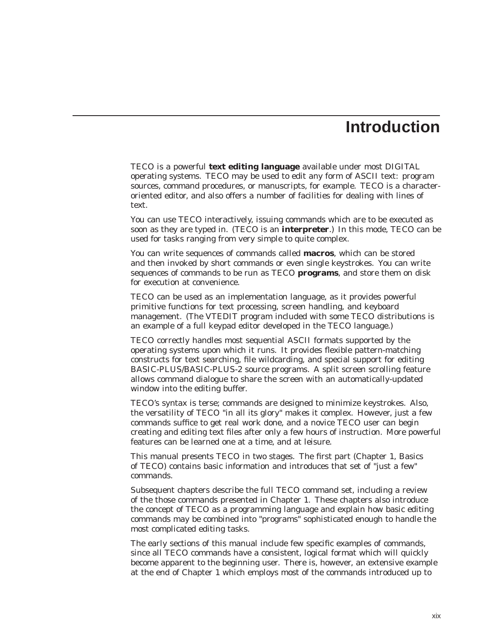# **Introduction**

TECO is a powerful **text editing language** available under most DIGITAL operating systems. TECO may be used to edit any form of ASCII text: program sources, command procedures, or manuscripts, for example. TECO is a characteroriented editor, and also offers a number of facilities for dealing with lines of text.

You can use TECO interactively, issuing commands which are to be executed as soon as they are typed in. (TECO is an **interpreter**.) In this mode, TECO can be used for tasks ranging from very simple to quite complex.

You can write sequences of commands called **macros**, which can be stored and then invoked by short commands or even single keystrokes. You can write sequences of commands to be run as TECO **programs**, and store them on disk for execution at convenience.

TECO can be used as an implementation language, as it provides powerful primitive functions for text processing, screen handling, and keyboard management. (The VTEDIT program included with some TECO distributions is an example of a full keypad editor developed in the TECO language.)

TECO correctly handles most sequential ASCII formats supported by the operating systems upon which it runs. It provides flexible pattern-matching constructs for text searching, file wildcarding, and special support for editing BASIC-PLUS/BASIC-PLUS-2 source programs. A split screen scrolling feature allows command dialogue to share the screen with an automatically-updated window into the editing buffer.

TECO's syntax is terse; commands are designed to minimize keystrokes. Also, the versatility of TECO "in all its glory" makes it complex. However, just a few commands suffice to get real work done, and a novice TECO user can begin creating and editing text files after only a few hours of instruction. More powerful features can be learned one at a time, and at leisure.

This manual presents TECO in two stages. The first part (Chapter 1, Basics of TECO) contains basic information and introduces that set of "just a few" commands.

Subsequent chapters describe the full TECO command set, including a review of the those commands presented in Chapter 1. These chapters also introduce the concept of TECO as a programming language and explain how basic editing commands may be combined into "programs" sophisticated enough to handle the most complicated editing tasks.

The early sections of this manual include few specific examples of commands, since all TECO commands have a consistent, logical format which will quickly become apparent to the beginning user. There is, however, an extensive example at the end of Chapter 1 which employs most of the commands introduced up to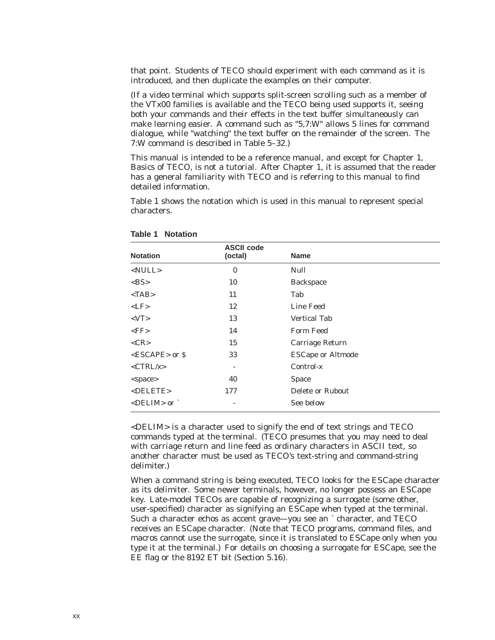that point. Students of TECO should experiment with each command as it is introduced, and then duplicate the examples on their computer.

(If a video terminal which supports split-screen scrolling such as a member of the VTx00 families is available and the TECO being used supports it, seeing both your commands and their effects in the text buffer simultaneously can make learning easier. A command such as "5,7:W" allows 5 lines for command dialogue, while "watching" the text buffer on the remainder of the screen. The 7:W command is described in Table 5–32.)

This manual is intended to be a reference manual, and except for Chapter 1, Basics of TECO, is not a tutorial. After Chapter 1, it is assumed that the reader has a general familiarity with TECO and is referring to this manual to find detailed information.

Table 1 shows the notation which is used in this manual to represent special characters.

| <b>Notation</b>                        | <b>ASCII code</b><br>(octal) | <b>Name</b>              |
|----------------------------------------|------------------------------|--------------------------|
| $<$ NULL $>$                           | $\bf{0}$                     | Null                     |
| $<$ BS>                                | 10                           | <b>Backspace</b>         |
| $<$ TAB $>$                            | 11                           | Tab                      |
| $<$ LF $>$                             | 12                           | Line Feed                |
| $<$ VT $>$                             | 13                           | <b>Vertical Tab</b>      |
| $<$ FF $>$                             | 14                           | Form Feed                |
| $<$ CR>                                | 15                           | Carriage Return          |
| $\leq$ ESCAPE $>$ or S                 | 33                           | <b>ESCape or Altmode</b> |
| $\langle \text{CTRL}/\text{x} \rangle$ | $\qquad \qquad \blacksquare$ | Control-x                |
| <space></space>                        | 40                           | <b>Space</b>             |
| $<$ DELETE>                            | 177                          | Delete or Rubout         |
| $\triangle$ DELIM> or `                | ٠                            | See below                |

**Table 1 Notation**

<DELIM> is a character used to signify the end of text strings and TECO commands typed at the terminal. (TECO presumes that you may need to deal with carriage return and line feed as ordinary characters in ASCII text, so another character must be used as TECO's text-string and command-string delimiter.)

When a command string is being executed, TECO looks for the ESCape character as its delimiter. Some newer terminals, however, no longer possess an ESCape key. Late-model TECOs are capable of recognizing a surrogate (some other, user-specified) character as signifying an ESCape when typed at the terminal. Such a character echos as accent grave—you see an ` character, and TECO receives an ESCape character. (Note that TECO programs, command files, and macros cannot use the surrogate, since it is translated to ESCape only when you type it at the terminal.) For details on choosing a surrogate for ESCape, see the EE flag or the 8192 ET bit (Section 5.16).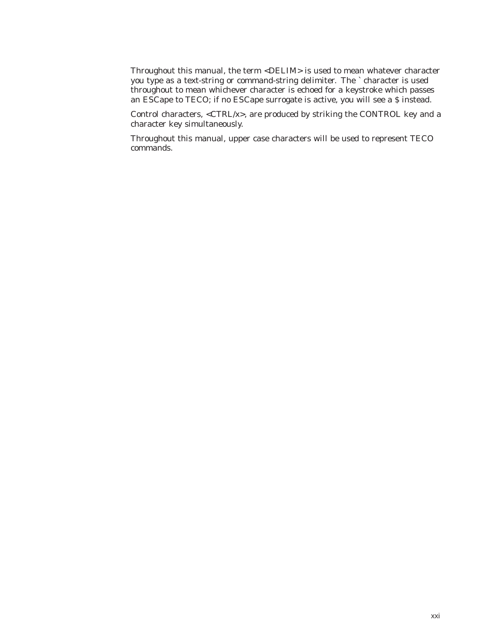Throughout this manual, the term <DELIM> is used to mean whatever character you type as a text-string or command-string delimiter. The ` character is used throughout to mean whichever character is echoed for a keystroke which passes an ESCape to TECO; if no ESCape surrogate is active, you will see a \$ instead.

Control characters, <CTRL/x>, are produced by striking the CONTROL key and a character key simultaneously.

Throughout this manual, upper case characters will be used to represent TECO commands.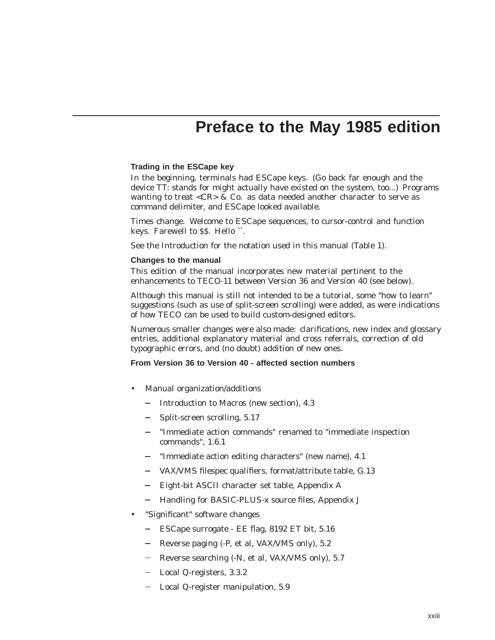# **Preface to the May 1985 edition**

#### **Trading in the ESCape key**

In the beginning, terminals had ESCape keys. (Go back far enough and the device TT: stands for might actually have existed on the system, too...) Programs wanting to treat  $\langle CR \rangle \&$  Co. as data needed another character to serve as command delimiter, and ESCape looked available.

Times change. Welcome to ESCape sequences, to cursor-control and function keys. Farewell to \$\$. Hello ``.

See the Introduction for the notation used in this manual (Table 1).

#### **Changes to the manual**

This edition of the manual incorporates new material pertinent to the enhancements to TECO-11 between Version 36 and Version 40 (see below).

Although this manual is still not intended to be a tutorial, some "how to learn" suggestions (such as use of split-screen scrolling) were added, as were indications of how TECO can be used to build custom-designed editors.

Numerous smaller changes were also made: clarifications, new index and glossary entries, additional explanatory material and cross referrals, correction of old typographic errors, and (no doubt) addition of new ones.

#### **From Version 36 to Version 40 - affected section numbers**

- Manual organization/additions
	- Introduction to Macros (new section), 4.3
	- Split-screen scrolling, 5.17
	- "Immediate action commands" renamed to "immediate inspection commands", 1.6.1
	- "Immediate action editing characters" (new name), 4.1
	- VAX/VMS filespec qualifiers, format/attribute table, G.13
	- Eight-bit ASCII character set table, Appendix A
	- $\sim$ Handling for BASIC-PLUS-x source files, Appendix J
- "Significant" software changes
	- ESCape surrogate EE flag, 8192 ET bit, 5.16
	- Reverse paging (-P, et al, VAX/VMS only), 5.2
	- Reverse searching (-N, et al, VAX/VMS only), 5.7
	- Local Q-registers, 3.3.2
	- Local Q-register manipulation, 5.9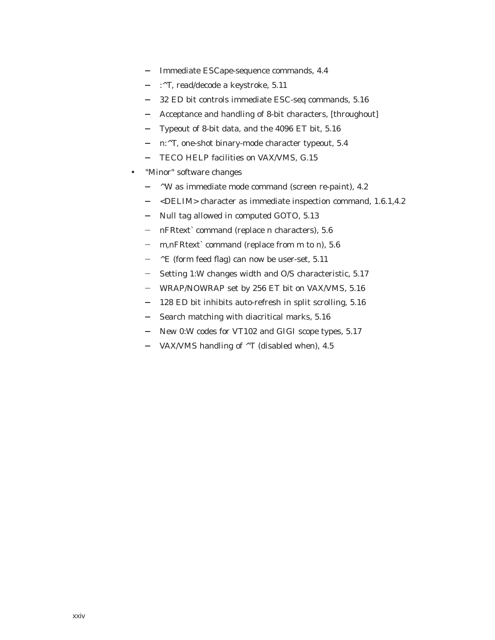- Immediate ESCape-sequence commands, 4.4
- :^T, read/decode a keystroke, 5.11
- 32 ED bit controls immediate ESC-seq commands, 5.16  $\overline{\phantom{a}}$
- Acceptance and handling of 8-bit characters, [throughout]  $\equiv$
- Typeout of 8-bit data, and the 4096 ET bit, 5.16
- n:^T, one-shot binary-mode character typeout, 5.4  $\equiv$
- TECO HELP facilities on VAX/VMS, G.15  $\overline{\phantom{a}}$
- "Minor" software changes
	- $\wedge$ W as immediate mode command (screen re-paint), 4.2
	- <DELIM> character as immediate inspection command, 1.6.1,4.2
	- Null tag allowed in computed GOTO, 5.13
	- nFRtext` command (replace n characters), 5.6
	- m,nFRtext` command (replace from m to n), 5.6
	- $^{\wedge}E$  (form feed flag) can now be user-set, 5.11
	- Setting 1:W changes width and O/S characteristic, 5.17  $\sim$
	- $\sim$ WRAP/NOWRAP set by 256 ET bit on VAX/VMS, 5.16
	- 128 ED bit inhibits auto-refresh in split scrolling, 5.16  $\overline{\phantom{a}}$
	- Search matching with diacritical marks, 5.16
	- New 0:W codes for VT102 and GIGI scope types, 5.17
	- VAX/VMS handling of  $\textdegree{T}$  (disabled when), 4.5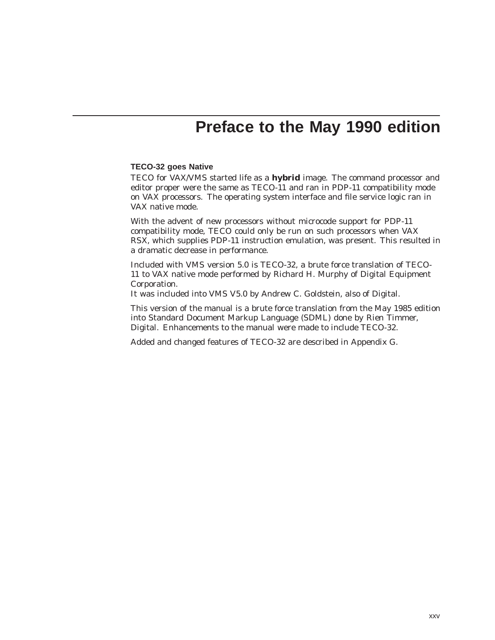# **Preface to the May 1990 edition**

#### **TECO-32 goes Native**

TECO for VAX/VMS started life as a **hybrid** image. The command processor and editor proper were the same as TECO-11 and ran in PDP-11 compatibility mode on VAX processors. The operating system interface and file service logic ran in VAX native mode.

With the advent of new processors without microcode support for PDP-11 compatibility mode, TECO could only be run on such processors when VAX RSX, which supplies PDP-11 instruction emulation, was present. This resulted in a dramatic decrease in performance.

Included with VMS version 5.0 is TECO-32, a brute force translation of TECO-11 to VAX native mode performed by Richard H. Murphy of Digital Equipment Corporation.

It was included into VMS V5.0 by Andrew C. Goldstein, also of Digital.

This version of the manual is a brute force translation from the May 1985 edition into Standard Document Markup Language (SDML) done by Rien Timmer, Digital. Enhancements to the manual were made to include TECO-32.

Added and changed features of TECO-32 are described in Appendix G.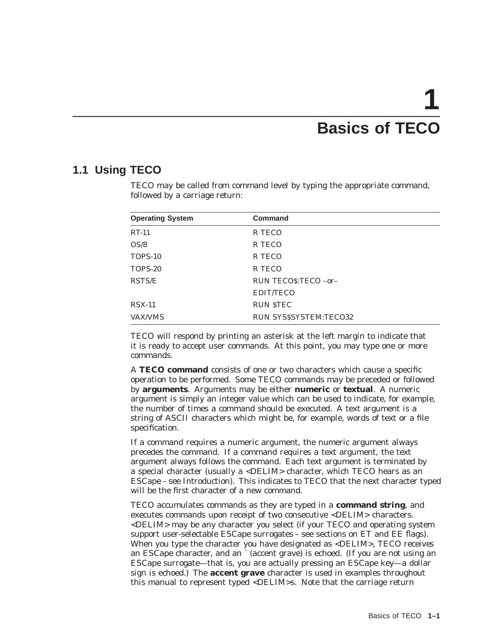# **1 Basics of TECO**

## **1.1 Using TECO**

TECO may be called from command level by typing the appropriate command, followed by a carriage return:

| <b>Operating System</b> | <b>Command</b>               |  |  |
|-------------------------|------------------------------|--|--|
| $RT-11$                 | R TECO                       |  |  |
| OS/8                    | R TECO                       |  |  |
| TOPS-10                 | R TECO                       |  |  |
| TOPS-20                 | R TECO                       |  |  |
| <b>RSTS/E</b>           | RUN TECOS:TECO -or-          |  |  |
|                         | EDIT/TECO                    |  |  |
| $RSX-11$                | <b>RUN STEC</b>              |  |  |
| <b>VAX/VMS</b>          | <b>RUN SYSSSYSTEM:TECO32</b> |  |  |

TECO will respond by printing an asterisk at the left margin to indicate that it is ready to accept user commands. At this point, you may type one or more commands.

A **TECO command** consists of one or two characters which cause a specific operation to be performed. Some TECO commands may be preceded or followed by **arguments**. Arguments may be either **numeric** or **textual**. A numeric argument is simply an integer value which can be used to indicate, for example, the number of times a command should be executed. A text argument is a string of ASCII characters which might be, for example, words of text or a file specification.

If a command requires a numeric argument, the numeric argument always precedes the command. If a command requires a text argument, the text argument always follows the command. Each text argument is terminated by a special character (usually a <DELIM> character, which TECO hears as an ESCape - see Introduction). This indicates to TECO that the next character typed will be the first character of a new command.

TECO accumulates commands as they are typed in a **command string**, and executes commands upon receipt of two consecutive <DELIM> characters. <DELIM> may be any character you select (if your TECO and operating system support user-selectable ESCape surrogates - see sections on ET and EE flags). When you type the character you have designated as  $\leq$ DELIM $>$ , TECO receives an ESCape character, and an ` (accent grave) is echoed. (If you are not using an ESCape surrogate—that is, you are actually pressing an ESCape key—a dollar sign is echoed.) The **accent grave** character is used in examples throughout this manual to represent typed <DELIM>s. Note that the carriage return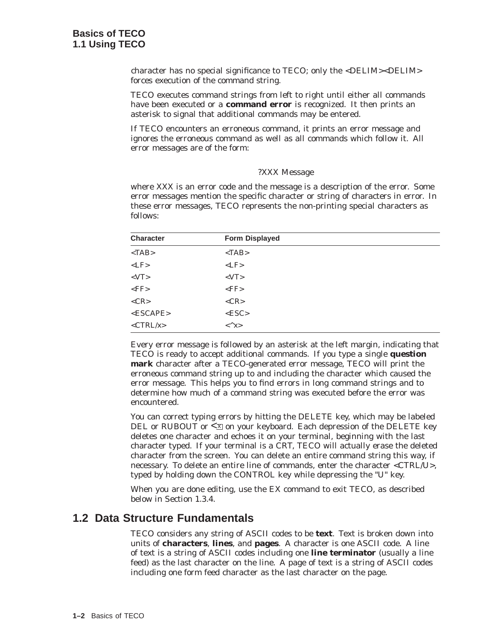character has no special significance to TECO; only the <DELIM><DELIM> forces execution of the command string.

TECO executes command strings from left to right until either all commands have been executed or a **command error** is recognized. It then prints an asterisk to signal that additional commands may be entered.

If TECO encounters an erroneous command, it prints an error message and ignores the erroneous command as well as all commands which follow it. All error messages are of the form:

#### ?XXX Message

where XXX is an error code and the message is a description of the error. Some error messages mention the specific character or string of characters in error. In these error messages, TECO represents the non-printing special characters as follows:

| <b>Character</b>                       | <b>Form Displayed</b>                         |
|----------------------------------------|-----------------------------------------------|
| $<$ TAB $>$                            | $<$ TAB $>$                                   |
| $<$ LF $>$                             | $<$ LF $>$                                    |
| $<$ VT $>$                             | $<$ VT $>$                                    |
| $\langle FF \rangle$                   | $\langle FF \rangle$                          |
| $<$ CR>                                | $<$ CR>                                       |
| $<$ ESCAPE>                            | $<$ ESC $>$                                   |
| $\langle \text{CTRL}/\text{x} \rangle$ | $\langle$ <sup><math>\land</math></sup> X $>$ |

Every error message is followed by an asterisk at the left margin, indicating that TECO is ready to accept additional commands. If you type a single **question mark** character after a TECO-generated error message, TECO will print the erroneous command string up to and including the character which caused the error message. This helps you to find errors in long command strings and to determine how much of a command string was executed before the error was encountered.

You can correct typing errors by hitting the DELETE key, which may be labeled DEL or RUBOUT or  $\leq x$  on your keyboard. Each depression of the DELETE key deletes one character and echoes it on your terminal, beginning with the last character typed. If your terminal is a CRT, TECO will actually erase the deleted character from the screen. You can delete an entire command string this way, if necessary. To delete an entire line of commands, enter the character <CTRL/U>, typed by holding down the CONTROL key while depressing the "U" key.

When you are done editing, use the EX command to exit TECO, as described below in Section 1.3.4.

#### **1.2 Data Structure Fundamentals**

TECO considers any string of ASCII codes to be **text**. Text is broken down into units of **characters**, **lines**, and **pages**. A character is one ASCII code. A line of text is a string of ASCII codes including one **line terminator** (usually a line feed) as the last character on the line. A page of text is a string of ASCII codes including one form feed character as the last character on the page.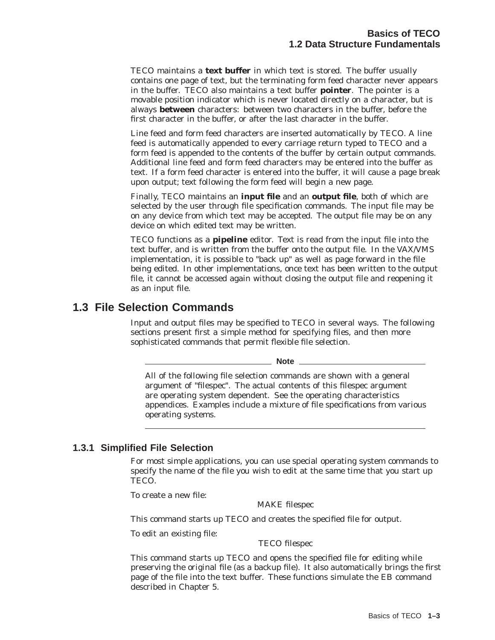TECO maintains a **text buffer** in which text is stored. The buffer usually contains one page of text, but the terminating form feed character never appears in the buffer. TECO also maintains a text buffer **pointer**. The pointer is a movable position indicator which is never located directly on a character, but is always **between** characters: between two characters in the buffer, before the first character in the buffer, or after the last character in the buffer.

Line feed and form feed characters are inserted automatically by TECO. A line feed is automatically appended to every carriage return typed to TECO and a form feed is appended to the contents of the buffer by certain output commands. Additional line feed and form feed characters may be entered into the buffer as text. If a form feed character is entered into the buffer, it will cause a page break upon output; text following the form feed will begin a new page.

Finally, TECO maintains an **input file** and an **output file**, both of which are selected by the user through file specification commands. The input file may be on any device from which text may be accepted. The output file may be on any device on which edited text may be written.

TECO functions as a **pipeline** editor. Text is read from the input file into the text buffer, and is written from the buffer onto the output file. In the VAX/VMS implementation, it is possible to "back up" as well as page forward in the file being edited. In other implementations, once text has been written to the output file, it cannot be accessed again without closing the output file and reopening it as an input file.

#### **1.3 File Selection Commands**

Input and output files may be specified to TECO in several ways. The following sections present first a simple method for specifying files, and then more sophisticated commands that permit flexible file selection.

**Note**

All of the following file selection commands are shown with a general argument of "filespec". The actual contents of this filespec argument are operating system dependent. See the operating characteristics appendices. Examples include a mixture of file specifications from various operating systems.

#### **1.3.1 Simplified File Selection**

For most simple applications, you can use special operating system commands to specify the name of the file you wish to edit at the same time that you start up TECO.

To create a new file:

MAKE filespec

This command starts up TECO and creates the specified file for output.

To edit an existing file:

TECO filespec

This command starts up TECO and opens the specified file for editing while preserving the original file (as a backup file). It also automatically brings the first page of the file into the text buffer. These functions simulate the EB command described in Chapter 5.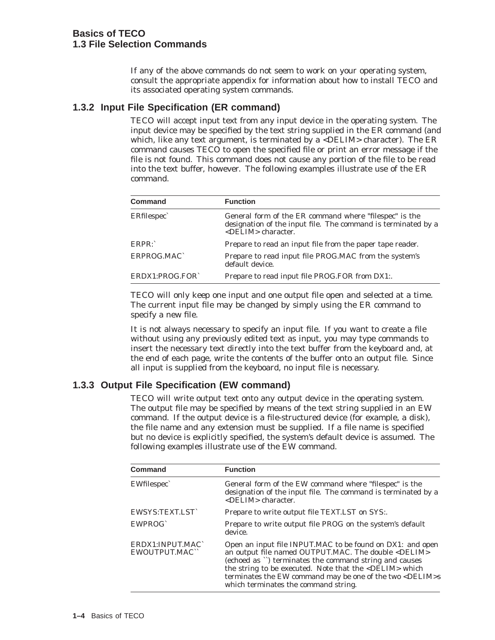If any of the above commands do not seem to work on your operating system, consult the appropriate appendix for information about how to install TECO and its associated operating system commands.

#### **1.3.2 Input File Specification (ER command)**

TECO will accept input text from any input device in the operating system. The input device may be specified by the text string supplied in the ER command (and which, like any text argument, is terminated by a <DELIM> character). The ER command causes TECO to open the specified file or print an error message if the file is not found. This command does not cause any portion of the file to be read into the text buffer, however. The following examples illustrate use of the ER command.

| <b>Command</b>  | <b>Function</b>                                                                                                                                       |
|-----------------|-------------------------------------------------------------------------------------------------------------------------------------------------------|
| ERfilespec`     | General form of the ER command where "filespec" is the<br>designation of the input file. The command is terminated by a<br><delim> character.</delim> |
| ERPR:           | Prepare to read an input file from the paper tape reader.                                                                                             |
| ERPROG.MAC`     | Prepare to read input file PROG.MAC from the system's<br>default device.                                                                              |
| ERDX1:PROG.FOR` | Prepare to read input file PROG.FOR from DX1:.                                                                                                        |

TECO will only keep one input and one output file open and selected at a time. The current input file may be changed by simply using the ER command to specify a new file.

It is not always necessary to specify an input file. If you want to create a file without using any previously edited text as input, you may type commands to insert the necessary text directly into the text buffer from the keyboard and, at the end of each page, write the contents of the buffer onto an output file. Since all input is supplied from the keyboard, no input file is necessary.

#### **1.3.3 Output File Specification (EW command)**

TECO will write output text onto any output device in the operating system. The output file may be specified by means of the text string supplied in an EW command. If the output device is a file-structured device (for example, a disk), the file name and any extension must be supplied. If a file name is specified but no device is explicitly specified, the system's default device is assumed. The following examples illustrate use of the EW command.

| <b>Command</b>                    | <b>Function</b>                                                                                                                                                                                                                                                                                                                                                      |
|-----------------------------------|----------------------------------------------------------------------------------------------------------------------------------------------------------------------------------------------------------------------------------------------------------------------------------------------------------------------------------------------------------------------|
| EWfilespec                        | General form of the EW command where "filespec" is the<br>designation of the input file. The command is terminated by a<br><delim> character.</delim>                                                                                                                                                                                                                |
| EWSYS:TEXT.LST                    | Prepare to write output file TEXT.LST on SYS:.                                                                                                                                                                                                                                                                                                                       |
| EWPROG <sup>®</sup>               | Prepare to write output file PROG on the system's default<br>device.                                                                                                                                                                                                                                                                                                 |
| ERDX1: INPUT, MAC<br>EWOUTPUT.MAC | Open an input file INPUT.MAC to be found on DX1: and open<br>an output file named OUTPUT.MAC. The double <delim><br/>(echoed as ") terminates the command string and causes<br/>the string to be executed. Note that the <delim> which<br/>terminates the EW command may be one of the two <delim>s<br/>which terminates the command string.</delim></delim></delim> |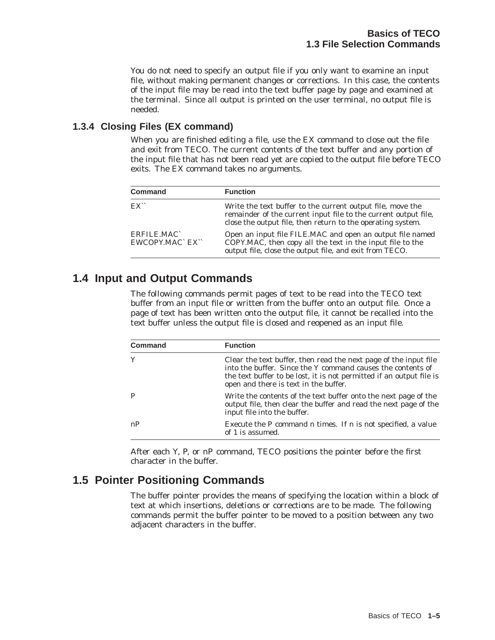You do not need to specify an output file if you only want to examine an input file, without making permanent changes or corrections. In this case, the contents of the input file may be read into the text buffer page by page and examined at the terminal. Since all output is printed on the user terminal, no output file is needed.

#### **1.3.4 Closing Files (EX command)**

When you are finished editing a file, use the EX command to close out the file and exit from TECO. The current contents of the text buffer and any portion of the input file that has not been read yet are copied to the output file before TECO exits. The EX command takes no arguments.

| <b>Command</b>                 | <b>Function</b>                                                                                                                                                                              |
|--------------------------------|----------------------------------------------------------------------------------------------------------------------------------------------------------------------------------------------|
| $EX^{\sim}$                    | Write the text buffer to the current output file, move the<br>remainder of the current input file to the current output file,<br>close the output file, then return to the operating system. |
| ERFILE.MAC`<br>EWCOPY.MAC`EX`` | Open an input file FILE.MAC and open an output file named<br>COPY.MAC, then copy all the text in the input file to the<br>output file, close the output file, and exit from TECO.            |

## **1.4 Input and Output Commands**

The following commands permit pages of text to be read into the TECO text buffer from an input file or written from the buffer onto an output file. Once a page of text has been written onto the output file, it cannot be recalled into the text buffer unless the output file is closed and reopened as an input file.

| <b>Command</b> | <b>Function</b>                                                                                                                                                                                                                                  |
|----------------|--------------------------------------------------------------------------------------------------------------------------------------------------------------------------------------------------------------------------------------------------|
|                | Clear the text buffer, then read the next page of the input file<br>into the buffer. Since the Y command causes the contents of<br>the text buffer to be lost, it is not permitted if an output file is<br>open and there is text in the buffer. |
| P              | Write the contents of the text buffer onto the next page of the<br>output file, then clear the buffer and read the next page of the<br>input file into the buffer.                                                                               |
| nP             | Execute the P command n times. If n is not specified, a value<br>of 1 is assumed.                                                                                                                                                                |

After each Y, P, or nP command, TECO positions the pointer before the first character in the buffer.

## **1.5 Pointer Positioning Commands**

The buffer pointer provides the means of specifying the location within a block of text at which insertions, deletions or corrections are to be made. The following commands permit the buffer pointer to be moved to a position between any two adjacent characters in the buffer.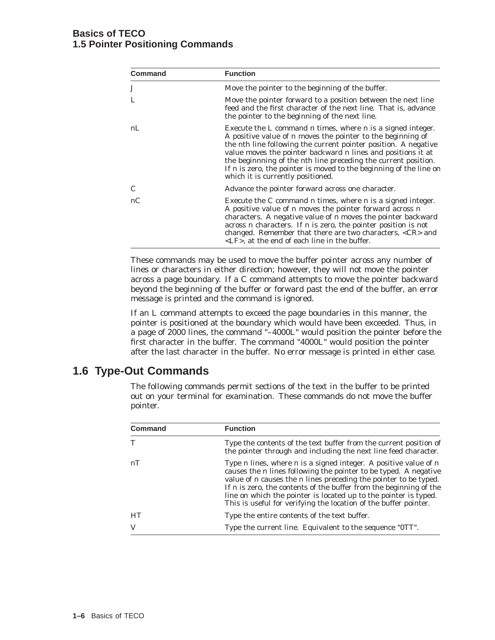#### **Basics of TECO 1.5 Pointer Positioning Commands**

| <b>Command</b> | <b>Function</b><br>Move the pointer to the beginning of the buffer.                                                                                                                                                                                                                                                                                                                                                                        |  |
|----------------|--------------------------------------------------------------------------------------------------------------------------------------------------------------------------------------------------------------------------------------------------------------------------------------------------------------------------------------------------------------------------------------------------------------------------------------------|--|
| J              |                                                                                                                                                                                                                                                                                                                                                                                                                                            |  |
| L              | Move the pointer forward to a position between the next line<br>feed and the first character of the next line. That is, advance<br>the pointer to the beginning of the next line.                                                                                                                                                                                                                                                          |  |
| nL             | Execute the L command n times, where n is a signed integer.<br>A positive value of n moves the pointer to the beginning of<br>the nth line following the current pointer position. A negative<br>value moves the pointer backward n lines and positions it at<br>the beginnning of the nth line preceding the current position.<br>If n is zero, the pointer is moved to the beginning of the line on<br>which it is currently positioned. |  |
| C              | Advance the pointer forward across one character.                                                                                                                                                                                                                                                                                                                                                                                          |  |
| nC             | Execute the C command n times, where n is a signed integer.<br>A positive value of n moves the pointer forward across n<br>characters. A negative value of n moves the pointer backward<br>across n characters. If n is zero, the pointer position is not<br>changed. Remember that there are two characters, <cr> and<br/><math>\langle LF \rangle</math>, at the end of each line in the buffer.</cr>                                    |  |

These commands may be used to move the buffer pointer across any number of lines or characters in either direction; however, they will not move the pointer across a page boundary. If a C command attempts to move the pointer backward beyond the beginning of the buffer or forward past the end of the buffer, an error message is printed and the command is ignored.

If an L command attempts to exceed the page boundaries in this manner, the pointer is positioned at the boundary which would have been exceeded. Thus, in a page of 2000 lines, the command "–4000L" would position the pointer before the first character in the buffer. The command "4000L" would position the pointer after the last character in the buffer. No error message is printed in either case.

## **1.6 Type-Out Commands**

The following commands permit sections of the text in the buffer to be printed out on your terminal for examination. These commands do not move the buffer pointer.

| <b>Command</b> | <b>Function</b>                                                                                                                                                                                                                                                                                                                                                                                                        |  |
|----------------|------------------------------------------------------------------------------------------------------------------------------------------------------------------------------------------------------------------------------------------------------------------------------------------------------------------------------------------------------------------------------------------------------------------------|--|
|                | Type the contents of the text buffer from the current position of<br>the pointer through and including the next line feed character.                                                                                                                                                                                                                                                                                   |  |
| nT             | Type n lines, where n is a signed integer. A positive value of n<br>causes the n lines following the pointer to be typed. A negative<br>value of n causes the n lines preceding the pointer to be typed.<br>If n is zero, the contents of the buffer from the beginning of the<br>line on which the pointer is located up to the pointer is typed.<br>This is useful for verifying the location of the buffer pointer. |  |
| HT             | Type the entire contents of the text buffer.                                                                                                                                                                                                                                                                                                                                                                           |  |
|                | Type the current line. Equivalent to the sequence "OTT".                                                                                                                                                                                                                                                                                                                                                               |  |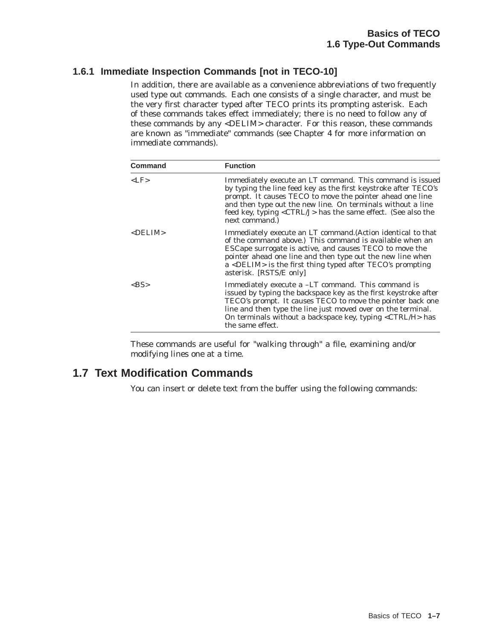#### **1.6.1 Immediate Inspection Commands [not in TECO-10]**

In addition, there are available as a convenience abbreviations of two frequently used type out commands. Each one consists of a single character, and must be the very first character typed after TECO prints its prompting asterisk. Each of these commands takes effect immediately; there is no need to follow any of these commands by any <DELIM> character. For this reason, these commands are known as "immediate" commands (see Chapter 4 for more information on immediate commands).

| Command         | <b>Function</b>                                                                                                                                                                                                                                                                                                                                       |  |
|-----------------|-------------------------------------------------------------------------------------------------------------------------------------------------------------------------------------------------------------------------------------------------------------------------------------------------------------------------------------------------------|--|
| $<$ LF $>$      | Immediately execute an LT command. This command is issued<br>by typing the line feed key as the first keystroke after TECO's<br>prompt. It causes TECO to move the pointer ahead one line<br>and then type out the new line. On terminals without a line<br>feed key, typing <ctrl j=""> has the same effect. (See also the<br/>next command.)</ctrl> |  |
| <delim></delim> | Immediately execute an LT command.(Action identical to that<br>of the command above.) This command is available when an<br>ESCape surrogate is active, and causes TECO to move the<br>pointer ahead one line and then type out the new line when<br>$a$ <delim> is the first thing typed after TECO's prompting<br/>asterisk. [RSTS/E only]</delim>   |  |
| >BS>            | Immediately execute a -LT command. This command is<br>issued by typing the backspace key as the first keystroke after<br>TECO's prompt. It causes TECO to move the pointer back one<br>line and then type the line just moved over on the terminal.<br>On terminals without a backspace key, typing <ctrl h=""> has<br/>the same effect.</ctrl>       |  |

These commands are useful for "walking through" a file, examining and/or modifying lines one at a time.

#### **1.7 Text Modification Commands**

You can insert or delete text from the buffer using the following commands: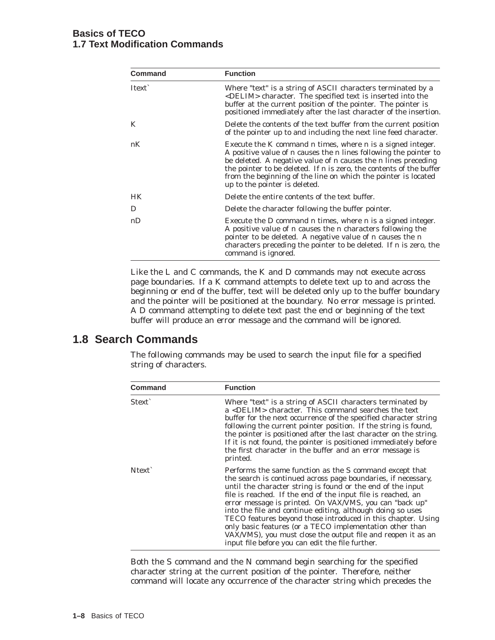#### **Basics of TECO 1.7 Text Modification Commands**

| Command   | <b>Function</b>                                                                                                                                                                                                                                                                                                                                                              |  |
|-----------|------------------------------------------------------------------------------------------------------------------------------------------------------------------------------------------------------------------------------------------------------------------------------------------------------------------------------------------------------------------------------|--|
| Itext`    | Where "text" is a string of ASCII characters terminated by a<br><delim> character. The specified text is inserted into the<br/>buffer at the current position of the pointer. The pointer is<br/>positioned immediately after the last character of the insertion.</delim>                                                                                                   |  |
| K         | Delete the contents of the text buffer from the current position<br>of the pointer up to and including the next line feed character.                                                                                                                                                                                                                                         |  |
| nK        | Execute the K command n times, where n is a signed integer.<br>A positive value of n causes the n lines following the pointer to<br>be deleted. A negative value of n causes the n lines preceding<br>the pointer to be deleted. If n is zero, the contents of the buffer<br>from the beginning of the line on which the pointer is located<br>up to the pointer is deleted. |  |
| <b>HK</b> | Delete the entire contents of the text buffer.                                                                                                                                                                                                                                                                                                                               |  |
| D         | Delete the character following the buffer pointer.                                                                                                                                                                                                                                                                                                                           |  |
| nD        | Execute the D command n times, where n is a signed integer.<br>A positive value of n causes the n characters following the<br>pointer to be deleted. A negative value of n causes the n<br>characters preceding the pointer to be deleted. If n is zero, the<br>command is ignored.                                                                                          |  |

Like the L and C commands, the K and D commands may not execute across page boundaries. If a K command attempts to delete text up to and across the beginning or end of the buffer, text will be deleted only up to the buffer boundary and the pointer will be positioned at the boundary. No error message is printed. A D command attempting to delete text past the end or beginning of the text buffer will produce an error message and the command will be ignored.

### **1.8 Search Commands**

The following commands may be used to search the input file for a specified string of characters.

| Command           | <b>Function</b>                                                                                                                                                                                                                                                                                                                                                                                                                                                                                                                                                                                                                  |  |
|-------------------|----------------------------------------------------------------------------------------------------------------------------------------------------------------------------------------------------------------------------------------------------------------------------------------------------------------------------------------------------------------------------------------------------------------------------------------------------------------------------------------------------------------------------------------------------------------------------------------------------------------------------------|--|
| Stext`            | Where "text" is a string of ASCII characters terminated by<br>a <delim> character. This command searches the text<br/>buffer for the next occurrence of the specified character string<br/>following the current pointer position. If the string is found,<br/>the pointer is positioned after the last character on the string.<br/>If it is not found, the pointer is positioned immediately before<br/>the first character in the buffer and an error message is<br/>printed.</delim>                                                                                                                                         |  |
| N <sub>text</sub> | Performs the same function as the S command except that<br>the search is continued across page boundaries, if necessary,<br>until the character string is found or the end of the input<br>file is reached. If the end of the input file is reached, an<br>error message is printed. On VAX/VMS, you can "back up"<br>into the file and continue editing, although doing so uses<br>TECO features beyond those introduced in this chapter. Using<br>only basic features (or a TECO implementation other than<br>VAX/VMS), you must close the output file and reopen it as an<br>input file before you can edit the file further. |  |

Both the S command and the N command begin searching for the specified character string at the current position of the pointer. Therefore, neither command will locate any occurrence of the character string which precedes the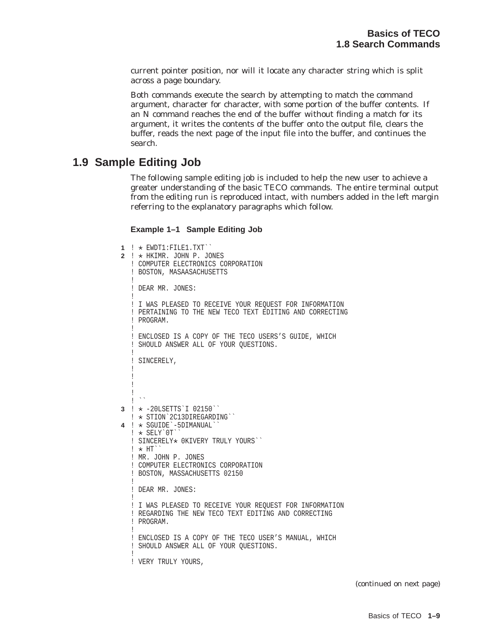current pointer position, nor will it locate any character string which is split across a page boundary.

Both commands execute the search by attempting to match the command argument, character for character, with some portion of the buffer contents. If an N command reaches the end of the buffer without finding a match for its argument, it writes the contents of the buffer onto the output file, clears the buffer, reads the next page of the input file into the buffer, and continues the search.

#### **1.9 Sample Editing Job**

The following sample editing job is included to help the new user to achieve a greater understanding of the basic TECO commands. The entire terminal output from the editing run is reproduced intact, with numbers added in the left margin referring to the explanatory paragraphs which follow.

#### **Example 1–1 Sample Editing Job**

```
1 \star EWDT1:FILE1.TXT``
2 ! * HKIMR. JOHN P. JONES
  ! COMPUTER ELECTRONICS CORPORATION
  ! BOSTON, MASAASACHUSETTS
   !
  ! DEAR MR. JONES:
   !
  ! I WAS PLEASED TO RECEIVE YOUR REQUEST FOR INFORMATION
  ! PERTAINING TO THE NEW TECO TEXT EDITING AND CORRECTING
  ! PROGRAM.
   !
  ! ENCLOSED IS A COPY OF THE TECO USERS'S GUIDE, WHICH
  ! SHOULD ANSWER ALL OF YOUR QUESTIONS.
   !
  ! SINCERELY,
  !
  !
  !
   !
   ! ``
3 ! * -20LSETTS`I 02150``
  ! * STION`2C13DIREGARDING``
4 ! \star SGUIDE \text{-5DIMANUAL}! * SELY`0T``
  ! SINCERELY* OKIVERY TRULY YOURS``
  ! \star HT``
  ! MR. JOHN P. JONES
  ! COMPUTER ELECTRONICS CORPORATION
  ! BOSTON, MASSACHUSETTS 02150
   !
  ! DEAR MR. JONES:
   !
  ! I WAS PLEASED TO RECEIVE YOUR REQUEST FOR INFORMATION
  ! REGARDING THE NEW TECO TEXT EDITING AND CORRECTING
  ! PROGRAM.
   !
  ! ENCLOSED IS A COPY OF THE TECO USER'S MANUAL, WHICH
  ! SHOULD ANSWER ALL OF YOUR QUESTIONS.
   !
  ! VERY TRULY YOURS,
```
(continued on next page)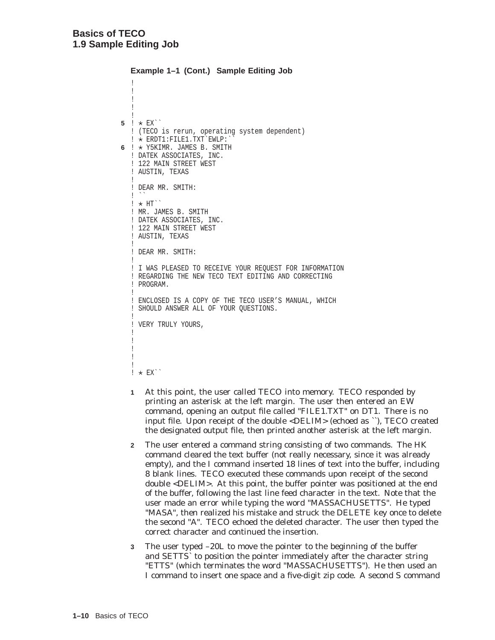```
Example 1–1 (Cont.) Sample Editing Job
  !
  !
  !
  !
5 ! ★ EX``
  ! (TECO is rerun, operating system dependent)
  ! ? ERDT1:FILE1.TXT`EWLP:``
6 ! * Y5KIMR. JAMES B. SMITH
  ! DATEK ASSOCIATES, INC.
  ! 122 MAIN STREET WEST
  ! AUSTIN, TEXAS
   !
  ! DEAR MR. SMITH:
   ! ``<br>! * HT``
  ! MR. JAMES B. SMITH
  ! DATEK ASSOCIATES, INC.
  ! 122 MAIN STREET WEST
  ! AUSTIN, TEXAS
   !
  ! DEAR MR. SMITH:
   !
  ! I WAS PLEASED TO RECEIVE YOUR REQUEST FOR INFORMATION
  ! REGARDING THE NEW TECO TEXT EDITING AND CORRECTING
  ! PROGRAM.
   !
  ! ENCLOSED IS A COPY OF THE TECO USER'S MANUAL, WHICH
  ! SHOULD ANSWER ALL OF YOUR QUESTIONS.
   !
  ! VERY TRULY YOURS,
   !
  !
  !
  !
  !
  ! \star EX^ \hat{}
```
- **1** At this point, the user called TECO into memory. TECO responded by printing an asterisk at the left margin. The user then entered an EW command, opening an output file called "FILE1.TXT" on DT1. There is no input file. Upon receipt of the double <DELIM> (echoed as ``), TECO created the designated output file, then printed another asterisk at the left margin.
- **2** The user entered a command string consisting of two commands. The HK command cleared the text buffer (not really necessary, since it was already empty), and the I command inserted 18 lines of text into the buffer, including 8 blank lines. TECO executed these commands upon receipt of the second double <DELIM>. At this point, the buffer pointer was positioned at the end of the buffer, following the last line feed character in the text. Note that the user made an error while typing the word "MASSACHUSETTS". He typed "MASA", then realized his mistake and struck the DELETE key once to delete the second "A". TECO echoed the deleted character. The user then typed the correct character and continued the insertion.
- **3** The user typed –20L to move the pointer to the beginning of the buffer and SETTS` to position the pointer immediately after the character string "ETTS" (which terminates the word "MASSACHUSETTS"). He then used an I command to insert one space and a five-digit zip code. A second S command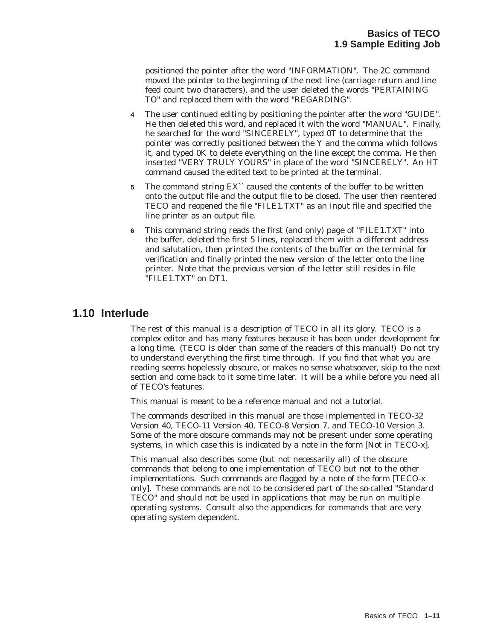positioned the pointer after the word "INFORMATION". The 2C command moved the pointer to the beginning of the next line (carriage return and line feed count two characters), and the user deleted the words "PERTAINING TO" and replaced them with the word "REGARDING".

- **4** The user continued editing by positioning the pointer after the word "GUIDE". He then deleted this word, and replaced it with the word "MANUAL". Finally, he searched for the word "SINCERELY", typed 0T to determine that the pointer was correctly positioned between the Y and the comma which follows it, and typed 0K to delete everything on the line except the comma. He then inserted "VERY TRULY YOURS" in place of the word "SINCERELY". An HT command caused the edited text to be printed at the terminal.
- **5** The command string EX`` caused the contents of the buffer to be written onto the output file and the output file to be closed. The user then reentered TECO and reopened the file "FILE1.TXT" as an input file and specified the line printer as an output file.
- **6** This command string reads the first (and only) page of "FILE1.TXT" into the buffer, deleted the first 5 lines, replaced them with a different address and salutation, then printed the contents of the buffer on the terminal for verification and finally printed the new version of the letter onto the line printer. Note that the previous version of the letter still resides in file "FILE1.TXT" on DT1.

#### **1.10 Interlude**

The rest of this manual is a description of TECO in all its glory. TECO is a complex editor and has many features because it has been under development for a long time. (TECO is older than some of the readers of this manual!) Do not try to understand everything the first time through. If you find that what you are reading seems hopelessly obscure, or makes no sense whatsoever, skip to the next section and come back to it some time later. It will be a while before you need all of TECO's features.

This manual is meant to be a reference manual and not a tutorial.

The commands described in this manual are those implemented in TECO-32 Version 40, TECO-11 Version 40, TECO-8 Version 7, and TECO-10 Version 3. Some of the more obscure commands may not be present under some operating systems, in which case this is indicated by a note in the form [Not in TECO-x].

This manual also describes some (but not necessarily all) of the obscure commands that belong to one implementation of TECO but not to the other implementations. Such commands are flagged by a note of the form  $[TECO-x]$ only]. These commands are not to be considered part of the so-called "Standard TECO" and should not be used in applications that may be run on multiple operating systems. Consult also the appendices for commands that are very operating system dependent.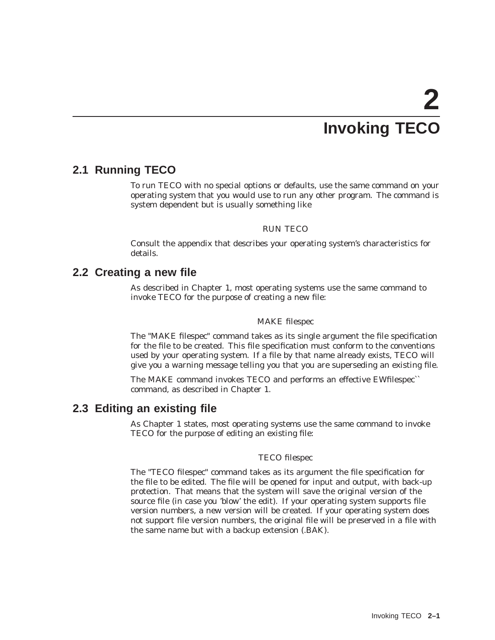# **2 Invoking TECO**

### **2.1 Running TECO**

To run TECO with no special options or defaults, use the same command on your operating system that you would use to run any other program. The command is system dependent but is usually something like

#### RUN TECO

Consult the appendix that describes your operating system's characteristics for details.

#### **2.2 Creating a new file**

As described in Chapter 1, most operating systems use the same command to invoke TECO for the purpose of creating a new file:

#### MAKE filespec

The "MAKE filespec" command takes as its single argument the file specification for the file to be created. This file specification must conform to the conventions used by your operating system. If a file by that name already exists, TECO will give you a warning message telling you that you are superseding an existing file.

The MAKE command invokes TECO and performs an effective EWfilespec`` command, as described in Chapter 1.

#### **2.3 Editing an existing file**

As Chapter 1 states, most operating systems use the same command to invoke TECO for the purpose of editing an existing file:

#### TECO filespec

The "TECO filespec" command takes as its argument the file specification for the file to be edited. The file will be opened for input and output, with back-up protection. That means that the system will save the original version of the source file (in case you 'blow' the edit). If your operating system supports file version numbers, a new version will be created. If your operating system does not support file version numbers, the original file will be preserved in a file with the same name but with a backup extension (.BAK).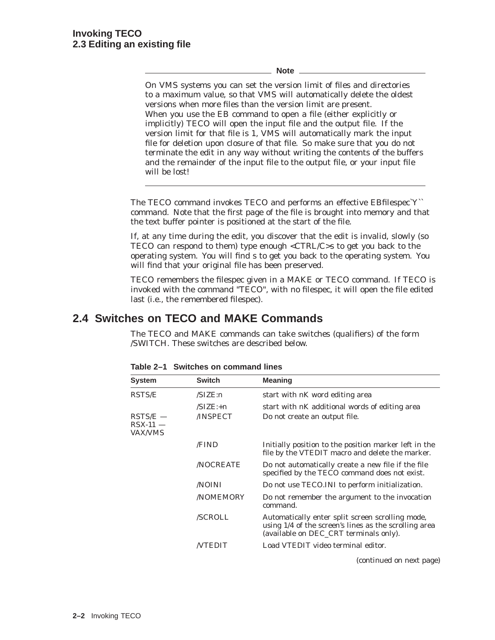**Note** 2008

On VMS systems you can set the version limit of files and directories to a maximum value, so that VMS will automatically delete the oldest versions when more files than the version limit are present. When you use the EB command to open a file (either explicitly or implicitly) TECO will open the input file and the output file. If the version limit for that file is 1, VMS will automatically mark the input file for deletion upon closure of that file. So make sure that you do not terminate the edit in any way without writing the contents of the buffers and the remainder of the input file to the output file, or your input file will be lost!

The TECO command invokes TECO and performs an effective EBfilespec`Y`` command. Note that the first page of the file is brought into memory and that the text buffer pointer is positioned at the start of the file.

If, at any time during the edit, you discover that the edit is invalid, slowly (so TECO can respond to them) type enough <CTRL/C>s to get you back to the operating system. You will find s to get you back to the operating system. You will find that your original file has been preserved.

TECO remembers the filespec given in a MAKE or TECO command. If TECO is invoked with the command "TECO", with no filespec, it will open the file edited last (i.e., the remembered filespec).

### **2.4 Switches on TECO and MAKE Commands**

The TECO and MAKE commands can take switches (qualifiers) of the form /SWITCH. These switches are described below.

| System                                                     | <b>Switch</b>   | <b>Meaning</b>                                                                                                                                      |
|------------------------------------------------------------|-----------------|-----------------------------------------------------------------------------------------------------------------------------------------------------|
| RSTS/E                                                     | /SIZE:n         | start with nK word editing area                                                                                                                     |
|                                                            | $/SIZE: +n$     | start with nK additional words of editing area                                                                                                      |
| $\mathrm{RSTS}/\mathrm{E} =$<br>RSX-11 —<br><b>VAX/VMS</b> | <b>INSPECT</b>  | Do not create an output file.                                                                                                                       |
|                                                            | <b>/FIND</b>    | Initially position to the position marker left in the<br>file by the VTEDIT macro and delete the marker.                                            |
|                                                            | <b>NOCREATE</b> | Do not automatically create a new file if the file<br>specified by the TECO command does not exist.                                                 |
|                                                            | /NOINI          | Do not use TECO. INI to perform initialization.                                                                                                     |
|                                                            | /NOMEMORY       | Do not remember the argument to the invocation<br>command.                                                                                          |
|                                                            | /SCROLL         | Automatically enter split screen scrolling mode,<br>using 1/4 of the screen's lines as the scrolling area<br>(available on DEC_CRT terminals only). |
|                                                            | <b>NTEDIT</b>   | Load VTEDIT video terminal editor.                                                                                                                  |
|                                                            |                 | $\left( \begin{array}{cccc} 1 & 1 & 1 \end{array} \right)$                                                                                          |

**Table 2–1 Switches on command lines**

(continued on next page)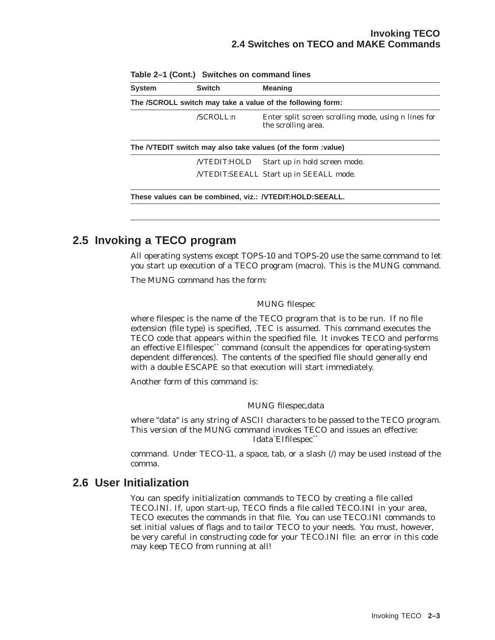| <b>System</b> | <b>Switch</b> | <b>Meaning</b>                                                              |
|---------------|---------------|-----------------------------------------------------------------------------|
|               |               | The /SCROLL switch may take a value of the following form:                  |
|               | /SCROLL: n    | Enter split screen scrolling mode, using n lines for<br>the scrolling area. |
|               |               | The NTEDIT switch may also take values (of the form :value)                 |
|               | /VTEDIT:HOLD  | Start up in hold screen mode.                                               |
|               |               | /VTEDIT:SEEALL Start up in SEEALL mode.                                     |
|               |               | These values can be combined, viz.: /VTEDIT:HOLD:SEEALL.                    |

**Table 2–1 (Cont.) Switches on command lines**

### **2.5 Invoking a TECO program**

All operating systems except TOPS-10 and TOPS-20 use the same command to let you start up execution of a TECO program (macro). This is the MUNG command.

The MUNG command has the form:

#### MUNG filespec

where filespec is the name of the TECO program that is to be run. If no file extension (file type) is specified, .TEC is assumed. This command executes the TECO code that appears within the specified file. It invokes TECO and performs an effective EIfilespec`` command (consult the appendices for operating-system dependent differences). The contents of the specified file should generally end with a double ESCAPE so that execution will start immediately.

Another form of this command is:

#### MUNG filespec,data

where "data" is any string of ASCII characters to be passed to the TECO program. This version of the MUNG command invokes TECO and issues an effective: Idata`EIfilespec``

command. Under TECO-11, a space, tab, or a slash  $\ell$  may be used instead of the comma.

#### **2.6 User Initialization**

You can specify initialization commands to TECO by creating a file called TECO.INI. If, upon start-up, TECO finds a file called TECO.INI in your area, TECO executes the commands in that file. You can use TECO.INI commands to set initial values of flags and to tailor TECO to your needs. You must, however, be very careful in constructing code for your TECO.INI file: an error in this code may keep TECO from running at all!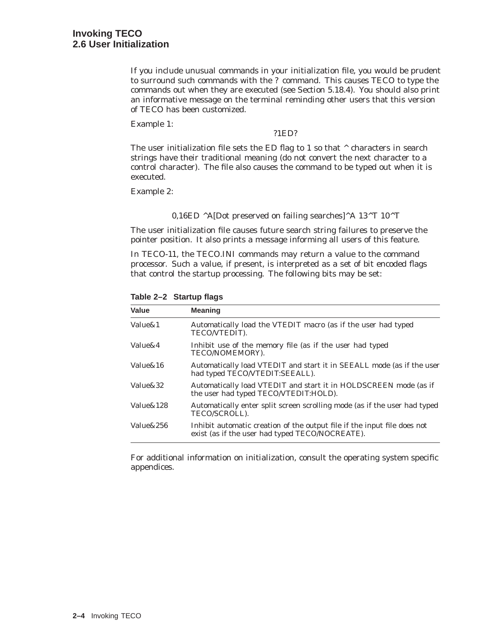If you include unusual commands in your initialization file, you would be prudent to surround such commands with the ? command. This causes TECO to type the commands out when they are executed (see Section 5.18.4). You should also print an informative message on the terminal reminding other users that this version of TECO has been customized.

Example 1:

?1ED?

The user initialization file sets the ED flag to 1 so that  $\wedge$  characters in search strings have their traditional meaning (do not convert the next character to a control character). The file also causes the command to be typed out when it is executed.

Example 2:

0,16ED ^A[Dot preserved on failing searches]^A 13^T 10^T

The user initialization file causes future search string failures to preserve the pointer position. It also prints a message informing all users of this feature.

In TECO-11, the TECO.INI commands may return a value to the command processor. Such a value, if present, is interpreted as a set of bit encoded flags that control the startup processing. The following bits may be set:

**Table 2–2 Startup flags**

| Value       | <b>Meaning</b>                                                                                                              |
|-------------|-----------------------------------------------------------------------------------------------------------------------------|
| Value&1     | Automatically load the VTEDIT macro (as if the user had typed<br>TECO/VTEDIT).                                              |
| Value&4     | Inhibit use of the memory file (as if the user had typed<br>TECO/NOMEMORY).                                                 |
| Value&16    | Automatically load VTEDIT and start it in SEEALL mode (as if the user<br>had typed TECO/VTEDIT:SEEALL).                     |
| Value&32    | Automatically load VTEDIT and start it in HOLDSCREEN mode (as if<br>the user had typed TECO/VTEDIT:HOLD).                   |
| Value & 128 | Automatically enter split screen scrolling mode (as if the user had typed<br>TECO/SCROLL).                                  |
| Value&256   | Inhibit automatic creation of the output file if the input file does not<br>exist (as if the user had typed TECO/NOCREATE). |

For additional information on initialization, consult the operating system specific appendices.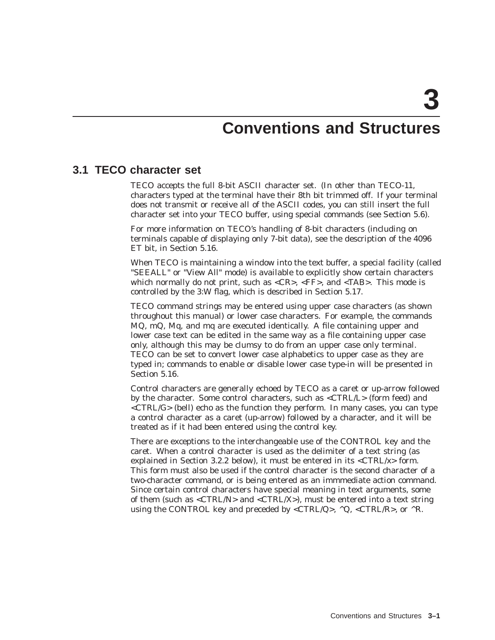# **Conventions and Structures**

# **3.1 TECO character set**

TECO accepts the full 8-bit ASCII character set. (In other than TECO-11, characters typed at the terminal have their 8th bit trimmed off. If your terminal does not transmit or receive all of the ASCII codes, you can still insert the full character set into your TECO buffer, using special commands (see Section 5.6).

For more information on TECO's handling of 8-bit characters (including on terminals capable of displaying only 7-bit data), see the description of the 4096 ET bit, in Section 5.16.

When TECO is maintaining a window into the text buffer, a special facility (called "SEEALL" or "View All" mode) is available to explicitly show certain characters which normally do not print, such as <CR>, <FF>, and <TAB>. This mode is controlled by the 3:W flag, which is described in Section 5.17.

TECO command strings may be entered using upper case characters (as shown throughout this manual) or lower case characters. For example, the commands MQ, mQ, Mq, and mq are executed identically. A file containing upper and lower case text can be edited in the same way as a file containing upper case only, although this may be clumsy to do from an upper case only terminal. TECO can be set to convert lower case alphabetics to upper case as they are typed in; commands to enable or disable lower case type-in will be presented in Section 5.16.

Control characters are generally echoed by TECO as a caret or up-arrow followed by the character. Some control characters, such as <CTRL/L> (form feed) and <CTRL/G> (bell) echo as the function they perform. In many cases, you can type a control character as a caret (up-arrow) followed by a character, and it will be treated as if it had been entered using the control key.

There are exceptions to the interchangeable use of the CONTROL key and the caret. When a control character is used as the delimiter of a text string (as explained in Section 3.2.2 below), it must be entered in its <CTRL/x> form. This form must also be used if the control character is the second character of a two-character command, or is being entered as an immmediate action command. Since certain control characters have special meaning in text arguments, some of them (such as  $\langle \text{CTR} L / \text{N} \rangle$  and  $\langle \text{CTR} L / \text{X} \rangle$ ), must be entered into a text string using the CONTROL key and preceded by  $\langle \text{CTRL/Q}\rangle$ ,  $\land Q$ ,  $\langle \text{CTRL/R}\rangle$ , or  $\land R$ .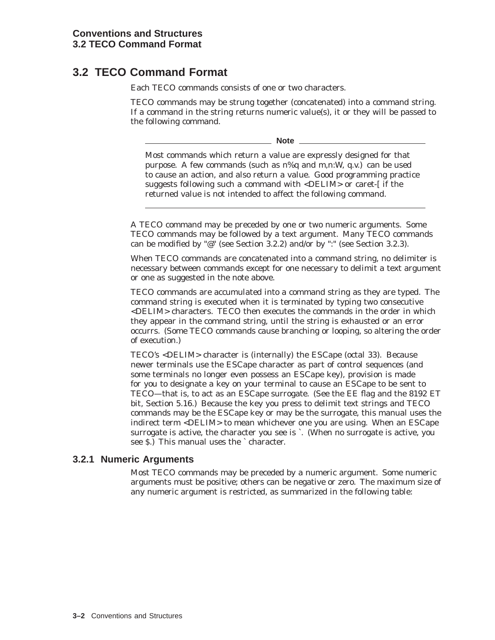# **3.2 TECO Command Format**

Each TECO commands consists of one or two characters.

TECO commands may be strung together (concatenated) into a command string. If a command in the string returns numeric value(s), it or they will be passed to the following command.

**Note**

Most commands which return a value are expressly designed for that purpose. A few commands (such as n%q and m,n:W, q.v.) can be used to cause an action, and also return a value. Good programming practice suggests following such a command with <DELIM> or caret-[ if the returned value is not intended to affect the following command.

A TECO command may be preceded by one or two numeric arguments. Some TECO commands may be followed by a text argument. Many TECO commands can be modified by "@" (see Section 3.2.2) and/or by ":" (see Section 3.2.3).

When TECO commands are concatenated into a command string, no delimiter is necessary between commands except for one necessary to delimit a text argument or one as suggested in the note above.

TECO commands are accumulated into a command string as they are typed. The command string is executed when it is terminated by typing two consecutive <DELIM> characters. TECO then executes the commands in the order in which they appear in the command string, until the string is exhausted or an error occurrs. (Some TECO commands cause branching or looping, so altering the order of execution.)

TECO's <DELIM> character is (internally) the ESCape (octal 33). Because newer terminals use the ESCape character as part of control sequences (and some terminals no longer even possess an ESCape key), provision is made for you to designate a key on your terminal to cause an ESCape to be sent to TECO—that is, to act as an ESCape surrogate. (See the EE flag and the 8192 ET bit, Section 5.16.) Because the key you press to delimit text strings and TECO commands may be the ESCape key or may be the surrogate, this manual uses the indirect term <DELIM> to mean whichever one you are using. When an ESCape surrogate is active, the character you see is `. (When no surrogate is active, you see \$.) This manual uses the ` character.

### **3.2.1 Numeric Arguments**

Most TECO commands may be preceded by a numeric argument. Some numeric arguments must be positive; others can be negative or zero. The maximum size of any numeric argument is restricted, as summarized in the following table: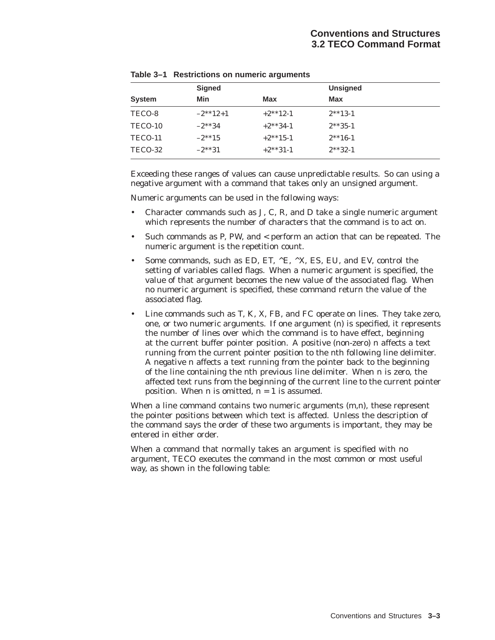|               | <b>Signed</b> |             | <b>Unsigned</b> |  |
|---------------|---------------|-------------|-----------------|--|
| <b>System</b> | Min           | Max         | Max             |  |
| TECO-8        | $-2**12+1$    | $+2$ **12-1 | $2^{**}13-1$    |  |
| TECO-10       | $-2**34$      | $+2$ **34-1 | $2^{**}35-1$    |  |
| TECO-11       | $-2**15$      | $+2$ **15-1 | $2^{**}16-1$    |  |
| TECO-32       | $-2**31$      | $+2**31-1$  | $2**32-1$       |  |

**Table 3–1 Restrictions on numeric arguments**

Exceeding these ranges of values can cause unpredictable results. So can using a negative argument with a command that takes only an unsigned argument.

Numeric arguments can be used in the following ways:

- Character commands such as J, C, R, and D take a single numeric argument which represents the number of characters that the command is to act on.
- Such commands as P, PW, and < perform an action that can be repeated. The numeric argument is the repetition count.
- Some commands, such as ED, ET,  $^{\wedge}E$ ,  $^{\wedge}X$ , ES, EU, and EV, control the setting of variables called flags. When a numeric argument is specified, the value of that argument becomes the new value of the associated flag. When no numeric argument is specified, these command return the value of the associated flag.
- Line commands such as T, K, X, FB, and FC operate on lines. They take zero, one, or two numeric arguments. If one argument (n) is specified, it represents the number of lines over which the command is to have effect, beginning at the current buffer pointer position. A positive (non-zero) n affects a text running from the current pointer position to the nth following line delimiter. A negative n affects a text running from the pointer back to the beginning of the line containing the nth previous line delimiter. When n is zero, the affected text runs from the beginning of the current line to the current pointer position. When  $n$  is omitted,  $n = 1$  is assumed.

When a line command contains two numeric arguments  $(m,n)$ , these represent the pointer positions between which text is affected. Unless the description of the command says the order of these two arguments is important, they may be entered in either order.

When a command that normally takes an argument is specified with no argument, TECO executes the command in the most common or most useful way, as shown in the following table: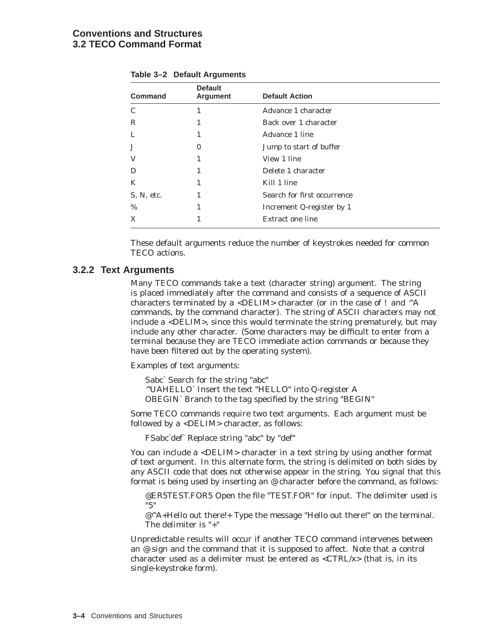### **Conventions and Structures 3.2 TECO Command Format**

|                | <b>Default</b> |                             |
|----------------|----------------|-----------------------------|
| <b>Command</b> | Argument       | <b>Default Action</b>       |
| C              | 1              | Advance 1 character         |
| R              | 1              | Back over 1 character       |
| L              | 1              | Advance 1 line              |
| J              | 0              | Jump to start of buffer     |
| V              | 1              | View 1 line                 |
| D              | 1              | Delete 1 character          |
| K              | 1              | Kill 1 line                 |
| S, N, etc.     | 1              | Search for first occurrence |
| %              | 1              | Increment Q-register by 1   |
| X              |                | Extract one line            |

|  |  |  | Table 3-2 Default Arguments |
|--|--|--|-----------------------------|
|--|--|--|-----------------------------|

These default arguments reduce the number of keystrokes needed for common TECO actions.

#### **3.2.2 Text Arguments**

Many TECO commands take a text (character string) argument. The string is placed immediately after the command and consists of a sequence of ASCII characters terminated by a <DELIM> character (or in the case of ! and  $\Delta$ A commands, by the command character). The string of ASCII characters may not include a <DELIM>, since this would terminate the string prematurely, but may include any other character. (Some characters may be difficult to enter from a terminal because they are TECO immediate action commands or because they have been filtered out by the operating system).

Examples of text arguments:

Sabc` Search for the string "abc" ^UAHELLO` Insert the text "HELLO" into Q-register A OBEGIN` Branch to the tag specified by the string "BEGIN"

Some TECO commands require two text arguments. Each argument must be followed by a <DELIM> character, as follows:

FSabc`def` Replace string "abc" by "def"

You can include a <DELIM> character in a text string by using another format of text argument. In this alternate form, the string is delimited on both sides by any ASCII code that does not otherwise appear in the string. You signal that this format is being used by inserting an @ character before the command, as follows:

@ER5TEST.FOR5 Open the file "TEST.FOR" for input. The delimiter used is "5"

@^A+Hello out there!+ Type the message "Hello out there!" on the terminal. The delimiter is "+"

Unpredictable results will occur if another TECO command intervenes between an @ sign and the command that it is supposed to affect. Note that a control character used as a delimiter must be entered as <CTRL/x> (that is, in its single-keystroke form).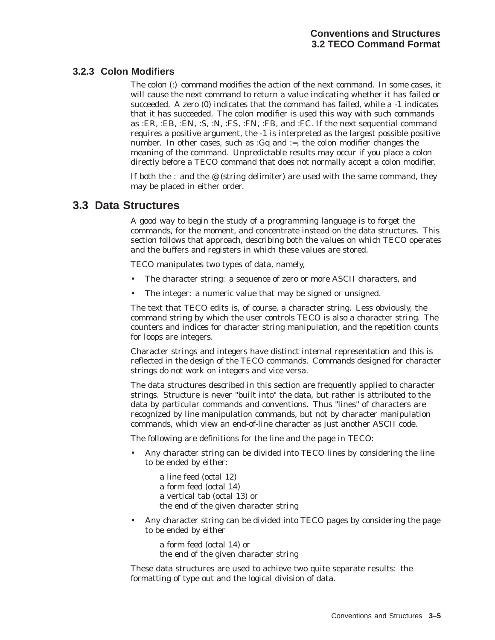# **3.2.3 Colon Modifiers**

The colon (:) command modifies the action of the next command. In some cases, it will cause the next command to return a value indicating whether it has failed or succeeded. A zero (0) indicates that the command has failed, while a -1 indicates that it has succeeded. The colon modifier is used this way with such commands as :ER, :EB, :EN, :S, :N, :FS, :FN, :FB, and :FC. If the next sequential command requires a positive argument, the -1 is interpreted as the largest possible positive number. In other cases, such as : $Gq$  and :=, the colon modifier changes the meaning of the command. Unpredictable results may occur if you place a colon directly before a TECO command that does not normally accept a colon modifier.

If both the : and the  $\mathcal{Q}$  (string delimiter) are used with the same command, they may be placed in either order.

# **3.3 Data Structures**

A good way to begin the study of a programming language is to forget the commands, for the moment, and concentrate instead on the data structures. This section follows that approach, describing both the values on which TECO operates and the buffers and registers in which these values are stored.

TECO manipulates two types of data, namely,

- The character string: a sequence of zero or more ASCII characters, and
- The integer: a numeric value that may be signed or unsigned.

The text that TECO edits is, of course, a character string. Less obviously, the command string by which the user controls TECO is also a character string. The counters and indices for character string manipulation, and the repetition counts for loops are integers.

Character strings and integers have distinct internal representation and this is reflected in the design of the TECO commands. Commands designed for character strings do not work on integers and vice versa.

The data structures described in this section are frequently applied to character strings. Structure is never "built into" the data, but rather is attributed to the data by particular commands and conventions. Thus "lines" of characters are recognized by line manipulation commands, but not by character manipulation commands, which view an end-of-line character as just another ASCII code.

The following are definitions for the line and the page in TECO:

• Any character string can be divided into TECO lines by considering the line to be ended by either:

a line feed (octal 12) a form feed (octal 14) a vertical tab (octal 13) or the end of the given character string

• Any character string can be divided into TECO pages by considering the page to be ended by either

a form feed (octal 14) or the end of the given character string

These data structures are used to achieve two quite separate results: the formatting of type out and the logical division of data.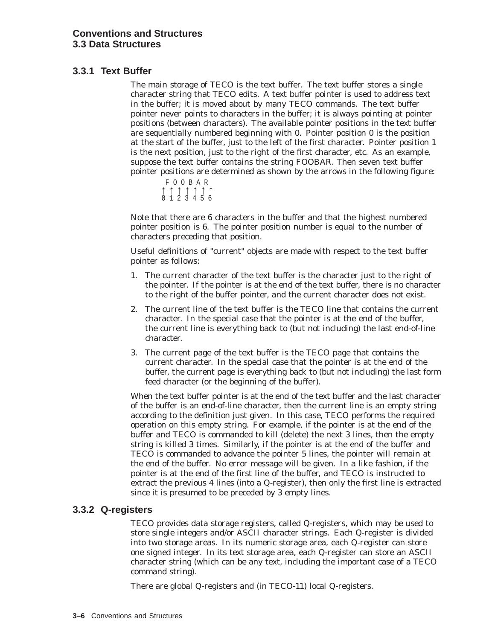# **3.3.1 Text Buffer**

The main storage of TECO is the text buffer. The text buffer stores a single character string that TECO edits. A text buffer pointer is used to address text in the buffer; it is moved about by many TECO commands. The text buffer pointer never points to characters in the buffer; it is always pointing at pointer positions (between characters). The available pointer positions in the text buffer are sequentially numbered beginning with 0. Pointer position 0 is the position at the start of the buffer, just to the left of the first character. Pointer position 1 is the next position, just to the right of the first character, etc. As an example, suppose the text buffer contains the string FOOBAR. Then seven text buffer pointer positions are determined as shown by the arrows in the following figure:

```
FOOBAR
"""""""
0123456
```
Note that there are 6 characters in the buffer and that the highest numbered pointer position is 6. The pointer position number is equal to the number of characters preceding that position.

Useful definitions of "current" objects are made with respect to the text buffer pointer as follows:

- 1. The current character of the text buffer is the character just to the right of the pointer. If the pointer is at the end of the text buffer, there is no character to the right of the buffer pointer, and the current character does not exist.
- 2. The current line of the text buffer is the TECO line that contains the current character. In the special case that the pointer is at the end of the buffer, the current line is everything back to (but not including) the last end-of-line character.
- 3. The current page of the text buffer is the TECO page that contains the current character. In the special case that the pointer is at the end of the buffer, the current page is everything back to (but not including) the last form feed character (or the beginning of the buffer).

When the text buffer pointer is at the end of the text buffer and the last character of the buffer is an end-of-line character, then the current line is an empty string according to the definition just given. In this case, TECO performs the required operation on this empty string. For example, if the pointer is at the end of the buffer and TECO is commanded to kill (delete) the next 3 lines, then the empty string is killed 3 times. Similarly, if the pointer is at the end of the buffer and TECO is commanded to advance the pointer 5 lines, the pointer will remain at the end of the buffer. No error message will be given. In a like fashion, if the pointer is at the end of the first line of the buffer, and TECO is instructed to extract the previous 4 lines (into a Q-register), then only the first line is extracted since it is presumed to be preceded by 3 empty lines.

### **3.3.2 Q-registers**

TECO provides data storage registers, called Q-registers, which may be used to store single integers and/or ASCII character strings. Each Q-register is divided into two storage areas. In its numeric storage area, each Q-register can store one signed integer. In its text storage area, each Q-register can store an ASCII character string (which can be any text, including the important case of a TECO command string).

There are global Q-registers and (in TECO-11) local Q-registers.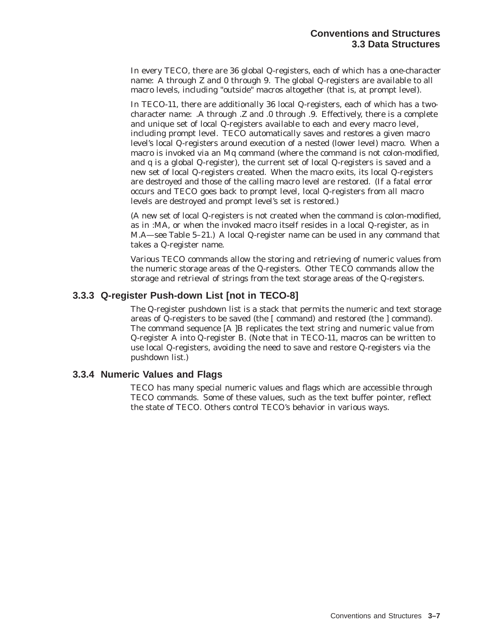In every TECO, there are 36 global Q-registers, each of which has a one-character name: A through Z and 0 through 9. The global Q-registers are available to all macro levels, including "outside" macros altogether (that is, at prompt level).

In TECO-11, there are additionally 36 local Q-registers, each of which has a twocharacter name: .A through .Z and .0 through .9. Effectively, there is a complete and unique set of local Q-registers available to each and every macro level, including prompt level. TECO automatically saves and restores a given macro level's local Q-registers around execution of a nested (lower level) macro. When a macro is invoked via an Mq command (where the command is not colon-modified, and q is a global Q-register), the current set of local Q-registers is saved and a new set of local Q-registers created. When the macro exits, its local Q-registers are destroyed and those of the calling macro level are restored. (If a fatal error occurs and TECO goes back to prompt level, local Q-registers from all macro levels are destroyed and prompt level's set is restored.)

(A new set of local Q-registers is not created when the command is colon-modified, as in :MA, or when the invoked macro itself resides in a local Q-register, as in M.A—see Table 5–21.) A local Q-register name can be used in any command that takes a Q-register name.

Various TECO commands allow the storing and retrieving of numeric values from the numeric storage areas of the Q-registers. Other TECO commands allow the storage and retrieval of strings from the text storage areas of the Q-registers.

# **3.3.3 Q-register Push-down List [not in TECO-8]**

The Q-register pushdown list is a stack that permits the numeric and text storage areas of Q-registers to be saved (the [ command) and restored (the ] command). The command sequence [A ]B replicates the text string and numeric value from Q-register A into Q-register B. (Note that in TECO-11, macros can be written to use local Q-registers, avoiding the need to save and restore Q-registers via the pushdown list.)

#### **3.3.4 Numeric Values and Flags**

TECO has many special numeric values and flags which are accessible through TECO commands. Some of these values, such as the text buffer pointer, reflect the state of TECO. Others control TECO's behavior in various ways.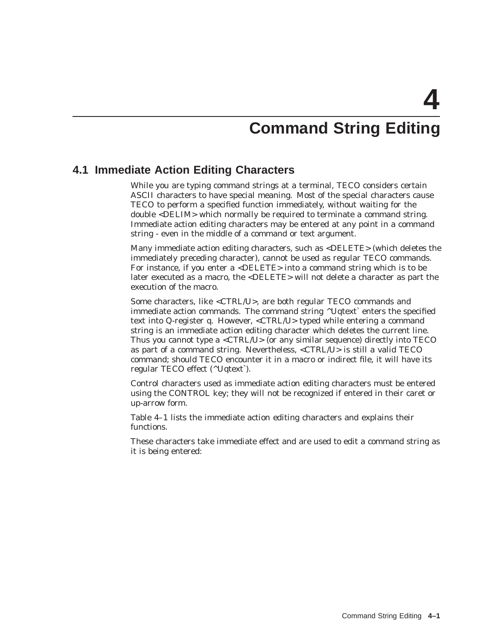# **Command String Editing**

# **4.1 Immediate Action Editing Characters**

While you are typing command strings at a terminal, TECO considers certain ASCII characters to have special meaning. Most of the special characters cause TECO to perform a specified function immediately, without waiting for the double <DELIM> which normally be required to terminate a command string. Immediate action editing characters may be entered at any point in a command string - even in the middle of a command or text argument.

Many immediate action editing characters, such as <DELETE> (which deletes the immediately preceding character), cannot be used as regular TECO commands. For instance, if you enter a <DELETE> into a command string which is to be later executed as a macro, the <DELETE> will not delete a character as part the execution of the macro.

Some characters, like <CTRL/U>, are both regular TECO commands and immediate action commands. The command string  $\Delta U$ qtext` enters the specified text into Q-register q. However, <CTRL/U> typed while entering a command string is an immediate action editing character which deletes the current line. Thus you cannot type a <CTRL/U> (or any similar sequence) directly into TECO as part of a command string. Nevertheless, <CTRL/U> is still a valid TECO command; should TECO encounter it in a macro or indirect file, it will have its regular TECO effect (^Uqtext`).

Control characters used as immediate action editing characters must be entered using the CONTROL key; they will not be recognized if entered in their caret or up-arrow form.

Table 4–1 lists the immediate action editing characters and explains their functions.

These characters take immediate effect and are used to edit a command string as it is being entered: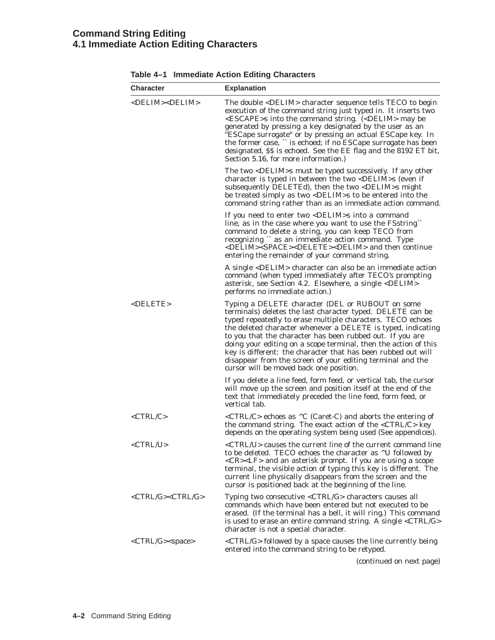## **Command String Editing 4.1 Immediate Action Editing Characters**

| <b>Character</b>                     | <b>Explanation</b>                                                                                                                                                                                                                                                                                                                                                                                                                                                                                                                                     |
|--------------------------------------|--------------------------------------------------------------------------------------------------------------------------------------------------------------------------------------------------------------------------------------------------------------------------------------------------------------------------------------------------------------------------------------------------------------------------------------------------------------------------------------------------------------------------------------------------------|
| <delim><delim></delim></delim>       | The double <delim> character sequence tells TECO to begin<br/>execution of the command string just typed in. It inserts two<br/><escape>s into the command string. (<delim> may be<br/>generated by pressing a key designated by the user as an<br/>"ESCape surrogate" or by pressing an actual ESCape key. In<br/>the former case, " is echoed; if no ESCape surrogate has been<br/>designated, \$\$ is echoed. See the EE flag and the 8192 ET bit,<br/>Section 5.16, for more information.)</delim></escape></delim>                                |
|                                      | The two <delim>s must be typed successively. If any other<br/>character is typed in between the two <delim>s (even if<br/>subsequently DELETEd), then the two <delim>s might<br/>be treated simply as two <delim>s to be entered into the<br/>command string rather than as an immediate action command.</delim></delim></delim></delim>                                                                                                                                                                                                               |
|                                      | If you need to enter two <delim>s into a command<br/>line, as in the case where you want to use the FSstring"<br/>command to delete a string, you can keep TECO from<br/>recognizing " as an immediate action command. Type<br/><delim><space><delete><delim> and then continue<br/>entering the remainder of your command string.</delim></delete></space></delim></delim>                                                                                                                                                                            |
|                                      | A single <delim> character can also be an immediate action<br/>command (when typed immediately after TECO's prompting<br/>asterisk, see Section 4.2. Elsewhere, a single <delim><br/>performs no immediate action.)</delim></delim>                                                                                                                                                                                                                                                                                                                    |
| <delete></delete>                    | Typing a DELETE character (DEL or RUBOUT on some<br>terminals) deletes the last character typed. DELETE can be<br>typed repeatedly to erase multiple characters. TECO echoes<br>the deleted character whenever a DELETE is typed, indicating<br>to you that the character has been rubbed out. If you are<br>doing your editing on a scope terminal, then the action of this<br>key is different: the character that has been rubbed out will<br>disappear from the screen of your editing terminal and the<br>cursor will be moved back one position. |
|                                      | If you delete a line feed, form feed, or vertical tab, the cursor<br>will move up the screen and position itself at the end of the<br>text that immediately preceded the line feed, form feed, or<br>vertical tab.                                                                                                                                                                                                                                                                                                                                     |
| $\langle \text{CTRL/C} \rangle$      | < $CTRL/C$ > echoes as $\wedge$ C (Caret-C) and aborts the entering of<br>the command string. The exact action of the <ctrl c=""> key<br/>depends on the operating system being used (See appendices).</ctrl>                                                                                                                                                                                                                                                                                                                                          |
| <ctrl u=""></ctrl>                   | <ctrl u=""> causes the current line of the current command line<br/>to be deleted. TECO echoes the character as ^U followed by<br/><cr><lf> and an asterisk prompt. If you are using a scope<br/>terminal, the visible action of typing this key is different. The<br/>current line physically disappears from the screen and the<br/>cursor is positioned back at the beginning of the line.</lf></cr></ctrl>                                                                                                                                         |
| <ctrl g=""><ctrl g=""></ctrl></ctrl> | Typing two consecutive <ctrl g=""> characters causes all<br/>commands which have been entered but not executed to be<br/>erased. (If the terminal has a bell, it will ring.) This command<br/>is used to erase an entire command string. A single <ctrl g=""><br/>character is not a special character.</ctrl></ctrl>                                                                                                                                                                                                                                  |
| <ctrl g=""><space></space></ctrl>    | <ctrl g=""> followed by a space causes the line currently being<br/>entered into the command string to be retyped.</ctrl>                                                                                                                                                                                                                                                                                                                                                                                                                              |

# **Table 4–1 Immediate Action Editing Characters**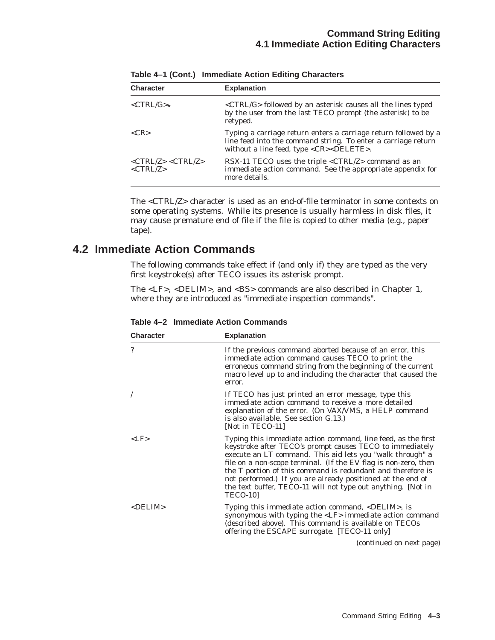| <b>Character</b>                                                                                 | <b>Explanation</b>                                                                                                                                                                        |
|--------------------------------------------------------------------------------------------------|-------------------------------------------------------------------------------------------------------------------------------------------------------------------------------------------|
| $\langle \text{CTRL/G>} \star$                                                                   | <ctrl g=""> followed by an asterisk causes all the lines typed<br/>by the user from the last TECO prompt (the asterisk) to be<br/>retyped.</ctrl>                                         |
| $<$ CR>                                                                                          | Typing a carriage return enters a carriage return followed by a<br>line feed into the command string. To enter a carriage return<br>without a line feed, type <cr><delete>.</delete></cr> |
| $\langle \text{CTRL/Z} \rangle \langle \text{CTRL/Z} \rangle$<br>$\langle \text{CTRL/Z} \rangle$ | RSX-11 TECO uses the triple <ctrl z=""> command as an<br/>immediate action command. See the appropriate appendix for<br/>more details.</ctrl>                                             |

**Table 4–1 (Cont.) Immediate Action Editing Characters**

The <CTRL/Z> character is used as an end-of-file terminator in some contexts on some operating systems. While its presence is usually harmless in disk files, it may cause premature end of file if the file is copied to other media (e.g., paper tape).

# **4.2 Immediate Action Commands**

The following commands take effect if (and only if) they are typed as the very first keystroke(s) after TECO issues its asterisk prompt.

The <LF>, <DELIM>, and <BS> commands are also described in Chapter 1, where they are introduced as "immediate inspection commands".

| <b>Character</b> | <b>Explanation</b>                                                                                                                                                                                                                                                                                                                                                                                                                                                        |
|------------------|---------------------------------------------------------------------------------------------------------------------------------------------------------------------------------------------------------------------------------------------------------------------------------------------------------------------------------------------------------------------------------------------------------------------------------------------------------------------------|
| ?                | If the previous command aborted because of an error, this<br>immediate action command causes TECO to print the<br>erroneous command string from the beginning of the current<br>macro level up to and including the character that caused the<br>error.                                                                                                                                                                                                                   |
|                  | If TECO has just printed an error message, type this<br>immediate action command to receive a more detailed<br>explanation of the error. (On VAX/VMS, a HELP command<br>is also available. See section G.13.)<br>[Not in TECO-11]                                                                                                                                                                                                                                         |
| $<$ LF>          | Typing this immediate action command, line feed, as the first<br>keystroke after TECO's prompt causes TECO to immediately<br>execute an LT command. This aid lets you "walk through" a<br>file on a non-scope terminal. (If the EV flag is non-zero, then<br>the T portion of this command is redundant and therefore is<br>not performed.) If you are already positioned at the end of<br>the text buffer, TECO-11 will not type out anything. [Not in<br><b>TECO-10</b> |
| <delim></delim>  | Typing this immediate action command, $\langle$ DELIM $\rangle$ , is<br>synonymous with typing the <lf> immediate action command<br/>(described above). This command is available on TECOs<br/>offering the ESCAPE surrogate. [TECO-11 only]</lf>                                                                                                                                                                                                                         |
|                  | (continued on next page)                                                                                                                                                                                                                                                                                                                                                                                                                                                  |

**Table 4–2 Immediate Action Commands**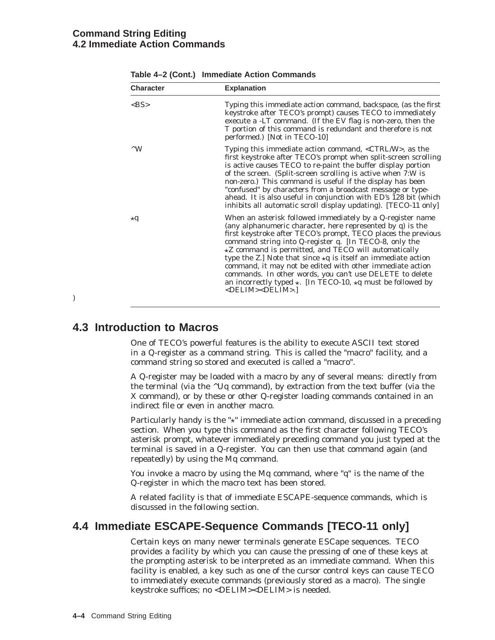### **Command String Editing 4.2 Immediate Action Commands**

| <b>Character</b> | <b>Explanation</b>                                                                                                                                                                                                                                                                                                                                                                                                                                                                                                                                                                                                                   |
|------------------|--------------------------------------------------------------------------------------------------------------------------------------------------------------------------------------------------------------------------------------------------------------------------------------------------------------------------------------------------------------------------------------------------------------------------------------------------------------------------------------------------------------------------------------------------------------------------------------------------------------------------------------|
| $<$ BS>          | Typing this immediate action command, backspace, (as the first<br>keystroke after TECO's prompt) causes TECO to immediately<br>execute a -LT command. (If the EV flag is non-zero, then the<br>T portion of this command is redundant and therefore is not<br>performed.) [Not in TECO-10]                                                                                                                                                                                                                                                                                                                                           |
| $\wedge$ W       | Typing this immediate action command, <ctrl w="">, as the<br/>first keystroke after TECO's prompt when split-screen scrolling<br/>is active causes TECO to re-paint the buffer display portion<br/>of the screen. (Split-screen scrolling is active when 7:W is<br/>non-zero.) This command is useful if the display has been<br/>"confused" by characters from a broadcast message or type-<br/>ahead. It is also useful in conjunction with ED's 128 bit (which<br/>inhibits all automatic scroll display updating). [TECO-11 only]</ctrl>                                                                                         |
| $\star$ q        | When an asterisk followed immediately by a Q-register name<br>(any alphanumeric character, here represented by q) is the<br>first keystroke after TECO's prompt, TECO places the previous<br>command string into Q-register q. [In TECO-8, only the<br>$\star$ Z command is permitted, and TECO will automatically<br>type the Z.] Note that since $\star q$ is itself an immediate action<br>command, it may not be edited with other immediate action<br>commands. In other words, you can't use DELETE to delete<br>an incorrectly typed $\star$ . [In TECO-10, $\star$ q must be followed by<br><delim><delim>.]</delim></delim> |

| Table 4–2 (Cont.) Immediate Action Commands |  |  |  |
|---------------------------------------------|--|--|--|
|---------------------------------------------|--|--|--|

)

# **4.3 Introduction to Macros**

One of TECO's powerful features is the ability to execute ASCII text stored in a Q-register as a command string. This is called the "macro" facility, and a command string so stored and executed is called a "macro".

A Q-register may be loaded with a macro by any of several means: directly from the terminal (via the ^Uq command), by extraction from the text buffer (via the X command), or by these or other Q-register loading commands contained in an indirect file or even in another macro.

Particularly handy is the " $\star$ " immediate action command, discussed in a preceding section. When you type this command as the first character following TECO's asterisk prompt, whatever immediately preceding command you just typed at the terminal is saved in a Q-register. You can then use that command again (and repeatedly) by using the Mq command.

You invoke a macro by using the Mq command, where "q" is the name of the Q-register in which the macro text has been stored.

A related facility is that of immediate ESCAPE-sequence commands, which is discussed in the following section.

# **4.4 Immediate ESCAPE-Sequence Commands [TECO-11 only]**

Certain keys on many newer terminals generate ESCape sequences. TECO provides a facility by which you can cause the pressing of one of these keys at the prompting asterisk to be interpreted as an immediate command. When this facility is enabled, a key such as one of the cursor control keys can cause TECO to immediately execute commands (previously stored as a macro). The single keystroke suffices; no <DELIM><DELIM> is needed.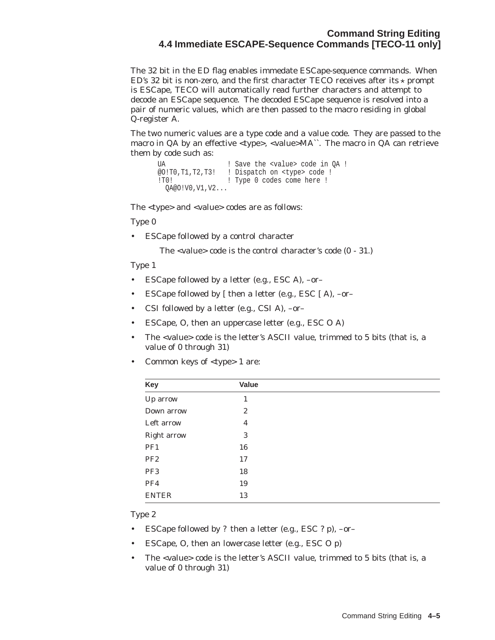# **Command String Editing 4.4 Immediate ESCAPE-Sequence Commands [TECO-11 only]**

The 32 bit in the ED flag enables immedate ESCape-sequence commands. When ED's 32 bit is non-zero, and the first character TECO receives after its  $*$  prompt is ESCape, TECO will automatically read further characters and attempt to decode an ESCape sequence. The decoded ESCape sequence is resolved into a pair of numeric values, which are then passed to the macro residing in global Q-register A.

The two numeric values are a type code and a value code. They are passed to the macro in QA by an effective <type>, <value>MA``. The macro in QA can retrieve them by code such as:

```
UA ! Save the <value> code in QA !<br>@O!T0,T1,T2,T3! ! Dispatch on <type> code !
                   ! Dispatch on <type> code !
!T0! ! Type 0 codes come here !
  QA@O!V0,V1,V2...
```
The <type> and <value> codes are as follows:

Type 0

• ESCape followed by a control character

The <value> code is the control character's code (0 - 31.)

Type 1

- ESCape followed by a letter (e.g., ESC A), –or–
- ESCape followed by  $\lceil$  then a letter (e.g., ESC  $\lceil A \rceil$ , -or-
- CSI followed by a letter (e.g., CSI A), -or-
- ESCape, O, then an uppercase letter (e.g., ESC O A)
- The <value> code is the letter's ASCII value, trimmed to 5 bits (that is, a value of 0 through 31)
- Common keys of <type> 1 are:

| <b>Key</b>      | Value        |
|-----------------|--------------|
| Up arrow        | $\mathbf{1}$ |
| Down arrow      | 2            |
| Left arrow      | 4            |
| Right arrow     | 3            |
| PF1             | 16           |
| PF <sub>2</sub> | 17           |
| PF <sub>3</sub> | 18           |
| PF4             | 19           |
| <b>ENTER</b>    | 13           |

Type 2

- ESCape followed by ? then a letter (e.g., ESC ? p), –or–
- ESCape, O, then an lowercase letter (e.g., ESC  $O$  p)
- The <value> code is the letter's ASCII value, trimmed to 5 bits (that is, a value of 0 through 31)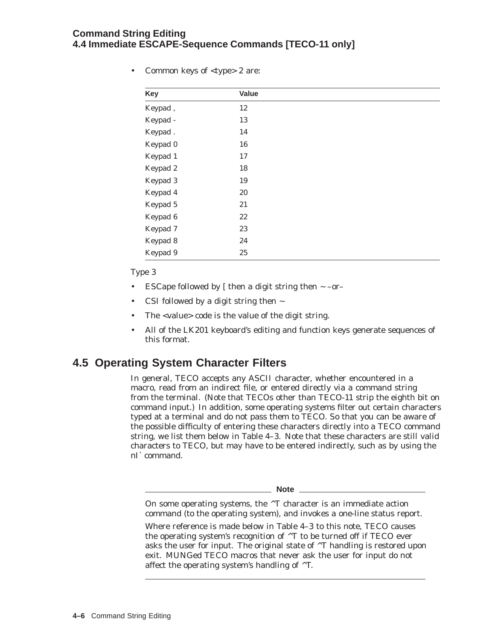# **Command String Editing 4.4 Immediate ESCAPE-Sequence Commands [TECO-11 only]**

| 12 |       |
|----|-------|
| 13 |       |
| 14 |       |
| 16 |       |
| 17 |       |
| 18 |       |
| 19 |       |
| 20 |       |
| 21 |       |
| 22 |       |
| 23 |       |
| 24 |       |
| 25 |       |
|    | Value |

• Common keys of <type> 2 are:

#### Type 3

- ESCape followed by  $\lceil$  then a digit string then  $\sim$  -or-
- CSI followed by a digit string then  $\sim$
- The <value> code is the value of the digit string.
- All of the LK201 keyboard's editing and function keys generate sequences of this format.

# **4.5 Operating System Character Filters**

In general, TECO accepts any ASCII character, whether encountered in a macro, read from an indirect file, or entered directly via a command string from the terminal. (Note that TECOs other than TECO-11 strip the eighth bit on command input.) In addition, some operating systems filter out certain characters typed at a terminal and do not pass them to TECO. So that you can be aware of the possible difficulty of entering these characters directly into a TECO command string, we list them below in Table 4–3. Note that these characters are still valid characters to TECO, but may have to be entered indirectly, such as by using the nI` command.

**Note** 

On some operating systems, the ^T character is an immediate action command (to the operating system), and invokes a one-line status report.

Where reference is made below in Table 4–3 to this note, TECO causes the operating system's recognition of ^T to be turned off if TECO ever asks the user for input. The original state of ^T handling is restored upon exit. MUNGed TECO macros that never ask the user for input do not affect the operating system's handling of ^T.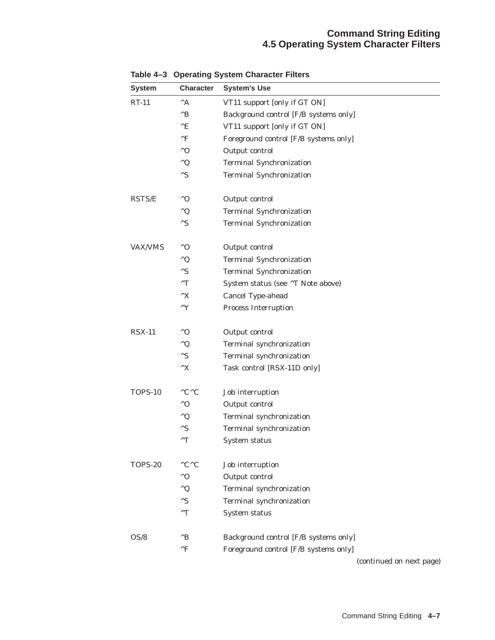#### **Command String Editing 4.5 Operating System Character Filters**

| <b>System</b>  | <b>Character</b>            | <b>System's Use</b>                   |
|----------------|-----------------------------|---------------------------------------|
| $RT-11$        | $^{\wedge}$ A               | VT11 support [only if GT ON]          |
|                | $^{\wedge}B$                | Background control [F/B systems only] |
|                | $^\wedge \text{E}$          | VT11 support [only if GT ON]          |
|                | $^{\wedge}F$                | Foreground control [F/B systems only] |
|                | $^{\wedge}$ O               | Output control                        |
|                | $^{\wedge}Q$                | Terminal Synchronization              |
|                | $^{\wedge}{\rm S}$          | Terminal Synchronization              |
| <b>RSTS/E</b>  | $^{\wedge}$ O               | Output control                        |
|                | $^{\wedge}Q$                | Terminal Synchronization              |
|                | $^{\wedge}{\rm S}$          | Terminal Synchronization              |
| <b>VAX/VMS</b> | $^{\wedge}$ O               | Output control                        |
|                | $^{\wedge}Q$                | Terminal Synchronization              |
|                | $^{\wedge}{\rm S}$          | Terminal Synchronization              |
|                | $\mathsf{r}$                | System status (see ^T Note above)     |
|                | ${}^\wedge\mathbf{X}$       | Cancel Type-ahead                     |
|                | $\mathbf{Y}$                | Process Interruption                  |
| $RSX-11$       | $^{\wedge}$ O               | Output control                        |
|                | $^{\wedge}Q$                | Terminal synchronization              |
|                | $^{\wedge}S$                | Terminal synchronization              |
|                | $^{\wedge}X$                | Task control [RSX-11D only]           |
| <b>TOPS-10</b> | $^{\wedge}$ C $^{\wedge}$ C | Job interruption                      |
|                | $^{\wedge}$ O               | Output control                        |
|                | $^{\wedge}Q$                | Terminal synchronization              |
|                | $^\wedge \text{S}$          | Terminal synchronization              |
|                | $^{\wedge}T$                | System status                         |
| <b>TOPS-20</b> | $^{\wedge}$ C $^{\wedge}$ C | Job interruption                      |
|                | $^{\wedge}$ O               | Output control                        |
|                | $^{\wedge}$ Q               | Terminal synchronization              |
|                | $^{\wedge}{\rm S}$          | Terminal synchronization              |
|                | $\mathsf{r}$                | System status                         |
| OS/8           | $^{\wedge}B$                | Background control [F/B systems only] |
|                | $^{\wedge}$ F               | Foreground control [F/B systems only] |
|                |                             |                                       |

# **Table 4–3 Operating System Character Filters**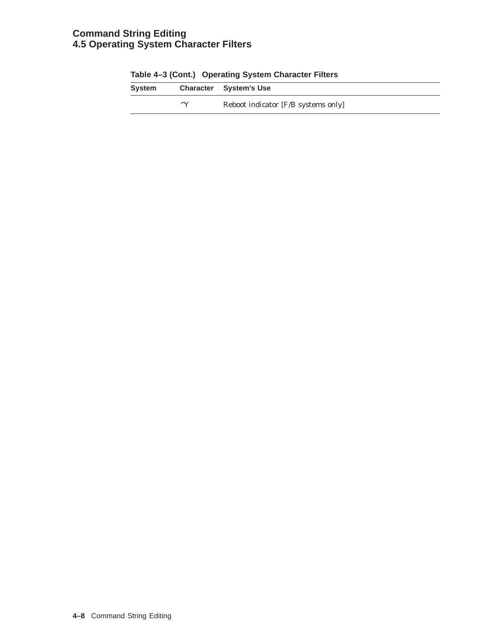# **Command String Editing 4.5 Operating System Character Filters**

| Table 4-3 (Cont.) Operating System Character Filters |    |                                     |
|------------------------------------------------------|----|-------------------------------------|
| System                                               |    | <b>Character</b> System's Use       |
|                                                      | ۸V | Reboot indicator [F/B systems only] |

# **Table 4–3 (Cont.) Operating System Character Filters**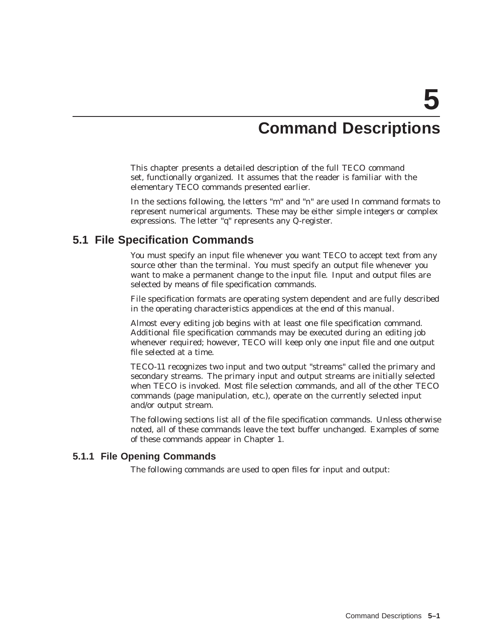# **Command Descriptions**

This chapter presents a detailed description of the full TECO command set, functionally organized. It assumes that the reader is familiar with the elementary TECO commands presented earlier.

In the sections following, the letters "m" and "n" are used In command formats to represent numerical arguments. These may be either simple integers or complex expressions. The letter "q" represents any Q-register.

# **5.1 File Specification Commands**

You must specify an input file whenever you want TECO to accept text from any source other than the terminal. You must specify an output file whenever you want to make a permanent change to the input file. Input and output files are selected by means of file specification commands.

File specification formats are operating system dependent and are fully described in the operating characteristics appendices at the end of this manual.

Almost every editing job begins with at least one file specification command. Additional file specification commands may be executed during an editing job whenever required; however, TECO will keep only one input file and one output file selected at a time.

TECO-11 recognizes two input and two output "streams" called the primary and secondary streams. The primary input and output streams are initially selected when TECO is invoked. Most file selection commands, and all of the other TECO commands (page manipulation, etc.), operate on the currently selected input and/or output stream.

The following sections list all of the file specification commands. Unless otherwise noted, all of these commands leave the text buffer unchanged. Examples of some of these commands appear in Chapter 1.

## **5.1.1 File Opening Commands**

The following commands are used to open files for input and output: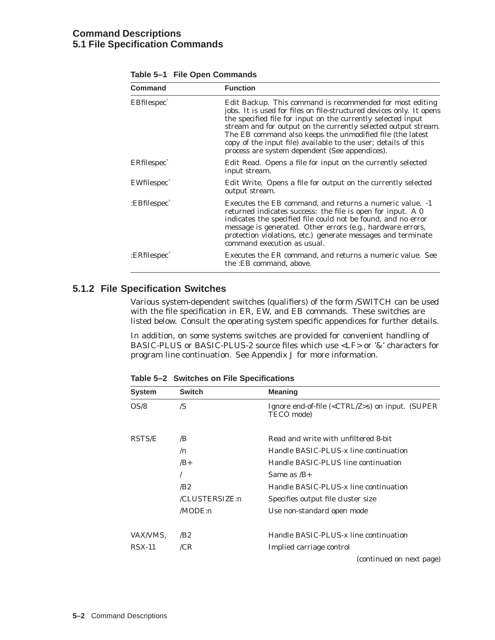| <b>Command</b> | <b>Function</b>                                                                                                                                                                                                                                                                                                                                                                                                                                      |
|----------------|------------------------------------------------------------------------------------------------------------------------------------------------------------------------------------------------------------------------------------------------------------------------------------------------------------------------------------------------------------------------------------------------------------------------------------------------------|
| EBfilespec     | Edit Backup. This command is recommended for most editing<br>jobs. It is used for files on file-structured devices only. It opens<br>the specified file for input on the currently selected input<br>stream and for output on the currently selected output stream.<br>The EB command also keeps the unmodified file (the latest<br>copy of the input file) available to the user; details of this<br>process are system dependent (See appendices). |
| ERfilespec     | Edit Read. Opens a file for input on the currently selected<br>input stream.                                                                                                                                                                                                                                                                                                                                                                         |
| EWfilespec     | Edit Write. Opens a file for output on the currently selected<br>output stream.                                                                                                                                                                                                                                                                                                                                                                      |
| $E$ Bfilespec  | Executes the EB command, and returns a numeric value. -1<br>returned indicates success: the file is open for input. A 0<br>indicates the specified file could not be found, and no error<br>message is generated. Other errors (e.g., hardware errors,<br>protection violations, etc.) generate messages and terminate<br>command execution as usual.                                                                                                |
| :ERfilespec`   | Executes the ER command, and returns a numeric value. See<br>the :EB command, above.                                                                                                                                                                                                                                                                                                                                                                 |

#### **Table 5–1 File Open Commands**

#### **5.1.2 File Specification Switches**

Various system-dependent switches (qualifiers) of the form /SWITCH can be used with the file specification in ER, EW, and EB commands. These switches are listed below. Consult the operating system specific appendices for further details.

In addition, on some systems switches are provided for convenient handling of BASIC-PLUS or BASIC-PLUS-2 source files which use <LF> or '&' characters for program line continuation. See Appendix J for more information.

| <b>System</b> | <b>Switch</b>  | <b>Meaning</b>                                                                             |
|---------------|----------------|--------------------------------------------------------------------------------------------|
| OS/8          | /S             | Ignore end-of-file $\langle \langle \text{CTRL/Z}\rangle$ s on input. (SUPER<br>TECO mode) |
| <b>RSTS/E</b> | /B             | Read and write with unfiltered 8-bit                                                       |
|               | /n             | Handle BASIC-PLUS-x line continuation                                                      |
|               | $/B+$          | Handle BASIC-PLUS line continuation                                                        |
|               |                | Same as $/B+$                                                                              |
|               | /B2            | Handle BASIC-PLUS-x line continuation                                                      |
|               | /CLUSTERSIZE:n | Specifies output file cluster size                                                         |
|               | /MODE:n        | Use non-standard open mode                                                                 |
| VAX/VMS.      | /B2            | Handle BASIC-PLUS-x line continuation                                                      |
| $RSX-11$      | /CR            | Implied carriage control                                                                   |
|               |                | (continued on next page)                                                                   |

**Table 5–2 Switches on File Specifications**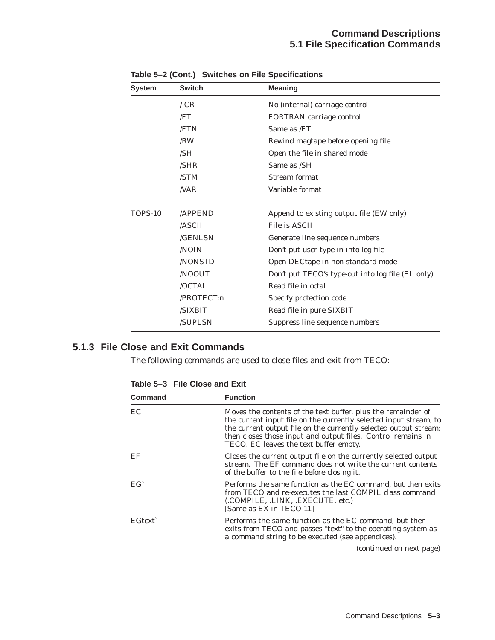# **Command Descriptions 5.1 File Specification Commands**

| System         | <b>Switch</b> | <b>Meaning</b>                                    |
|----------------|---------------|---------------------------------------------------|
|                | /CR           | No (internal) carriage control                    |
|                | /FT           | FORTRAN carriage control                          |
|                | /FTN          | Same as /FT                                       |
|                | /RW           | Rewind magtape before opening file                |
|                | /SH           | Open the file in shared mode                      |
|                | /SHR          | Same as /SH                                       |
|                | /STM          | Stream format                                     |
|                | NAR           | Variable format                                   |
|                |               |                                                   |
| <b>TOPS-10</b> | <b>APPEND</b> | Append to existing output file (EW only)          |
|                | /ASCII        | File is ASCII                                     |
|                | /GENLSN       | Generate line sequence numbers                    |
|                | /NOIN         | Don't put user type-in into log file              |
|                | <b>NONSTD</b> | Open DECtape in non-standard mode                 |
|                | /NOOUT        | Don't put TECO's type-out into log file (EL only) |
|                | /OCTAL        | Read file in octal                                |
|                | /PROTECT:n    | Specify protection code                           |
|                | /SIXBIT       | Read file in pure SIXBIT                          |
|                | /SUPLSN       | Suppress line sequence numbers                    |
|                |               |                                                   |

**Table 5–2 (Cont.) Switches on File Specifications**

# **5.1.3 File Close and Exit Commands**

The following commands are used to close files and exit from TECO:

**Table 5–3 File Close and Exit**

| Command | <b>Function</b>                                                                                                                                                                                                                                                                                                 |
|---------|-----------------------------------------------------------------------------------------------------------------------------------------------------------------------------------------------------------------------------------------------------------------------------------------------------------------|
| EC      | Moves the contents of the text buffer, plus the remainder of<br>the current input file on the currently selected input stream, to<br>the current output file on the currently selected output stream;<br>then closes those input and output files. Control remains in<br>TECO. EC leaves the text buffer empty. |
| EF      | Closes the current output file on the currently selected output<br>stream. The EF command does not write the current contents<br>of the buffer to the file before closing it.                                                                                                                                   |
| $EG^c$  | Performs the same function as the EC command, but then exits<br>from TECO and re-executes the last COMPIL class command<br>(COMPILE, LINK, EXECUTE, etc.)<br>[Same as EX in TECO-11]                                                                                                                            |
| EGtext` | Performs the same function as the EC command, but then<br>exits from TECO and passes "text" to the operating system as<br>a command string to be executed (see appendices).                                                                                                                                     |
|         | (continued on next page)                                                                                                                                                                                                                                                                                        |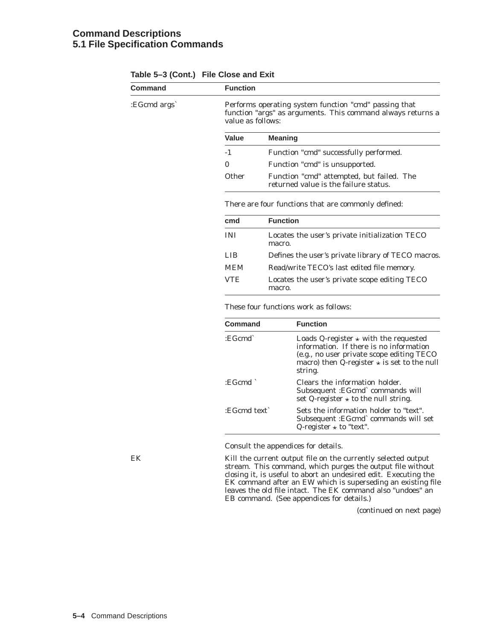## **Command Descriptions 5.1 File Specification Commands**

| Command      | <b>Function</b>   |                                                                                                                                                                                                     |
|--------------|-------------------|-----------------------------------------------------------------------------------------------------------------------------------------------------------------------------------------------------|
| :EGcmd args` | value as follows: | Performs operating system function "cmd" passing that<br>function "args" as arguments. This command always returns a                                                                                |
|              | Value             | <b>Meaning</b>                                                                                                                                                                                      |
|              | $-1$              | Function "cmd" successfully performed.                                                                                                                                                              |
|              | 0                 | Function "cmd" is unsupported.                                                                                                                                                                      |
|              | Other             | Function "cmd" attempted, but failed. The<br>returned value is the failure status.                                                                                                                  |
|              |                   | There are four functions that are commonly defined:                                                                                                                                                 |
|              | cmd               | <b>Function</b>                                                                                                                                                                                     |
|              | INI               | Locates the user's private initialization TECO<br>macro.                                                                                                                                            |
|              | <b>LIB</b>        | Defines the user's private library of TECO macros.                                                                                                                                                  |
|              | <b>MEM</b>        | Read/write TECO's last edited file memory.                                                                                                                                                          |
|              | <b>VTE</b>        | Locates the user's private scope editing TECO<br>macro.                                                                                                                                             |
|              |                   | These four functions work as follows:                                                                                                                                                               |
|              | <b>Command</b>    | <b>Function</b>                                                                                                                                                                                     |
|              | :EGcmd            | Loads Q-register $\star$ with the requested<br>information. If there is no information<br>(e.g., no user private scope editing TECO<br>macro) then Q-register $\star$ is set to the null<br>string. |

| Table 5–3 (Cont.) File Close and Exit |  |  |  |  |  |
|---------------------------------------|--|--|--|--|--|
|---------------------------------------|--|--|--|--|--|

|              | information. If there is no information<br>(e.g., no user private scope editing TECO<br>macro) then Q-register $\star$ is set to the null<br>string. |
|--------------|------------------------------------------------------------------------------------------------------------------------------------------------------|
| EGcmd        | Clears the information holder.<br>Subsequent : EGcmd` commands will<br>set Q-register $\star$ to the null string.                                    |
| :EGcmd text` | Sets the information holder to "text".<br>Subsequent : EGcmd` commands will set<br>Q-register $\star$ to "text".                                     |

Consult the appendices for details.

EK Kill the current output file on the currently selected output stream. This command, which purges the output file without closing it, is useful to abort an undesired edit. Executing the EK command after an EW which is superseding an existing file leaves the old file intact. The EK command also "undoes" an EB command. (See appendices for details.)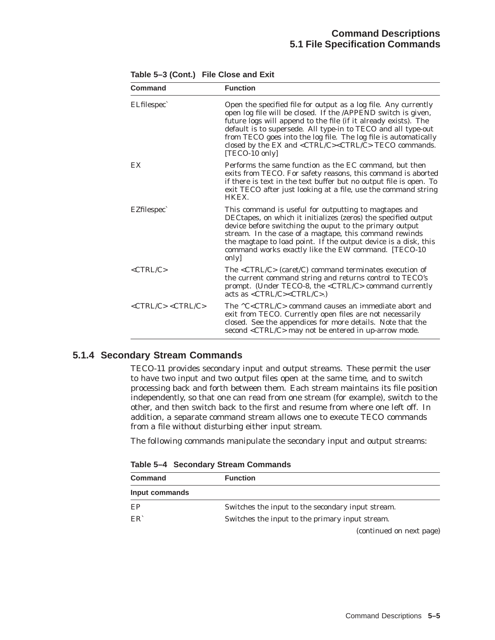| Command                                         | <b>Function</b>                                                                                                                                                                                                                                                                                                                                                                                                                        |
|-------------------------------------------------|----------------------------------------------------------------------------------------------------------------------------------------------------------------------------------------------------------------------------------------------------------------------------------------------------------------------------------------------------------------------------------------------------------------------------------------|
| ELfilespec                                      | Open the specified file for output as a log file. Any currently<br>open log file will be closed. If the /APPEND switch is given,<br>future logs will append to the file (if it already exists). The<br>default is to supersede. All type-in to TECO and all type-out<br>from TECO goes into the log file. The log file is automatically<br>closed by the EX and <ctrl c=""><ctrl c=""> TECO commands.<br/>[TECO-10 only]</ctrl></ctrl> |
| EX                                              | Performs the same function as the EC command, but then<br>exits from TECO. For safety reasons, this command is aborted<br>if there is text in the text buffer but no output file is open. To<br>exit TECO after just looking at a file, use the command string<br>HKEX.                                                                                                                                                                |
| EZfilespec                                      | This command is useful for outputting to magtapes and<br>DECtapes, on which it initializes (zeros) the specified output<br>device before switching the ouput to the primary output<br>stream. In the case of a magtape, this command rewinds<br>the magtape to load point. If the output device is a disk, this<br>command works exactly like the EW command. [TECO-10<br>only                                                         |
| $\langle CTRI/C \rangle$                        | The $\langle \text{CTRL/C>}}$ (caret/C) command terminates execution of<br>the current command string and returns control to TECO's<br>prompt. (Under TECO-8, the <ctrl c=""> command currently<br/>acts as <math>\langle \text{CTRL/C}\rangle \langle \text{CTRL/C}\rangle</math>.</ctrl>                                                                                                                                             |
| $\langle CTRL/C \rangle \langle CTRL/C \rangle$ | The $\text{AC}$ $\text{CTRL/C}$ command causes an immediate abort and<br>exit from TECO. Currently open files are not necessarily<br>closed. See the appendices for more details. Note that the<br>second <ctrl c=""> may not be entered in up-arrow mode.</ctrl>                                                                                                                                                                      |

**Table 5–3 (Cont.) File Close and Exit**

# **5.1.4 Secondary Stream Commands**

TECO-11 provides secondary input and output streams. These permit the user to have two input and two output files open at the same time, and to switch processing back and forth between them. Each stream maintains its file position independently, so that one can read from one stream (for example), switch to the other, and then switch back to the first and resume from where one left off. In addition, a separate command stream allows one to execute TECO commands from a file without disturbing either input stream.

The following commands manipulate the secondary input and output streams:

**Table 5–4 Secondary Stream Commands**

| <b>Command</b>  | <b>Function</b>                                   |
|-----------------|---------------------------------------------------|
| Input commands  |                                                   |
| EP              | Switches the input to the secondary input stream. |
| ER <sup>-</sup> | Switches the input to the primary input stream.   |
|                 | (constanted on not now)                           |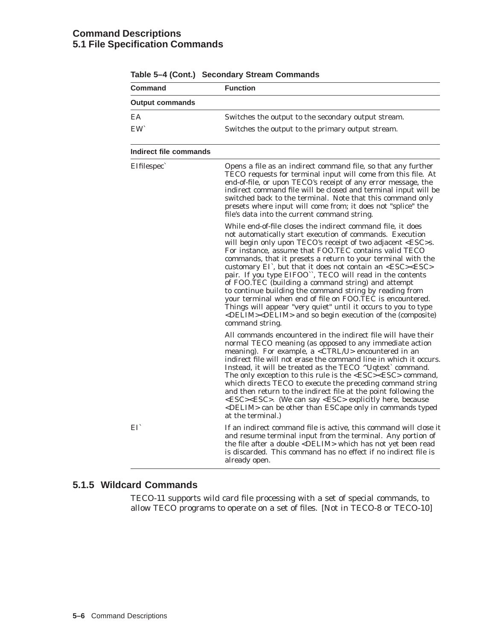## **Command Descriptions 5.1 File Specification Commands**

| Command                | <b>Function</b>                                                                                                                                                                                                                                                                                                                                                                                                                                                                                                                                                                                                                                                                                                                                                                                                     |
|------------------------|---------------------------------------------------------------------------------------------------------------------------------------------------------------------------------------------------------------------------------------------------------------------------------------------------------------------------------------------------------------------------------------------------------------------------------------------------------------------------------------------------------------------------------------------------------------------------------------------------------------------------------------------------------------------------------------------------------------------------------------------------------------------------------------------------------------------|
| <b>Output commands</b> |                                                                                                                                                                                                                                                                                                                                                                                                                                                                                                                                                                                                                                                                                                                                                                                                                     |
| EA                     | Switches the output to the secondary output stream.                                                                                                                                                                                                                                                                                                                                                                                                                                                                                                                                                                                                                                                                                                                                                                 |
| EW <sup>-</sup>        | Switches the output to the primary output stream.                                                                                                                                                                                                                                                                                                                                                                                                                                                                                                                                                                                                                                                                                                                                                                   |
| Indirect file commands |                                                                                                                                                                                                                                                                                                                                                                                                                                                                                                                                                                                                                                                                                                                                                                                                                     |
| EIfilespec`            | Opens a file as an indirect command file, so that any further<br>TECO requests for terminal input will come from this file. At<br>end-of-file, or upon TECO's receipt of any error message, the<br>indirect command file will be closed and terminal input will be<br>switched back to the terminal. Note that this command only<br>presets where input will come from; it does not "splice" the<br>file's data into the current command string.                                                                                                                                                                                                                                                                                                                                                                    |
|                        | While end-of-file closes the indirect command file, it does<br>not automatically start execution of commands. Execution<br>will begin only upon TECO's receipt of two adjacent <esc>s.<br/>For instance, assume that FOO.TEC contains valid TECO<br/>commands, that it presets a return to your terminal with the<br/>customary EI`, but that it does not contain an <esc><esc><br/>pair. If you type EIFOO", TECO will read in the contents<br/>of FOO.TEC (building a command string) and attempt<br/>to continue building the command string by reading from<br/>your terminal when end of file on FOO.TEC is encountered.<br/>Things will appear "very quiet" until it occurs to you to type<br/><delim><delim> and so begin execution of the (composite)<br/>command string.</delim></delim></esc></esc></esc> |
|                        | All commands encountered in the indirect file will have their<br>normal TECO meaning (as opposed to any immediate action<br>meaning). For example, a <ctrl u=""> encountered in an<br/>indirect file will not erase the command line in which it occurs.<br/>Instead, it will be treated as the TECO ^Uqtext` command.<br/>The only exception to this rule is the <esc><esc> command,<br/>which directs TECO to execute the preceding command string<br/>and then return to the indirect file at the point following the<br/><esc><esc>. (We can say <esc> explicitly here, because<br/><delim> can be other than ESCape only in commands typed<br/>at the terminal.)</delim></esc></esc></esc></esc></esc></ctrl>                                                                                                  |
| EI.                    | If an indirect command file is active, this command will close it<br>and resume terminal input from the terminal. Any portion of<br>the file after a double <delim> which has not yet been read<br/>is discarded. This command has no effect if no indirect file is<br/>already open.</delim>                                                                                                                                                                                                                                                                                                                                                                                                                                                                                                                       |

|  | Table 5–4 (Cont.) Secondary Stream Commands |
|--|---------------------------------------------|
|--|---------------------------------------------|

# **5.1.5 Wildcard Commands**

TECO-11 supports wild card file processing with a set of special commands, to allow TECO programs to operate on a set of files. [Not in TECO-8 or TECO-10]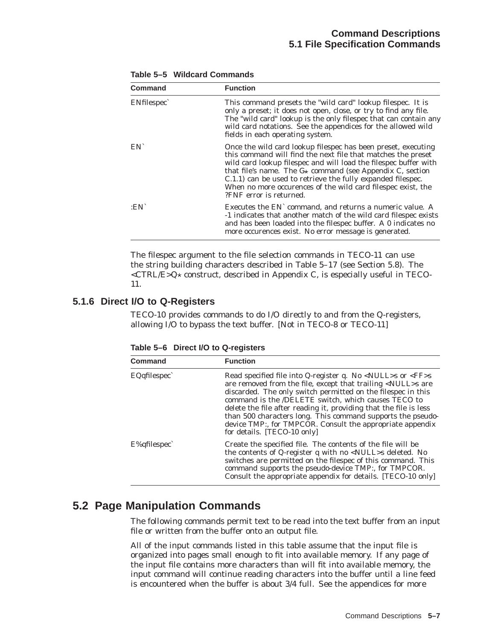| Command         | <b>Function</b>                                                                                                                                                                                                                                                                                                                                                                                                                   |
|-----------------|-----------------------------------------------------------------------------------------------------------------------------------------------------------------------------------------------------------------------------------------------------------------------------------------------------------------------------------------------------------------------------------------------------------------------------------|
| ENfilespec      | This command presets the "wild card" lookup filespec. It is<br>only a preset; it does not open, close, or try to find any file.<br>The "wild card" lookup is the only filespec that can contain any<br>wild card notations. See the appendices for the allowed wild<br>fields in each operating system.                                                                                                                           |
| EN <sup>-</sup> | Once the wild card lookup filespec has been preset, executing<br>this command will find the next file that matches the preset<br>wild card lookup filespec and will load the filespec buffer with<br>that file's name. The $G_{\star}$ command (see Appendix C, section<br>C.1.1) can be used to retrieve the fully expanded filespec.<br>When no more occurences of the wild card filespec exist, the<br>?FNF error is returned. |
| $:EN^{\cdot}$   | Executes the EN command, and returns a numeric value. A<br>-1 indicates that another match of the wild card filespec exists<br>and has been loaded into the filespec buffer. A 0 indicates no<br>more occurences exist. No error message is generated.                                                                                                                                                                            |

**Table 5–5 Wildcard Commands**

The filespec argument to the file selection commands in TECO-11 can use the string building characters described in Table 5–17 (see Section 5.8). The  $\langle \text{CTRL/E} \rangle Q*$  construct, described in Appendix C, is especially useful in TECO-11.

### **5.1.6 Direct I/O to Q-Registers**

TECO-10 provides commands to do I/O directly to and from the Q-registers, allowing I/O to bypass the text buffer. [Not in TECO-8 or TECO-11]

| Command          | <b>Function</b>                                                                                                                                                                                                                                                                                                                                                                                                                                                                                            |
|------------------|------------------------------------------------------------------------------------------------------------------------------------------------------------------------------------------------------------------------------------------------------------------------------------------------------------------------------------------------------------------------------------------------------------------------------------------------------------------------------------------------------------|
| $EQq$ filespec`  | Read specified file into Q-register q. No <null>s or <ff>s<br/>are removed from the file, except that trailing <null>s are<br/>discarded. The only switch permitted on the filespec in this<br/>command is the /DELETE switch, which causes TECO to<br/>delete the file after reading it, providing that the file is less<br/>than 500 characters long. This command supports the pseudo-<br/>device TMP:, for TMPCOR. Consult the appropriate appendix<br/>for details. [TECO-10 only]</null></ff></null> |
| $E\%$ qfilespec` | Create the specified file. The contents of the file will be<br>the contents of Q-register q with no <null>s deleted. No<br/>switches are permitted on the filespec of this command. This<br/>command supports the pseudo-device TMP:, for TMPCOR.<br/>Consult the appropriate appendix for details. [TECO-10 only]</null>                                                                                                                                                                                  |

**Table 5–6 Direct I/O to Q-registers**

# **5.2 Page Manipulation Commands**

The following commands permit text to be read into the text buffer from an input file or written from the buffer onto an output file.

All of the input commands listed in this table assume that the input file is organized into pages small enough to fit into available memory. If any page of the input file contains more characters than will fit into available memory, the input command will continue reading characters into the buffer until a line feed is encountered when the buffer is about 3/4 full. See the appendices for more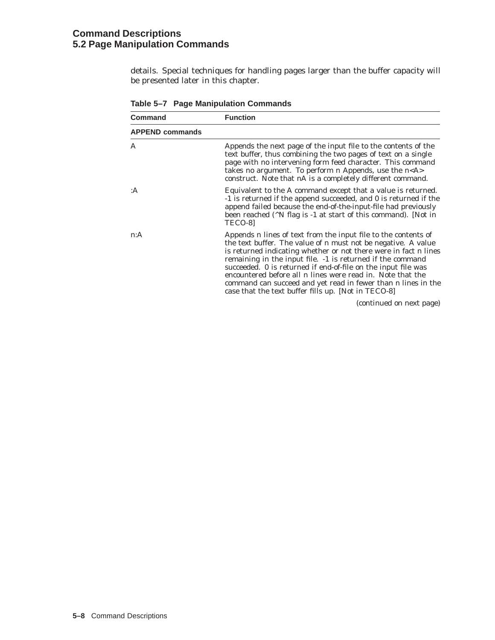# **Command Descriptions 5.2 Page Manipulation Commands**

details. Special techniques for handling pages larger than the buffer capacity will be presented later in this chapter.

| <b>Command</b>         | <b>Function</b>                                                                                                                                                                                                                                                                                                                                                                                                                                                                                                          |
|------------------------|--------------------------------------------------------------------------------------------------------------------------------------------------------------------------------------------------------------------------------------------------------------------------------------------------------------------------------------------------------------------------------------------------------------------------------------------------------------------------------------------------------------------------|
| <b>APPEND commands</b> |                                                                                                                                                                                                                                                                                                                                                                                                                                                                                                                          |
| A                      | Appends the next page of the input file to the contents of the<br>text buffer, thus combining the two pages of text on a single<br>page with no intervening form feed character. This command<br>takes no argument. To perform n Appends, use the n <a><br/>construct. Note that nA is a completely different command.</a>                                                                                                                                                                                               |
| :A                     | Equivalent to the A command except that a value is returned.<br>-1 is returned if the append succeeded, and 0 is returned if the<br>append failed because the end-of-the-input-file had previously<br>been reached (^N flag is -1 at start of this command). [Not in<br>TECO-81                                                                                                                                                                                                                                          |
| n:A                    | Appends n lines of text from the input file to the contents of<br>the text buffer. The value of n must not be negative. A value<br>is returned indicating whether or not there were in fact n lines<br>remaining in the input file. -1 is returned if the command<br>succeeded. 0 is returned if end-of-file on the input file was<br>encountered before all n lines were read in. Note that the<br>command can succeed and yet read in fewer than n lines in the<br>case that the text buffer fills up. [Not in TECO-8] |
|                        | (continued on next page)                                                                                                                                                                                                                                                                                                                                                                                                                                                                                                 |

**Table 5–7 Page Manipulation Commands**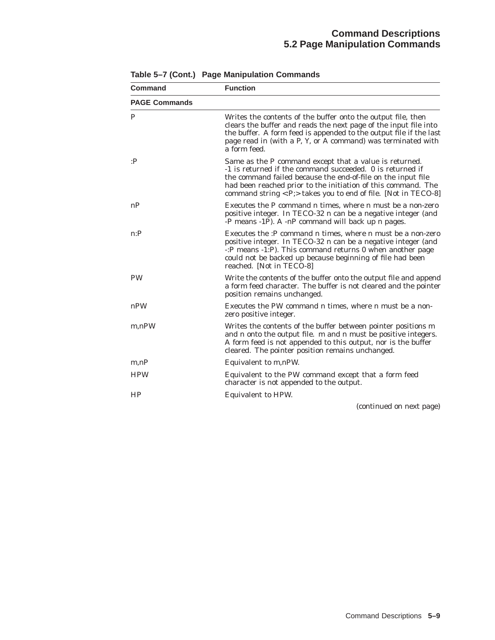| <b>Command</b>       | <b>Function</b>                                                                                                                                                                                                                                                                                                          |
|----------------------|--------------------------------------------------------------------------------------------------------------------------------------------------------------------------------------------------------------------------------------------------------------------------------------------------------------------------|
| <b>PAGE Commands</b> |                                                                                                                                                                                                                                                                                                                          |
| P                    | Writes the contents of the buffer onto the output file, then<br>clears the buffer and reads the next page of the input file into<br>the buffer. A form feed is appended to the output file if the last<br>page read in (with a P, Y, or A command) was terminated with<br>a form feed.                                   |
| : P                  | Same as the P command except that a value is returned.<br>-1 is returned if the command succeeded. 0 is returned if<br>the command failed because the end-of-file on the input file<br>had been reached prior to the initiation of this command. The<br>command string <: P; > takes you to end of file. [Not in TECO-8] |
| nP                   | Executes the P command n times, where n must be a non-zero<br>positive integer. In TECO-32 n can be a negative integer (and<br>-P means -1P). A -nP command will back up n pages.                                                                                                                                        |
| $n$ :P               | Executes the :P command n times, where n must be a non-zero<br>positive integer. In TECO-32 n can be a negative integer (and<br>-: P means -1: P). This command returns 0 when another page<br>could not be backed up because beginning of file had been<br>reached. [Not in TECO-8]                                     |
| PW                   | Write the contents of the buffer onto the output file and append<br>a form feed character. The buffer is not cleared and the pointer<br>position remains unchanged.                                                                                                                                                      |
| nPW                  | Executes the PW command n times, where n must be a non-<br>zero positive integer.                                                                                                                                                                                                                                        |
| $m, n$ PW            | Writes the contents of the buffer between pointer positions m<br>and n onto the output file. m and n must be positive integers.<br>A form feed is not appended to this output, nor is the buffer<br>cleared. The pointer position remains unchanged.                                                                     |
| m,nP                 | Equivalent to m,nPW.                                                                                                                                                                                                                                                                                                     |
| <b>HPW</b>           | Equivalent to the PW command except that a form feed<br>character is not appended to the output.                                                                                                                                                                                                                         |
| HP                   | Equivalent to HPW.                                                                                                                                                                                                                                                                                                       |
|                      | (continued on next nage)                                                                                                                                                                                                                                                                                                 |

**Table 5–7 (Cont.) Page Manipulation Commands**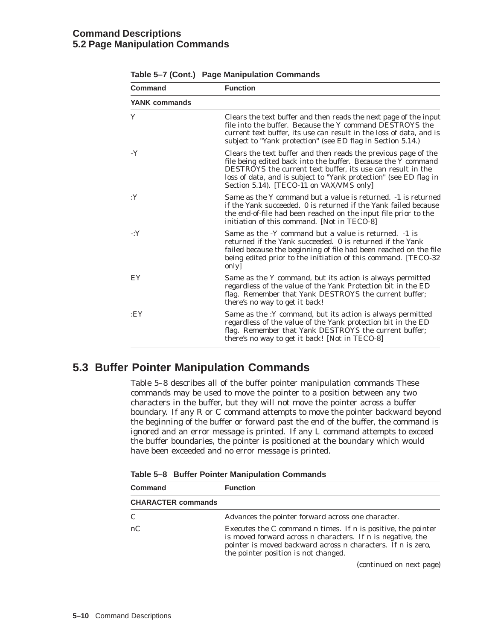## **Command Descriptions 5.2 Page Manipulation Commands**

| Command       | <b>Function</b>                                                                                                                                                                                                                                                                                                 |
|---------------|-----------------------------------------------------------------------------------------------------------------------------------------------------------------------------------------------------------------------------------------------------------------------------------------------------------------|
| YANK commands |                                                                                                                                                                                                                                                                                                                 |
| Y             | Clears the text buffer and then reads the next page of the input<br>file into the buffer. Because the Y command DESTROYS the<br>current text buffer, its use can result in the loss of data, and is<br>subject to "Yank protection" (see ED flag in Section 5.14.)                                              |
| $-Y$          | Clears the text buffer and then reads the previous page of the<br>file being edited back into the buffer. Because the Y command<br>DESTROYS the current text buffer, its use can result in the<br>loss of data, and is subject to "Yank protection" (see ED flag in<br>Section 5.14). [TECO-11 on VAX/VMS only] |
| :Y            | Same as the Y command but a value is returned. -1 is returned<br>if the Yank succeeded. 0 is returned if the Yank failed because<br>the end-of-file had been reached on the input file prior to the<br>initiation of this command. [Not in TECO-8]                                                              |
| $\cdot Y$     | Same as the -Y command but a value is returned. -1 is<br>returned if the Yank succeeded. 0 is returned if the Yank<br>failed because the beginning of file had been reached on the file<br>being edited prior to the initiation of this command. [TECO-32<br>only                                               |
| EY            | Same as the Y command, but its action is always permitted<br>regardless of the value of the Yank Protection bit in the ED<br>flag. Remember that Yank DESTROYS the current buffer;<br>there's no way to get it back!                                                                                            |
| :EY           | Same as the : Y command, but its action is always permitted<br>regardless of the value of the Yank protection bit in the ED<br>flag. Remember that Yank DESTROYS the current buffer;<br>there's no way to get it back! [Not in TECO-8]                                                                          |

# **5.3 Buffer Pointer Manipulation Commands**

Table 5–8 describes all of the buffer pointer manipulation commands These commands may be used to move the pointer to a position between any two characters in the buffer, but they will not move the pointer across a buffer boundary. If any R or C command attempts to move the pointer backward beyond the beginning of the buffer or forward past the end of the buffer, the command is ignored and an error message is printed. If any L command attempts to exceed the buffer boundaries, the pointer is positioned at the boundary which would have been exceeded and no error message is printed.

| <b>Command</b>            | <b>Function</b>                                                                                                                                                                                                                      |
|---------------------------|--------------------------------------------------------------------------------------------------------------------------------------------------------------------------------------------------------------------------------------|
| <b>CHARACTER commands</b> |                                                                                                                                                                                                                                      |
| $\mathcal{C}$             | Advances the pointer forward across one character.                                                                                                                                                                                   |
| nC                        | Executes the C command n times. If n is positive, the pointer<br>is moved forward across n characters. If n is negative, the<br>pointer is moved backward across n characters. If n is zero,<br>the pointer position is not changed. |
|                           | (continued on next nage)                                                                                                                                                                                                             |

**Table 5–8 Buffer Pointer Manipulation Commands**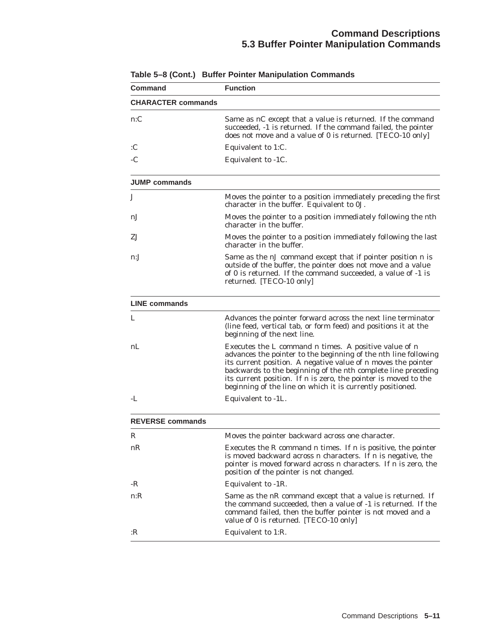| Command                   | <b>Function</b>                                                                                                                                                                                                                                                                                                                                                                             |
|---------------------------|---------------------------------------------------------------------------------------------------------------------------------------------------------------------------------------------------------------------------------------------------------------------------------------------------------------------------------------------------------------------------------------------|
| <b>CHARACTER commands</b> |                                                                                                                                                                                                                                                                                                                                                                                             |
| n:C                       | Same as nC except that a value is returned. If the command<br>succeeded, -1 is returned. If the command failed, the pointer<br>does not move and a value of 0 is returned. [TECO-10 only]                                                                                                                                                                                                   |
| :C                        | Equivalent to 1:C.                                                                                                                                                                                                                                                                                                                                                                          |
| -C                        | Equivalent to -1C.                                                                                                                                                                                                                                                                                                                                                                          |
| <b>JUMP commands</b>      |                                                                                                                                                                                                                                                                                                                                                                                             |
| J                         | Moves the pointer to a position immediately preceding the first<br>character in the buffer. Equivalent to 0J.                                                                                                                                                                                                                                                                               |
| nJ                        | Moves the pointer to a position immediately following the nth<br>character in the buffer.                                                                                                                                                                                                                                                                                                   |
| ZJ                        | Moves the pointer to a position immediately following the last<br>character in the buffer.                                                                                                                                                                                                                                                                                                  |
| n:J                       | Same as the nJ command except that if pointer position n is<br>outside of the buffer, the pointer does not move and a value<br>of 0 is returned. If the command succeeded, a value of -1 is<br>returned. [TECO-10 only]                                                                                                                                                                     |
| <b>LINE commands</b>      |                                                                                                                                                                                                                                                                                                                                                                                             |
| L                         | Advances the pointer forward across the next line terminator<br>(line feed, vertical tab, or form feed) and positions it at the<br>beginning of the next line.                                                                                                                                                                                                                              |
| nL                        | Executes the L command n times. A positive value of n<br>advances the pointer to the beginning of the nth line following<br>its current position. A negative value of n moves the pointer<br>backwards to the beginning of the nth complete line preceding<br>its current position. If n is zero, the pointer is moved to the<br>beginning of the line on which it is currently positioned. |
| -L                        | Equivalent to -1L.                                                                                                                                                                                                                                                                                                                                                                          |
| <b>REVERSE commands</b>   |                                                                                                                                                                                                                                                                                                                                                                                             |
| R                         | Moves the pointer backward across one character.                                                                                                                                                                                                                                                                                                                                            |
| nR                        | Executes the R command n times. If n is positive, the pointer<br>is moved backward across n characters. If n is negative, the<br>pointer is moved forward across n characters. If n is zero, the<br>position of the pointer is not changed.                                                                                                                                                 |
| -R                        | Equivalent to -1R.                                                                                                                                                                                                                                                                                                                                                                          |
| n:R                       | Same as the nR command except that a value is returned. If<br>the command succeeded, then a value of -1 is returned. If the<br>command failed, then the buffer pointer is not moved and a<br>value of 0 is returned. [TECO-10 only]                                                                                                                                                         |
| :R                        | Equivalent to 1:R.                                                                                                                                                                                                                                                                                                                                                                          |
|                           |                                                                                                                                                                                                                                                                                                                                                                                             |

**Table 5–8 (Cont.) Buffer Pointer Manipulation Commands**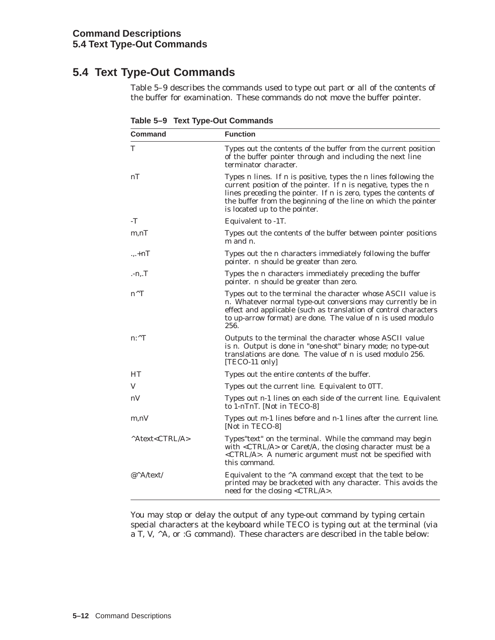# **5.4 Text Type-Out Commands**

Table 5–9 describes the commands used to type out part or all of the contents of the buffer for examination. These commands do not move the buffer pointer.

| Command                  | <b>Function</b>                                                                                                                                                                                                                                                                                           |
|--------------------------|-----------------------------------------------------------------------------------------------------------------------------------------------------------------------------------------------------------------------------------------------------------------------------------------------------------|
| Т                        | Types out the contents of the buffer from the current position<br>of the buffer pointer through and including the next line<br>terminator character.                                                                                                                                                      |
| nT                       | Types n lines. If n is positive, types the n lines following the<br>current position of the pointer. If n is negative, types the n<br>lines preceding the pointer. If n is zero, types the contents of<br>the buffer from the beginning of the line on which the pointer<br>is located up to the pointer. |
| -T                       | Equivalent to -1T.                                                                                                                                                                                                                                                                                        |
| m,nT                     | Types out the contents of the buffer between pointer positions<br>m and n.                                                                                                                                                                                                                                |
| $+nT$                    | Types out the n characters immediately following the buffer<br>pointer. n should be greater than zero.                                                                                                                                                                                                    |
| $-n,T$                   | Types the n characters immediately preceding the buffer<br>pointer. n should be greater than zero.                                                                                                                                                                                                        |
| $n^{\wedge}T$            | Types out to the terminal the character whose ASCII value is<br>n. Whatever normal type-out conversions may currently be in<br>effect and applicable (such as translation of control characters<br>to up-arrow format) are done. The value of n is used modulo<br>256.                                    |
| n:                       | Outputs to the terminal the character whose ASCII value<br>is n. Output is done in "one-shot" binary mode; no type-out<br>translations are done. The value of n is used modulo 256.<br>[TECO-11 only]                                                                                                     |
| <b>HT</b>                | Types out the entire contents of the buffer.                                                                                                                                                                                                                                                              |
| V                        | Types out the current line. Equivalent to OTT.                                                                                                                                                                                                                                                            |
| nV                       | Types out n-1 lines on each side of the current line. Equivalent<br>to 1-nTnT. [Not in TECO-8]                                                                                                                                                                                                            |
| m, nV                    | Types out m-1 lines before and n-1 lines after the current line.<br>[Not in TECO-8]                                                                                                                                                                                                                       |
| Atext <ctrl a=""></ctrl> | Types"text" on the terminal. While the command may begin<br>with <ctrl a=""> or Caret/A, the closing character must be a<br/><math>\langle \text{CTR} \cup \text{A} \rangle</math>. A numeric argument must not be specified with<br/>this command.</ctrl>                                                |
| $@^{\wedge}$ A/text/     | Equivalent to the ^A command except that the text to be<br>printed may be bracketed with any character. This avoids the<br>need for the closing $\langle \text{CTR} \rangle$ .                                                                                                                            |

**Table 5–9 Text Type-Out Commands**

You may stop or delay the output of any type-out command by typing certain special characters at the keyboard while TECO is typing out at the terminal (via a T, V, ^A, or :G command). These characters are described in the table below: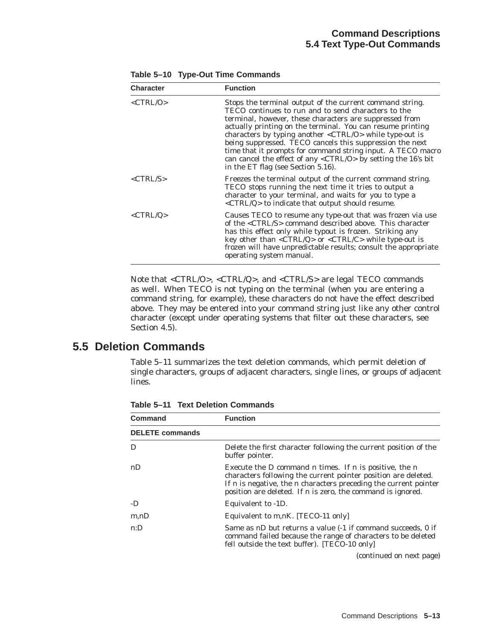| <b>Character</b>                | <b>Function</b>                                                                                                                                                                                                                                                                                                                                                                                                                                                                                                                                               |
|---------------------------------|---------------------------------------------------------------------------------------------------------------------------------------------------------------------------------------------------------------------------------------------------------------------------------------------------------------------------------------------------------------------------------------------------------------------------------------------------------------------------------------------------------------------------------------------------------------|
| $\langle \text{CTRL/O} \rangle$ | Stops the terminal output of the current command string.<br>TECO continues to run and to send characters to the<br>terminal, however, these characters are suppressed from<br>actually printing on the terminal. You can resume printing<br>characters by typing another <ctrl o=""> while type-out is<br/>being suppressed. TECO cancels this suppression the next<br/>time that it prompts for command string input. A TECO macro<br/>can cancel the effect of any <ctrl o=""> by setting the 16's bit<br/>in the ET flag (see Section 5.16).</ctrl></ctrl> |
| $\langle CTRI/S \rangle$        | Freezes the terminal output of the current command string.<br>TECO stops running the next time it tries to output a<br>character to your terminal, and waits for you to type a<br><ctrl q=""> to indicate that output should resume.</ctrl>                                                                                                                                                                                                                                                                                                                   |
| $<$ CTRL/Q>                     | Causes TECO to resume any type-out that was frozen via use<br>of the <ctrl s=""> command described above. This character<br/>has this effect only while typout is frozen. Striking any<br/>key other than <math>\langle \text{CTRL/Q&gt; or } \langle \text{CTRL/C&gt; while type-out is} \rangle</math><br/>frozen will have unpredictable results; consult the appropriate<br/>operating system manual.</ctrl>                                                                                                                                              |

**Table 5–10 Type-Out Time Commands**

Note that <CTRL/O>, <CTRL/Q>, and <CTRL/S> are legal TECO commands as well. When TECO is not typing on the terminal (when you are entering a command string, for example), these characters do not have the effect described above. They may be entered into your command string just like any other control character (except under operating systems that filter out these characters, see Section 4.5).

# **5.5 Deletion Commands**

Table 5–11 summarizes the text deletion commands, which permit deletion of single characters, groups of adjacent characters, single lines, or groups of adjacent lines.

| <b>Command</b>         | <b>Function</b>                                                                                                                                                                                                                                             |
|------------------------|-------------------------------------------------------------------------------------------------------------------------------------------------------------------------------------------------------------------------------------------------------------|
| <b>DELETE commands</b> |                                                                                                                                                                                                                                                             |
| D                      | Delete the first character following the current position of the<br>buffer pointer.                                                                                                                                                                         |
| nD                     | Execute the D command n times. If n is positive, the n<br>characters following the current pointer position are deleted.<br>If n is negative, the n characters preceding the current pointer<br>position are deleted. If n is zero, the command is ignored. |
| -D                     | Equivalent to -1D.                                                                                                                                                                                                                                          |
| m, nD                  | Equivalent to m, nK. [TECO-11 only]                                                                                                                                                                                                                         |
| n:D                    | Same as nD but returns a value (-1 if command succeeds, 0 if<br>command failed because the range of characters to be deleted<br>fell outside the text buffer). [TECO-10 only]                                                                               |
|                        | (continued on next page)                                                                                                                                                                                                                                    |

**Table 5–11 Text Deletion Commands**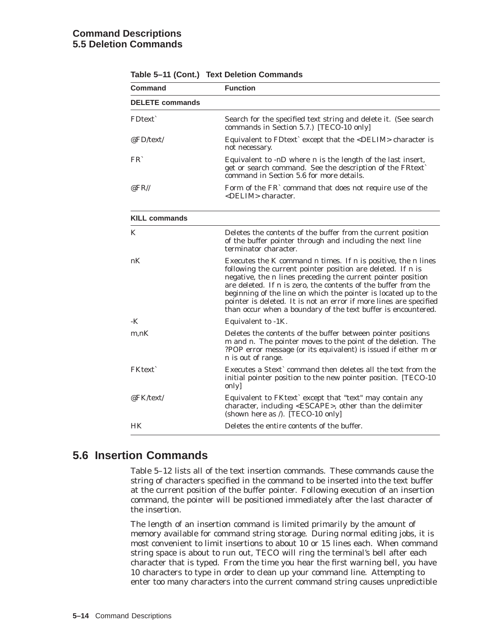| Command                | <b>Function</b>                                                                                                                                                                                                                                                                                                                                                                                                                                                          |
|------------------------|--------------------------------------------------------------------------------------------------------------------------------------------------------------------------------------------------------------------------------------------------------------------------------------------------------------------------------------------------------------------------------------------------------------------------------------------------------------------------|
| <b>DELETE commands</b> |                                                                                                                                                                                                                                                                                                                                                                                                                                                                          |
| FD <sub>text</sub>     | Search for the specified text string and delete it. (See search<br>commands in Section 5.7.) [TECO-10 only]                                                                                                                                                                                                                                                                                                                                                              |
| @FD/text/              | Equivalent to FDtext` except that the <delim> character is<br/>not necessary.</delim>                                                                                                                                                                                                                                                                                                                                                                                    |
| FR <sup>-</sup>        | Equivalent to -nD where n is the length of the last insert,<br>get or search command. See the description of the FRtext`<br>command in Section 5.6 for more details.                                                                                                                                                                                                                                                                                                     |
| $@FR$ //               | Form of the FR command that does not require use of the<br><delim> character.</delim>                                                                                                                                                                                                                                                                                                                                                                                    |
| <b>KILL commands</b>   |                                                                                                                                                                                                                                                                                                                                                                                                                                                                          |
| K                      | Deletes the contents of the buffer from the current position<br>of the buffer pointer through and including the next line<br>terminator character.                                                                                                                                                                                                                                                                                                                       |
| nK                     | Executes the K command n times. If n is positive, the n lines<br>following the current pointer position are deleted. If n is<br>negative, the n lines preceding the current pointer position<br>are deleted. If n is zero, the contents of the buffer from the<br>beginning of the line on which the pointer is located up to the<br>pointer is deleted. It is not an error if more lines are specified<br>than occur when a boundary of the text buffer is encountered. |
| -K                     | Equivalent to -1K.                                                                                                                                                                                                                                                                                                                                                                                                                                                       |
| m,nK                   | Deletes the contents of the buffer between pointer positions<br>m and n. The pointer moves to the point of the deletion. The<br>?POP error message (or its equivalent) is issued if either m or<br>n is out of range.                                                                                                                                                                                                                                                    |
| <b>FKtext</b>          | Executes a Stext` command then deletes all the text from the<br>initial pointer position to the new pointer position. [TECO-10<br>only]                                                                                                                                                                                                                                                                                                                                  |
| @FK/text/              | Equivalent to FKtext` except that "text" may contain any<br>character, including <escape>, other than the delimiter<br/>(shown here as /). [TECO-10 only]</escape>                                                                                                                                                                                                                                                                                                       |
| <b>HK</b>              | Deletes the entire contents of the buffer.                                                                                                                                                                                                                                                                                                                                                                                                                               |

**Table 5–11 (Cont.) Text Deletion Commands**

# **5.6 Insertion Commands**

Table 5–12 lists all of the text insertion commands. These commands cause the string of characters specified in the command to be inserted into the text buffer at the current position of the buffer pointer. Following execution of an insertion command, the pointer will be positioned immediately after the last character of the insertion.

The length of an insertion command is limited primarily by the amount of memory available for command string storage. During normal editing jobs, it is most convenient to limit insertions to about 10 or 15 lines each. When command string space is about to run out, TECO will ring the terminal's bell after each character that is typed. From the time you hear the first warning bell, you have 10 characters to type in order to clean up your command line. Attempting to enter too many characters into the current command string causes unpredictible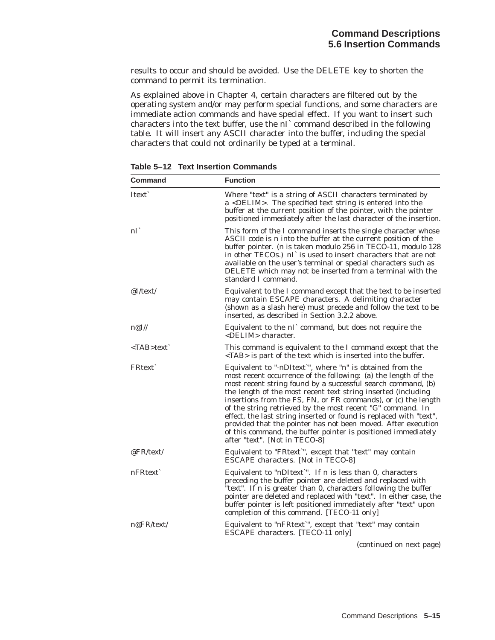results to occur and should be avoided. Use the DELETE key to shorten the command to permit its termination.

As explained above in Chapter 4, certain characters are filtered out by the operating system and/or may perform special functions, and some characters are immediate action commands and have special effect. If you want to insert such characters into the text buffer, use the nI` command described in the following table. It will insert any ASCII character into the buffer, including the special characters that could not ordinarily be typed at a terminal.

**Command Function** Itext` Where "text" is a string of ASCII characters terminated by a <DELIM>. The specified text string is entered into the buffer at the current position of the pointer, with the pointer positioned immediately after the last character of the insertion. nI` This form of the I command inserts the single character whose ASCII code is n into the buffer at the current position of the buffer pointer. (n is taken modulo 256 in TECO-11, modulo 128 in other TECOs.) nI` is used to insert characters that are not available on the user's terminal or special characters such as DELETE which may not be inserted from a terminal with the standard I command. @I/text/ Equivalent to the I command except that the text to be inserted may contain ESCAPE characters. A delimiting character (shown as a slash here) must precede and follow the text to be inserted, as described in Section 3.2.2 above. n@I// Equivalent to the nI` command, but does not require the <DELIM> character. <TAB>text` This command is equivalent to the I command except that the <TAB> is part of the text which is inserted into the buffer. FRtext` Equivalent to "-nDItext`", where "n" is obtained from the most recent occurrence of the following: (a) the length of the most recent string found by a successful search command, (b) the length of the most recent text string inserted (including insertions from the FS, FN, or FR commands), or (c) the length of the string retrieved by the most recent "G" command. In effect, the last string inserted or found is replaced with "text", provided that the pointer has not been moved. After execution of this command, the buffer pointer is positioned immediately after "text". [Not in TECO-8] @FR/text/ Equivalent to "FRtext`", except that "text" may contain ESCAPE characters. [Not in TECO-8] nFRtext` Equivalent to "nDItext`". If n is less than 0, characters preceding the buffer pointer are deleted and replaced with "text". If n is greater than 0, characters following the buffer pointer are deleted and replaced with "text". In either case, the buffer pointer is left positioned immediately after "text" upon completion of this command. [TECO-11 only] n@FR/text/ Equivalent to "nFRtext`", except that "text" may contain ESCAPE characters. [TECO-11 only] (continued on next page)

**Table 5–12 Text Insertion Commands**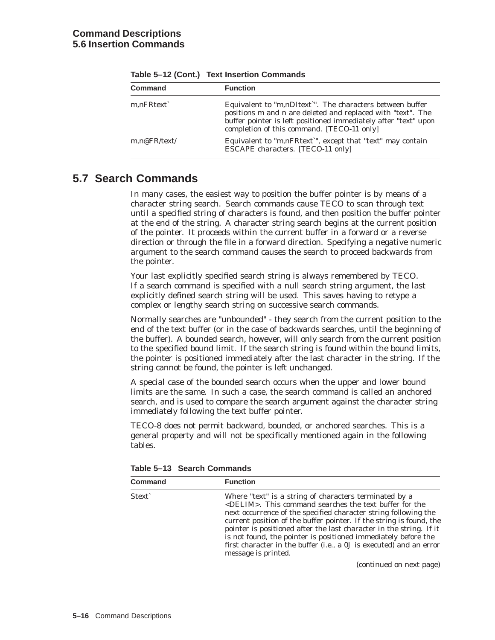| <b>Command</b> | <b>Function</b>                                                                                                                                                                                                                          |
|----------------|------------------------------------------------------------------------------------------------------------------------------------------------------------------------------------------------------------------------------------------|
| m,nFRtext`     | Equivalent to "m,nDItext". The characters between buffer<br>positions m and n are deleted and replaced with "text". The<br>buffer pointer is left positioned immediately after "text" upon<br>completion of this command. [TECO-11 only] |
| m.n@FR/text/   | Equivalent to "m,nFRtext", except that "text" may contain<br>ESCAPE characters. [TECO-11 only]                                                                                                                                           |

**Table 5–12 (Cont.) Text Insertion Commands**

# **5.7 Search Commands**

In many cases, the easiest way to position the buffer pointer is by means of a character string search. Search commands cause TECO to scan through text until a specified string of characters is found, and then position the buffer pointer at the end of the string. A character string search begins at the current position of the pointer. It proceeds within the current buffer in a forward or a reverse direction or through the file in a forward direction. Specifying a negative numeric argument to the search command causes the search to proceed backwards from the pointer.

Your last explicitly specified search string is always remembered by TECO. If a search command is specified with a null search string argument, the last explicitly defined search string will be used. This saves having to retype a complex or lengthy search string on successive search commands.

Normally searches are "unbounded" - they search from the current position to the end of the text buffer (or in the case of backwards searches, until the beginning of the buffer). A bounded search, however, will only search from the current position to the specified bound limit. If the search string is found within the bound limits, the pointer is positioned immediately after the last character in the string. If the string cannot be found, the pointer is left unchanged.

A special case of the bounded search occurs when the upper and lower bound limits are the same. In such a case, the search command is called an anchored search, and is used to compare the search argument against the character string immediately following the text buffer pointer.

TECO-8 does not permit backward, bounded, or anchored searches. This is a general property and will not be specifically mentioned again in the following tables.

| Command | <b>Function</b>                                                                                                                                                                                                                                                                                                                                                                                                                                                                                                |
|---------|----------------------------------------------------------------------------------------------------------------------------------------------------------------------------------------------------------------------------------------------------------------------------------------------------------------------------------------------------------------------------------------------------------------------------------------------------------------------------------------------------------------|
| Stext`  | Where "text" is a string of characters terminated by a<br>$\leq$ DELIM $\geq$ . This command searches the text buffer for the<br>next occurrence of the specified character string following the<br>current position of the buffer pointer. If the string is found, the<br>pointer is positioned after the last character in the string. If it<br>is not found, the pointer is positioned immediately before the<br>first character in the buffer (i.e., a 0J is executed) and an error<br>message is printed. |

**Table 5–13 Search Commands**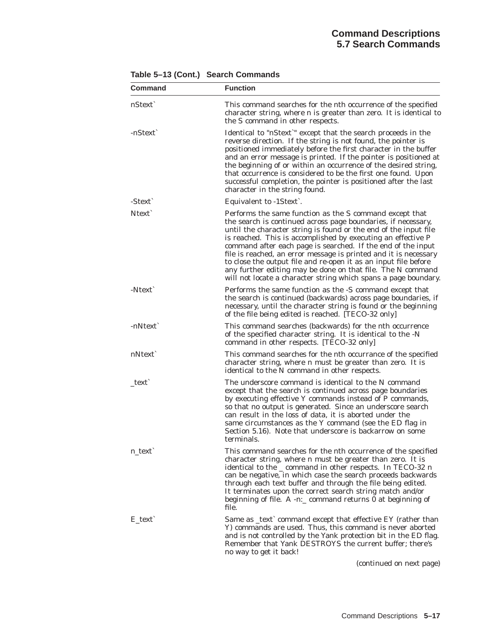| Command           | <b>Function</b>                                                                                                                                                                                                                                                                                                                                                                                                                                                                                                                                                                                       |
|-------------------|-------------------------------------------------------------------------------------------------------------------------------------------------------------------------------------------------------------------------------------------------------------------------------------------------------------------------------------------------------------------------------------------------------------------------------------------------------------------------------------------------------------------------------------------------------------------------------------------------------|
| nStext`           | This command searches for the nth occurrence of the specified<br>character string, where n is greater than zero. It is identical to<br>the S command in other respects.                                                                                                                                                                                                                                                                                                                                                                                                                               |
| -nStext`          | Identical to "nStext`" except that the search proceeds in the<br>reverse direction. If the string is not found, the pointer is<br>positioned immediately before the first character in the buffer<br>and an error message is printed. If the pointer is positioned at<br>the beginning of or within an occurrence of the desired string,<br>that occurrence is considered to be the first one found. Upon<br>successful completion, the pointer is positioned after the last<br>character in the string found.                                                                                        |
| -Stext`           | Equivalent to -1Stext.                                                                                                                                                                                                                                                                                                                                                                                                                                                                                                                                                                                |
| N <sub>text</sub> | Performs the same function as the S command except that<br>the search is continued across page boundaries, if necessary,<br>until the character string is found or the end of the input file<br>is reached. This is accomplished by executing an effective P<br>command after each page is searched. If the end of the input<br>file is reached, an error message is printed and it is necessary<br>to close the output file and re-open it as an input file before<br>any further editing may be done on that file. The N command<br>will not locate a character string which spans a page boundary. |
| -Ntext`           | Performs the same function as the -S command except that<br>the search is continued (backwards) across page boundaries, if<br>necessary, until the character string is found or the beginning<br>of the file being edited is reached. [TECO-32 only]                                                                                                                                                                                                                                                                                                                                                  |
| -nNtext`          | This command searches (backwards) for the nth occurrence<br>of the specified character string. It is identical to the -N<br>command in other respects. [TECO-32 only]                                                                                                                                                                                                                                                                                                                                                                                                                                 |
| nNtext`           | This command searches for the nth occurrance of the specified<br>character string, where n must be greater than zero. It is<br>identical to the N command in other respects.                                                                                                                                                                                                                                                                                                                                                                                                                          |
| $_t$ text         | The underscore command is identical to the N command<br>except that the search is continued across page boundaries<br>by executing effective Y commands instead of P commands,<br>so that no output is generated. Since an underscore search<br>can result in the loss of data, it is aborted under the<br>same circumstances as the Y command (see the ED flag in<br>Section 5.16). Note that underscore is backarrow on some<br>terminals.                                                                                                                                                          |
| n_text`           | This command searches for the nth occurrence of the specified<br>character string, where n must be greater than zero. It is<br>identical to the _ command in other respects. In TECO-32 n<br>can be negative, in which case the search proceeds backwards<br>through each text buffer and through the file being edited.<br>It terminates upon the correct search string match and/or<br>beginning of file. A -n:_ command returns 0 at beginning of<br>file.                                                                                                                                         |
| $E_{\text{text}}$ | Same as _text` command except that effective EY (rather than<br>Y) commands are used. Thus, this command is never aborted<br>and is not controlled by the Yank protection bit in the ED flag.<br>Remember that Yank DESTROYS the current buffer; there's<br>no way to get it back!                                                                                                                                                                                                                                                                                                                    |

**Table 5–13 (Cont.) Search Commands**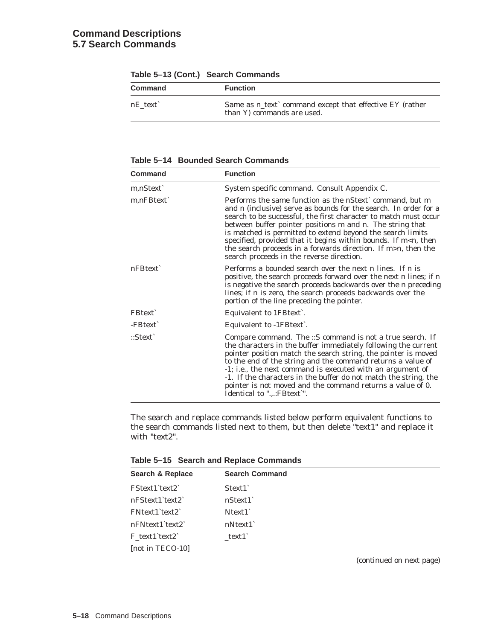## **Command Descriptions 5.7 Search Commands**

| Command   | <b>Function</b>                                                                           |
|-----------|-------------------------------------------------------------------------------------------|
| $nE$ text | Same as $n$ _text` command except that effective EY (rather<br>than Y) commands are used. |

**Table 5–13 (Cont.) Search Commands**

**Table 5–14 Bounded Search Commands**

| <b>Function</b>                                                                                                                                                                                                                                                                                                                                                                                                                                                                                                  |
|------------------------------------------------------------------------------------------------------------------------------------------------------------------------------------------------------------------------------------------------------------------------------------------------------------------------------------------------------------------------------------------------------------------------------------------------------------------------------------------------------------------|
| System specific command. Consult Appendix C.                                                                                                                                                                                                                                                                                                                                                                                                                                                                     |
| Performs the same function as the nStext' command, but m<br>and n (inclusive) serve as bounds for the search. In order for a<br>search to be successful, the first character to match must occur<br>between buffer pointer positions m and n. The string that<br>is matched is permitted to extend beyond the search limits<br>specified, provided that it begins within bounds. If $m < n$ , then<br>the search proceeds in a forwards direction. If m>n, then the<br>search proceeds in the reverse direction. |
| Performs a bounded search over the next n lines. If n is<br>positive, the search proceeds forward over the next n lines; if n<br>is negative the search proceeds backwards over the n preceding<br>lines; if n is zero, the search proceeds backwards over the<br>portion of the line preceding the pointer.                                                                                                                                                                                                     |
| Equivalent to 1FBtext.                                                                                                                                                                                                                                                                                                                                                                                                                                                                                           |
| Equivalent to -1FBtext.                                                                                                                                                                                                                                                                                                                                                                                                                                                                                          |
| Compare command. The :: S command is not a true search. If<br>the characters in the buffer immediately following the current<br>pointer position match the search string, the pointer is moved<br>to the end of the string and the command returns a value of<br>-1; i.e., the next command is executed with an argument of<br>-1. If the characters in the buffer do not match the string, the<br>pointer is not moved and the command returns a value of 0.<br>Identical to ":FBtext`".                        |
|                                                                                                                                                                                                                                                                                                                                                                                                                                                                                                                  |

The search and replace commands listed below perform equivalent functions to the search commands listed next to them, but then delete "text1" and replace it with "text2".

**Table 5–15 Search and Replace Commands**

| Search & Replace | <b>Search Command</b> |  |
|------------------|-----------------------|--|
| FStext1'text2'   | Stext1                |  |
| nFStext1`text2`  | nStext1               |  |
| FNtext1`text2`   | Ntext1                |  |
| nFNtext1`text2`  | nNtext1               |  |
| F text1 text2    | text1`                |  |
| [not in TECO-10] |                       |  |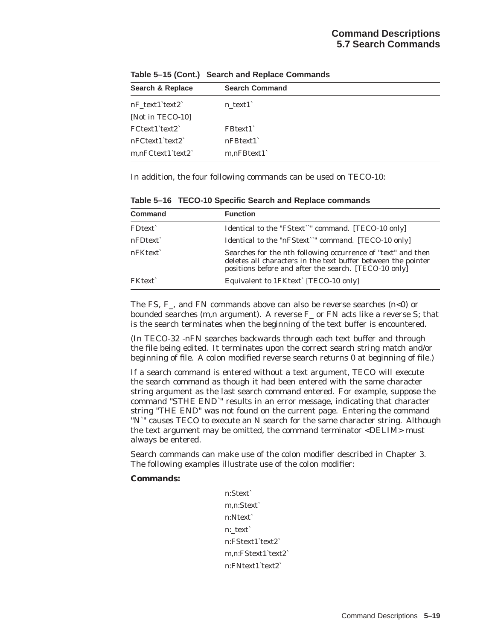#### **Command Descriptions 5.7 Search Commands**

| Search & Replace         | <b>Search Command</b> |
|--------------------------|-----------------------|
| $nF_{text1'text1'text2'$ | $n$ text1             |
| [Not in TECO-10]         |                       |
| FCtext1`text2`           | FBtext1               |
| $nFCtext1$ text2         | nFBrext1              |
| m,nFCtext1`text2`        | m,nFBtext1            |

**Table 5–15 (Cont.) Search and Replace Commands**

In addition, the four following commands can be used on TECO-10:

**Table 5–16 TECO-10 Specific Search and Replace commands**

| <b>Command</b>  | <b>Function</b>                                                                                                                                                                        |
|-----------------|----------------------------------------------------------------------------------------------------------------------------------------------------------------------------------------|
| <b>FD</b> text` | Identical to the "FStext``" command. [TECO-10 only]                                                                                                                                    |
| nFDtext`        | Identical to the "nFStext``" command. [TECO-10 only]                                                                                                                                   |
| nFKtext`        | Searches for the nth following occurrence of "text" and then<br>deletes all characters in the text buffer between the pointer<br>positions before and after the search. [TECO-10 only] |
| <b>FKtext</b>   | Equivalent to 1FKtext` [TECO-10 only]                                                                                                                                                  |

The FS, F, and FN commands above can also be reverse searches  $(n<0)$  or bounded searches (m,n argument). A reverse F\_ or FN acts like a reverse S; that is the search terminates when the beginning of the text buffer is encountered.

(In TECO-32 -nFN searches backwards through each text buffer and through the file being edited. It terminates upon the correct search string match and/or beginning of file. A colon modified reverse search returns 0 at beginning of file.)

If a search command is entered without a text argument, TECO will execute the search command as though it had been entered with the same character string argument as the last search command entered. For example, suppose the command "STHE END`" results in an error message, indicating that character string "THE END" was not found on the current page. Entering the command "N`" causes TECO to execute an N search for the same character string. Although the text argument may be omitted, the command terminator <DELIM> must always be entered.

Search commands can make use of the colon modifier described in Chapter 3. The following examples illustrate use of the colon modifier:

#### **Commands:**

n:Stext` m,n:Stext` n:Ntext` n:\_text` n:FStext1`text2` m,n:FStext1`text2` n:FNtext1`text2`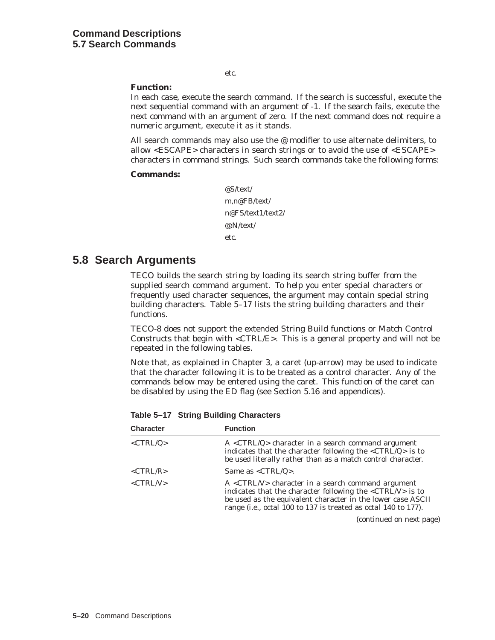etc.

#### **Function:**

In each case, execute the search command. If the search is successful, execute the next sequential command with an argument of -1. If the search fails, execute the next command with an argument of zero. If the next command does not require a numeric argument, execute it as it stands.

All search commands may also use the  $\mathcal Q$  modifier to use alternate delimiters, to allow <ESCAPE> characters in search strings or to avoid the use of <ESCAPE> characters in command strings. Such search commands take the following forms:

#### **Commands:**

@S/text/ m,n@FB/text/ n@FS/text1/text2/ @:N/text/ etc.

# **5.8 Search Arguments**

TECO builds the search string by loading its search string buffer from the supplied search command argument. To help you enter special characters or frequently used character sequences, the argument may contain special string building characters. Table 5–17 lists the string building characters and their functions.

TECO-8 does not support the extended String Build functions or Match Control Constructs that begin with <CTRL/E>. This is a general property and will not be repeated in the following tables.

Note that, as explained in Chapter 3, a caret (up-arrow) may be used to indicate that the character following it is to be treated as a control character. Any of the commands below may be entered using the caret. This function of the caret can be disabled by using the ED flag (see Section 5.16 and appendices).

| <b>Character</b>                 | <b>Function</b>                                                                                                                                                                                                                                                           |
|----------------------------------|---------------------------------------------------------------------------------------------------------------------------------------------------------------------------------------------------------------------------------------------------------------------------|
| $<$ CTRL/Q>                      | $A < CTRL/Q$ character in a search command argument<br>indicates that the character following the <ctrl q=""> is to<br/>be used literally rather than as a match control character.</ctrl>                                                                                |
| $\langle \text{CTR} L/R \rangle$ | Same as $\langle \text{CTRL/Q} \rangle$ .                                                                                                                                                                                                                                 |
| $<$ CTRL/V $>$                   | $A < CTRL/V$ character in a search command argument<br>indicates that the character following the $\langle \text{CTR} L/V \rangle$ is to<br>be used as the equivalent character in the lower case ASCII<br>range (i.e., octal 100 to 137 is treated as octal 140 to 177). |
|                                  |                                                                                                                                                                                                                                                                           |

**Table 5–17 String Building Characters**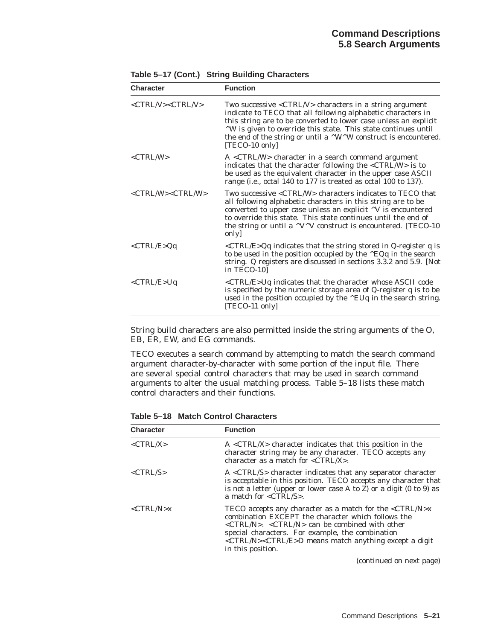| <b>Character</b>                     | <b>Function</b>                                                                                                                                                                                                                                                                                                                                                                                     |
|--------------------------------------|-----------------------------------------------------------------------------------------------------------------------------------------------------------------------------------------------------------------------------------------------------------------------------------------------------------------------------------------------------------------------------------------------------|
| <ctrl v=""><ctrl v=""></ctrl></ctrl> | Two successive $\langle \text{CTRL/V}\rangle$ characters in a string argument<br>indicate to TECO that all following alphabetic characters in<br>this string are to be converted to lower case unless an explicit<br><sup>^</sup> W is given to override this state. This state continues until<br>the end of the string or until a $\wedge W \wedge W$ construct is encountered.<br>[TECO-10 only] |
| <ctrl w=""></ctrl>                   | $A < CTRL/W$ character in a search command argument<br>indicates that the character following the <ctrl w=""> is to<br/>be used as the equivalent character in the upper case ASCII<br/>range (i.e., octal 140 to 177 is treated as octal 100 to 137).</ctrl>                                                                                                                                       |
| <ctrl w=""><ctrl w=""></ctrl></ctrl> | Two successive <ctrl w=""> characters indicates to TECO that<br/>all following alphabetic characters in this string are to be<br/>converted to upper case unless an explicit <sup>^</sup>V is encountered<br/>to override this state. This state continues until the end of<br/>the string or until a <math>\text{``V''V}</math> construct is encountered. [TECO-10<br/>only]</ctrl>                |
| $<$ CTRL/E>Qq                        | <ctrl e="">Qq indicates that the string stored in Q-register q is<br/>to be used in the position occupied by the ^EQq in the search<br/>string. Q registers are discussed in sections 3.3.2 and 5.9. [Not<br/>in TECO-10]</ctrl>                                                                                                                                                                    |
| <ctrl e="">Uq</ctrl>                 | <ctrl e="">Uq indicates that the character whose ASCII code<br/>is specified by the numeric storage area of Q-register q is to be<br/>used in the position occupied by the ^EUq in the search string.<br/>[TECO-11 only]</ctrl>                                                                                                                                                                     |

**Table 5–17 (Cont.) String Building Characters**

String build characters are also permitted inside the string arguments of the O, EB, ER, EW, and EG commands.

TECO executes a search command by attempting to match the search command argument character-by-character with some portion of the input file. There are several special control characters that may be used in search command arguments to alter the usual matching process. Table 5–18 lists these match control characters and their functions.

| Table 5–18 Match Control Characters |  |  |
|-------------------------------------|--|--|
|                                     |  |  |

| <b>Character</b>                | <b>Function</b>                                                                                                                                                                                                                                                                                                                                                                               |
|---------------------------------|-----------------------------------------------------------------------------------------------------------------------------------------------------------------------------------------------------------------------------------------------------------------------------------------------------------------------------------------------------------------------------------------------|
| $\langle \text{CTRL/X} \rangle$ | $A < CTRL/X$ character indicates that this position in the<br>character string may be any character. TECO accepts any<br>character as a match for $\langle \text{CTR} L/X \rangle$ .                                                                                                                                                                                                          |
| $\langle \text{CTRL/S} \rangle$ | A <ctrl s=""> character indicates that any separator character<br/>is acceptable in this position. TECO accepts any character that<br/>is not a letter (upper or lower case A to Z) or a digit (0 to 9) as<br/>a match for <math>\langle \text{CTRL/S}\rangle</math>.</ctrl>                                                                                                                  |
| $\langle CTRL/N\rangle x$       | TECO accepts any character as a match for the $\langle \text{CTR} L/N \rangle$<br>combination EXCEPT the character which follows the<br>$\langle \text{CTR} L/N \rangle$ . $\langle \text{CTR} L/N \rangle$ can be combined with other<br>special characters. For example, the combination<br><ctrl n=""><ctrl e="">D means match anything except a digit<br/>in this position.</ctrl></ctrl> |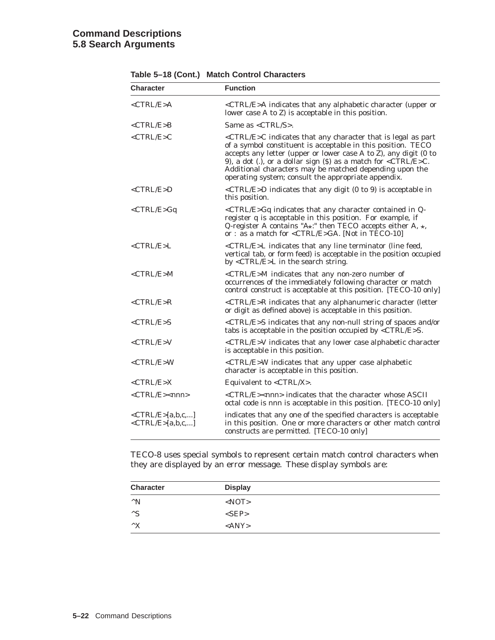| <b>Character</b>                                                   | <b>Function</b>                                                                                                                                                                                                                                                                                                                                                                                                                                                                      |
|--------------------------------------------------------------------|--------------------------------------------------------------------------------------------------------------------------------------------------------------------------------------------------------------------------------------------------------------------------------------------------------------------------------------------------------------------------------------------------------------------------------------------------------------------------------------|
| <ctrl e="">A</ctrl>                                                | <ctrl e="">A indicates that any alphabetic character (upper or<br/>lower case A to Z) is acceptable in this position.</ctrl>                                                                                                                                                                                                                                                                                                                                                         |
| <ctrl e="">B</ctrl>                                                | Same as $\langle \text{CTRL/S}\rangle$ .                                                                                                                                                                                                                                                                                                                                                                                                                                             |
| <ctrl e="">C</ctrl>                                                | $\langle \text{CTR} \rangle$ Let $\langle \text{C} \rangle$ indicates that any character that is legal as part<br>of a symbol constituent is acceptable in this position. TECO<br>accepts any letter (upper or lower case $A$ to $\overline{Z}$ ), any digit (0 to<br>9), a dot (.), or a dollar sign (\$) as a match for $\langle \text{CTR} \rangle$ E $\geq$ C.<br>Additional characters may be matched depending upon the<br>operating system; consult the appropriate appendix. |
| <ctrl e="">D</ctrl>                                                | <ctrl e="">D indicates that any digit (0 to 9) is acceptable in<br/>this position.</ctrl>                                                                                                                                                                                                                                                                                                                                                                                            |
| <ctrl e="">Gq</ctrl>                                               | <ctrl e="">Gq indicates that any character contained in Q-<br/>register q is acceptable in this position. For example, if<br/>Q-register A contains "A<math>\star</math>:" then TECO accepts either A, <math>\star</math>,<br/>or: as a match for <ctrl e="">GA. [Not in TECO-10]</ctrl></ctrl>                                                                                                                                                                                      |
| <ctrl e="">L</ctrl>                                                | <ctrl e="">L indicates that any line terminator (line feed,<br/>vertical tab, or form feed) is acceptable in the position occupied<br/>by <math>\langle \text{CTRL/E} \rangle</math> in the search string.</ctrl>                                                                                                                                                                                                                                                                    |
| $<$ CTRL/E>M                                                       | <ctrl e="">M indicates that any non-zero number of<br/>occurrences of the immediately following character or match<br/>control construct is acceptable at this position. [TECO-10 only]</ctrl>                                                                                                                                                                                                                                                                                       |
| <ctrl e="">R</ctrl>                                                | <ctrl e="">R indicates that any alphanumeric character (letter<br/>or digit as defined above) is acceptable in this position.</ctrl>                                                                                                                                                                                                                                                                                                                                                 |
| $<$ CTRL/E>S                                                       | $\langle \text{CTR} \rangle$ indicates that any non-null string of spaces and/or<br>tabs is acceptable in the position occupied by <ctrl e="">S.</ctrl>                                                                                                                                                                                                                                                                                                                              |
| <ctrl e="">V</ctrl>                                                | <ctrl e="">V indicates that any lower case alphabetic character<br/>is acceptable in this position.</ctrl>                                                                                                                                                                                                                                                                                                                                                                           |
| <ctrl e="">W</ctrl>                                                | <ctrl e="">W indicates that any upper case alphabetic<br/>character is acceptable in this position.</ctrl>                                                                                                                                                                                                                                                                                                                                                                           |
| $<$ CTRL/E>X                                                       | Equivalent to <ctrl x="">.</ctrl>                                                                                                                                                                                                                                                                                                                                                                                                                                                    |
| <ctrl e=""><nnn></nnn></ctrl>                                      | <ctrl e=""><nnn> indicates that the character whose ASCII<br/>octal code is nnn is acceptable in this position. [TECO-10 only]</nnn></ctrl>                                                                                                                                                                                                                                                                                                                                          |
| $\langle \text{CTRL/E} > [a, b, c, \dots]$<br>< $CTRL/E$ >[a,b,c,] | indicates that any one of the specified characters is acceptable<br>in this position. One or more characters or other match control<br>constructs are permitted. [TECO-10 only]                                                                                                                                                                                                                                                                                                      |

**Table 5–18 (Cont.) Match Control Characters**

TECO-8 uses special symbols to represent certain match control characters when they are displayed by an error message. These display symbols are:

| <b>Character</b> | <b>Display</b>               |  |
|------------------|------------------------------|--|
| $^{\wedge}$ N    | $<$ NOT $>$                  |  |
| $^{\wedge}S$     | $<$ SEP>                     |  |
| $\wedge$ X       | $\langle \text{ANY} \rangle$ |  |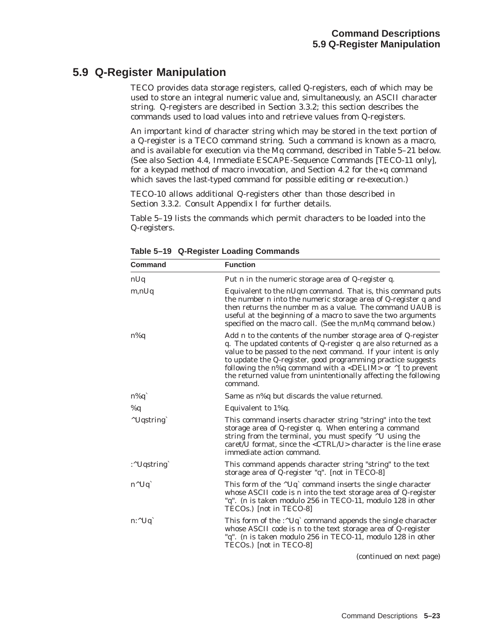# **5.9 Q-Register Manipulation**

TECO provides data storage registers, called Q-registers, each of which may be used to store an integral numeric value and, simultaneously, an ASCII character string. Q-registers are described in Section 3.3.2; this section describes the commands used to load values into and retrieve values from Q-registers.

An important kind of character string which may be stored in the text portion of a Q-register is a TECO command string. Such a command is known as a macro, and is available for execution via the Mq command, described in Table 5–21 below. (See also Section 4.4, Immediate ESCAPE-Sequence Commands [TECO-11 only], for a keypad method of macro invocation, and Section 4.2 for the  $*q$  command which saves the last-typed command for possible editing or re-execution.)

TECO-10 allows additional Q-registers other than those described in Section 3.3.2. Consult Appendix I for further details.

Table 5–19 lists the commands which permit characters to be loaded into the Q-registers.

| Command                  | <b>Function</b>                                                                                                                                                                                                                                                                                                                                                                                                                            |
|--------------------------|--------------------------------------------------------------------------------------------------------------------------------------------------------------------------------------------------------------------------------------------------------------------------------------------------------------------------------------------------------------------------------------------------------------------------------------------|
| nUq                      | Put n in the numeric storage area of Q-register q.                                                                                                                                                                                                                                                                                                                                                                                         |
| m, nUq                   | Equivalent to the nUqm command. That is, this command puts<br>the number n into the numeric storage area of Q-register q and<br>then returns the number m as a value. The command UAUB is<br>useful at the beginning of a macro to save the two arguments<br>specified on the macro call. (See the m,nMq command below.)                                                                                                                   |
| $n\%q$                   | Add n to the contents of the number storage area of Q-register<br>q. The updated contents of Q-register q are also returned as a<br>value to be passed to the next command. If your intent is only<br>to update the Q-register, good programming practice suggests<br>following the n%q command with a <delim> or <math>\wedge</math>[ to prevent<br/>the returned value from unintentionally affecting the following<br/>command.</delim> |
| $n\%q$                   | Same as n%q but discards the value returned.                                                                                                                                                                                                                                                                                                                                                                                               |
| % $q$                    | Equivalent to 1%q.                                                                                                                                                                                                                                                                                                                                                                                                                         |
| "Uqstring"               | This command inserts character string "string" into the text<br>storage area of Q-register q. When entering a command<br>string from the terminal, you must specify $\sim U$ using the<br>caret/U format, since the <ctrl u=""> character is the line erase<br/>immediate action command.</ctrl>                                                                                                                                           |
| : <sup>^</sup> Uqstring` | This command appends character string "string" to the text<br>storage area of Q-register "q". [not in TECO-8]                                                                                                                                                                                                                                                                                                                              |
| $n^{\wedge}Uq$           | This form of the ^Uq` command inserts the single character<br>whose ASCII code is n into the text storage area of Q-register<br>"q". (n is taken modulo 256 in TECO-11, modulo 128 in other<br>TECOs.) [not in TECO-8]                                                                                                                                                                                                                     |
| $n:$ $Uq$                | This form of the : $\Delta U q$ command appends the single character<br>whose ASCII code is n to the text storage area of Q-register<br>"q". (n is taken modulo 256 in TECO-11, modulo 128 in other<br>TECOs.) [not in TECO-8]                                                                                                                                                                                                             |
|                          | (continued on next page)                                                                                                                                                                                                                                                                                                                                                                                                                   |

**Table 5–19 Q-Register Loading Commands**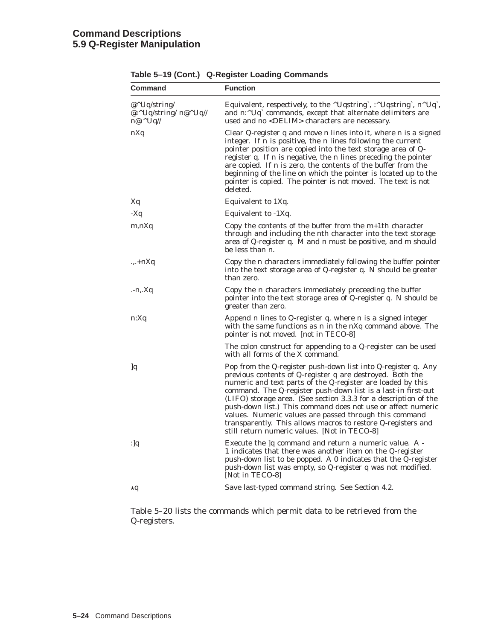## **Command Descriptions 5.9 Q-Register Manipulation**

| Command                                                                        | <b>Function</b>                                                                                                                                                                                                                                                                                                                                                                                                                                                                                                                                                          |
|--------------------------------------------------------------------------------|--------------------------------------------------------------------------------------------------------------------------------------------------------------------------------------------------------------------------------------------------------------------------------------------------------------------------------------------------------------------------------------------------------------------------------------------------------------------------------------------------------------------------------------------------------------------------|
| $\mathcal{Q}^{\wedge}$ Uq/string/<br>@:^Uq/string/ n@^Uq//<br>$n@:^{\wedge}Uq$ | Equivalent, respectively, to the $\Delta U$ as tring $\Delta$ . $\Delta U$ as tring $\Delta$ , $\Delta U$ $\Delta U$<br>and n:^Uq` commands, except that alternate delimiters are<br>used and no <delim> characters are necessary.</delim>                                                                                                                                                                                                                                                                                                                               |
| nXq                                                                            | Clear Q-register q and move n lines into it, where n is a signed<br>integer. If n is positive, the n lines following the current<br>pointer position are copied into the text storage area of Q-<br>register q. If n is negative, the n lines preceding the pointer<br>are copied. If n is zero, the contents of the buffer from the<br>beginning of the line on which the pointer is located up to the<br>pointer is copied. The pointer is not moved. The text is not<br>deleted.                                                                                      |
| Xq                                                                             | Equivalent to 1Xq.                                                                                                                                                                                                                                                                                                                                                                                                                                                                                                                                                       |
| $-Xq$                                                                          | Equivalent to -1Xq.                                                                                                                                                                                                                                                                                                                                                                                                                                                                                                                                                      |
| m, nXq                                                                         | Copy the contents of the buffer from the $m+1$ th character<br>through and including the nth character into the text storage<br>area of Q-register q. M and n must be positive, and m should<br>be less than n.                                                                                                                                                                                                                                                                                                                                                          |
| .,. $+nXq$                                                                     | Copy the n characters immediately following the buffer pointer<br>into the text storage area of Q-register q. N should be greater<br>than zero.                                                                                                                                                                                                                                                                                                                                                                                                                          |
| $-n, Xq$                                                                       | Copy the n characters immediately preceeding the buffer<br>pointer into the text storage area of Q-register q. N should be<br>greater than zero.                                                                                                                                                                                                                                                                                                                                                                                                                         |
| n:Xq                                                                           | Append n lines to Q-register q, where n is a signed integer<br>with the same functions as n in the nXq command above. The<br>pointer is not moved. [not in TECO-8]                                                                                                                                                                                                                                                                                                                                                                                                       |
|                                                                                | The colon construct for appending to a Q-register can be used<br>with all forms of the X command.                                                                                                                                                                                                                                                                                                                                                                                                                                                                        |
| Jq                                                                             | Pop from the Q-register push-down list into Q-register q. Any<br>previous contents of Q-register q are destroyed. Both the<br>numeric and text parts of the Q-register are loaded by this<br>command. The Q-register push-down list is a last-in first-out<br>(LIFO) storage area. (See section 3.3.3 for a description of the<br>push-down list.) This command does not use or affect numeric<br>values. Numeric values are passed through this command<br>transparently. This allows macros to restore Q-registers and<br>still return numeric values. [Not in TECO-8] |
| $:$ ]q                                                                         | Execute the Jq command and return a numeric value. A -<br>1 indicates that there was another item on the Q-register<br>push-down list to be popped. A 0 indicates that the Q-register<br>push-down list was empty, so Q-register q was not modified.<br>[Not in TECO-8]                                                                                                                                                                                                                                                                                                  |
| ∗q                                                                             | Save last-typed command string. See Section 4.2.                                                                                                                                                                                                                                                                                                                                                                                                                                                                                                                         |

**Table 5–19 (Cont.) Q-Register Loading Commands**

Table 5–20 lists the commands which permit data to be retrieved from the Q-registers.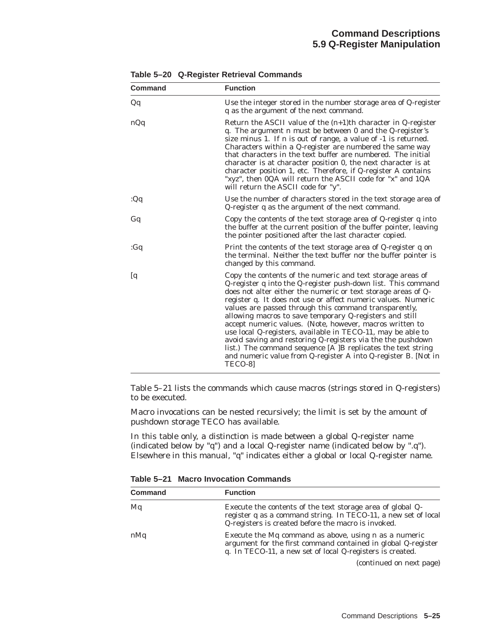| Command      | <b>Function</b>                                                                                                                                                                                                                                                                                                                                                                                                                                                                                                                                                                                                                                                                                                          |
|--------------|--------------------------------------------------------------------------------------------------------------------------------------------------------------------------------------------------------------------------------------------------------------------------------------------------------------------------------------------------------------------------------------------------------------------------------------------------------------------------------------------------------------------------------------------------------------------------------------------------------------------------------------------------------------------------------------------------------------------------|
| Qq           | Use the integer stored in the number storage area of Q-register<br>q as the argument of the next command.                                                                                                                                                                                                                                                                                                                                                                                                                                                                                                                                                                                                                |
| nQq          | Return the ASCII value of the $(n+1)$ th character in Q-register<br>q. The argument n must be between 0 and the Q-register's<br>size minus 1. If n is out of range, a value of -1 is returned.<br>Characters within a Q-register are numbered the same way<br>that characters in the text buffer are numbered. The initial<br>character is at character position 0, the next character is at<br>character position 1, etc. Therefore, if Q-register A contains<br>"xyz", then 0QA will return the ASCII code for "x" and 1QA<br>will return the ASCII code for "y".                                                                                                                                                      |
| :Qq          | Use the number of characters stored in the text storage area of<br>Q-register q as the argument of the next command.                                                                                                                                                                                                                                                                                                                                                                                                                                                                                                                                                                                                     |
| Gq           | Copy the contents of the text storage area of Q-register q into<br>the buffer at the current position of the buffer pointer, leaving<br>the pointer positioned after the last character copied.                                                                                                                                                                                                                                                                                                                                                                                                                                                                                                                          |
| :Gq          | Print the contents of the text storage area of Q-register q on<br>the terminal. Neither the text buffer nor the buffer pointer is<br>changed by this command.                                                                                                                                                                                                                                                                                                                                                                                                                                                                                                                                                            |
| $\mathbf{q}$ | Copy the contents of the numeric and text storage areas of<br>Q-register q into the Q-register push-down list. This command<br>does not alter either the numeric or text storage areas of Q-<br>register q. It does not use or affect numeric values. Numeric<br>values are passed through this command transparently,<br>allowing macros to save temporary Q-registers and still<br>accept numeric values. (Note, however, macros written to<br>use local Q-registers, available in TECO-11, may be able to<br>avoid saving and restoring Q-registers via the the pushdown<br>list.) The command sequence [A ]B replicates the text string<br>and numeric value from Q-register A into Q-register B. [Not in<br>TECO-81 |

**Table 5–20 Q-Register Retrieval Commands**

Table 5–21 lists the commands which cause macros (strings stored in Q-registers) to be executed.

Macro invocations can be nested recursively; the limit is set by the amount of pushdown storage TECO has available.

In this table only, a distinction is made between a global Q-register name (indicated below by "q") and a local Q-register name (indicated below by ".q"). Elsewhere in this manual, "q" indicates either a global or local Q-register name.

**Table 5–21 Macro Invocation Commands**

| <b>Command</b> | <b>Function</b>                                                                                                                                                                     |
|----------------|-------------------------------------------------------------------------------------------------------------------------------------------------------------------------------------|
| Mq             | Execute the contents of the text storage area of global Q-<br>register q as a command string. In TECO-11, a new set of local<br>Q-registers is created before the macro is invoked. |
| nMq            | Execute the Mq command as above, using n as a numeric<br>argument for the first command contained in global Q-register<br>q. In TECO-11, a new set of local Q-registers is created. |
|                | (continued on next nage)                                                                                                                                                            |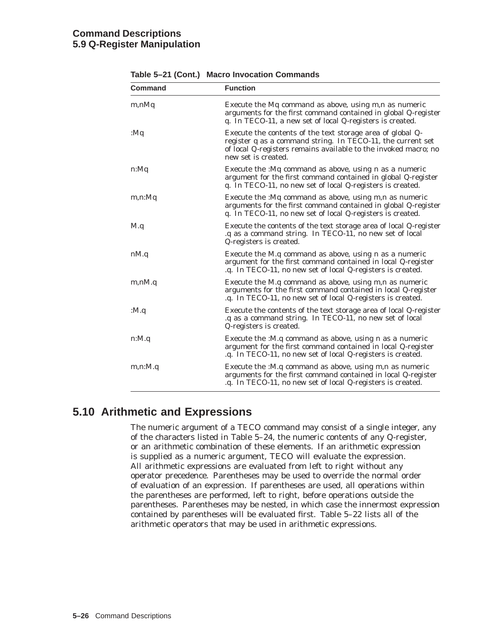# **Command Descriptions 5.9 Q-Register Manipulation**

| <b>Command</b> | <b>Function</b>                                                                                                                                                                                                     |
|----------------|---------------------------------------------------------------------------------------------------------------------------------------------------------------------------------------------------------------------|
| m, nMq         | Execute the Mq command as above, using m, n as numeric<br>arguments for the first command contained in global Q-register<br>q. In TECO-11, a new set of local Q-registers is created.                               |
| :Mq            | Execute the contents of the text storage area of global Q-<br>register q as a command string. In TECO-11, the current set<br>of local Q-registers remains available to the invoked macro; no<br>new set is created. |
| $n:$ Mq        | Execute the :Mq command as above, using n as a numeric<br>argument for the first command contained in global Q-register<br>q. In TECO-11, no new set of local Q-registers is created.                               |
| $m,n:$ Mq      | Execute the :Mq command as above, using m,n as numeric<br>arguments for the first command contained in global Q-register<br>q. In TECO-11, no new set of local Q-registers is created.                              |
| M.q            | Execute the contents of the text storage area of local Q-register<br>.q as a command string. In TECO-11, no new set of local<br>Q-registers is created.                                                             |
| nM.q           | Execute the M.q command as above, using n as a numeric<br>argument for the first command contained in local Q-register<br>.g. In TECO-11, no new set of local Q-registers is created.                               |
| m, nM.q        | Execute the M.q command as above, using m, n as numeric<br>arguments for the first command contained in local Q-register<br>.g. In TECO-11, no new set of local Q-registers is created.                             |
| :M.q           | Execute the contents of the text storage area of local Q-register<br>.q as a command string. In TECO-11, no new set of local<br>Q-registers is created.                                                             |
| n: M. q        | Execute the :M.q command as above, using n as a numeric<br>argument for the first command contained in local Q-register<br>.q. In TECO-11, no new set of local Q-registers is created.                              |
| m,n:M.q        | Execute the :M.q command as above, using m,n as numeric<br>arguments for the first command contained in local Q-register<br>.q. In TECO-11, no new set of local Q-registers is created.                             |

#### **Table 5–21 (Cont.) Macro Invocation Commands**

# **5.10 Arithmetic and Expressions**

The numeric argument of a TECO command may consist of a single integer, any of the characters listed in Table 5–24, the numeric contents of any Q-register, or an arithmetic combination of these elements. If an arithmetic expression is supplied as a numeric argument, TECO will evaluate the expression. All arithmetic expressions are evaluated from left to right without any operator precedence. Parentheses may be used to override the normal order of evaluation of an expression. If parentheses are used, all operations within the parentheses are performed, left to right, before operations outside the parentheses. Parentheses may be nested, in which case the innermost expression contained by parentheses will be evaluated first. Table 5–22 lists all of the arithmetic operators that may be used in arithmetic expressions.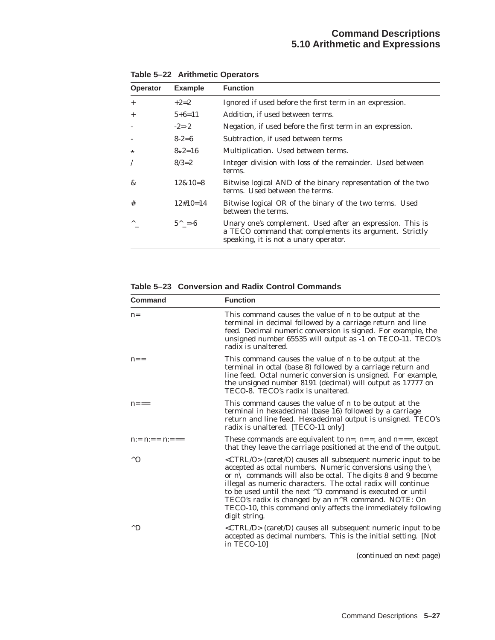| <b>Operator</b> | <b>Example</b>    | <b>Function</b>                                                                                                                                              |
|-----------------|-------------------|--------------------------------------------------------------------------------------------------------------------------------------------------------------|
| $+$             | $+2=2$            | Ignored if used before the first term in an expression.                                                                                                      |
| $+$             | $5+6=11$          | Addition, if used between terms.                                                                                                                             |
|                 | $-2=-2$           | Negation, if used before the first term in an expression.                                                                                                    |
|                 | $8 - 2 = 6$       | Subtraction, if used between terms                                                                                                                           |
| $\star$         | $8\times2=16$     | Multiplication. Used between terms.                                                                                                                          |
|                 | $8/3=2$           | Integer division with loss of the remainder. Used between<br>terms.                                                                                          |
| &               | $12&10=8$         | Bitwise logical AND of the binary representation of the two<br>terms. Used between the terms.                                                                |
| #               | $12#10=14$        | Bitwise logical OR of the binary of the two terms. Used<br>between the terms.                                                                                |
| $\wedge$        | $5^{\wedge} = -6$ | Unary one's complement. Used after an expression. This is<br>a TECO command that complements its argument. Strictly<br>speaking, it is not a unary operator. |

**Table 5–22 Arithmetic Operators**

**Table 5–23 Conversion and Radix Control Commands**

| <b>Command</b>   | <b>Function</b>                                                                                                                                                                                                                                                                                                                                                                                                                                                                                                                                |
|------------------|------------------------------------------------------------------------------------------------------------------------------------------------------------------------------------------------------------------------------------------------------------------------------------------------------------------------------------------------------------------------------------------------------------------------------------------------------------------------------------------------------------------------------------------------|
| $n =$            | This command causes the value of n to be output at the<br>terminal in decimal followed by a carriage return and line<br>feed. Decimal numeric conversion is signed. For example, the<br>unsigned number 65535 will output as -1 on TECO-11. TECO's<br>radix is unaltered.                                                                                                                                                                                                                                                                      |
| $n = -$          | This command causes the value of n to be output at the<br>terminal in octal (base 8) followed by a carriage return and<br>line feed. Octal numeric conversion is unsigned. For example,<br>the unsigned number 8191 (decimal) will output as 17777 on<br>TECO-8. TECO's radix is unaltered.                                                                                                                                                                                                                                                    |
| $n=-$            | This command causes the value of n to be output at the<br>terminal in hexadecimal (base 16) followed by a carriage<br>return and line feed. Hexadecimal output is unsigned. TECO's<br>radix is unaltered. [TECO-11 only]                                                                                                                                                                                                                                                                                                                       |
| $n:= n:= n:= ==$ | These commands are equivalent to $n=$ , $n=-$ , and $n=-$ , except<br>that they leave the carriage positioned at the end of the output.                                                                                                                                                                                                                                                                                                                                                                                                        |
| $^{\wedge}$ O    | <ctrl o=""> (caret/O) causes all subsequent numeric input to be<br/>accepted as octal numbers. Numeric conversions using the <math>\setminus</math><br/>or <math>n \setminus</math> commands will also be octal. The digits 8 and 9 become<br/>illegal as numeric characters. The octal radix will continue<br/>to be used until the next <math>\Delta D</math> command is executed or until<br/>TECO's radix is changed by an n^R command. NOTE: On<br/>TECO-10, this command only affects the immediately following<br/>digit string.</ctrl> |
| $^{\wedge}D$     | <ctrl d=""> (caret/D) causes all subsequent numeric input to be<br/>accepted as decimal numbers. This is the initial setting. [Not]<br/>in TECO-10</ctrl>                                                                                                                                                                                                                                                                                                                                                                                      |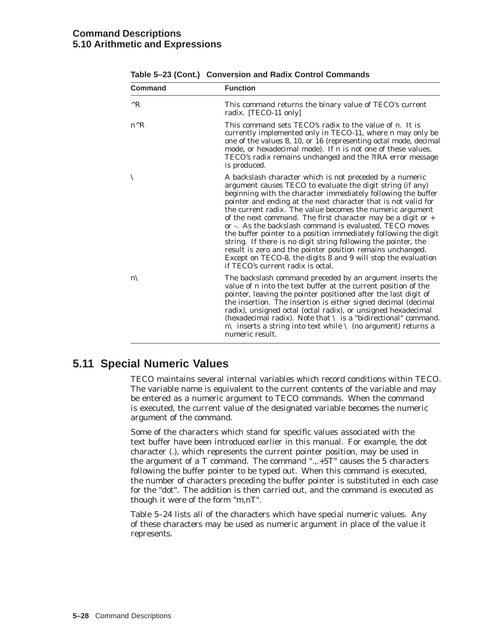## **Command Descriptions 5.10 Arithmetic and Expressions**

| Command       | <b>Function</b>                                                                                                                                                                                                                                                                                                                                                                                                                                                                                                                                                                                                                                                                                                                                               |
|---------------|---------------------------------------------------------------------------------------------------------------------------------------------------------------------------------------------------------------------------------------------------------------------------------------------------------------------------------------------------------------------------------------------------------------------------------------------------------------------------------------------------------------------------------------------------------------------------------------------------------------------------------------------------------------------------------------------------------------------------------------------------------------|
| $^{\wedge}R$  | This command returns the binary value of TECO's current<br>radix. [TECO-11 only]                                                                                                                                                                                                                                                                                                                                                                                                                                                                                                                                                                                                                                                                              |
| $n^{\wedge}R$ | This command sets TECO's radix to the value of n. It is<br>currently implemented only in TECO-11, where n may only be<br>one of the values 8, 10, or 16 (representing octal mode, decimal<br>mode, or hexadecimal mode). If n is not one of these values,<br>TECO's radix remains unchanged and the ?IRA error message<br>is produced.                                                                                                                                                                                                                                                                                                                                                                                                                        |
|               | A backslash character which is not preceded by a numeric<br>argument causes TECO to evaluate the digit string (if any)<br>beginning with the character immediately following the buffer<br>pointer and ending at the next character that is not valid for<br>the current radix. The value becomes the numeric argument<br>of the next command. The first character may be a digit or $+$<br>or -. As the backslash command is evaluated, TECO moves<br>the buffer pointer to a position immediately following the digit<br>string. If there is no digit string following the pointer, the<br>result is zero and the pointer position remains unchanged.<br>Except on TECO-8, the digits 8 and 9 will stop the evaluation<br>if TECO's current radix is octal. |
| $n\setminus$  | The backslash command preceded by an argument inserts the<br>value of n into the text buffer at the current position of the<br>pointer, leaving the pointer positioned after the last digit of<br>the insertion. The insertion is either signed decimal (decimal<br>radix), unsigned octal (octal radix), or unsigned hexadecimal<br>(hexadecimal radix). Note that $\setminus$ is a "bidirectional" command.<br>$n\backslash$ inserts a string into text while $\backslash$ (no argument) returns a<br>numeric result.                                                                                                                                                                                                                                       |

# **5.11 Special Numeric Values**

TECO maintains several internal variables which record conditions within TECO. The variable name is equivalent to the current contents of the variable and may be entered as a numeric argument to TECO commands. When the command is executed, the current value of the designated variable becomes the numeric argument of the command.

Some of the characters which stand for specific values associated with the text buffer have been introduced earlier in this manual. For example, the dot character (.), which represents the current pointer position, may be used in the argument of a  $T$  command. The command "...+5 $T$ " causes the 5 characters following the buffer pointer to be typed out. When this command is executed, the number of characters preceding the buffer pointer is substituted in each case for the "dot". The addition is then carried out, and the command is executed as though it were of the form "m,nT".

Table 5–24 lists all of the characters which have special numeric values. Any of these characters may be used as numeric argument in place of the value it represents.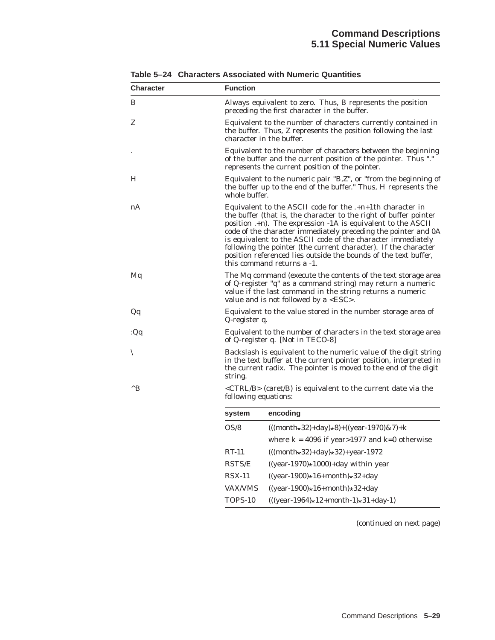| <b>Character</b> | <b>Function</b>      |                                                                                                                                                                                                                                                                                                                                                                                                                                                                                                         |  |
|------------------|----------------------|---------------------------------------------------------------------------------------------------------------------------------------------------------------------------------------------------------------------------------------------------------------------------------------------------------------------------------------------------------------------------------------------------------------------------------------------------------------------------------------------------------|--|
| B                |                      | Always equivalent to zero. Thus, B represents the position<br>preceding the first character in the buffer.                                                                                                                                                                                                                                                                                                                                                                                              |  |
| Z                |                      | Equivalent to the number of characters currently contained in<br>the buffer. Thus, Z represents the position following the last<br>character in the buffer.                                                                                                                                                                                                                                                                                                                                             |  |
|                  |                      | Equivalent to the number of characters between the beginning<br>of the buffer and the current position of the pointer. Thus "."<br>represents the current position of the pointer.                                                                                                                                                                                                                                                                                                                      |  |
| Н                | whole buffer.        | Equivalent to the numeric pair "B,Z", or "from the beginning of<br>the buffer up to the end of the buffer." Thus, H represents the                                                                                                                                                                                                                                                                                                                                                                      |  |
| nA               |                      | Equivalent to the ASCII code for the $.+n+1$ th character in<br>the buffer (that is, the character to the right of buffer pointer<br>position .+n). The expression -1A is equivalent to the ASCII<br>code of the character immediately preceding the pointer and 0A<br>is equivalent to the ASCII code of the character immediately<br>following the pointer (the current character). If the character<br>position referenced lies outside the bounds of the text buffer,<br>this command returns a -1. |  |
| Mq               |                      | The Mq command (execute the contents of the text storage area<br>of Q-register "q" as a command string) may return a numeric<br>value if the last command in the string returns a numeric<br>value and is not followed by a $\langle$ ESC $>$ .                                                                                                                                                                                                                                                         |  |
| Qq               | Q-register q.        | Equivalent to the value stored in the number storage area of                                                                                                                                                                                                                                                                                                                                                                                                                                            |  |
| : $Qq$           |                      | Equivalent to the number of characters in the text storage area<br>of Q-register q. [Not in TECO-8]                                                                                                                                                                                                                                                                                                                                                                                                     |  |
| ╲                | string.              | Backslash is equivalent to the numeric value of the digit string<br>in the text buffer at the current pointer position, interpreted in<br>the current radix. The pointer is moved to the end of the digit                                                                                                                                                                                                                                                                                               |  |
| $^{\wedge}$ B    | following equations: | <ctrl b=""> (caret/B) is equivalent to the current date via the</ctrl>                                                                                                                                                                                                                                                                                                                                                                                                                                  |  |
|                  | system               | encoding                                                                                                                                                                                                                                                                                                                                                                                                                                                                                                |  |
|                  | OS/8                 | $(((month*32)+day)*8)+((year-1970) \& 7)+k$                                                                                                                                                                                                                                                                                                                                                                                                                                                             |  |
|                  |                      | where $k = 4096$ if year>1977 and $k=0$ otherwise                                                                                                                                                                                                                                                                                                                                                                                                                                                       |  |
|                  | $RT-11$              | $(((month*32)+day)*32)+year-1972$                                                                                                                                                                                                                                                                                                                                                                                                                                                                       |  |
|                  | RSTS/E               | $((year-1970) \star 1000) + day$ within year                                                                                                                                                                                                                                                                                                                                                                                                                                                            |  |
|                  | $RSX-11$             | $((year-1900) \star 16 + month) \star 32 + day$                                                                                                                                                                                                                                                                                                                                                                                                                                                         |  |
|                  | <b>VAX/VMS</b>       | $((year-1900) \star 16 + month) \star 32 + day$                                                                                                                                                                                                                                                                                                                                                                                                                                                         |  |

TOPS-10  $(((year-1964)*12+month-1)*31+day-1)$ 

**Table 5–24 Characters Associated with Numeric Quantities**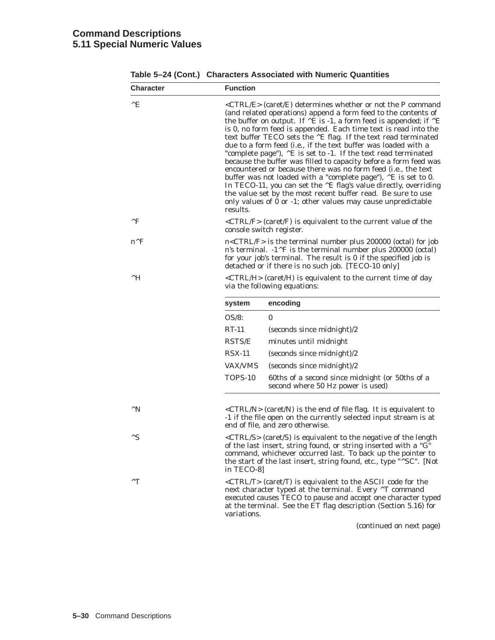## **Command Descriptions 5.11 Special Numeric Values**

| <b>Character</b> | <b>Function</b>                                                                                                                                                                                                                                                                                                                                                                                                                                                                                                                                                                                                                                                                                                                                                                                                                                                                                                                                                  |  |  |
|------------------|------------------------------------------------------------------------------------------------------------------------------------------------------------------------------------------------------------------------------------------------------------------------------------------------------------------------------------------------------------------------------------------------------------------------------------------------------------------------------------------------------------------------------------------------------------------------------------------------------------------------------------------------------------------------------------------------------------------------------------------------------------------------------------------------------------------------------------------------------------------------------------------------------------------------------------------------------------------|--|--|
| $^{\wedge}E$     | $\langle \text{CTRLE}\rangle$ (caret/E) determines whether or not the P command<br>(and related operations) append a form feed to the contents of<br>the buffer on output. If $\wedge$ E is -1, a form feed is appended; if $\wedge$ E<br>is 0, no form feed is appended. Each time text is read into the<br>text buffer TECO sets the ^E flag. If the text read terminated<br>due to a form feed (i.e., if the text buffer was loaded with a<br>"complete page"), $\wedge$ E is set to -1. If the text read terminated<br>because the buffer was filled to capacity before a form feed was<br>encountered or because there was no form feed (i.e., the text<br>buffer was not loaded with a "complete page"), $\wedge$ E is set to 0.<br>In TECO-11, you can set the $^{\wedge}E$ flag's value directly, overriding<br>the value set by the most recent buffer read. Be sure to use<br>only values of 0 or -1; other values may cause unpredictable<br>results. |  |  |
| ^F               | $\langle \text{CTRL/F} \rangle$ (caret/F) is equivalent to the current value of the<br>console switch register.                                                                                                                                                                                                                                                                                                                                                                                                                                                                                                                                                                                                                                                                                                                                                                                                                                                  |  |  |
| $n^{\wedge}F$    | $n < CTRL/F$ is the terminal number plus 200000 (octal) for job<br>n's terminal. $-1$ <sup><math>\wedge</math></sup> F is the terminal number plus 200000 (octal)<br>for your job's terminal. The result is 0 if the specified job is<br>detached or if there is no such job. [TECO-10 only]                                                                                                                                                                                                                                                                                                                                                                                                                                                                                                                                                                                                                                                                     |  |  |
| ^H               | <ctrl h=""> (caret/H) is equivalent to the current time of day<br/>via the following equations:</ctrl>                                                                                                                                                                                                                                                                                                                                                                                                                                                                                                                                                                                                                                                                                                                                                                                                                                                           |  |  |
|                  | system<br>encoding                                                                                                                                                                                                                                                                                                                                                                                                                                                                                                                                                                                                                                                                                                                                                                                                                                                                                                                                               |  |  |
|                  | $OS/8$ :<br>0                                                                                                                                                                                                                                                                                                                                                                                                                                                                                                                                                                                                                                                                                                                                                                                                                                                                                                                                                    |  |  |
|                  | $RT-11$<br>(seconds since midnight)/2                                                                                                                                                                                                                                                                                                                                                                                                                                                                                                                                                                                                                                                                                                                                                                                                                                                                                                                            |  |  |
|                  | <b>RSTS/E</b><br>minutes until midnight                                                                                                                                                                                                                                                                                                                                                                                                                                                                                                                                                                                                                                                                                                                                                                                                                                                                                                                          |  |  |
|                  | $RSX-11$<br>(seconds since midnight)/2                                                                                                                                                                                                                                                                                                                                                                                                                                                                                                                                                                                                                                                                                                                                                                                                                                                                                                                           |  |  |
|                  | <b>VAX/VMS</b><br>(seconds since midnight)/2                                                                                                                                                                                                                                                                                                                                                                                                                                                                                                                                                                                                                                                                                                                                                                                                                                                                                                                     |  |  |
|                  | TOPS-10<br>60ths of a second since midnight (or 50ths of a<br>second where 50 Hz power is used)                                                                                                                                                                                                                                                                                                                                                                                                                                                                                                                                                                                                                                                                                                                                                                                                                                                                  |  |  |
| $^{\wedge}$ N    | <ctrl n=""> (caret/N) is the end of file flag. It is equivalent to<br/>-1 if the file open on the currently selected input stream is at<br/>end of file, and zero otherwise.</ctrl>                                                                                                                                                                                                                                                                                                                                                                                                                                                                                                                                                                                                                                                                                                                                                                              |  |  |
| $^{\wedge}$ S    | <ctrl s=""> (caret/S) is equivalent to the negative of the length<br/>of the last insert, string found, or string inserted with a "G"<br/>command, whichever occurred last. To back up the pointer to<br/>the start of the last insert, string found, etc., type "^SC". [Not<br/>in TECO-8</ctrl>                                                                                                                                                                                                                                                                                                                                                                                                                                                                                                                                                                                                                                                                |  |  |
| $^{\wedge}$ T    | $\langle \text{CTRL/T} \rangle$ (caret/T) is equivalent to the ASCII code for the<br>next character typed at the terminal. Every ^T command<br>executed causes TECO to pause and accept one character typed<br>at the terminal. See the ET flag description (Section 5.16) for<br>variations.                                                                                                                                                                                                                                                                                                                                                                                                                                                                                                                                                                                                                                                                    |  |  |

| Table 5–24 (Cont.) Characters Associated with Numeric Quantities |  |  |  |  |
|------------------------------------------------------------------|--|--|--|--|
|------------------------------------------------------------------|--|--|--|--|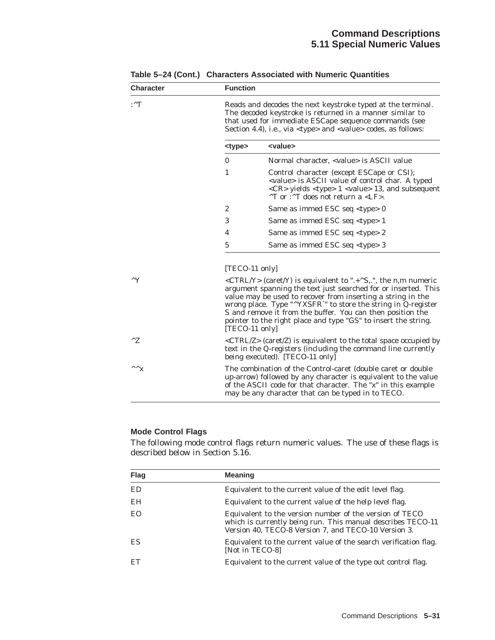| <b>Character</b>             | <b>Function</b>                                                                                                                                                                                                                                                  |                                                                                                                                                                                                                                                                                                                                                                                                                                |  |
|------------------------------|------------------------------------------------------------------------------------------------------------------------------------------------------------------------------------------------------------------------------------------------------------------|--------------------------------------------------------------------------------------------------------------------------------------------------------------------------------------------------------------------------------------------------------------------------------------------------------------------------------------------------------------------------------------------------------------------------------|--|
| :^T                          | Reads and decodes the next keystroke typed at the terminal.<br>The decoded keystroke is returned in a manner similar to<br>that used for immediate ESCape sequence commands (see<br>Section 4.4), i.e., via <type> and <value> codes, as follows:</value></type> |                                                                                                                                                                                                                                                                                                                                                                                                                                |  |
|                              | <type></type>                                                                                                                                                                                                                                                    | <value></value>                                                                                                                                                                                                                                                                                                                                                                                                                |  |
|                              | $\mathbf{0}$                                                                                                                                                                                                                                                     | Normal character, <value> is ASCII value</value>                                                                                                                                                                                                                                                                                                                                                                               |  |
|                              | $\mathbf{1}$                                                                                                                                                                                                                                                     | Control character (except ESCape or CSI);<br><value> is ASCII value of control char. A typed<br/><cr> yields <type> 1 <value> 13, and subsequent<br/><math>\rm{^\prime T}</math> or :<math>\rm{^\prime T}</math> does not return a <lf>.</lf></value></type></cr></value>                                                                                                                                                      |  |
|                              | $\boldsymbol{2}$                                                                                                                                                                                                                                                 | Same as immed ESC seq <type> 0</type>                                                                                                                                                                                                                                                                                                                                                                                          |  |
|                              | 3                                                                                                                                                                                                                                                                | Same as immed ESC seq <type> 1</type>                                                                                                                                                                                                                                                                                                                                                                                          |  |
|                              | 4                                                                                                                                                                                                                                                                | Same as immed ESC seq <type> 2</type>                                                                                                                                                                                                                                                                                                                                                                                          |  |
|                              | 5                                                                                                                                                                                                                                                                | Same as immed ESC seq <type> 3</type>                                                                                                                                                                                                                                                                                                                                                                                          |  |
|                              | [TECO-11 only]                                                                                                                                                                                                                                                   |                                                                                                                                                                                                                                                                                                                                                                                                                                |  |
| $\wedge$ Y                   | [TECO-11 only]                                                                                                                                                                                                                                                   | <ctrl y=""> (caret/Y) is equivalent to ".+<math>\sim</math>S,.", the n,m numeric<br/>argument spanning the text just searched for or inserted. This<br/>value may be used to recover from inserting a string in the<br/>wrong place. Type "^YXSFR`" to store the string in Q-register<br/>S and remove it from the buffer. You can then position the<br/>pointer to the right place and type "GS" to insert the string.</ctrl> |  |
| $^{\wedge}Z$                 |                                                                                                                                                                                                                                                                  | $\langle \text{CTRL/Z} \rangle$ (caret/Z) is equivalent to the total space occupied by<br>text in the Q-registers (including the command line currently<br>being executed). [TECO-11 only]                                                                                                                                                                                                                                     |  |
| $\wedge \wedge_{\mathbf{X}}$ |                                                                                                                                                                                                                                                                  | The combination of the Control-caret (double caret or double<br>up-arrow) followed by any character is equivalent to the value<br>of the ASCII code for that character. The "x" in this example<br>may be any character that can be typed in to TECO.                                                                                                                                                                          |  |

**Table 5–24 (Cont.) Characters Associated with Numeric Quantities**

#### **Mode Control Flags**

The following mode control flags return numeric values. The use of these flags is described below in Section 5.16.

| Flag | <b>Meaning</b>                                                                                                                                                                 |
|------|--------------------------------------------------------------------------------------------------------------------------------------------------------------------------------|
| ED.  | Equivalent to the current value of the edit level flag.                                                                                                                        |
| EH   | Equivalent to the current value of the help level flag.                                                                                                                        |
| EO   | Equivalent to the version number of the version of TECO<br>which is currently being run. This manual describes TECO-11<br>Version 40, TECO-8 Version 7, and TECO-10 Version 3. |
| ES   | Equivalent to the current value of the search verification flag.<br>[Not in TECO-8]                                                                                            |
| ET   | Equivalent to the current value of the type out control flag.                                                                                                                  |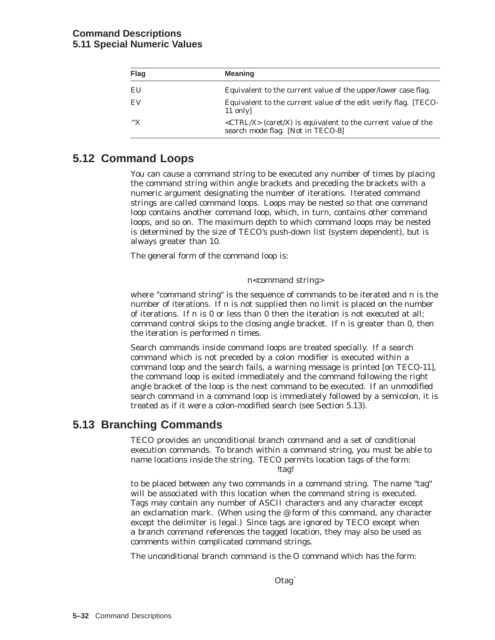| Flag              | <b>Meaning</b>                                                                                               |
|-------------------|--------------------------------------------------------------------------------------------------------------|
| EU                | Equivalent to the current value of the upper/lower case flag.                                                |
| EV                | Equivalent to the current value of the edit verify flag. [TECO-<br>11 only                                   |
| $\wedge$ <b>X</b> | <ctrl x=""> (caret/X) is equivalent to the current value of the<br/>search mode flag. [Not in TECO-8]</ctrl> |

# **5.12 Command Loops**

You can cause a command string to be executed any number of times by placing the command string within angle brackets and preceding the brackets with a numeric argument designating the number of iterations. Iterated command strings are called command loops. Loops may be nested so that one command loop contains another command loop, which, in turn, contains other command loops, and so on. The maximum depth to which command loops may be nested is determined by the size of TECO's push-down list (system dependent), but is always greater than 10.

The general form of the command loop is:

n<command string>

where "command string" is the sequence of commands to be iterated and n is the number of iterations. If n is not supplied then no limit is placed on the number of iterations. If n is 0 or less than 0 then the iteration is not executed at all; command control skips to the closing angle bracket. If n is greater than 0, then the iteration is performed n times.

Search commands inside command loops are treated specially. If a search command which is not preceded by a colon modifier is executed within a command loop and the search fails, a warning message is printed [on TECO-11], the command loop is exited immediately and the command following the right angle bracket of the loop is the next command to be executed. If an unmodified search command in a command loop is immediately followed by a semicolon, it is treated as if it were a colon-modified search (see Section 5.13).

# **5.13 Branching Commands**

TECO provides an unconditional branch command and a set of conditional execution commands. To branch within a command string, you must be able to name locations inside the string. TECO permits location tags of the form: !tag!

to be placed between any two commands in a command string. The name "tag" will be associated with this location when the command string is executed. Tags may contain any number of ASCII characters and any character except an exclamation mark. (When using the  $@$  form of this command, any character except the delimiter is legal.) Since tags are ignored by TECO except when a branch command references the tagged location, they may also be used as comments within complicated command strings.

The unconditional branch command is the O command which has the form: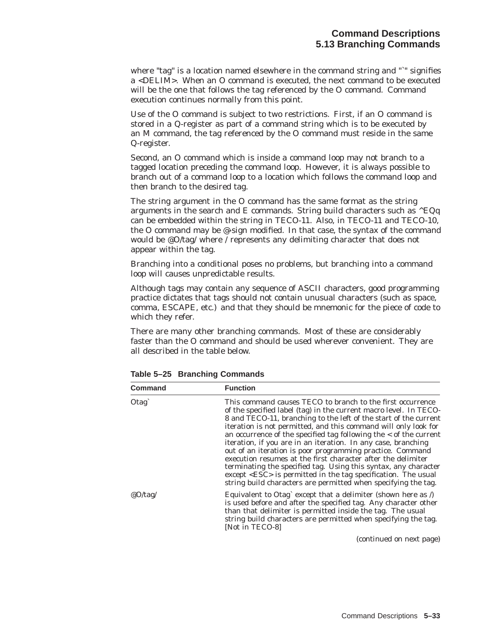where "tag" is a location named elsewhere in the command string and "<sup>\*</sup>" signifies a <DELIM>. When an O command is executed, the next command to be executed will be the one that follows the tag referenced by the O command. Command execution continues normally from this point.

Use of the O command is subject to two restrictions. First, if an O command is stored in a Q-register as part of a command string which is to be executed by an M command, the tag referenced by the O command must reside in the same Q-register.

Second, an O command which is inside a command loop may not branch to a tagged location preceding the command loop. However, it is always possible to branch out of a command loop to a location which follows the command loop and then branch to the desired tag.

The string argument in the O command has the same format as the string arguments in the search and E commands. String build characters such as  $^{\wedge}EQq$ can be embedded within the string in TECO-11. Also, in TECO-11 and TECO-10, the O command may be @-sign modified. In that case, the syntax of the command would be @O/tag/ where / represents any delimiting character that does not appear within the tag.

Branching into a conditional poses no problems, but branching into a command loop will causes unpredictable results.

Although tags may contain any sequence of ASCII characters, good programming practice dictates that tags should not contain unusual characters (such as space, comma, ESCAPE, etc.) and that they should be mnemonic for the piece of code to which they refer.

There are many other branching commands. Most of these are considerably faster than the O command and should be used wherever convenient. They are all described in the table below.

| Command         | Function                                                                                                                                                                                                                                                                                                                                                                                                                                                                                                                                                                                                                                                                                                                                                   |
|-----------------|------------------------------------------------------------------------------------------------------------------------------------------------------------------------------------------------------------------------------------------------------------------------------------------------------------------------------------------------------------------------------------------------------------------------------------------------------------------------------------------------------------------------------------------------------------------------------------------------------------------------------------------------------------------------------------------------------------------------------------------------------------|
| Otag`           | This command causes TECO to branch to the first occurrence<br>of the specified label (tag) in the current macro level. In TECO-<br>8 and TECO-11, branching to the left of the start of the current<br>iteration is not permitted, and this command will only look for<br>an occurrence of the specified tag following the $\lt$ of the current<br>iteration, if you are in an iteration. In any case, branching<br>out of an iteration is poor programming practice. Command<br>execution resumes at the first character after the delimiter<br>terminating the specified tag. Using this syntax, any character<br>except <esc> is permitted in the tag specification. The usual<br/>string build characters are permitted when specifying the tag.</esc> |
| $\omega$ O/tag/ | Equivalent to Otag` except that a delimiter (shown here as $\theta$ )<br>is used before and after the specified tag. Any character other<br>than that delimiter is permitted inside the tag. The usual<br>string build characters are permitted when specifying the tag.<br>[Not in TECO-8]                                                                                                                                                                                                                                                                                                                                                                                                                                                                |
|                 | (continued on next page)                                                                                                                                                                                                                                                                                                                                                                                                                                                                                                                                                                                                                                                                                                                                   |

**Table 5–25 Branching Commands Command Function**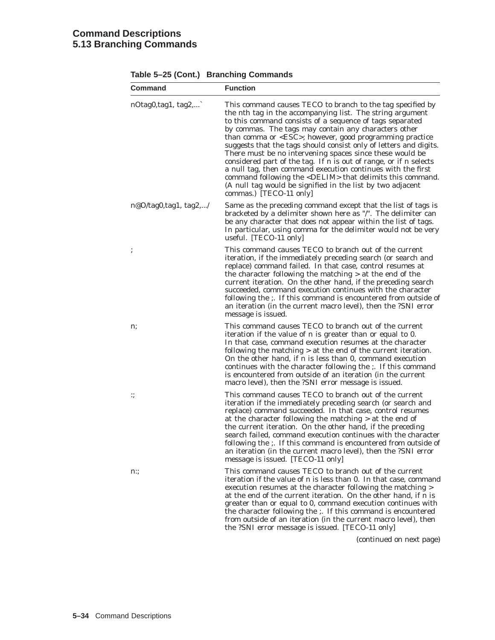## **Command Descriptions 5.13 Branching Commands**

| Command               | <b>Function</b>                                                                                                                                                                                                                                                                                                                                                                                                                                                                                                                                                                                                                                                                                                                                        |
|-----------------------|--------------------------------------------------------------------------------------------------------------------------------------------------------------------------------------------------------------------------------------------------------------------------------------------------------------------------------------------------------------------------------------------------------------------------------------------------------------------------------------------------------------------------------------------------------------------------------------------------------------------------------------------------------------------------------------------------------------------------------------------------------|
| nOtag0,tag1, tag2,    | This command causes TECO to branch to the tag specified by<br>the nth tag in the accompanying list. The string argument<br>to this command consists of a sequence of tags separated<br>by commas. The tags may contain any characters other<br>than comma or <esc>; however, good programming practice<br/>suggests that the tags should consist only of letters and digits.<br/>There must be no intervening spaces since these would be<br/>considered part of the tag. If n is out of range, or if n selects<br/>a null tag, then command execution continues with the first<br/>command following the <delim> that delimits this command.<br/>(A null tag would be signified in the list by two adjacent<br/>commas.) [TECO-11 only]</delim></esc> |
| n@O/tag0,tag1, tag2,/ | Same as the preceding command except that the list of tags is<br>bracketed by a delimiter shown here as "/". The delimiter can<br>be any character that does not appear within the list of tags.<br>In particular, using comma for the delimiter would not be very<br>useful. [TECO-11 only]                                                                                                                                                                                                                                                                                                                                                                                                                                                           |
|                       | This command causes TECO to branch out of the current<br>iteration, if the immediately preceding search (or search and<br>replace) command failed. In that case, control resumes at<br>the character following the matching $>$ at the end of the<br>current iteration. On the other hand, if the preceding search<br>succeeded, command execution continues with the character<br>following the :. If this command is encountered from outside of<br>an iteration (in the current macro level), then the ?SNI error<br>message is issued.                                                                                                                                                                                                             |
| n;                    | This command causes TECO to branch out of the current<br>iteration if the value of n is greater than or equal to 0.<br>In that case, command execution resumes at the character<br>following the matching $>$ at the end of the current iteration.<br>On the other hand, if n is less than 0, command execution<br>continues with the character following the ;. If this command<br>is encountered from outside of an iteration (in the current<br>macro level), then the ?SNI error message is issued.                                                                                                                                                                                                                                                |
| :;                    | This command causes TECO to branch out of the current<br>iteration if the immediately preceding search (or search and<br>replace) command succeeded. In that case, control resumes<br>at the character following the matching $>$ at the end of<br>the current iteration. On the other hand, if the preceding<br>search failed, command execution continues with the character<br>following the ;. If this command is encountered from outside of<br>an iteration (in the current macro level), then the ?SNI error<br>message is issued. [TECO-11 only]                                                                                                                                                                                               |
| n:;                   | This command causes TECO to branch out of the current<br>iteration if the value of n is less than 0. In that case, command<br>execution resumes at the character following the matching ><br>at the end of the current iteration. On the other hand, if n is<br>greater than or equal to 0, command execution continues with<br>the character following the :. If this command is encountered<br>from outside of an iteration (in the current macro level), then<br>the ?SNI error message is issued. [TECO-11 only]                                                                                                                                                                                                                                   |

**Table 5–25 (Cont.) Branching Commands**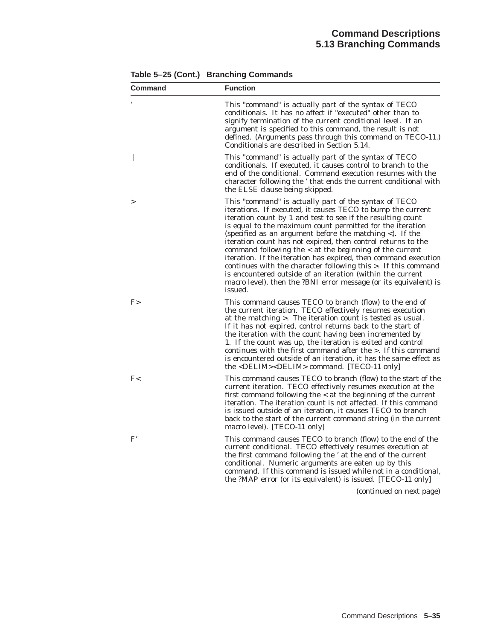| Command | <b>Function</b>                                                                                                                                                                                                                                                                                                                                                                                                                                                                                                                                                                                                                                                                                                                           |
|---------|-------------------------------------------------------------------------------------------------------------------------------------------------------------------------------------------------------------------------------------------------------------------------------------------------------------------------------------------------------------------------------------------------------------------------------------------------------------------------------------------------------------------------------------------------------------------------------------------------------------------------------------------------------------------------------------------------------------------------------------------|
|         | This "command" is actually part of the syntax of TECO<br>conditionals. It has no affect if "executed" other than to<br>signify termination of the current conditional level. If an<br>argument is specified to this command, the result is not<br>defined. (Arguments pass through this command on TECO-11.)<br>Conditionals are described in Section 5.14.                                                                                                                                                                                                                                                                                                                                                                               |
|         | This "command" is actually part of the syntax of TECO<br>conditionals. If executed, it causes control to branch to the<br>end of the conditional. Command execution resumes with the<br>character following the 'that ends the current conditional with<br>the ELSE clause being skipped.                                                                                                                                                                                                                                                                                                                                                                                                                                                 |
| >       | This "command" is actually part of the syntax of TECO<br>iterations. If executed, it causes TECO to bump the current<br>iteration count by 1 and test to see if the resulting count<br>is equal to the maximum count permitted for the iteration<br>(specified as an argument before the matching $\langle$ ). If the<br>iteration count has not expired, then control returns to the<br>command following the $\lt$ at the beginning of the current<br>iteration. If the iteration has expired, then command execution<br>continues with the character following this $>$ . If this command<br>is encountered outside of an iteration (within the current<br>macro level), then the ?BNI error message (or its equivalent) is<br>issued. |
| F >     | This command causes TECO to branch (flow) to the end of<br>the current iteration. TECO effectively resumes execution<br>at the matching $>$ . The iteration count is tested as usual.<br>If it has not expired, control returns back to the start of<br>the iteration with the count having been incremented by<br>1. If the count was up, the iteration is exited and control<br>continues with the first command after the $>$ . If this command<br>is encountered outside of an iteration, it has the same effect as<br>the <delim><delim> command. [TECO-11 only]</delim></delim>                                                                                                                                                     |
| F<      | This command causes TECO to branch (flow) to the start of the<br>current iteration. TECO effectively resumes execution at the<br>first command following the $\lt$ at the beginning of the current<br>iteration. The iteration count is not affected. If this command<br>is issued outside of an iteration, it causes TECO to branch<br>back to the start of the current command string (in the current<br>macro level). [TECO-11 only]                                                                                                                                                                                                                                                                                                   |
| F'      | This command causes TECO to branch (flow) to the end of the<br>current conditional. TECO effectively resumes execution at<br>the first command following the ' at the end of the current<br>conditional. Numeric arguments are eaten up by this<br>command. If this command is issued while not in a conditional,<br>the ?MAP error (or its equivalent) is issued. [TECO-11 only]                                                                                                                                                                                                                                                                                                                                                         |

**Table 5–25 (Cont.) Branching Commands**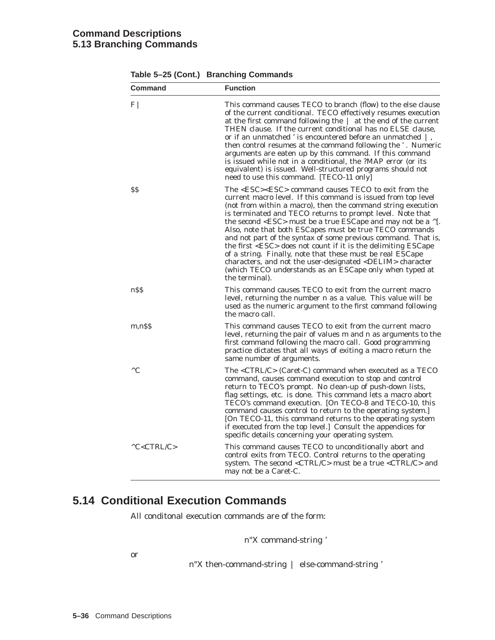## **Command Descriptions 5.13 Branching Commands**

| Command       | <b>Function</b>                                                                                                                                                                                                                                                                                                                                                                                                                                                                                                                                                                                                                                                                                                                                                                        |
|---------------|----------------------------------------------------------------------------------------------------------------------------------------------------------------------------------------------------------------------------------------------------------------------------------------------------------------------------------------------------------------------------------------------------------------------------------------------------------------------------------------------------------------------------------------------------------------------------------------------------------------------------------------------------------------------------------------------------------------------------------------------------------------------------------------|
| F             | This command causes TECO to branch (flow) to the else clause<br>of the current conditional. TECO effectively resumes execution<br>at the first command following the $\parallel$ at the end of the current<br>THEN clause. If the current conditional has no ELSE clause.<br>or if an unmatched ' is encountered before an unmatched  ,<br>then control resumes at the command following the '. Numeric<br>arguments are eaten up by this command. If this command<br>is issued while not in a conditional, the ?MAP error (or its<br>equivalent) is issued. Well-structured programs should not<br>need to use this command. [TECO-11 only]                                                                                                                                           |
| SS            | The <esc><esc> command causes TECO to exit from the<br/>current macro level. If this command is issued from top level<br/>(not from within a macro), then the command string execution<br/>is terminated and TECO returns to prompt level. Note that<br/>the second <esc> must be a true ESCape and may not be a <math>\textdegree</math>[.<br/>Also, note that both ESCapes must be true TECO commands<br/>and not part of the syntax of some previous command. That is,<br/>the first <esc> does not count if it is the delimiting ESCape<br/>of a string. Finally, note that these must be real ESCape<br/>characters, and not the user-designated <delim> character<br/>(which TECO understands as an ESCape only when typed at<br/>the terminal).</delim></esc></esc></esc></esc> |
| n\$\$         | This command causes TECO to exit from the current macro<br>level, returning the number n as a value. This value will be<br>used as the numeric argument to the first command following<br>the macro call.                                                                                                                                                                                                                                                                                                                                                                                                                                                                                                                                                                              |
| m,nSS         | This command causes TECO to exit from the current macro<br>level, returning the pair of values m and n as arguments to the<br>first command following the macro call. Good programming<br>practice dictates that all ways of exiting a macro return the<br>same number of arguments.                                                                                                                                                                                                                                                                                                                                                                                                                                                                                                   |
| $^{\wedge}$ C | The <ctrl c=""> (Caret-C) command when executed as a TECO<br/>command, causes command execution to stop and control<br/>return to TECO's prompt. No clean-up of push-down lists,<br/>flag settings, etc. is done. This command lets a macro abort<br/>TECO's command execution. [On TECO-8 and TECO-10, this<br/>command causes control to return to the operating system.]<br/>[On TECO-11, this command returns to the operating system<br/>if executed from the top level.] Consult the appendices for<br/>specific details concerning your operating system.</ctrl>                                                                                                                                                                                                                |
| C < CTRL/C    | This command causes TECO to unconditionally abort and<br>control exits from TECO. Control returns to the operating<br>system. The second <ctrl c=""> must be a true <ctrl c=""> and<br/>may not be a Caret-C.</ctrl></ctrl>                                                                                                                                                                                                                                                                                                                                                                                                                                                                                                                                                            |

#### **Table 5–25 (Cont.) Branching Commands**

# **5.14 Conditional Execution Commands**

All conditonal execution commands are of the form:

n"X command-string '

or

n"X then-command-string | else-command-string '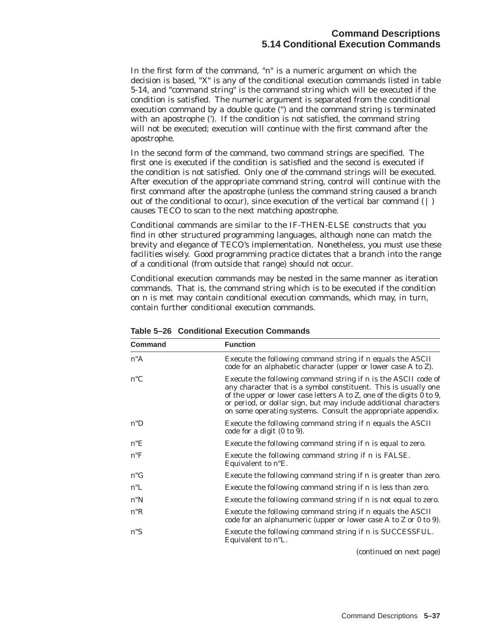In the first form of the command, "n" is a numeric argument on which the decision is based, "X" is any of the conditional execution commands listed in table 5-14, and "command string" is the command string which will be executed if the condition is satisfied. The numeric argument is separated from the conditional execution command by a double quote (") and the command string is terminated with an apostrophe ('). If the condition is not satisfied, the command string will not be executed; execution will continue with the first command after the apostrophe.

In the second form of the command, two command strings are specified. The first one is executed if the condition is satisfied and the second is executed if the condition is not satisfied. Only one of the command strings will be executed. After execution of the appropriate command string, control will continue with the first command after the apostrophe (unless the command string caused a branch out of the conditional to occur), since execution of the vertical bar command  $( )$ causes TECO to scan to the next matching apostrophe.

Conditional commands are similar to the IF-THEN-ELSE constructs that you find in other structured programming languages, although none can match the brevity and elegance of TECO's implementation. Nonetheless, you must use these facilities wisely. Good programming practice dictates that a branch into the range of a conditional (from outside that range) should not occur.

Conditional execution commands may be nested in the same manner as iteration commands. That is, the command string which is to be executed if the condition on n is met may contain conditional execution commands, which may, in turn, contain further conditional execution commands.

| <b>Command</b> | <b>Function</b>                                                                                                                                                                                                                                                                                                                               |
|----------------|-----------------------------------------------------------------------------------------------------------------------------------------------------------------------------------------------------------------------------------------------------------------------------------------------------------------------------------------------|
| n''A           | Execute the following command string if n equals the ASCII<br>code for an alphabetic character (upper or lower case A to Z).                                                                                                                                                                                                                  |
| $n^nC$         | Execute the following command string if n is the ASCII code of<br>any character that is a symbol constituent. This is usually one<br>of the upper or lower case letters A to Z, one of the digits 0 to 9,<br>or period, or dollar sign, but may include additional characters<br>on some operating systems. Consult the appropriate appendix. |
| n"D            | Execute the following command string if n equals the ASCII<br>code for a digit (0 to 9).                                                                                                                                                                                                                                                      |
| n"E            | Execute the following command string if n is equal to zero.                                                                                                                                                                                                                                                                                   |
| n"F            | Execute the following command string if n is FALSE.<br>Equivalent to n"E.                                                                                                                                                                                                                                                                     |
| $n^nG$         | Execute the following command string if n is greater than zero.                                                                                                                                                                                                                                                                               |
| n"L            | Execute the following command string if n is less than zero.                                                                                                                                                                                                                                                                                  |
| n''N           | Execute the following command string if n is not equal to zero.                                                                                                                                                                                                                                                                               |
| n"R            | Execute the following command string if n equals the ASCII<br>code for an alphanumeric (upper or lower case A to Z or 0 to 9).                                                                                                                                                                                                                |
| n"S            | Execute the following command string if n is SUCCESSFUL.<br>Equivalent to n"L.                                                                                                                                                                                                                                                                |
|                |                                                                                                                                                                                                                                                                                                                                               |

**Table 5–26 Conditional Execution Commands**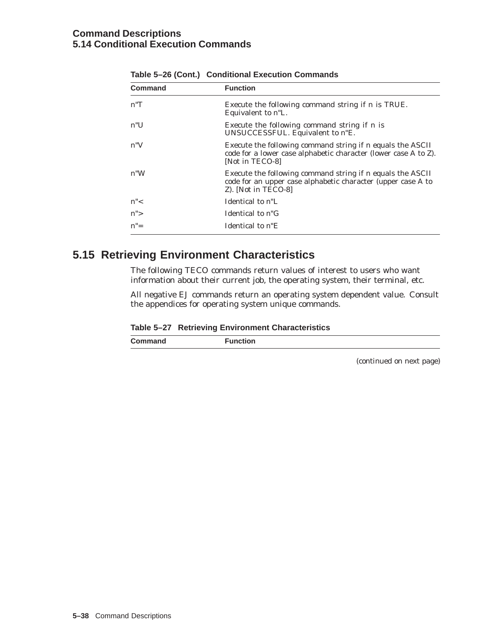## **Command Descriptions 5.14 Conditional Execution Commands**

| <b>Command</b>       | <b>Function</b>                                                                                                                                   |
|----------------------|---------------------------------------------------------------------------------------------------------------------------------------------------|
| n''T                 | Execute the following command string if n is TRUE.<br>Equivalent to n"L.                                                                          |
| n"U                  | Execute the following command string if n is<br>UNSUCCESSFUL. Equivalent to n"E.                                                                  |
| n"V                  | Execute the following command string if n equals the ASCII<br>code for a lower case alphabetic character (lower case A to Z).<br>[Not in TECO-8]  |
| $n^{\prime\prime}$ W | Execute the following command string if n equals the ASCII<br>code for an upper case alphabetic character (upper case A to<br>Z). [Not in TECO-8] |
| $n^{\prime\prime}$   | Identical to n"L                                                                                                                                  |
| $n^{\prime\prime}$   | Identical to n"G                                                                                                                                  |
| $n" =$               | Identical to n"E                                                                                                                                  |

**Table 5–26 (Cont.) Conditional Execution Commands**

# **5.15 Retrieving Environment Characteristics**

The following TECO commands return values of interest to users who want information about their current job, the operating system, their terminal, etc.

All negative EJ commands return an operating system dependent value. Consult the appendices for operating system unique commands.

| Table 5-27 Retrieving Environment Characteristics |  |  |  |  |
|---------------------------------------------------|--|--|--|--|
|---------------------------------------------------|--|--|--|--|

|  | ∴ommano | forces and finance<br><b>ction</b> |  |
|--|---------|------------------------------------|--|
|--|---------|------------------------------------|--|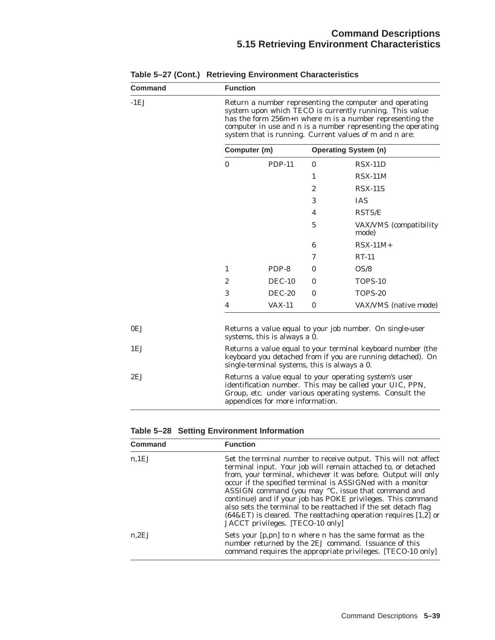| <b>Command</b> | <b>Function</b>                                                                                                                                                                                                                                                                                          |                                                                                                                                                                            |                |                                                                                                                                                                               |  |
|----------------|----------------------------------------------------------------------------------------------------------------------------------------------------------------------------------------------------------------------------------------------------------------------------------------------------------|----------------------------------------------------------------------------------------------------------------------------------------------------------------------------|----------------|-------------------------------------------------------------------------------------------------------------------------------------------------------------------------------|--|
| $-1EJ$         | Return a number representing the computer and operating<br>system upon which TECO is currently running. This value<br>has the form 256m+n where m is a number representing the<br>computer in use and n is a number representing the operating<br>system that is running. Current values of m and n are: |                                                                                                                                                                            |                |                                                                                                                                                                               |  |
|                | Computer (m)                                                                                                                                                                                                                                                                                             |                                                                                                                                                                            |                | <b>Operating System (n)</b>                                                                                                                                                   |  |
|                | $\mathbf{0}$                                                                                                                                                                                                                                                                                             | <b>PDP-11</b>                                                                                                                                                              | $\mathbf{0}$   | $RSX-11D$                                                                                                                                                                     |  |
|                |                                                                                                                                                                                                                                                                                                          |                                                                                                                                                                            | $\mathbf{1}$   | $RSX-11M$                                                                                                                                                                     |  |
|                |                                                                                                                                                                                                                                                                                                          |                                                                                                                                                                            | $\overline{2}$ | $RSX-11S$                                                                                                                                                                     |  |
|                |                                                                                                                                                                                                                                                                                                          |                                                                                                                                                                            | 3              | <b>IAS</b>                                                                                                                                                                    |  |
|                |                                                                                                                                                                                                                                                                                                          |                                                                                                                                                                            | 4              | <b>RSTS/E</b>                                                                                                                                                                 |  |
|                |                                                                                                                                                                                                                                                                                                          |                                                                                                                                                                            | 5              | VAX/VMS (compatibility<br>mode)                                                                                                                                               |  |
|                |                                                                                                                                                                                                                                                                                                          |                                                                                                                                                                            | 6              | $RSX-11M+$                                                                                                                                                                    |  |
|                |                                                                                                                                                                                                                                                                                                          |                                                                                                                                                                            | 7              | $RT-11$                                                                                                                                                                       |  |
|                | 1                                                                                                                                                                                                                                                                                                        | PDP-8                                                                                                                                                                      | 0              | OS/8                                                                                                                                                                          |  |
|                | 2                                                                                                                                                                                                                                                                                                        | <b>DEC-10</b>                                                                                                                                                              | 0              | <b>TOPS-10</b>                                                                                                                                                                |  |
|                | 3                                                                                                                                                                                                                                                                                                        | <b>DEC-20</b>                                                                                                                                                              | $\theta$       | TOPS-20                                                                                                                                                                       |  |
|                | 4                                                                                                                                                                                                                                                                                                        | $VAX-11$                                                                                                                                                                   | $\mathbf{0}$   | VAX/VMS (native mode)                                                                                                                                                         |  |
| 0EJ            |                                                                                                                                                                                                                                                                                                          | systems, this is always a 0.                                                                                                                                               |                | Returns a value equal to your job number. On single-user                                                                                                                      |  |
| 1EJ            |                                                                                                                                                                                                                                                                                                          | Returns a value equal to your terminal keyboard number (the<br>keyboard you detached from if you are running detached). On<br>single-terminal systems, this is always a 0. |                |                                                                                                                                                                               |  |
| 2EJ            |                                                                                                                                                                                                                                                                                                          | appendices for more information.                                                                                                                                           |                | Returns a value equal to your operating system's user<br>identification number. This may be called your UIC, PPN,<br>Group, etc. under various operating systems. Consult the |  |

**Table 5–27 (Cont.) Retrieving Environment Characteristics**

| Table 5-28 Setting Environment Information |  |
|--------------------------------------------|--|
|--------------------------------------------|--|

| Command | <b>Function</b>                                                                                                                                                                                                                                                                                                                                                                                                                                                                                                                                                  |
|---------|------------------------------------------------------------------------------------------------------------------------------------------------------------------------------------------------------------------------------------------------------------------------------------------------------------------------------------------------------------------------------------------------------------------------------------------------------------------------------------------------------------------------------------------------------------------|
| n, 1EJ  | Set the terminal number to receive output. This will not affect<br>terminal input. Your job will remain attached to, or detached<br>from, your terminal, whichever it was before. Output will only<br>occur if the specified terminal is ASSIGNed with a monitor<br>ASSIGN command (you may ^C, issue that command and<br>continue) and if your job has POKE privileges. This command<br>also sets the terminal to be reattached if the set detach flag<br>$(64&ET)$ is cleared. The reattaching operation requires [1,2] or<br>JACCT privileges. [TECO-10 only] |
| n,2EJ   | Sets your [p,pn] to n where n has the same format as the<br>number returned by the 2EJ command. Issuance of this<br>command requires the appropriate privileges. [TECO-10 only]                                                                                                                                                                                                                                                                                                                                                                                  |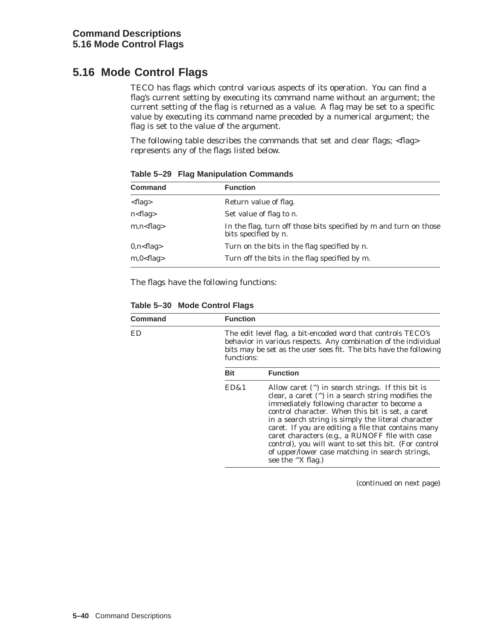# **5.16 Mode Control Flags**

TECO has flags which control various aspects of its operation. You can find a flag's current setting by executing its command name without an argument; the current setting of the flag is returned as a value. A flag may be set to a specific value by executing its command name preceded by a numerical argument; the flag is set to the value of the argument.

The following table describes the commands that set and clear flags; <flag> represents any of the flags listed below.

| <b>Command</b>   | <b>Function</b>                                                                           |  |
|------------------|-------------------------------------------------------------------------------------------|--|
| $<$ flag $>$     | Return value of flag.                                                                     |  |
| $n$ -flag $>$    | Set value of flag to n.                                                                   |  |
| $m.n$ - flag $>$ | In the flag, turn off those bits specified by m and turn on those<br>bits specified by n. |  |
| 0, n < flag      | Turn on the bits in the flag specified by n.                                              |  |
| $m,0$ < flag >   | Turn off the bits in the flag specified by m.                                             |  |

**Table 5–29 Flag Manipulation Commands**

The flags have the following functions:

**Table 5–30 Mode Control Flags**

| Command | <b>Function</b> |                                                                                                                                                                                                                                                                                                                                                                                                                                                                                                                                       |
|---------|-----------------|---------------------------------------------------------------------------------------------------------------------------------------------------------------------------------------------------------------------------------------------------------------------------------------------------------------------------------------------------------------------------------------------------------------------------------------------------------------------------------------------------------------------------------------|
| ED      | functions:      | The edit level flag, a bit-encoded word that controls TECO's<br>behavior in various respects. Any combination of the individual<br>bits may be set as the user sees fit. The bits have the following                                                                                                                                                                                                                                                                                                                                  |
|         | <b>Bit</b>      | <b>Function</b>                                                                                                                                                                                                                                                                                                                                                                                                                                                                                                                       |
|         | ED&1            | Allow caret $(^\wedge)$ in search strings. If this bit is<br>clear, a caret $(^\wedge)$ in a search string modifies the<br>immediately following character to become a<br>control character. When this bit is set, a caret<br>in a search string is simply the literal character<br>caret. If you are editing a file that contains many<br>caret characters (e.g., a RUNOFF file with case<br>control), you will want to set this bit. (For control<br>of upper/lower case matching in search strings,<br>see the $^{\wedge}X$ flag.) |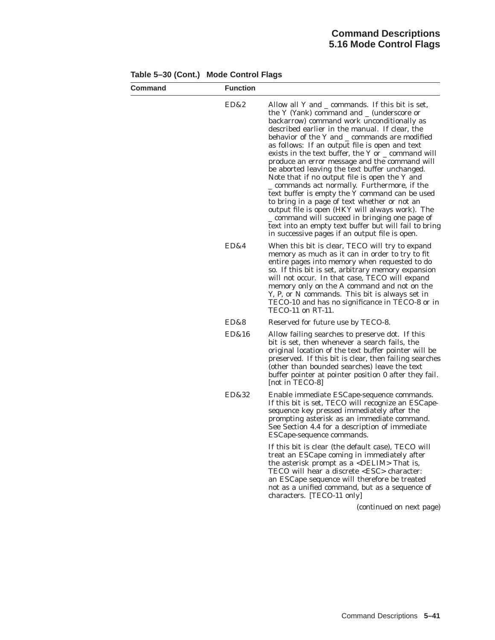| Table 5-30 (Cont.) Mode Control Flags |  |  |  |  |
|---------------------------------------|--|--|--|--|
|---------------------------------------|--|--|--|--|

| Command | <b>Function</b> |                                                                                                                                                                                                                                                                                                                                                                                                                                                                                                                                                                                                                                                                                                                                                                                                                                                                            |
|---------|-----------------|----------------------------------------------------------------------------------------------------------------------------------------------------------------------------------------------------------------------------------------------------------------------------------------------------------------------------------------------------------------------------------------------------------------------------------------------------------------------------------------------------------------------------------------------------------------------------------------------------------------------------------------------------------------------------------------------------------------------------------------------------------------------------------------------------------------------------------------------------------------------------|
|         | ED&2            | Allow all Y and _ commands. If this bit is set,<br>the Y (Yank) command and _ (underscore or<br>backarrow) command work unconditionally as<br>described earlier in the manual. If clear, the<br>behavior of the Y and _ commands are modified<br>as follows: If an output file is open and text<br>exists in the text buffer, the Y or _ command will<br>produce an error message and the command will<br>be aborted leaving the text buffer unchanged.<br>Note that if no output file is open the Y and<br>_ commands act normally. Furthermore, if the<br>text buffer is empty the Y command can be used<br>to bring in a page of text whether or not an<br>output file is open (HKY will always work). The<br>_ command will succeed in bringing one page of<br>text into an empty text buffer but will fail to bring<br>in successive pages if an output file is open. |
|         | ED&4            | When this bit is clear, TECO will try to expand<br>memory as much as it can in order to try to fit<br>entire pages into memory when requested to do<br>so. If this bit is set, arbitrary memory expansion<br>will not occur. In that case, TECO will expand<br>memory only on the A command and not on the<br>Y, P, or N commands. This bit is always set in<br>TECO-10 and has no significance in TECO-8 or in<br>TECO-11 on RT-11.                                                                                                                                                                                                                                                                                                                                                                                                                                       |
|         | ED&8            | Reserved for future use by TECO-8.                                                                                                                                                                                                                                                                                                                                                                                                                                                                                                                                                                                                                                                                                                                                                                                                                                         |
|         | ED&16           | Allow failing searches to preserve dot. If this<br>bit is set, then whenever a search fails, the<br>original location of the text buffer pointer will be<br>preserved. If this bit is clear, then failing searches<br>(other than bounded searches) leave the text<br>buffer pointer at pointer position 0 after they fail.<br>[not in TECO-8]                                                                                                                                                                                                                                                                                                                                                                                                                                                                                                                             |
|         | ED&32           | Enable immediate ESCape-sequence commands.<br>If this bit is set, TECO will recognize an ESCape-<br>sequence key pressed immediately after the<br>prompting asterisk as an immediate command.<br>See Section 4.4 for a description of immediate<br>ESCape-sequence commands.                                                                                                                                                                                                                                                                                                                                                                                                                                                                                                                                                                                               |
|         |                 | If this bit is clear (the default case), TECO will<br>treat an ESCape coming in immediately after<br>the asterisk prompt as a <delim>That is,<br/>TECO will hear a discrete <esc> character:<br/>an ESCape sequence will therefore be treated<br/>not as a unified command, but as a sequence of<br/>characters. [TECO-11 only]</esc></delim>                                                                                                                                                                                                                                                                                                                                                                                                                                                                                                                              |
|         |                 | (continued on next page)                                                                                                                                                                                                                                                                                                                                                                                                                                                                                                                                                                                                                                                                                                                                                                                                                                                   |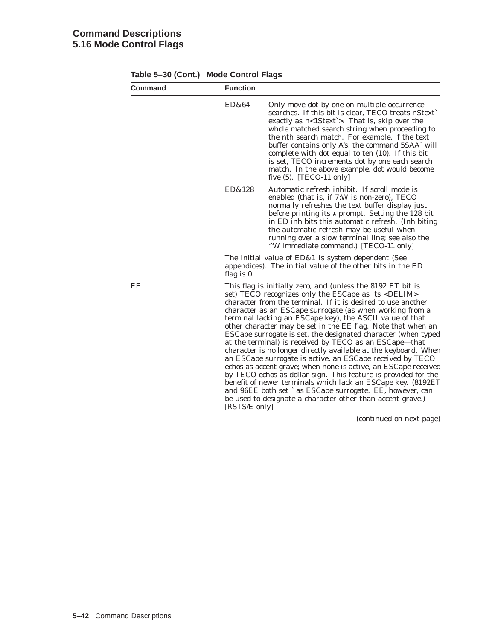## **Command Descriptions 5.16 Mode Control Flags**

| Table 5-30 (Cont.) Mode Control Flags |                 |                                                                                                                                                                                                                                                                                                                                                                                                                                                                                                                                                                                                                                                                                                                                                                                                                                                                                                                                                                                           |
|---------------------------------------|-----------------|-------------------------------------------------------------------------------------------------------------------------------------------------------------------------------------------------------------------------------------------------------------------------------------------------------------------------------------------------------------------------------------------------------------------------------------------------------------------------------------------------------------------------------------------------------------------------------------------------------------------------------------------------------------------------------------------------------------------------------------------------------------------------------------------------------------------------------------------------------------------------------------------------------------------------------------------------------------------------------------------|
| Command                               | <b>Function</b> |                                                                                                                                                                                                                                                                                                                                                                                                                                                                                                                                                                                                                                                                                                                                                                                                                                                                                                                                                                                           |
|                                       | ED&64           | Only move dot by one on multiple occurrence<br>searches. If this bit is clear, TECO treats nStext<br>exactly as $n<1$ Stext>. That is, skip over the<br>whole matched search string when proceeding to<br>the nth search match. For example, if the text<br>buffer contains only A's, the command 5SAA' will<br>complete with dot equal to ten (10). If this bit<br>is set, TECO increments dot by one each search<br>match. In the above example, dot would become<br>five $(5)$ . [TECO-11 only]                                                                                                                                                                                                                                                                                                                                                                                                                                                                                        |
|                                       | ED&128          | Automatic refresh inhibit. If scroll mode is<br>enabled (that is, if 7:W is non-zero), TECO<br>normally refreshes the text buffer display just<br>before printing its $\star$ prompt. Setting the 128 bit<br>in ED inhibits this automatic refresh. (Inhibiting<br>the automatic refresh may be useful when<br>running over a slow terminal line; see also the<br><sup>^</sup> W immediate command.) [TECO-11 only]                                                                                                                                                                                                                                                                                                                                                                                                                                                                                                                                                                       |
|                                       | flag is 0.      | The initial value of ED&1 is system dependent (See<br>appendices). The initial value of the other bits in the ED                                                                                                                                                                                                                                                                                                                                                                                                                                                                                                                                                                                                                                                                                                                                                                                                                                                                          |
| EE                                    | [RSTS/E only]   | This flag is initially zero, and (unless the 8192 ET bit is<br>set) TECO recognizes only the ESCape as its <delim><br/>character from the terminal. If it is desired to use another<br/>character as an ESCape surrogate (as when working from a<br/>terminal lacking an ESCape key), the ASCII value of that<br/>other character may be set in the EE flag. Note that when an<br/>ESCape surrogate is set, the designated character (when typed<br/>at the terminal) is received by TECO as an ESCape-that<br/>character is no longer directly available at the keyboard. When<br/>an ESCape surrogate is active, an ESCape received by TECO<br/>echos as accent grave; when none is active, an ESCape received<br/>by TECO echos as dollar sign. This feature is provided for the<br/>benefit of newer terminals which lack an ESCape key. (8192ET<br/>and 96EE both set ` as ESCape surrogate. EE, however, can<br/>be used to designate a character other than accent grave.)</delim> |
|                                       |                 | (continued on next page)                                                                                                                                                                                                                                                                                                                                                                                                                                                                                                                                                                                                                                                                                                                                                                                                                                                                                                                                                                  |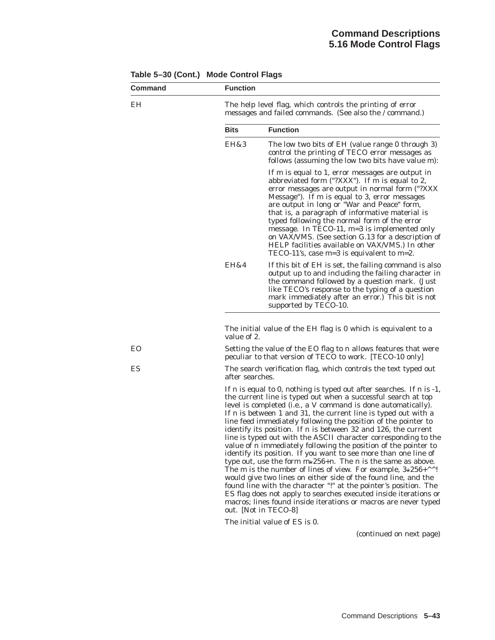| Command | <b>Function</b> |                                                                                                                                                                                                                                                                                                                                                                                                                                                                                                                                                                                                                                                                                                                                                                                                                                                                                                                                                                                                                                                                               |
|---------|-----------------|-------------------------------------------------------------------------------------------------------------------------------------------------------------------------------------------------------------------------------------------------------------------------------------------------------------------------------------------------------------------------------------------------------------------------------------------------------------------------------------------------------------------------------------------------------------------------------------------------------------------------------------------------------------------------------------------------------------------------------------------------------------------------------------------------------------------------------------------------------------------------------------------------------------------------------------------------------------------------------------------------------------------------------------------------------------------------------|
| EH      |                 | The help level flag, which controls the printing of error<br>messages and failed commands. (See also the / command.)                                                                                                                                                                                                                                                                                                                                                                                                                                                                                                                                                                                                                                                                                                                                                                                                                                                                                                                                                          |
|         | <b>Bits</b>     | <b>Function</b>                                                                                                                                                                                                                                                                                                                                                                                                                                                                                                                                                                                                                                                                                                                                                                                                                                                                                                                                                                                                                                                               |
|         | EH&3            | The low two bits of EH (value range 0 through 3)<br>control the printing of TECO error messages as<br>follows (assuming the low two bits have value m):                                                                                                                                                                                                                                                                                                                                                                                                                                                                                                                                                                                                                                                                                                                                                                                                                                                                                                                       |
|         |                 | If m is equal to 1, error messages are output in<br>abbreviated form ("?XXX"). If m is equal to 2,<br>error messages are output in normal form ("?XXX")<br>Message"). If m is equal to 3, error messages<br>are output in long or "War and Peace" form,<br>that is, a paragraph of informative material is<br>typed following the normal form of the error<br>message. In TECO-11, $m=3$ is implemented only<br>on VAX/VMS. (See section G.13 for a description of<br>HELP facilities available on VAX/VMS.) In other<br>TECO-11's, case $m=3$ is equivalent to $m=2$ .                                                                                                                                                                                                                                                                                                                                                                                                                                                                                                       |
|         | EH&4            | If this bit of EH is set, the failing command is also<br>output up to and including the failing character in<br>the command followed by a question mark. (Just<br>like TECO's response to the typing of a question<br>mark immediately after an error.) This bit is not<br>supported by TECO-10.                                                                                                                                                                                                                                                                                                                                                                                                                                                                                                                                                                                                                                                                                                                                                                              |
|         | value of 2.     | The initial value of the EH flag is 0 which is equivalent to a                                                                                                                                                                                                                                                                                                                                                                                                                                                                                                                                                                                                                                                                                                                                                                                                                                                                                                                                                                                                                |
| EO      |                 | Setting the value of the EO flag to n allows features that were<br>peculiar to that version of TECO to work. [TECO-10 only]                                                                                                                                                                                                                                                                                                                                                                                                                                                                                                                                                                                                                                                                                                                                                                                                                                                                                                                                                   |
| ES      | after searches. | The search verification flag, which controls the text typed out                                                                                                                                                                                                                                                                                                                                                                                                                                                                                                                                                                                                                                                                                                                                                                                                                                                                                                                                                                                                               |
|         |                 | If $n$ is equal to 0, nothing is typed out after searches. If $n$ is $-1$ ,<br>the current line is typed out when a successful search at top<br>level is completed (i.e., a V command is done automatically).<br>If n is between 1 and 31, the current line is typed out with a<br>line feed immediately following the position of the pointer to<br>identify its position. If n is between 32 and 126, the current<br>line is typed out with the ASCII character corresponding to the<br>value of n immediately following the position of the pointer to<br>identify its position. If you want to see more than one line of<br>type out, use the form $m*256+n$ . The n is the same as above.<br>The m is the number of lines of view. For example, $3*256+^{\wedge}$ .<br>would give two lines on either side of the found line, and the<br>found line with the character "!" at the pointer's position. The<br>ES flag does not apply to searches executed inside iterations or<br>macros; lines found inside iterations or macros are never typed<br>out. [Not in TECO-8] |
|         |                 | The initial value of ES is 0.                                                                                                                                                                                                                                                                                                                                                                                                                                                                                                                                                                                                                                                                                                                                                                                                                                                                                                                                                                                                                                                 |

**Table 5–30 (Cont.) Mode Control Flags**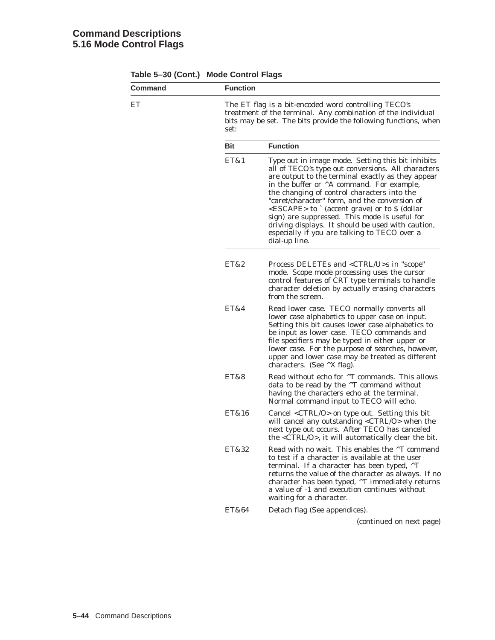## **Command Descriptions 5.16 Mode Control Flags**

| Command | <b>Function</b> |                                                                                                                                                                                                                                                                                                                                                                                                                                                                                                                                                |
|---------|-----------------|------------------------------------------------------------------------------------------------------------------------------------------------------------------------------------------------------------------------------------------------------------------------------------------------------------------------------------------------------------------------------------------------------------------------------------------------------------------------------------------------------------------------------------------------|
| EТ      | set:            | The ET flag is a bit-encoded word controlling TECO's<br>treatment of the terminal. Any combination of the individual<br>bits may be set. The bits provide the following functions, when                                                                                                                                                                                                                                                                                                                                                        |
|         | Bit             | <b>Function</b>                                                                                                                                                                                                                                                                                                                                                                                                                                                                                                                                |
|         | ET&1            | Type out in image mode. Setting this bit inhibits<br>all of TECO's type out conversions. All characters<br>are output to the terminal exactly as they appear<br>in the buffer or ^A command. For example,<br>the changing of control characters into the<br>"caret/character" form, and the conversion of<br><escape> to ` (accent grave) or to \$ (dollar<br/>sign) are suppressed. This mode is useful for<br/>driving displays. It should be used with caution,<br/>especially if you are talking to TECO over a<br/>dial-up line.</escape> |
|         | ET&2            | Process DELETEs and <ctrl u="">s in "scope"<br/>mode. Scope mode processing uses the cursor<br/>control features of CRT type terminals to handle<br/>character deletion by actually erasing characters<br/>from the screen.</ctrl>                                                                                                                                                                                                                                                                                                             |
|         | ET&4            | Read lower case. TECO normally converts all<br>lower case alphabetics to upper case on input.<br>Setting this bit causes lower case alphabetics to<br>be input as lower case. TECO commands and<br>file specifiers may be typed in either upper or<br>lower case. For the purpose of searches, however,<br>upper and lower case may be treated as different<br>characters. (See $^{\wedge}X$ flag).                                                                                                                                            |
|         | ET&8            | Read without echo for $\wedge$ T commands. This allows<br>data to be read by the ^T command without<br>having the characters echo at the terminal.<br>Normal command input to TECO will echo.                                                                                                                                                                                                                                                                                                                                                  |
|         | ET&16           | Cancel <ctrl o=""> on type out. Setting this bit<br/>will cancel any outstanding <ctrl o=""> when the<br/>next type out occurs. After TECO has canceled<br/>the <ctrl o="">, it will automatically clear the bit.</ctrl></ctrl></ctrl>                                                                                                                                                                                                                                                                                                         |
|         | ET&32           | Read with no wait. This enables the <sup>^</sup> T command<br>to test if a character is available at the user<br>terminal. If a character has been typed, $\Delta T$<br>returns the value of the character as always. If no<br>character has been typed, ^T immediately returns<br>a value of -1 and execution continues without<br>waiting for a character.                                                                                                                                                                                   |
|         | ET&64           | Detach flag (See appendices).<br>(continued on next name)                                                                                                                                                                                                                                                                                                                                                                                                                                                                                      |

### **Table 5–30 (Cont.) Mode Control Flags**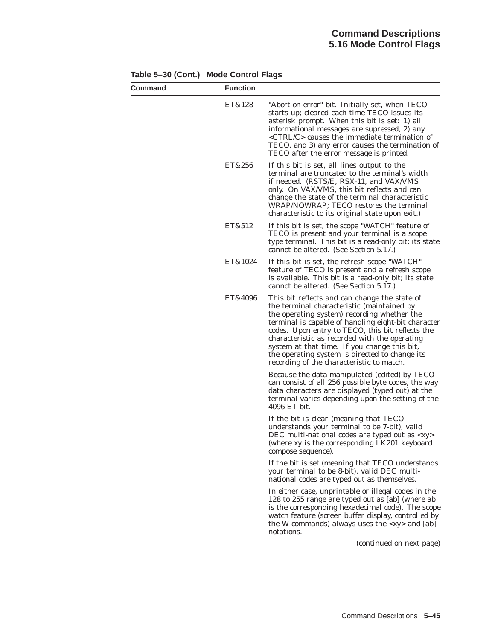| Command | <b>Function</b> |                                                                                                                                                                                                                                                                                                                                                                                                                                                       |
|---------|-----------------|-------------------------------------------------------------------------------------------------------------------------------------------------------------------------------------------------------------------------------------------------------------------------------------------------------------------------------------------------------------------------------------------------------------------------------------------------------|
|         | ET&128          | "Abort-on-error" bit. Initially set, when TECO<br>starts up; cleared each time TECO issues its<br>asterisk prompt. When this bit is set: 1) all<br>informational messages are supressed, 2) any<br><ctrl c=""> causes the immediate termination of<br/>TECO, and 3) any error causes the termination of<br/>TECO after the error message is printed.</ctrl>                                                                                           |
|         | ET&256          | If this bit is set, all lines output to the<br>terminal are truncated to the terminal's width<br>if needed. (RSTS/E, RSX-11, and VAX/VMS<br>only. On VAX/VMS, this bit reflects and can<br>change the state of the terminal characteristic<br>WRAP/NOWRAP; TECO restores the terminal<br>characteristic to its original state upon exit.)                                                                                                             |
|         | ET&512          | If this bit is set, the scope "WATCH" feature of<br>TECO is present and your terminal is a scope<br>type terminal. This bit is a read-only bit; its state<br>cannot be altered. (See Section 5.17.)                                                                                                                                                                                                                                                   |
|         | ET&1024         | If this bit is set, the refresh scope "WATCH"<br>feature of TECO is present and a refresh scope<br>is available. This bit is a read-only bit; its state<br>cannot be altered. (See Section 5.17.)                                                                                                                                                                                                                                                     |
|         | ET&4096         | This bit reflects and can change the state of<br>the terminal characteristic (maintained by<br>the operating system) recording whether the<br>terminal is capable of handling eight-bit character<br>codes. Upon entry to TECO, this bit reflects the<br>characteristic as recorded with the operating<br>system at that time. If you change this bit,<br>the operating system is directed to change its<br>recording of the characteristic to match. |
|         |                 | Because the data manipulated (edited) by TECO<br>can consist of all 256 possible byte codes, the way<br>data characters are displayed (typed out) at the<br>terminal varies depending upon the setting of the<br>4096 ET bit.                                                                                                                                                                                                                         |
|         |                 | If the bit is clear (meaning that TECO<br>understands your terminal to be 7-bit), valid<br>DEC multi-national codes are typed out as <xy><br/>(where xy is the corresponding LK201 keyboard<br/>compose sequence).</xy>                                                                                                                                                                                                                               |
|         |                 | If the bit is set (meaning that TECO understands<br>your terminal to be 8-bit), valid DEC multi-<br>national codes are typed out as themselves.                                                                                                                                                                                                                                                                                                       |
|         |                 | In either case, unprintable or illegal codes in the<br>128 to 255 range are typed out as [ab] (where ab<br>is the corresponding hexadecimal code). The scope<br>watch feature (screen buffer display, controlled by<br>the W commands) always uses the $\langle xy \rangle$ and [ab]<br>notations.                                                                                                                                                    |
|         |                 | (continued on next page)                                                                                                                                                                                                                                                                                                                                                                                                                              |

**Table 5–30 (Cont.) Mode Control Flags**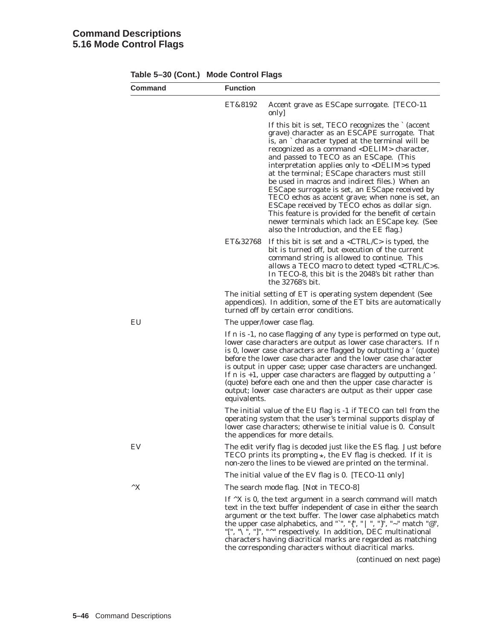## **Command Descriptions 5.16 Mode Control Flags**

| Command      | <b>Function</b>                                                                                                                                                                                                                                                                                                                                                                                                                                                                                                                                                                                                                                                                                                                         |
|--------------|-----------------------------------------------------------------------------------------------------------------------------------------------------------------------------------------------------------------------------------------------------------------------------------------------------------------------------------------------------------------------------------------------------------------------------------------------------------------------------------------------------------------------------------------------------------------------------------------------------------------------------------------------------------------------------------------------------------------------------------------|
|              | ET&8192<br>Accent grave as ESCape surrogate. [TECO-11]<br>only                                                                                                                                                                                                                                                                                                                                                                                                                                                                                                                                                                                                                                                                          |
|              | If this bit is set, TECO recognizes the ` (accent<br>grave) character as an ESCAPE surrogate. That<br>is, an `character typed at the terminal will be<br>recognized as a command <delim> character,<br/>and passed to TECO as an ESCape. (This<br/>interpretation applies only to <delim>s typed<br/>at the terminal; ESCape characters must still<br/>be used in macros and indirect files.) When an<br/>ESCape surrogate is set, an ESCape received by<br/>TECO echos as accent grave; when none is set, an<br/>ESCape received by TECO echos as dollar sign.<br/>This feature is provided for the benefit of certain<br/>newer terminals which lack an ESCape key. (See<br/>also the Introduction, and the EE flag.)</delim></delim> |
|              | ET&32768<br>If this bit is set and a $\langle \text{CTRL/C} \rangle$ is typed, the<br>bit is turned off, but execution of the current<br>command string is allowed to continue. This<br>allows a TECO macro to detect typed <ctrl c="">s.<br/>In TECO-8, this bit is the 2048's bit rather than<br/>the 32768's bit.</ctrl>                                                                                                                                                                                                                                                                                                                                                                                                             |
|              | The initial setting of ET is operating system dependent (See<br>appendices). In addition, some of the ET bits are automatically<br>turned off by certain error conditions.                                                                                                                                                                                                                                                                                                                                                                                                                                                                                                                                                              |
| EU           | The upper/lower case flag.                                                                                                                                                                                                                                                                                                                                                                                                                                                                                                                                                                                                                                                                                                              |
|              | If n is -1, no case flagging of any type is performed on type out,<br>lower case characters are output as lower case characters. If n<br>is 0, lower case characters are flagged by outputting a ' (quote)<br>before the lower case character and the lower case character<br>is output in upper case; upper case characters are unchanged.<br>If n is $+1$ , upper case characters are flagged by outputting a<br>(quote) before each one and then the upper case character is<br>output; lower case characters are output as their upper case<br>equivalents.                                                                                                                                                                         |
|              | The initial value of the EU flag is -1 if TECO can tell from the<br>operating system that the user's terminal supports display of<br>lower case characters; otherwise te initial value is 0. Consult<br>the appendices for more details.                                                                                                                                                                                                                                                                                                                                                                                                                                                                                                |
| EV           | The edit verify flag is decoded just like the ES flag. Just before<br>TECO prints its prompting $\star$ , the EV flag is checked. If it is<br>non-zero the lines to be viewed are printed on the terminal.                                                                                                                                                                                                                                                                                                                                                                                                                                                                                                                              |
|              | The initial value of the EV flag is 0. [TECO-11 only]                                                                                                                                                                                                                                                                                                                                                                                                                                                                                                                                                                                                                                                                                   |
| $^{\wedge}X$ | The search mode flag. [Not in TECO-8]                                                                                                                                                                                                                                                                                                                                                                                                                                                                                                                                                                                                                                                                                                   |
|              | If $\Delta X$ is 0, the text argument in a search command will match<br>text in the text buffer independent of case in either the search<br>argument or the text buffer. The lower case alphabetics match<br>the upper case alphabetics, and "`", "{", " ", "}", "~" match "@",<br>"[", "\", "]", "^" respectively. In addition, DEC multinational<br>characters having diacritical marks are regarded as matching<br>the corresponding characters without diacritical marks.                                                                                                                                                                                                                                                           |
|              | (continued on next page)                                                                                                                                                                                                                                                                                                                                                                                                                                                                                                                                                                                                                                                                                                                |

**Table 5–30 (Cont.) Mode Control Flags**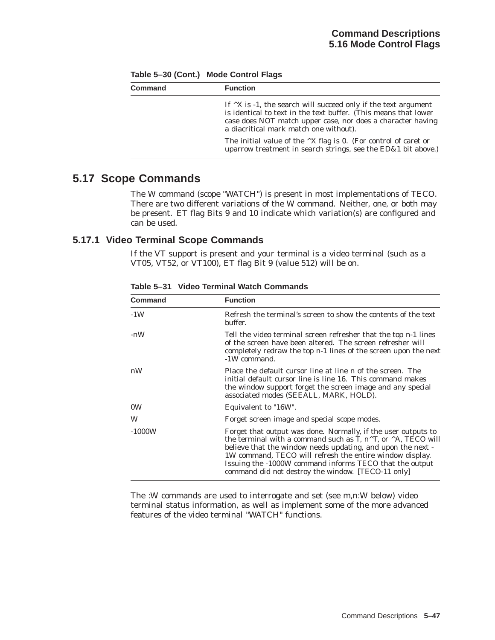| <b>Command</b> | <b>Function</b>                                                                                                                                                                                                                                    |
|----------------|----------------------------------------------------------------------------------------------------------------------------------------------------------------------------------------------------------------------------------------------------|
|                | If $\wedge$ X is -1, the search will succeed only if the text argument<br>is identical to text in the text buffer. (This means that lower<br>case does NOT match upper case, nor does a character having<br>a diacritical mark match one without). |
|                | The initial value of the $\Delta X$ flag is 0. (For control of caret or<br>uparrow treatment in search strings, see the ED&1 bit above.)                                                                                                           |

**Table 5–30 (Cont.) Mode Control Flags**

# **5.17 Scope Commands**

The W command (scope "WATCH") is present in most implementations of TECO. There are two different variations of the W command. Neither, one, or both may be present. ET flag Bits 9 and 10 indicate which variation(s) are configured and can be used.

### **5.17.1 Video Terminal Scope Commands**

If the VT support is present and your terminal is a video terminal (such as a VT05, VT52, or VT100), ET flag Bit 9 (value 512) will be on.

| Command | <b>Function</b>                                                                                                                                                                                                                                                                                                                                                                                 |  |
|---------|-------------------------------------------------------------------------------------------------------------------------------------------------------------------------------------------------------------------------------------------------------------------------------------------------------------------------------------------------------------------------------------------------|--|
| $-1W$   | Refresh the terminal's screen to show the contents of the text<br>buffer.                                                                                                                                                                                                                                                                                                                       |  |
| $-nW$   | Tell the video terminal screen refresher that the top n-1 lines<br>of the screen have been altered. The screen refresher will<br>completely redraw the top n-1 lines of the screen upon the next<br>-1W command.                                                                                                                                                                                |  |
| nW      | Place the default cursor line at line n of the screen. The<br>initial default cursor line is line 16. This command makes<br>the window support forget the screen image and any special<br>associated modes (SEEALL, MARK, HOLD).                                                                                                                                                                |  |
| 0W      | Equivalent to "16W".                                                                                                                                                                                                                                                                                                                                                                            |  |
| W       | Forget screen image and special scope modes.                                                                                                                                                                                                                                                                                                                                                    |  |
| -1000W  | Forget that output was done. Normally, if the user outputs to<br>the terminal with a command such as T, $n^{\wedge}T$ , or $^{\wedge}A$ , TECO will<br>believe that the window needs updating, and upon the next -<br>1W command, TECO will refresh the entire window display.<br>Issuing the -1000W command informs TECO that the output<br>command did not destroy the window. [TECO-11 only] |  |

**Table 5–31 Video Terminal Watch Commands**

The :W commands are used to interrogate and set (see m,n:W below) video terminal status information, as well as implement some of the more advanced features of the video terminal "WATCH" functions.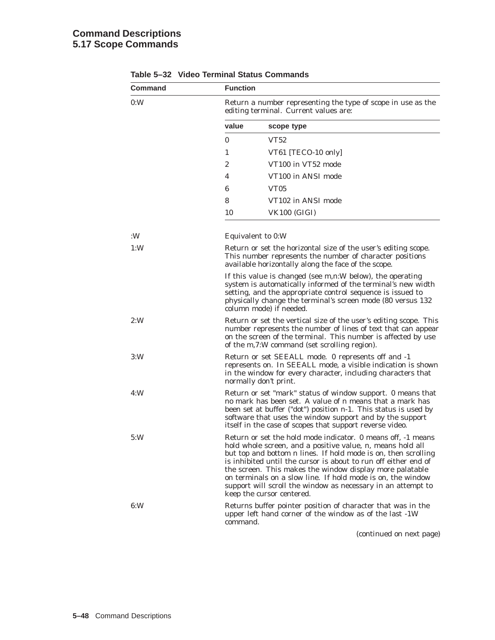# **Command Descriptions 5.17 Scope Commands**

| Command | <b>Function</b>                                                                                                                                                                                                                                                                                                    |                                                                                                                                                                                                                                                                                                                                                                                                                                                                                         |
|---------|--------------------------------------------------------------------------------------------------------------------------------------------------------------------------------------------------------------------------------------------------------------------------------------------------------------------|-----------------------------------------------------------------------------------------------------------------------------------------------------------------------------------------------------------------------------------------------------------------------------------------------------------------------------------------------------------------------------------------------------------------------------------------------------------------------------------------|
| 0:W     |                                                                                                                                                                                                                                                                                                                    | Return a number representing the type of scope in use as the<br>editing terminal. Current values are:                                                                                                                                                                                                                                                                                                                                                                                   |
|         | value                                                                                                                                                                                                                                                                                                              | scope type                                                                                                                                                                                                                                                                                                                                                                                                                                                                              |
|         | $\bf{0}$                                                                                                                                                                                                                                                                                                           | VT52                                                                                                                                                                                                                                                                                                                                                                                                                                                                                    |
|         | 1                                                                                                                                                                                                                                                                                                                  | VT61 [TECO-10 only]                                                                                                                                                                                                                                                                                                                                                                                                                                                                     |
|         | 2                                                                                                                                                                                                                                                                                                                  | VT100 in VT52 mode                                                                                                                                                                                                                                                                                                                                                                                                                                                                      |
|         | 4                                                                                                                                                                                                                                                                                                                  | VT100 in ANSI mode                                                                                                                                                                                                                                                                                                                                                                                                                                                                      |
|         | 6                                                                                                                                                                                                                                                                                                                  | VT <sub>05</sub>                                                                                                                                                                                                                                                                                                                                                                                                                                                                        |
|         | 8                                                                                                                                                                                                                                                                                                                  | VT102 in ANSI mode                                                                                                                                                                                                                                                                                                                                                                                                                                                                      |
|         | 10                                                                                                                                                                                                                                                                                                                 | VK100 (GIGI)                                                                                                                                                                                                                                                                                                                                                                                                                                                                            |
| :W      |                                                                                                                                                                                                                                                                                                                    | Equivalent to 0:W                                                                                                                                                                                                                                                                                                                                                                                                                                                                       |
| 1:W     |                                                                                                                                                                                                                                                                                                                    | Return or set the horizontal size of the user's editing scope.<br>This number represents the number of character positions<br>available horizontally along the face of the scope.                                                                                                                                                                                                                                                                                                       |
|         |                                                                                                                                                                                                                                                                                                                    | If this value is changed (see m,n:W below), the operating<br>system is automatically informed of the terminal's new width<br>setting, and the appropriate control sequence is issued to<br>physically change the terminal's screen mode (80 versus 132<br>column mode) if needed.                                                                                                                                                                                                       |
| 2:W     | Return or set the vertical size of the user's editing scope. This<br>number represents the number of lines of text that can appear<br>on the screen of the terminal. This number is affected by use<br>of the m,7:W command (set scrolling region).                                                                |                                                                                                                                                                                                                                                                                                                                                                                                                                                                                         |
| 3:W     | Return or set SEEALL mode. 0 represents off and -1<br>represents on. In SEEALL mode, a visible indication is shown<br>in the window for every character, including characters that<br>normally don't print.                                                                                                        |                                                                                                                                                                                                                                                                                                                                                                                                                                                                                         |
| 4:W     | Return or set "mark" status of window support. 0 means that<br>no mark has been set. A value of n means that a mark has<br>been set at buffer ("dot") position n-1. This status is used by<br>software that uses the window support and by the support<br>itself in the case of scopes that support reverse video. |                                                                                                                                                                                                                                                                                                                                                                                                                                                                                         |
| 5:W     |                                                                                                                                                                                                                                                                                                                    | Return or set the hold mode indicator. 0 means off, -1 means<br>hold whole screen, and a positive value, n, means hold all<br>but top and bottom n lines. If hold mode is on, then scrolling<br>is inhibited until the cursor is about to run off either end of<br>the screen. This makes the window display more palatable<br>on terminals on a slow line. If hold mode is on, the window<br>support will scroll the window as necessary in an attempt to<br>keep the cursor centered. |
| 6:W     | command.                                                                                                                                                                                                                                                                                                           | Returns buffer pointer position of character that was in the<br>upper left hand corner of the window as of the last -1W                                                                                                                                                                                                                                                                                                                                                                 |

# **Table 5–32 Video Terminal Status Commands**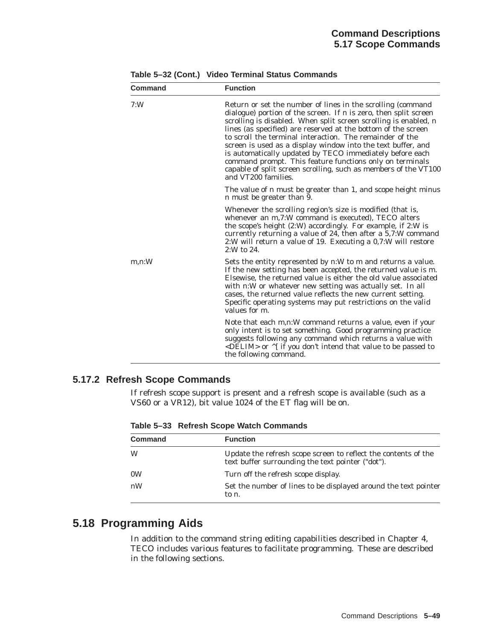| Command | <b>Function</b>                                                                                                                                                                                                                                                                                                                                                                                                                                                                                                                                                                                                    |
|---------|--------------------------------------------------------------------------------------------------------------------------------------------------------------------------------------------------------------------------------------------------------------------------------------------------------------------------------------------------------------------------------------------------------------------------------------------------------------------------------------------------------------------------------------------------------------------------------------------------------------------|
| 7:W     | Return or set the number of lines in the scrolling (command<br>dialogue) portion of the screen. If n is zero, then split screen<br>scrolling is disabled. When split screen scrolling is enabled, n<br>lines (as specified) are reserved at the bottom of the screen<br>to scroll the terminal interaction. The remainder of the<br>screen is used as a display window into the text buffer, and<br>is automatically updated by TECO immediately before each<br>command prompt. This feature functions only on terminals<br>capable of split screen scrolling, such as members of the VT100<br>and VT200 families. |
|         | The value of n must be greater than 1, and scope height minus<br>n must be greater than 9.                                                                                                                                                                                                                                                                                                                                                                                                                                                                                                                         |
|         | Whenever the scrolling region's size is modified (that is,<br>whenever an m,7:W command is executed), TECO alters<br>the scope's height (2:W) accordingly. For example, if 2:W is<br>currently returning a value of 24, then after a 5,7:W command<br>2:W will return a value of 19. Executing a 0,7:W will restore<br>$2:W$ to 24.                                                                                                                                                                                                                                                                                |
| m.n:W   | Sets the entity represented by n:W to m and returns a value.<br>If the new setting has been accepted, the returned value is m.<br>Elsewise, the returned value is either the old value associated<br>with n:W or whatever new setting was actually set. In all<br>cases, the returned value reflects the new current setting.<br>Specific operating systems may put restrictions on the valid<br>values for m.                                                                                                                                                                                                     |
|         | Note that each m,n:W command returns a value, even if your<br>only intent is to set something. Good programming practice<br>suggests following any command which returns a value with<br><delim> or ^[ if you don't intend that value to be passed to<br/>the following command.</delim>                                                                                                                                                                                                                                                                                                                           |

**Table 5–32 (Cont.) Video Terminal Status Commands**

### **5.17.2 Refresh Scope Commands**

If refresh scope support is present and a refresh scope is available (such as a VS60 or a VR12), bit value 1024 of the ET flag will be on.

| <b>Command</b> | <b>Function</b>                                                                                                     |
|----------------|---------------------------------------------------------------------------------------------------------------------|
| W              | Update the refresh scope screen to reflect the contents of the<br>text buffer surrounding the text pointer ("dot"). |
| 0W             | Turn off the refresh scope display.                                                                                 |
| nW             | Set the number of lines to be displayed around the text pointer<br>to n.                                            |

**Table 5–33 Refresh Scope Watch Commands**

# **5.18 Programming Aids**

In addition to the command string editing capabilities described in Chapter 4, TECO includes various features to facilitate programming. These are described in the following sections.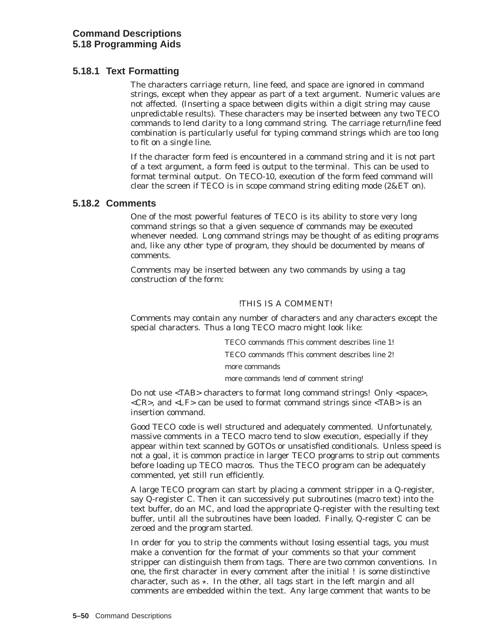## **5.18.1 Text Formatting**

The characters carriage return, line feed, and space are ignored in command strings, except when they appear as part of a text argument. Numeric values are not affected. (Inserting a space between digits within a digit string may cause unpredictable results). These characters may be inserted between any two TECO commands to lend clarity to a long command string. The carriage return/line feed combination is particularly useful for typing command strings which are too long to fit on a single line.

If the character form feed is encountered in a command string and it is not part of a text argument, a form feed is output to the terminal. This can be used to format terminal output. On TECO-10, execution of the form feed command will clear the screen if TECO is in scope command string editing mode (2&ET on).

### **5.18.2 Comments**

One of the most powerful features of TECO is its ability to store very long command strings so that a given sequence of commands may be executed whenever needed. Long command strings may be thought of as editing programs and, like any other type of program, they should be documented by means of comments.

Comments may be inserted between any two commands by using a tag construction of the form:

#### !THIS IS A COMMENT!

Comments may contain any number of characters and any characters except the special characters. Thus a long TECO macro might look like:

TECO commands !This comment describes line 1!

TECO commands !This comment describes line 2!

more commands

more commands !end of comment string!

Do not use <TAB> characters to format long command strings! Only <space>,  $\langle$  <CR>, and  $\langle$ LF> can be used to format command strings since  $\langle$ TAB> is an insertion command.

Good TECO code is well structured and adequately commented. Unfortunately, massive comments in a TECO macro tend to slow execution, especially if they appear within text scanned by GOTOs or unsatisfied conditionals. Unless speed is not a goal, it is common practice in larger TECO programs to strip out comments before loading up TECO macros. Thus the TECO program can be adequately commented, yet still run efficiently.

A large TECO program can start by placing a comment stripper in a Q-register, say Q-register C. Then it can successively put subroutines (macro text) into the text buffer, do an MC, and load the appropriate Q-register with the resulting text buffer, until all the subroutines have been loaded. Finally, Q-register C can be zeroed and the program started.

In order for you to strip the comments without losing essential tags, you must make a convention for the format of your comments so that your comment stripper can distinguish them from tags. There are two common conventions. In one, the first character in every comment after the initial ! is some distinctive character, such as  $\star$ . In the other, all tags start in the left margin and all comments are embedded within the text. Any large comment that wants to be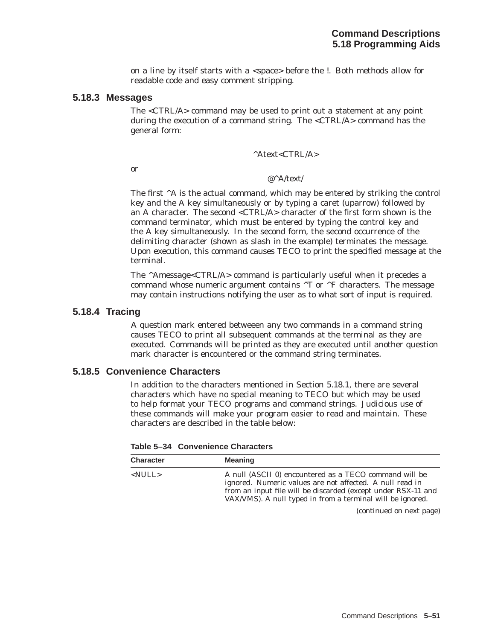on a line by itself starts with a <space> before the !. Both methods allow for readable code and easy comment stripping.

### **5.18.3 Messages**

The <CTRL/A> command may be used to print out a statement at any point during the execution of a command string. The <CTRL/A> command has the general form:

^Atext<CTRL/A>

or

#### @^A/text/

The first  $\Delta A$  is the actual command, which may be entered by striking the control key and the A key simultaneously or by typing a caret (uparrow) followed by an A character. The second <CTRL/A> character of the first form shown is the command terminator, which must be entered by typing the control key and the A key simultaneously. In the second form, the second occurrence of the delimiting character (shown as slash in the example) terminates the message. Upon execution, this command causes TECO to print the specified message at the terminal.

The ^Amessage<CTRL/A> command is particularly useful when it precedes a command whose numeric argument contains  $\Delta T$  or  $\Delta F$  characters. The message may contain instructions notifying the user as to what sort of input is required.

### **5.18.4 Tracing**

A question mark entered betweeen any two commands in a command string causes TECO to print all subsequent commands at the terminal as they are executed. Commands will be printed as they are executed until another question mark character is encountered or the command string terminates.

#### **5.18.5 Convenience Characters**

In addition to the characters mentioned in Section 5.18.1, there are several characters which have no special meaning to TECO but which may be used to help format your TECO programs and command strings. Judicious use of these commands will make your program easier to read and maintain. These characters are described in the table below:

| <b>Character</b>                | <b>Meaning</b>                                                                                                                                                                                                                                    |  |
|---------------------------------|---------------------------------------------------------------------------------------------------------------------------------------------------------------------------------------------------------------------------------------------------|--|
| $\langle \textrm{NULL} \rangle$ | A null (ASCII 0) encountered as a TECO command will be<br>ignored. Numeric values are not affected. A null read in<br>from an input file will be discarded (except under RSX-11 and<br>VAX/VMS). A null typed in from a terminal will be ignored. |  |

**Table 5–34 Convenience Characters**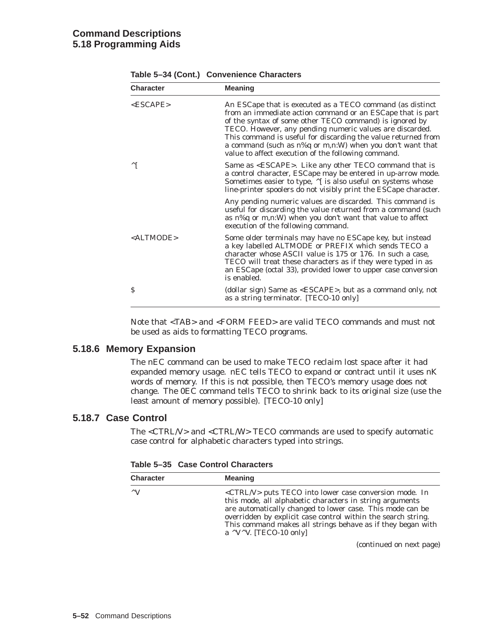| <b>Character</b>    | <b>Meaning</b>                                                                                                                                                                                                                                                                                                                                                                                                                      |  |
|---------------------|-------------------------------------------------------------------------------------------------------------------------------------------------------------------------------------------------------------------------------------------------------------------------------------------------------------------------------------------------------------------------------------------------------------------------------------|--|
| $<$ ESCAPE>         | An ESCape that is executed as a TECO command (as distinct<br>from an immediate action command or an ESCape that is part<br>of the syntax of some other TECO command) is ignored by<br>TECO. However, any pending numeric values are discarded.<br>This command is useful for discarding the value returned from<br>a command (such as n%q or m,n:W) when you don't want that<br>value to affect execution of the following command. |  |
| ^[                  | Same as <escape>. Like any other TECO command that is<br/>a control character, ESCape may be entered in up-arrow mode.<br/>Sometimes easier to type, <math>\wedge</math>[ is also useful on systems whose<br/>line-printer spoolers do not visibly print the ESCape character.</escape>                                                                                                                                             |  |
|                     | Any pending numeric values are discarded. This command is<br>useful for discarding the value returned from a command (such<br>as n%q or m,n:W) when you don't want that value to affect<br>execution of the following command.                                                                                                                                                                                                      |  |
| <altmode></altmode> | Some older terminals may have no ESCape key, but instead<br>a key labelled ALTMODE or PREFIX which sends TECO a<br>character whose ASCII value is 175 or 176. In such a case,<br>TECO will treat these characters as if they were typed in as<br>an ESCape (octal 33), provided lower to upper case conversion<br>is enabled.                                                                                                       |  |
| S                   | (dollar sign) Same as <escape>, but as a command only, not<br/>as a string terminator. [TECO-10 only]</escape>                                                                                                                                                                                                                                                                                                                      |  |

**Table 5–34 (Cont.) Convenience Characters**

Note that <TAB> and <FORM FEED> are valid TECO commands and must not be used as aids to formatting TECO programs.

### **5.18.6 Memory Expansion**

The nEC command can be used to make TECO reclaim lost space after it had expanded memory usage. nEC tells TECO to expand or contract until it uses nK words of memory. If this is not possible, then TECO's memory usage does not change. The 0EC command tells TECO to shrink back to its original size (use the least amount of memory possible). [TECO-10 only]

### **5.18.7 Case Control**

The <CTRL/V> and <CTRL/W> TECO commands are used to specify automatic case control for alphabetic characters typed into strings.

| <b>Character</b> | <b>Meaning</b>                                                                                                                                                                                                                                                                                                                                                             |  |
|------------------|----------------------------------------------------------------------------------------------------------------------------------------------------------------------------------------------------------------------------------------------------------------------------------------------------------------------------------------------------------------------------|--|
| $\mathcal{N}$    | <ctrl v=""> puts TECO into lower case conversion mode. In<br/>this mode, all alphabetic characters in string arguments<br/>are automatically changed to lower case. This mode can be<br/>overridden by explicit case control within the search string.<br/>This command makes all strings behave as if they began with<br/>a <math>\sqrt{V}</math>V. [TECO-10 only]</ctrl> |  |

**Table 5–35 Case Control Characters**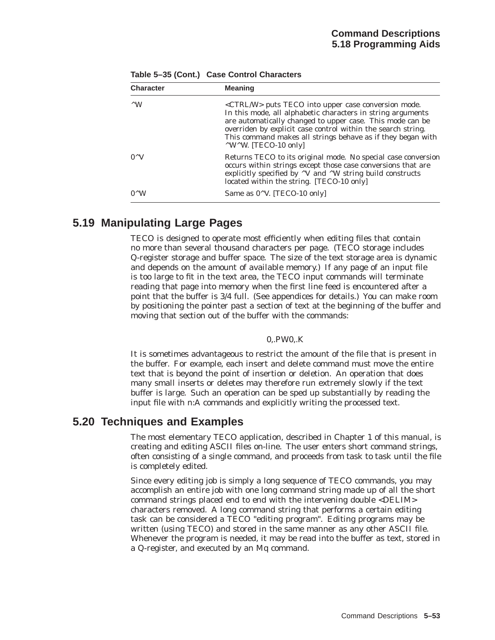| <b>Character</b> | <b>Meaning</b>                                                                                                                                                                                                                                                                                                                                        |
|------------------|-------------------------------------------------------------------------------------------------------------------------------------------------------------------------------------------------------------------------------------------------------------------------------------------------------------------------------------------------------|
| $\wedge$ W       | <ctrl w=""> puts TECO into upper case conversion mode.<br/>In this mode, all alphabetic characters in string arguments<br/>are automatically changed to upper case. This mode can be<br/>overriden by explicit case control within the search string.<br/>This command makes all strings behave as if they began with<br/>^W^W. [TECO-10 only]</ctrl> |
| $0^{\wedge}$ V   | Returns TECO to its original mode. No special case conversion<br>occurs within strings except those case conversions that are<br>explicitly specified by $\gamma$ and $\gamma$ string build constructs<br>located within the string. [TECO-10 only]                                                                                                   |
| $0^{\wedge}$ W   | Same as 0 <sup><math>\wedge</math></sup> V. [TECO-10 only]                                                                                                                                                                                                                                                                                            |

**Table 5–35 (Cont.) Case Control Characters**

# **5.19 Manipulating Large Pages**

TECO is designed to operate most efficiently when editing files that contain no more than several thousand characters per page. (TECO storage includes Q-register storage and buffer space. The size of the text storage area is dynamic and depends on the amount of available memory.) If any page of an input file is too large to fit in the text area, the TECO input commands will terminate reading that page into memory when the first line feed is encountered after a point that the buffer is 3/4 full. (See appendices for details.) You can make room by positioning the pointer past a section of text at the beginning of the buffer and moving that section out of the buffer with the commands:

#### 0,.PW0,.K

It is sometimes advantageous to restrict the amount of the file that is present in the buffer. For example, each insert and delete command must move the entire text that is beyond the point of insertion or deletion. An operation that does many small inserts or deletes may therefore run extremely slowly if the text buffer is large. Such an operation can be sped up substantially by reading the input file with n:A commands and explicitly writing the processed text.

# **5.20 Techniques and Examples**

The most elementary TECO application, described in Chapter 1 of this manual, is creating and editing ASCII files on-line. The user enters short command strings, often consisting of a single command, and proceeds from task to task until the file is completely edited.

Since every editing job is simply a long sequence of TECO commands, you may accomplish an entire job with one long command string made up of all the short command strings placed end to end with the intervening double <DELIM> characters removed. A long command string that performs a certain editing task can be considered a TECO "editing program". Editing programs may be written (using TECO) and stored in the same manner as any other ASCII file. Whenever the program is needed, it may be read into the buffer as text, stored in a Q-register, and executed by an Mq command.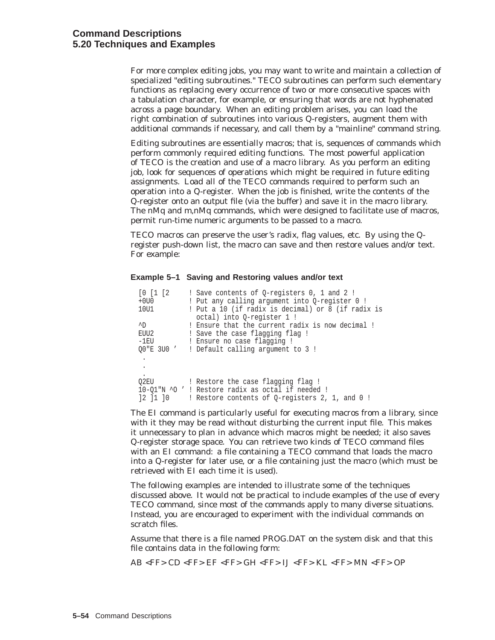For more complex editing jobs, you may want to write and maintain a collection of specialized "editing subroutines." TECO subroutines can perform such elementary functions as replacing every occurrence of two or more consecutive spaces with a tabulation character, for example, or ensuring that words are not hyphenated across a page boundary. When an editing problem arises, you can load the right combination of subroutines into various Q-registers, augment them with additional commands if necessary, and call them by a "mainline" command string.

Editing subroutines are essentially macros; that is, sequences of commands which perform commonly required editing functions. The most powerful application of TECO is the creation and use of a macro library. As you perform an editing job, look for sequences of operations which might be required in future editing assignments. Load all of the TECO commands required to perform such an operation into a Q-register. When the job is finished, write the contents of the Q-register onto an output file (via the buffer) and save it in the macro library. The nMq and m,nMq commands, which were designed to facilitate use of macros, permit run-time numeric arguments to be passed to a macro.

TECO macros can preserve the user's radix, flag values, etc. By using the Qregister push-down list, the macro can save and then restore values and/or text. For example:

#### **Example 5–1 Saving and Restoring values and/or text**

| [0 [1 [2]   | ! Save contents of 0-registers 0, 1 and 2 !                                      |
|-------------|----------------------------------------------------------------------------------|
| $+0U0$      | ! Put any calling argument into O-register 0 !                                   |
| 10U1        | ! Put a 10 (if radix is decimal) or 8 (if radix is<br>octal) into Q-register 1 ! |
| $n_{\rm D}$ | ! Ensure that the current radix is now decimal !                                 |
| EUU2        | ! Save the case flagging flag !                                                  |
| $-1EU$      | ! Ensure no case flagging !                                                      |
| 00"E 3U0 '  | ! Default calling argument to 3 !                                                |
|             |                                                                                  |
|             |                                                                                  |
| ٠           |                                                                                  |
| 02EU        | ! Restore the case flagging flag!                                                |
|             | 10-Q1"N ^O ' ! Restore radix as octal if needed !                                |
| 12 11 10    | ! Restore contents of Q-registers 2, 1, and 0 !                                  |

The EI command is particularly useful for executing macros from a library, since with it they may be read without disturbing the current input file. This makes it unnecessary to plan in advance which macros might be needed; it also saves Q-register storage space. You can retrieve two kinds of TECO command files with an EI command: a file containing a TECO command that loads the macro into a Q-register for later use, or a file containing just the macro (which must be retrieved with EI each time it is used).

The following examples are intended to illustrate some of the techniques discussed above. It would not be practical to include examples of the use of every TECO command, since most of the commands apply to many diverse situations. Instead, you are encouraged to experiment with the individual commands on scratch files.

Assume that there is a file named PROG.DAT on the system disk and that this file contains data in the following form:

AB <FF> CD <FF> EF <FF> GH <FF> IJ <FF> KL <FF> MN <FF> OP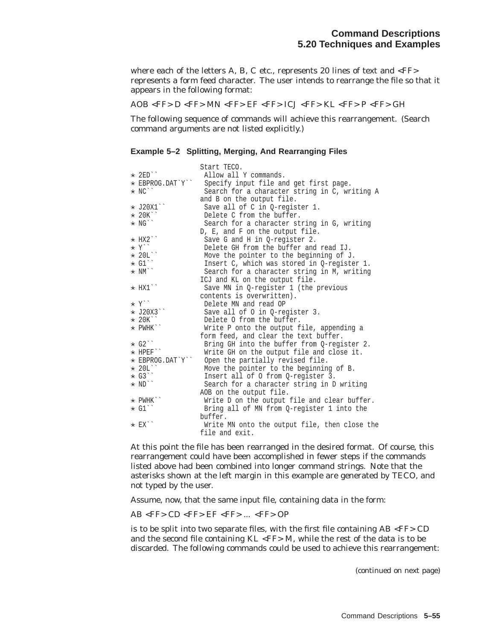where each of the letters A, B, C etc., represents 20 lines of text and  $\langle FF \rangle$ represents a form feed character. The user intends to rearrange the file so that it appears in the following format:

AOB <FF> D <FF> MN <FF> EF <FF> ICJ <FF> KL <FF> P <FF> GH

The following sequence of commands will achieve this rearrangement. (Search command arguments are not listed explicitly.)

**Example 5–2 Splitting, Merging, And Rearranging Files**

|                                          | Start TECO.                                   |
|------------------------------------------|-----------------------------------------------|
| $\star$ 2ED $^{\cdot}$                   | Allow all Y commands.                         |
| * EBPROG.DAT`Y``                         | Specify input file and get first page.        |
| $\star$ NC $\degree$                     | Search for a character string in C, writing A |
|                                          | and B on the output file.                     |
| * J20X1``                                | Save all of C in Q-register 1.                |
| $*20K$                                   | Delete C from the buffer.                     |
| $\star$ NG $\degree$                     | Search for a character string in G, writing   |
|                                          | D, E, and F on the output file.               |
| $*$ HX2 $^{\circ}$                       | Save G and H in Q-register 2.                 |
| $\star$ Y''                              | Delete GH from the buffer and read IJ.        |
| $* 20L$                                  | Move the pointer to the beginning of J.       |
| $\star$ G1 $^{\cdot \cdot}$              | Insert C, which was stored in Q-register 1.   |
| $\star$ NM $\lq\lq$                      | Search for a character string in M, writing   |
|                                          | ICJ and KL on the output file.                |
| $\star$ HX1 $^{\backprime\,\star}$       | Save MN in Q-register 1 (the previous         |
|                                          | contents is overwritten).                     |
| $\star$ Y''                              | Delete MN and read OP                         |
| $\star$ J20X3``                          | Save all of 0 in Q-register 3.                |
| $* 20K$                                  | Delete O from the buffer.                     |
| $\star$ PWHK $\degree$                   | Write P onto the output file, appending a     |
|                                          | form feed, and clear the text buffer.         |
| $\star$ G2 <sup><math>\cdot</math></sup> | Bring GH into the buffer from Q-register 2.   |
| $\star$ HPEF $\degree$                   | Write GH on the output file and close it.     |
| * EBPROG.DAT`Y``                         | Open the partially revised file.              |
| $* 20L$                                  | Move the pointer to the beginning of B.       |
| $\star$ G3 $\degree$                     | Insert all of 0 from Q-register 3.            |
| $*$ ND $^{\cdot}$                        | Search for a character string in D writing    |
|                                          | AOB on the output file.                       |
| $\star$ PWHK $\degree$                   | Write D on the output file and clear buffer.  |
| $\star$ G1 $\degree$                     | Bring all of MN from O-register 1 into the    |
|                                          | buffer.                                       |
| $\star$ EX $\lq\lq$                      | Write MN onto the output file, then close the |
|                                          | file and exit.                                |

At this point the file has been rearranged in the desired format. Of course, this rearrangement could have been accomplished in fewer steps if the commands listed above had been combined into longer command strings. Note that the asterisks shown at the left margin in this example are generated by TECO, and not typed by the user.

Assume, now, that the same input file, containing data in the form:

AB <FF> CD <FF> EF <FF> ... <FF> OP

is to be split into two separate files, with the first file containing AB <FF> CD and the second file containing KL <FF> M, while the rest of the data is to be discarded. The following commands could be used to achieve this rearrangement: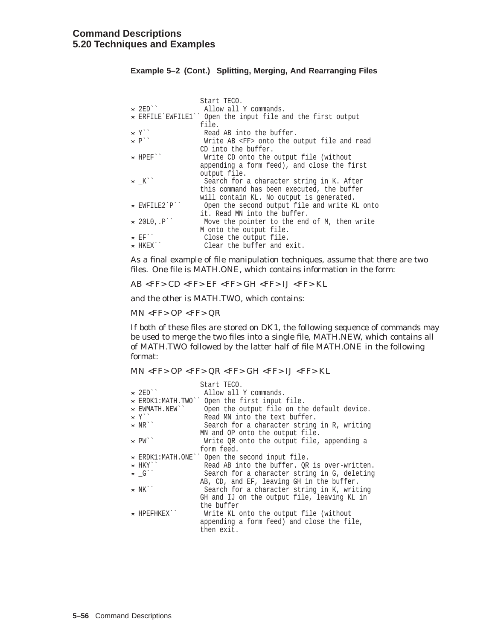#### **Example 5–2 (Cont.) Splitting, Merging, And Rearranging Files**

|                         | Start TECO.                                                |
|-------------------------|------------------------------------------------------------|
| $\star$ 2ED $^{\cdot}$  | Allow all Y commands.                                      |
|                         | * ERFILE EWFILE1" Open the input file and the first output |
|                         | file.                                                      |
| $\star$ Y''             | Read AB into the buffer.                                   |
| $*$ $P$ <sup>*</sup>    | Write AB <ff> onto the output file and read</ff>           |
|                         | CD into the buffer.                                        |
| $\star$ HPEF $^{\cdot}$ | Write CD onto the output file (without                     |
|                         | appending a form feed), and close the first                |
|                         | output file.                                               |
| $\star$ $K$ .           | Search for a character string in K. After                  |
|                         | this command has been executed, the buffer                 |
|                         | will contain KL. No output is generated.                   |
| $\star$ EWFILE2 `P ` `  | Open the second output file and write KL onto              |
|                         | it. Read MN into the buffer.                               |
| $* 20L0, .P$            | Move the pointer to the end of M, then write               |
|                         | M onto the output file.                                    |
| $\star$ EF $\cdot$      | Close the output file.                                     |
| $\star$ HKEX $\cdot$    | Clear the buffer and exit.                                 |

As a final example of file manipulation techniques, assume that there are two files. One file is MATH.ONE, which contains information in the form:

AB <FF> CD <FF> EF <FF> GH <FF> IJ <FF> KL

and the other is MATH.TWO, which contains:

MN <FF> OP <FF> QR

If both of these files are stored on DK1, the following sequence of commands may be used to merge the two files into a single file, MATH.NEW, which contains all of MATH.TWO followed by the latter half of file MATH.ONE in the following format:

MN <FF> OP <FF> QR <FF> GH <FF> IJ <FF> KL

|                               | Start TECO.                                    |
|-------------------------------|------------------------------------------------|
| $\star$ 2ED $^{\cdot}$        | Allow all Y commands.                          |
|                               | * ERDK1:MATH.TWO'' Open the first input file.  |
| $\star$ EWMATH. NEW $\degree$ | Open the output file on the default device.    |
| * Y``                         | Read MN into the text buffer.                  |
| $\star$ NR $\degree$          | Search for a character string in R, writing    |
|                               | MN and OP onto the output file.                |
| $\star$ PW $\degree$          | Write QR onto the output file, appending a     |
|                               | form feed.                                     |
|                               | * ERDK1:MATH.ONE`` Open the second input file. |
| $\star$ HKY $\degree$         | Read AB into the buffer. QR is over-written.   |
| $\star$ G''                   | Search for a character string in G, deleting   |
|                               | AB, CD, and EF, leaving GH in the buffer.      |
| $\star$ NK $\degree$          | Search for a character string in K, writing    |
|                               | GH and IJ on the output file, leaving KL in    |
|                               | the buffer                                     |
| $\star$ HPEFHKEX $\cdot$      | Write KL onto the output file (without         |
|                               | appending a form feed) and close the file,     |
|                               | then exit.                                     |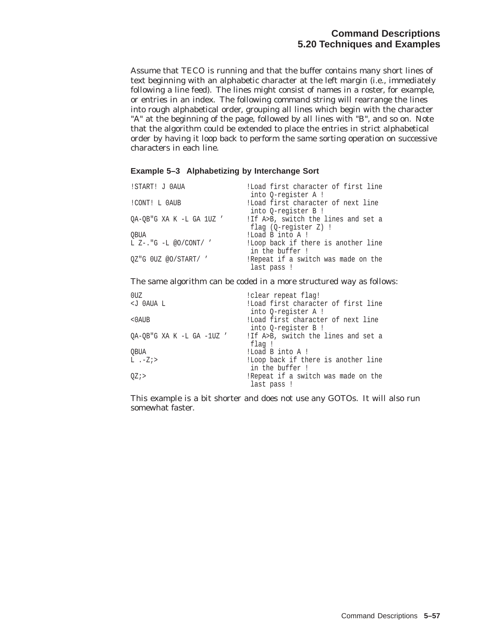Assume that TECO is running and that the buffer contains many short lines of text beginning with an alphabetic character at the left margin (i.e., immediately following a line feed). The lines might consist of names in a roster, for example, or entries in an index. The following command string will rearrange the lines into rough alphabetical order, grouping all lines which begin with the character "A" at the beginning of the page, followed by all lines with "B", and so on. Note that the algorithm could be extended to place the entries in strict alphabetical order by having it loop back to perform the same sorting operation on successive characters in each line.

## **Example 5–3 Alphabetizing by Interchange Sort**

| !START! J OAUA                | !Load first character of first line<br>into Q-register A !   |
|-------------------------------|--------------------------------------------------------------|
| !CONT! L OAUB                 | !Load first character of next line<br>into O-register B!     |
| OA-OB"G XA K -L GA 1UZ '      | !If A>B, switch the lines and set a<br>flag (O-register Z) ! |
| <b>OBUA</b>                   | !Load B into A !                                             |
| $L Z$ -." $G - L @O/CONT / '$ | !Loop back if there is another line<br>in the buffer !       |
| 0Z"G 0UZ @O/START/ '          | !Repeat if a switch was made on the<br>last pass!            |

### The same algorithm can be coded in a more structured way as follows:

| 0UZ                                                                     | !clear repeat flag!                 |
|-------------------------------------------------------------------------|-------------------------------------|
| <j 0aua="" l<="" td=""><td>!Load first character of first line</td></j> | !Load first character of first line |
|                                                                         | into O-register A !                 |
| $0AUB$                                                                  | !Load first character of next line  |
|                                                                         | into O-register B !                 |
| OA-OB"G XA K -L GA -1UZ '                                               | !If A>B, switch the lines and set a |
|                                                                         | flag !                              |
| QBUA                                                                    | !Load B into A !                    |
| $L \t -Zi$                                                              | !Loop back if there is another line |
|                                                                         | in the buffer !                     |
| $0Z_i$                                                                  | !Repeat if a switch was made on the |
|                                                                         | last pass!                          |

This example is a bit shorter and does not use any GOTOs. It will also run somewhat faster.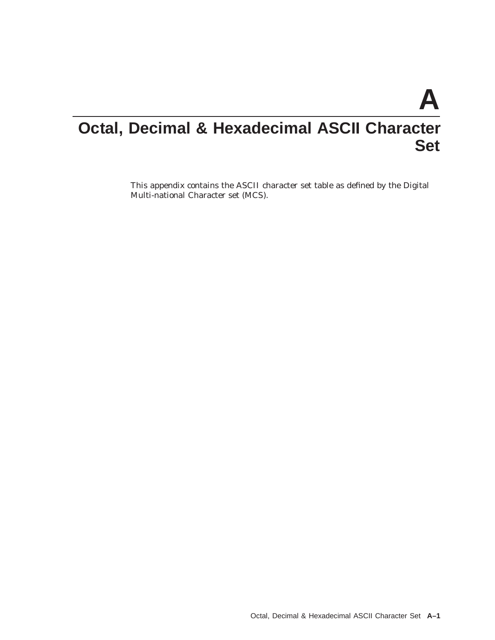**A**

# **Octal, Decimal & Hexadecimal ASCII Character Set**

This appendix contains the ASCII character set table as defined by the Digital Multi-national Character set (MCS).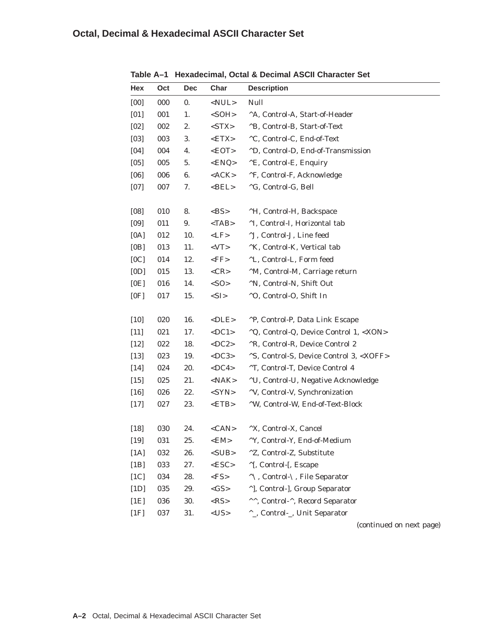# **Octal, Decimal & Hexadecimal ASCII Character Set**

| Hex    | Oct | <b>Dec</b> | Char                 | <b>Description</b>                              |
|--------|-----|------------|----------------------|-------------------------------------------------|
| [00]   | 000 | 0.         | $<$ NUL $>$          | Null                                            |
| [01]   | 001 | 1.         | $<$ SOH $>$          | ^A, Control-A, Start-of-Header                  |
| [02]   | 002 | 2.         | $<$ STX $>$          | ^B, Control-B, Start-of-Text                    |
| [03]   | 003 | 3.         | <etx></etx>          | ^C, Control-C, End-of-Text                      |
| [04]   | 004 | 4.         | $<$ EOT>             | <sup>^</sup> D, Control-D, End-of-Transmission  |
| [05]   | 005 | 5.         | ENQ                  | ^E, Control-E, Enquiry                          |
| [06]   | 006 | 6.         | ACK                  | ^F, Control-F, Acknowledge                      |
| [07]   | 007 | 7.         | $<$ BEL>             | ^G, Control-G, Bell                             |
|        |     |            |                      |                                                 |
| [08]   | 010 | 8.         | $<$ BS>              | ^H, Control-H, Backspace                        |
| [09]   | 011 | 9.         | $<$ TAB $>$          | <sup>^</sup> I, Control-I, Horizontal tab       |
| [0A]   | 012 | 10.        | $<$ LF>              | <sup>^</sup> J, Control-J, Line feed            |
| [0B]   | 013 | 11.        | $<$ VT $>$           | <sup>^</sup> K, Control-K, Vertical tab         |
| [0C]   | 014 | 12.        | $\langle FF \rangle$ | ^L, Control-L, Form feed                        |
| [0D]   | 015 | 13.        | $<$ CR>              | <sup>^</sup> M, Control-M, Carriage return      |
| [0E]   | 016 | 14.        | $<$ SO>              | ^N, Control-N, Shift Out                        |
| [0F]   | 017 | 15.        | $<$ SI $>$           | ^O, Control-O, Shift In                         |
| $[10]$ | 020 | 16.        | $<$ DLE>             | ^P, Control-P, Data Link Escape                 |
| $[11]$ | 021 | 17.        | $<$ DC1>             | ^Q, Control-Q, Device Control 1, <xon></xon>    |
| $[12]$ | 022 | 18.        | $<$ DC2>             | <sup>^</sup> R, Control-R, Device Control 2     |
| $[13]$ | 023 | 19.        | $<$ DC3>             | ^S, Control-S, Device Control 3, <xoff></xoff>  |
| $[14]$ | 024 | 20.        | $<$ DC4>             | <sup>^</sup> T, Control-T, Device Control 4     |
| $[15]$ | 025 | 21.        | $<$ NAK $>$          | <sup>^</sup> U, Control-U, Negative Acknowledge |
| $[16]$ | 026 | 22.        | $<$ SYN>             | <sup>^</sup> V, Control-V, Synchronization      |
| $[17]$ | 027 | 23.        | $<$ ETB $>$          | ^W, Control-W, End-of-Text-Block                |
|        |     |            |                      |                                                 |
| $[18]$ | 030 | 24.        | $<$ CAN $>$          | ^X, Control-X, Cancel                           |
| $[19]$ | 031 | 25.        | <em></em>            | <sup>^Y</sup> , Control-Y, End-of-Medium        |
| [1A]   | 032 | 26.        | $<$ SUB $>$          | ^Z, Control-Z, Substitute                       |
| [1B]   | 033 | 27.        | $<$ ESC>             | ^[, Control-[, Escape                           |
| [1C]   | 034 | 28.        | $<$ FS>              | ^\, Control-\, File Separator                   |
| [1D]   | 035 | 29.        | $<$ GS>              | ^], Control-], Group Separator                  |
| [1E]   | 036 | 30.        | $<$ RS>              | ^^, Control-^, Record Separator                 |
| [1F]   | 037 | 31.        | $<$ US $>$           | ^_, Control-_, Unit Separator                   |

**Table A–1 Hexadecimal, Octal & Decimal ASCII Character Set**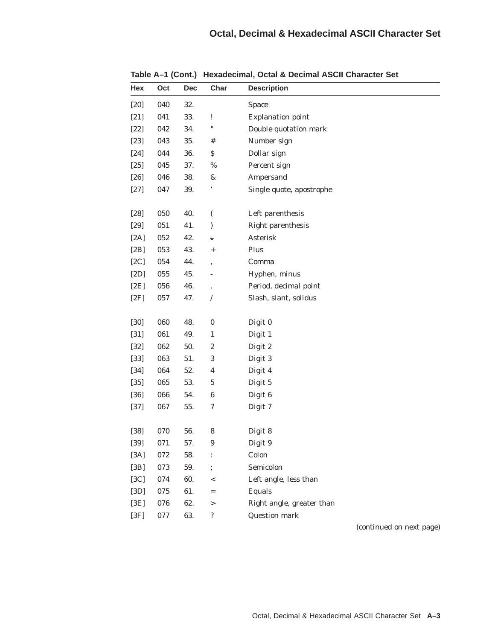| Hex    | Oct | <b>Dec</b> | Char                 | <b>Description</b>        |
|--------|-----|------------|----------------------|---------------------------|
| [20]   | 040 | 32.        |                      | Space                     |
| $[21]$ | 041 | 33.        | Ţ                    | <b>Explanation point</b>  |
| $[22]$ | 042 | 34.        | 11                   | Double quotation mark     |
| $[23]$ | 043 | 35.        | $_{\rm \#}$          | Number sign               |
| $[24]$ | 044 | 36.        | \$                   | Dollar sign               |
| $[25]$ | 045 | 37.        | %                    | Percent sign              |
| $[26]$ | 046 | 38.        | &                    | Ampersand                 |
| $[27]$ | 047 | 39.        |                      | Single quote, apostrophe  |
| $[28]$ | 050 | 40.        | (                    | Left parenthesis          |
| $[29]$ | 051 | 41.        | $\mathcal{E}$        | Right parenthesis         |
| [2A]   | 052 | 42.        | $^\star$             | Asterisk                  |
| [2B]   | 053 | 43.        | $\qquad \qquad +$    | Plus                      |
| [2C]   | 054 | 44.        | $\ddot{\phantom{1}}$ | Comma                     |
| [2D]   | 055 | 45.        |                      | Hyphen, minus             |
| [2E]   | 056 | 46.        |                      | Period, decimal point     |
| [2F]   | 057 | 47.        | $\sqrt{2}$           | Slash, slant, solidus     |
|        |     |            |                      |                           |
| $[30]$ | 060 | 48.        | $\pmb{0}$            | Digit 0                   |
| $[31]$ | 061 | 49.        | $\mathbf{1}$         | Digit 1                   |
| $[32]$ | 062 | 50.        | $\boldsymbol{2}$     | Digit 2                   |
| $[33]$ | 063 | 51.        | $\sqrt{3}$           | Digit 3                   |
| $[34]$ | 064 | 52.        | $\boldsymbol{4}$     | Digit 4                   |
| $[35]$ | 065 | 53.        | $\bf 5$              | Digit 5                   |
| [36]   | 066 | 54.        | $\bf 6$              | Digit 6                   |
| $[37]$ | 067 | 55.        | 7                    | Digit 7                   |
| $[38]$ | 070 | 56.        | $\bf 8$              | Digit 8                   |
| $[39]$ | 071 | 57.        | 9                    | Digit 9                   |
| [3A]   | 072 | 58.        |                      | Colon                     |
| [3B]   | 073 | 59.        |                      | Semicolon                 |
| [3C]   | 074 | 60.        | $\,<$                | Left angle, less than     |
| [3D]   | 075 | 61.        | $=$                  | Equals                    |
| [3E]   | 076 | 62.        | $\,>$                | Right angle, greater than |
| [3F]   | 077 | 63.        | $\ddot{?}$           | Question mark             |

**Table A–1 (Cont.) Hexadecimal, Octal & Decimal ASCII Character Set**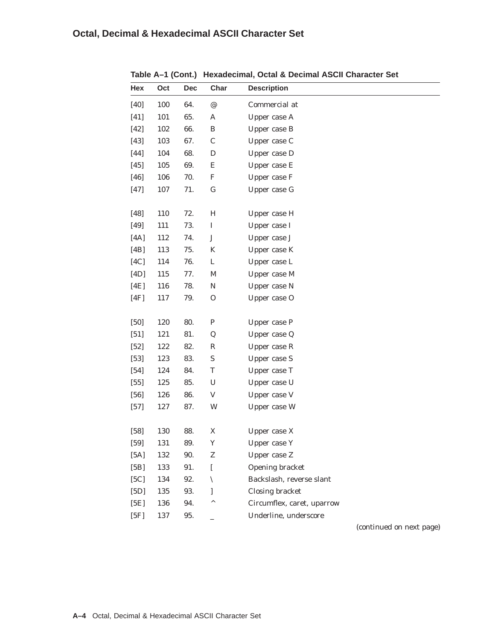# **Octal, Decimal & Hexadecimal ASCII Character Set**

| Hex    | Oct | <b>Dec</b> | Char          | <b>Description</b>         |
|--------|-----|------------|---------------|----------------------------|
| $[40]$ | 100 | 64.        | @             | Commercial at              |
| $[41]$ | 101 | 65.        | A             | Upper case A               |
| $[42]$ | 102 | 66.        | B             | Upper case B               |
| $[43]$ | 103 | 67.        | $\mathbf C$   | Upper case C               |
| $[44]$ | 104 | 68.        | $\mathbf D$   | Upper case D               |
| $[45]$ | 105 | 69.        | E             | Upper case E               |
| $[46]$ | 106 | 70.        | ${\bf F}$     | Upper case F               |
| $[47]$ | 107 | 71.        | $\mathsf G$   | Upper case G               |
|        |     |            |               |                            |
| $[48]$ | 110 | 72.        | $H_{\rm}$     | Upper case H               |
| $[49]$ | 111 | 73.        | I             | Upper case I               |
| [4A]   | 112 | 74.        | $\bf J$       | Upper case J               |
| [4B]   | 113 | 75.        | K             | Upper case K               |
| [4C]   | 114 | 76.        | L             | Upper case L               |
| [4D]   | 115 | 77.        | M             | Upper case M               |
| [4E]   | 116 | 78.        | N             | Upper case N               |
| [4F]   | 117 | 79.        | $\mathbf 0$   | Upper case O               |
|        |     |            |               |                            |
| [50]   | 120 | 80.        | $\mathbf P$   | Upper case P               |
| $[51]$ | 121 | 81.        | Q             | Upper case Q               |
| $[52]$ | 122 | 82.        | $\mathbb R$   | Upper case R               |
| $[53]$ | 123 | 83.        | ${\mathbf S}$ | <b>Upper case S</b>        |
| $[54]$ | 124 | 84.        | T             | Upper case T               |
| $[55]$ | 125 | 85.        | U             | Upper case U               |
| [56]   | 126 | 86.        | V             | Upper case V               |
| $[57]$ | 127 | 87.        | W             | Upper case W               |
| $[58]$ | 130 | 88.        | X             | Upper case X               |
| $[59]$ | 131 | 89.        | Y             | Upper case Y               |
| [5A]   | 132 | 90.        | Z             | Upper case Z               |
| [5B]   | 133 | 91.        | L             | Opening bracket            |
| [5C]   | 134 | 92.        | ╲             | Backslash, reverse slant   |
| [5D]   | 135 | 93.        | 1             | Closing bracket            |
| [5E]   | 136 | 94.        | ٨             | Circumflex, caret, uparrow |
| [5F]   | 137 | 95.        |               | Underline, underscore      |
|        |     |            |               |                            |

**Table A–1 (Cont.) Hexadecimal, Octal & Decimal ASCII Character Set**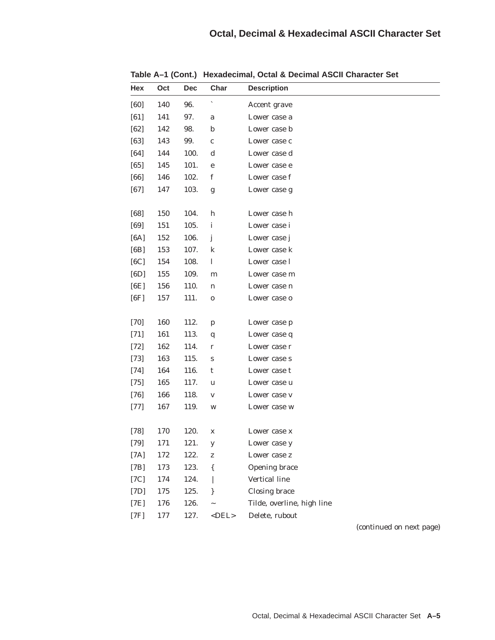| Hex    | Oct | <b>Dec</b> | Char          | <b>Description</b>         |
|--------|-----|------------|---------------|----------------------------|
| [60]   | 140 | 96.        |               | Accent grave               |
| [61]   | 141 | 97.        | a             | Lower case a               |
| [62]   | 142 | 98.        | b             | Lower case b               |
| [63]   | 143 | 99.        | $\mathbf{C}$  | Lower case c               |
| [64]   | 144 | 100.       | d             | Lower case d               |
| [65]   | 145 | 101.       | e             | Lower case e               |
| [66]   | 146 | 102.       | $\mathbf f$   | Lower case f               |
| [67]   | 147 | 103.       | g             | Lower case g               |
| [68]   | 150 | 104.       | h             | Lower case h               |
| [69]   | 151 | 105.       | i             | Lower case i               |
| [6A]   | 152 | 106.       | j             | Lower case j               |
| [6B]   | 153 | 107.       | $\bf k$       | Lower case k               |
| [6C]   | 154 | 108.       | 1             | Lower case 1               |
| [6D]   | 155 | 109.       | m             | Lower case m               |
| [6E]   | 156 | 110.       | n             | Lower case n               |
| [6F]   | 157 | 111.       | $\mathbf 0$   | Lower case o               |
| $[70]$ | 160 | 112.       | p             | Lower case p               |
| $[71]$ | 161 | 113.       | $\mathbf q$   | Lower case q               |
| $[72]$ | 162 | 114.       | $\bf r$       | Lower case r               |
| $[73]$ | 163 | 115.       | ${\bf S}$     | Lower case s               |
| $[74]$ | 164 | 116.       | t             | Lower case t               |
| $[75]$ | 165 | 117.       | u             | Lower case u               |
| $[76]$ | 166 | 118.       | V             | Lower case v               |
| $[77]$ | 167 | 119.       | W             | Lower case w               |
| $[78]$ | 170 | 120.       | $\mathbf X$   | Lower case x               |
| $[79]$ | 171 | 121.       | $\mathbf y$   | Lower case y               |
| [7A]   | 172 | 122.       | Z             | Lower case z               |
| [7B]   | 173 | 123.       | $\{$          | Opening brace              |
| [7C]   | 174 | 124.       |               | Vertical line              |
| [7D]   | 175 | 125.       | $\mathcal{E}$ | <b>Closing brace</b>       |
| [7E]   | 176 | 126.       |               | Tilde, overline, high line |
| [7F]   | 177 | 127.       | $<$ DEL $>$   | Delete, rubout             |

**Table A–1 (Cont.) Hexadecimal, Octal & Decimal ASCII Character Set**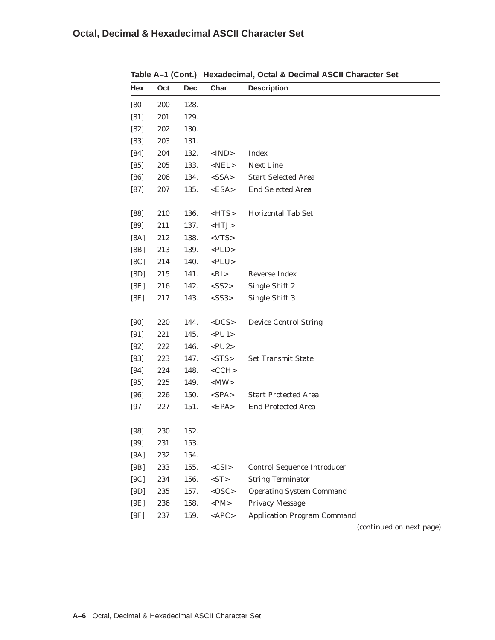| Hex    | Oct | <b>Dec</b> | Char                  | <b>Description</b>                 |
|--------|-----|------------|-----------------------|------------------------------------|
| [80]   | 200 | 128.       |                       |                                    |
| [81]   | 201 | 129.       |                       |                                    |
| [82]   | 202 | 130.       |                       |                                    |
| [83]   | 203 | 131.       |                       |                                    |
| [84]   | 204 | 132.       | $<$ IND $>$           | Index                              |
| [85]   | 205 | 133.       | $<\!\!{\rm NEL}\!\!>$ | Next Line                          |
| [86]   | 206 | 134.       | $<$ SSA>              | <b>Start Selected Area</b>         |
| [87]   | 207 | 135.       | $<$ ESA>              | <b>End Selected Area</b>           |
| [88]   | 210 | 136.       | $<$ HTS $>$           | <b>Horizontal Tab Set</b>          |
| [89]   | 211 | 137.       | $<$ HTJ $>$           |                                    |
| [8A]   | 212 | 138.       | $<$ VTS $>$           |                                    |
| [8B]   | 213 | 139.       | $<$ PLD $>$           |                                    |
| [8C]   | 214 | 140.       | $<$ PLU $>$           |                                    |
| [8D]   | 215 | 141.       | $<$ RI $>$            | Reverse Index                      |
| [8E]   | 216 | 142.       | $<$ SS2>              | Single Shift 2                     |
| [8F]   | 217 | 143.       | $<$ SS3>              | Single Shift 3                     |
| [90]   | 220 | 144.       | $<$ DCS>              | <b>Device Control String</b>       |
| [91]   | 221 | 145.       | $<$ PU1>              |                                    |
| $[92]$ | 222 | 146.       | $<$ PU2>              |                                    |
| $[93]$ | 223 | 147.       | $<$ STS $>$           | <b>Set Transmit State</b>          |
| $[94]$ | 224 | 148.       | $<$ CCH $>$           |                                    |
| [95]   | 225 | 149.       | $ MW\rangle$          |                                    |
| [96]   | 226 | 150.       | <spa></spa>           | <b>Start Protected Area</b>        |
| $[97]$ | 227 | 151.       | $<$ EPA $>$           | <b>End Protected Area</b>          |
| [98]   | 230 | 152.       |                       |                                    |
| [99]   | 231 | 153.       |                       |                                    |
| [9A]   | 232 | 154.       |                       |                                    |
| [9B]   | 233 | 155.       | $<$ CSI $>$           | <b>Control Sequence Introducer</b> |
| [9C]   | 234 | 156.       | $<\!\!ST\!\!>$        | <b>String Terminator</b>           |
| [9D]   | 235 | 157.       | $<$ OSC>              | <b>Operating System Command</b>    |
| [9E]   | 236 | 158.       | $<$ PM $>$            | <b>Privacy Message</b>             |
| [9F]   | 237 | 159.       | $<$ APC $>$           | <b>Application Program Command</b> |

**Table A–1 (Cont.) Hexadecimal, Octal & Decimal ASCII Character Set**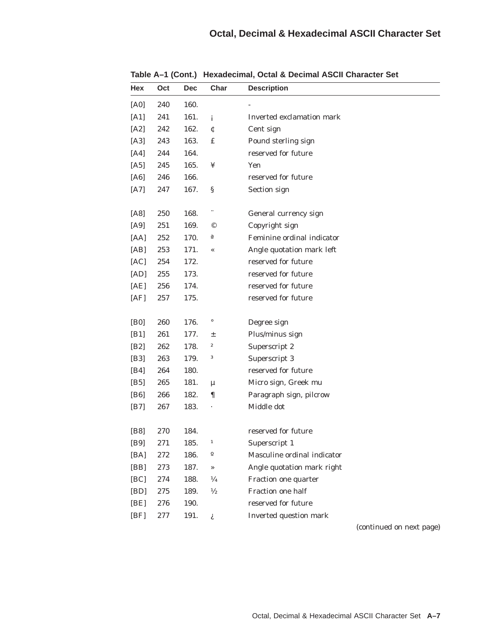| Hex           | Oct | <b>Dec</b> | Char             | <b>Description</b>          |
|---------------|-----|------------|------------------|-----------------------------|
| [A0]          | 240 | 160.       |                  |                             |
| [A1]          | 241 | 161.       | i                | Inverted exclamation mark   |
| [A2]          | 242 | 162.       | ¢                | Cent sign                   |
| [A3]          | 243 | 163.       | £                | Pound sterling sign         |
| $[AA]$        | 244 | 164.       |                  | reserved for future         |
| [A5]          | 245 | 165.       | ¥                | Yen                         |
| [A6]          | 246 | 166.       |                  | reserved for future         |
| $[{\rm A}7]$  | 247 | 167.       | §                | Section sign                |
| [A8]          | 250 | 168.       |                  | General currency sign       |
| [A9]          | 251 | 169.       | ©                | Copyright sign              |
| [AA]          | 252 | 170.       | a                | Feminine ordinal indicator  |
| [AB]          | 253 | 171.       | «                | Angle quotation mark left   |
| [AC]          | 254 | 172.       |                  | reserved for future         |
| [AD]          | 255 | 173.       |                  | reserved for future         |
| [AE]          | 256 | 174.       |                  | reserved for future         |
| [AF]          | 257 | 175.       |                  | reserved for future         |
| [ <b>B0</b> ] | 260 | 176.       | $\circ$          | Degree sign                 |
| [B1]          | 261 | 177.       | 土                | Plus/minus sign             |
| [B2]          | 262 | 178.       | $\boldsymbol{2}$ | Superscript 2               |
| [B3]          | 263 | 179.       | 3                | Superscript 3               |
| [B4]          | 264 | 180.       |                  | reserved for future         |
| [B5]          | 265 | 181.       | $\mu$            | Micro sign, Greek mu        |
| [B6]          | 266 | 182.       | ſ                | Paragraph sign, pilcrow     |
| [B7]          | 267 | 183.       |                  | Middle dot                  |
| [ <b>B8</b> ] | 270 | 184.       |                  | reserved for future         |
| [B9]          | 271 | 185.       | $\blacksquare$   | Superscript 1               |
| [BA]          | 272 | 186.       | $\boldsymbol{0}$ | Masculine ordinal indicator |
| [BB]          | 273 | 187.       | »                | Angle quotation mark right  |
| [BC]          | 274 | 188.       | $\frac{1}{4}$    | Fraction one quarter        |
| [BD]          | 275 | 189.       | $\frac{1}{2}$    | Fraction one half           |
| [BE]          | 276 | 190.       |                  | reserved for future         |
| [BF]          | 277 | 191.       | i                | Inverted question mark      |

**Table A–1 (Cont.) Hexadecimal, Octal & Decimal ASCII Character Set**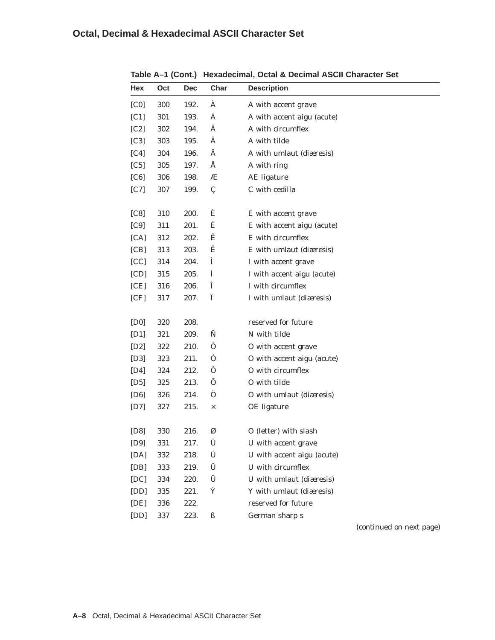# **Octal, Decimal & Hexadecimal ASCII Character Set**

| Hex               | Oct | <b>Dec</b> | Char     | <b>Description</b>         |
|-------------------|-----|------------|----------|----------------------------|
| [CO]              | 300 | 192.       | Á        | A with accent grave        |
| [ <sub>C1</sub> ] | 301 | 193.       | Á        | A with accent aigu (acute) |
| [C2]              | 302 | 194.       | Â        | A with circumflex          |
| [C3]              | 303 | 195.       | Ã        | A with tilde               |
| [ <sub>C4</sub> ] | 304 | 196.       | Ä        | A with umlaut (diæresis)   |
| [C5]              | 305 | 197.       | Å        | A with ring                |
| [C6]              | 306 | 198.       | Æ        | AE ligature                |
| $[{\rm C}7]$      | 307 | 199.       | Ç        | C with cedilla             |
| [C8]              | 310 | 200.       | È        | E with accent grave        |
| [C9]              | 311 | 201.       | É        | E with accent aigu (acute) |
| [CA]              | 312 | 202.       | Ê        | E with circumflex          |
| [CB]              | 313 | 203.       | Ë        | E with umlaut (diæresis)   |
| [CC]              | 314 | 204.       | Ì        | I with accent grave        |
| [CD]              | 315 | 205.       | Í        | I with accent aigu (acute) |
| [CE]              | 316 | 206.       | Î        | I with circumflex          |
| [CF]              | 317 | 207.       | Ϊ        | I with umlaut (diæresis)   |
| [DD]              | 320 | 208.       |          | reserved for future        |
| [D1]              | 321 | 209.       | Ñ        | N with tilde               |
| [D2]              | 322 | 210.       | Ò        | O with accent grave        |
| [D3]              | 323 | 211.       | Ó        | O with accent aigu (acute) |
| [D4]              | 324 | 212.       | Ô        | O with circumflex          |
| [D5]              | 325 | 213.       | Õ        | O with tilde               |
| [D6]              | 326 | 214.       | Ö        | O with umlaut (diæresis)   |
| [D7]              | 327 | 215.       | $\times$ | OE ligature                |
| [D8]              | 330 | 216.       | Ø        | O (letter) with slash      |
| [D9]              | 331 | 217.       | Ù        | U with accent grave        |
| [DA]              | 332 | 218.       | Ú        | U with accent aigu (acute) |
| [DB]              | 333 | 219.       | Û        | U with circumflex          |
| [DC]              | 334 | 220.       | Ü        | U with umlaut (diæresis)   |
| [DD]              | 335 | 221.       | Ý        | Y with umlaut (diæresis)   |
| [DE]              | 336 | 222.       |          | reserved for future        |
| [DD]              | 337 | 223.       | ß        | German sharp s             |
|                   |     |            |          |                            |

**Table A–1 (Cont.) Hexadecimal, Octal & Decimal ASCII Character Set**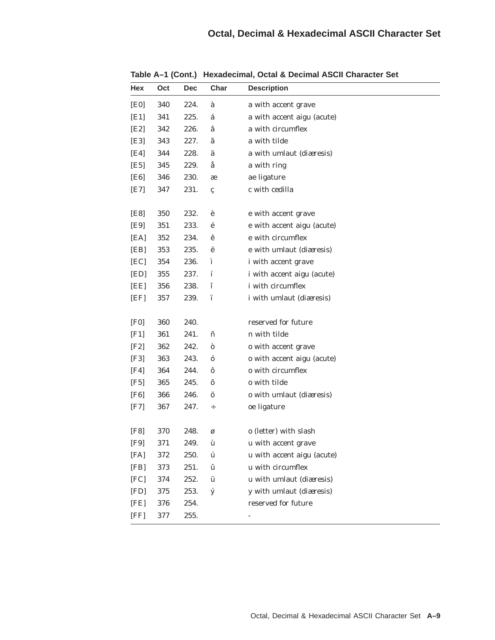| Hex           | Oct | <b>Dec</b> | Char | <b>Description</b>         |
|---------------|-----|------------|------|----------------------------|
| [ED]          | 340 | 224.       | à    | a with accent grave        |
| [E1]          | 341 | 225.       | á    | a with accent aigu (acute) |
| [E2]          | 342 | 226.       | â    | a with circumflex          |
| [E3]          | 343 | 227.       | ã    | a with tilde               |
| $[E4]$        | 344 | 228.       | ä    | a with umlaut (diæresis)   |
| [E5]          | 345 | 229.       | å    | a with ring                |
| [E6]          | 346 | 230.       | æ    | ae ligature                |
| [E7]          | 347 | 231.       | Ç    | c with cedilla             |
| [E8]          | 350 | 232.       | è    | e with accent grave        |
| [E9]          | 351 | 233.       | é    | e with accent aigu (acute) |
| [EA]          | 352 | 234.       | ê    | e with circumflex          |
| [EB]          | 353 | 235.       | ë    | e with umlaut (diæresis)   |
| [EC]          | 354 | 236.       | ì    | i with accent grave        |
| [ED]          | 355 | 237.       | í    | i with accent aigu (acute) |
| [EE]          | 356 | 238.       | î    | i with circumflex          |
| [EF]          | 357 | 239.       | ï    | i with umlaut (diæresis)   |
|               |     |            |      |                            |
| [ <b>F0</b> ] | 360 | 240.       |      | reserved for future        |
| [F1]          | 361 | 241.       | ñ    | n with tilde               |
| [F2]          | 362 | 242.       | Ò    | o with accent grave        |
| [F3]          | 363 | 243.       | ó    | o with accent aigu (acute) |
| [F4]          | 364 | 244.       | ô    | o with circumflex          |
| [F5]          | 365 | 245.       | õ    | o with tilde               |
| [F6]          | 366 | 246.       | Ö    | o with umlaut (diæresis)   |
| $[$ F7 $]$    | 367 | 247.       | ÷    | oe ligature                |
| [ <b>F8</b> ] | 370 | 248.       | ø    | o (letter) with slash      |
| [F9]          | 371 | 249.       | ù    | u with accent grave        |
| [FA]          | 372 | 250.       | ú    | u with accent aigu (acute) |
| [FB]          | 373 | 251.       | û    | u with circumflex          |
| [FC]          | 374 | 252.       | ü    | u with umlaut (diæresis)   |
| [FD]          | 375 | 253.       | ý    | y with umlaut (diæresis)   |
| [FE]          | 376 | 254.       |      | reserved for future        |
| [FF]          | 377 | 255.       |      |                            |

**Table A–1 (Cont.) Hexadecimal, Octal & Decimal ASCII Character Set**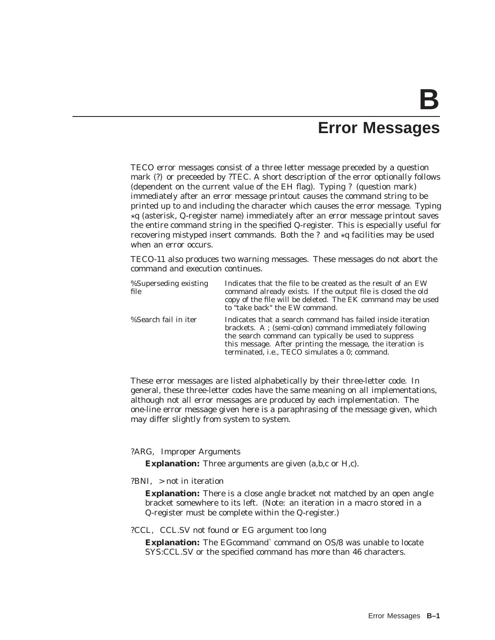# **Error Messages**

TECO error messages consist of a three letter message preceded by a question mark (?) or preceeded by ?TEC. A short description of the error optionally follows (dependent on the current value of the EH flag). Typing ? (question mark) immediately after an error message printout causes the command string to be printed up to and including the character which causes the error message. Typing ?q (asterisk, Q-register name) immediately after an error message printout saves the entire command string in the specified Q-register. This is especially useful for recovering mistyped insert commands. Both the ? and  $\star q$  facilities may be used when an error occurs.

TECO-11 also produces two warning messages. These messages do not abort the command and execution continues.

| %Superseding existing<br>file | Indicates that the file to be created as the result of an EW<br>command already exists. If the output file is closed the old<br>copy of the file will be deleted. The EK command may be used<br>to "take back" the EW command.                                                                          |
|-------------------------------|---------------------------------------------------------------------------------------------------------------------------------------------------------------------------------------------------------------------------------------------------------------------------------------------------------|
| %Search fail in iter          | Indicates that a search command has failed inside iteration<br>brackets. A ; (semi-colon) command immediately following<br>the search command can typically be used to suppress<br>this message. After printing the message, the iteration is<br>terminated, <i>i.e.</i> , TECO simulates a 0; command. |

These error messages are listed alphabetically by their three-letter code. In general, these three-letter codes have the same meaning on all implementations, although not all error messages are produced by each implementation. The one-line error message given here is a paraphrasing of the message given, which may differ slightly from system to system.

### ?ARG, Improper Arguments

**Explanation:** Three arguments are given (a,b,c or H,c).

?BNI, > not in iteration

**Explanation:** There is a close angle bracket not matched by an open angle bracket somewhere to its left. (Note: an iteration in a macro stored in a Q-register must be complete within the Q-register.)

#### ?CCL, CCL.SV not found or EG argument too long

**Explanation:** The EGcommand` command on OS/8 was unable to locate SYS:CCL.SV or the specified command has more than 46 characters.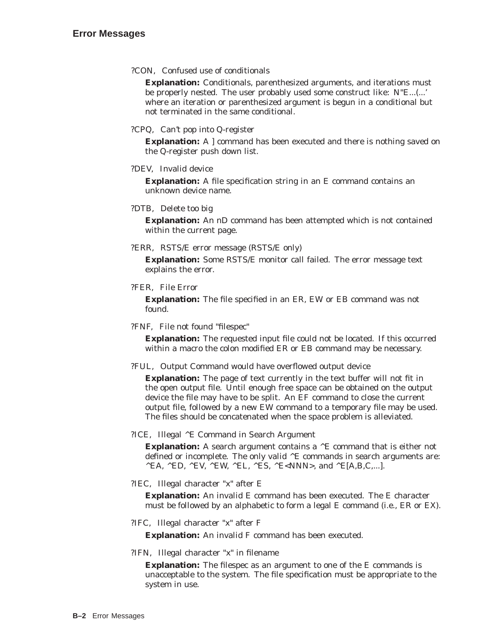## ?CON, Confused use of conditionals

**Explanation:** Conditionals, parenthesized arguments, and iterations must be properly nested. The user probably used some construct like: N"E...(...' where an iteration or parenthesized argument is begun in a conditional but not terminated in the same conditional.

## ?CPQ, Can't pop into Q-register

**Explanation:** A ] command has been executed and there is nothing saved on the Q-register push down list.

### ?DEV, Invalid device

**Explanation:** A file specification string in an E command contains an unknown device name.

## ?DTB, Delete too big

**Explanation:** An nD command has been attempted which is not contained within the current page.

## ?ERR, RSTS/E error message (RSTS/E only)

**Explanation:** Some RSTS/E monitor call failed. The error message text explains the error.

#### ?FER, File Error

**Explanation:** The file specified in an ER, EW or EB command was not found.

## ?FNF, File not found "filespec"

**Explanation:** The requested input file could not be located. If this occurred within a macro the colon modified ER or EB command may be necessary.

### ?FUL, Output Command would have overflowed output device

**Explanation:** The page of text currently in the text buffer will not fit in the open output file. Until enough free space can be obtained on the output device the file may have to be split. An EF command to close the current output file, followed by a new EW command to a temporary file may be used. The files should be concatenated when the space problem is alleviated.

## ?ICE, Illegal ^E Command in Search Argument

**Explanation:** A search argument contains a  $^{\wedge}$ E command that is either not defined or incomplete. The only valid  $\wedge$ E commands in search arguments are:  $\triangle$ EA,  $\triangle$ ED,  $\triangle$ EV,  $\triangle$ EW,  $\triangle$ EL,  $\triangle$ ES,  $\triangle$ E<NNN>, and  $\triangle$ E[A,B,C,...].

## ?IEC, Illegal character "x" after E

**Explanation:** An invalid E command has been executed. The E character must be followed by an alphabetic to form a legal E command (i.e., ER or EX).

### ?IFC, Illegal character "x" after F

**Explanation:** An invalid F command has been executed.

# ?IFN, Illegal character "x" in filename

**Explanation:** The filespec as an argument to one of the E commands is unacceptable to the system. The file specification must be appropriate to the system in use.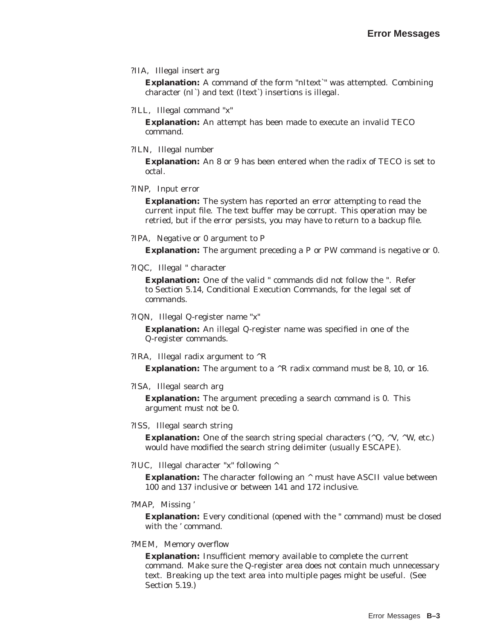?IIA, Illegal insert arg

**Explanation:** A command of the form "nItext`" was attempted. Combining character (nI`) and text (Itext`) insertions is illegal.

?ILL, Illegal command "x"

**Explanation:** An attempt has been made to execute an invalid TECO command.

?ILN, Illegal number

**Explanation:** An 8 or 9 has been entered when the radix of TECO is set to octal.

?INP, Input error

**Explanation:** The system has reported an error attempting to read the current input file. The text buffer may be corrupt. This operation may be retried, but if the error persists, you may have to return to a backup file.

?IPA, Negative or 0 argument to P

**Explanation:** The argument preceding a P or PW command is negative or 0.

?IQC, Illegal " character

**Explanation:** One of the valid " commands did not follow the ". Refer to Section 5.14, Conditional Execution Commands, for the legal set of commands.

?IQN, Illegal Q-register name "x"

**Explanation:** An illegal Q-register name was specified in one of the Q-register commands.

?IRA, Illegal radix argument to  $^{\wedge}R$ 

**Explanation:** The argument to a  $^{\wedge}$ R radix command must be 8, 10, or 16.

?ISA, Illegal search arg

**Explanation:** The argument preceding a search command is 0. This argument must not be 0.

?ISS, Illegal search string

**Explanation:** One of the search string special characters ( $\angle Q$ ,  $\angle V$ ,  $\angle W$ , etc.) would have modified the search string delimiter (usually ESCAPE).

?IUC, Illegal character "x" following ^

**Explanation:** The character following an  $\land$  must have ASCII value between 100 and 137 inclusive or between 141 and 172 inclusive.

?MAP, Missing '

**Explanation:** Every conditional (opened with the " command) must be closed with the ' command.

?MEM, Memory overflow

**Explanation:** Insufficient memory available to complete the current command. Make sure the Q-register area does not contain much unnecessary text. Breaking up the text area into multiple pages might be useful. (See Section 5.19.)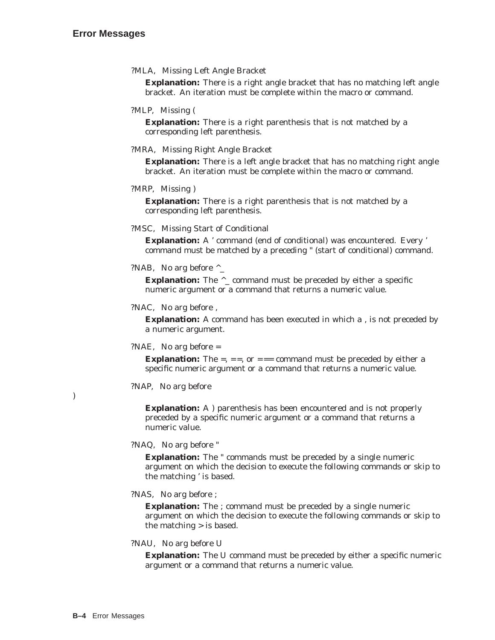?MLA, Missing Left Angle Bracket

**Explanation:** There is a right angle bracket that has no matching left angle bracket. An iteration must be complete within the macro or command.

?MLP, Missing (

**Explanation:** There is a right parenthesis that is not matched by a corresponding left parenthesis.

?MRA, Missing Right Angle Bracket

**Explanation:** There is a left angle bracket that has no matching right angle bracket. An iteration must be complete within the macro or command.

?MRP, Missing )

**Explanation:** There is a right parenthesis that is not matched by a corresponding left parenthesis.

?MSC, Missing Start of Conditional

**Explanation:** A ' command (end of conditional) was encountered. Every ' command must be matched by a preceding " (start of conditional) command.

?NAB, No arg before  $\wedge$ 

**Explanation:** The  $\lambda$  command must be preceded by either a specific numeric argument or a command that returns a numeric value.

?NAC, No arg before ,

**Explanation:** A command has been executed in which a , is not preceded by a numeric argument.

?NAE, No arg before =

**Explanation:** The  $=$ ,  $=$   $=$ , or  $=$   $=$   $=$  command must be preceded by either a specific numeric argument or a command that returns a numeric value.

?NAP, No arg before

**Explanation:** A ) parenthesis has been encountered and is not properly preceded by a specific numeric argument or a command that returns a numeric value.

?NAQ, No arg before "

**Explanation:** The " commands must be preceded by a single numeric argument on which the decision to execute the following commands or skip to the matching ' is based.

?NAS, No arg before ;

**Explanation:** The ; command must be preceded by a single numeric argument on which the decision to execute the following commands or skip to the matching > is based.

?NAU, No arg before U

**Explanation:** The U command must be preceded by either a specific numeric argument or a command that returns a numeric value.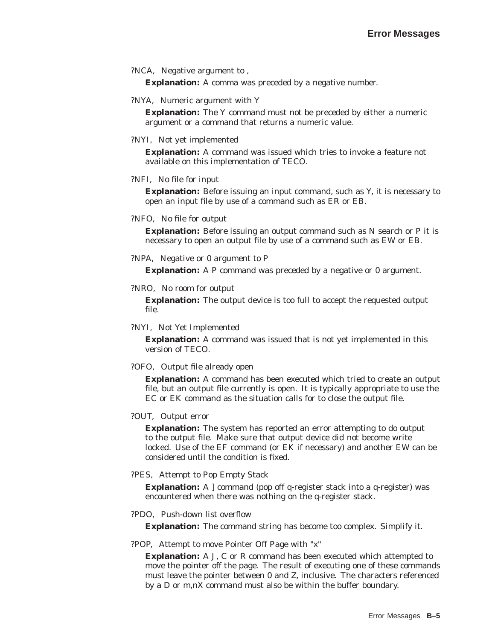## ?NCA, Negative argument to ,

**Explanation:** A comma was preceded by a negative number.

## ?NYA, Numeric argument with Y

**Explanation:** The Y command must not be preceded by either a numeric argument or a command that returns a numeric value.

## ?NYI, Not yet implemented

**Explanation:** A command was issued which tries to invoke a feature not available on this implementation of TECO.

## ?NFI, No file for input

**Explanation:** Before issuing an input command, such as Y, it is necessary to open an input file by use of a command such as ER or EB.

### ?NFO, No file for output

**Explanation:** Before issuing an output command such as N search or P it is necessary to open an output file by use of a command such as EW or EB.

## ?NPA, Negative or 0 argument to P

**Explanation:** A P command was preceded by a negative or 0 argument.

## ?NRO, No room for output

**Explanation:** The output device is too full to accept the requested output file.

### ?NYI, Not Yet Implemented

**Explanation:** A command was issued that is not yet implemented in this version of TECO.

#### ?OFO, Output file already open

**Explanation:** A command has been executed which tried to create an output file, but an output file currently is open. It is typically appropriate to use the EC or EK command as the situation calls for to close the output file.

### ?OUT, Output error

**Explanation:** The system has reported an error attempting to do output to the output file. Make sure that output device did not become write locked. Use of the EF command (or EK if necessary) and another EW can be considered until the condition is fixed.

## ?PES, Attempt to Pop Empty Stack

**Explanation:** A ] command (pop off q-register stack into a q-register) was encountered when there was nothing on the q-register stack.

### ?PDO, Push-down list overflow

**Explanation:** The command string has become too complex. Simplify it.

### ?POP, Attempt to move Pointer Off Page with "x"

**Explanation:** A J, C or R command has been executed which attempted to move the pointer off the page. The result of executing one of these commands must leave the pointer between 0 and Z, inclusive. The characters referenced by a D or m,nX command must also be within the buffer boundary.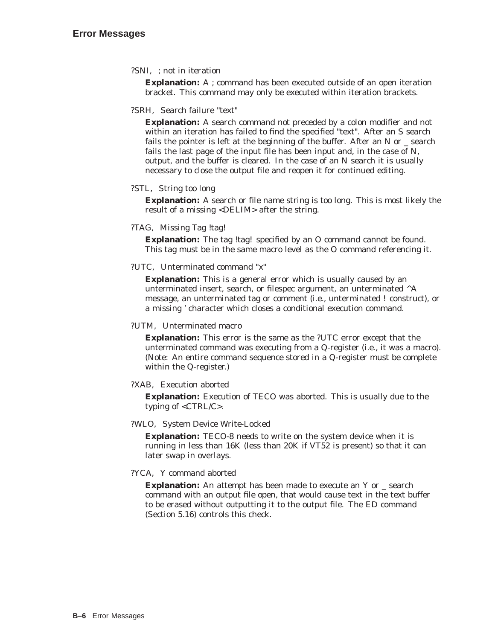?SNI, ; not in iteration

**Explanation:** A ; command has been executed outside of an open iteration bracket. This command may only be executed within iteration brackets.

?SRH, Search failure "text"

**Explanation:** A search command not preceded by a colon modifier and not within an iteration has failed to find the specified "text". After an S search fails the pointer is left at the beginning of the buffer. After an N or \_ search fails the last page of the input file has been input and, in the case of N, output, and the buffer is cleared. In the case of an N search it is usually necessary to close the output file and reopen it for continued editing.

?STL, String too long

**Explanation:** A search or file name string is too long. This is most likely the result of a missing <DELIM> after the string.

?TAG, Missing Tag !tag!

**Explanation:** The tag !tag! specified by an O command cannot be found. This tag must be in the same macro level as the O command referencing it.

?UTC, Unterminated command "x"

**Explanation:** This is a general error which is usually caused by an unterminated insert, search, or filespec argument, an unterminated ^A message, an unterminated tag or comment (i.e., unterminated ! construct), or a missing ' character which closes a conditional execution command.

?UTM, Unterminated macro

**Explanation:** This error is the same as the ?UTC error except that the unterminated command was executing from a Q-register (i.e., it was a macro). (Note: An entire command sequence stored in a Q-register must be complete within the Q-register.)

?XAB, Execution aborted

**Explanation:** Execution of TECO was aborted. This is usually due to the typing of  $\langle \text{CTRL/C}\rangle$ .

?WLO, System Device Write-Locked

**Explanation:** TECO-8 needs to write on the system device when it is running in less than 16K (less than 20K if VT52 is present) so that it can later swap in overlays.

?YCA, Y command aborted

**Explanation:** An attempt has been made to execute an Y or \_ search command with an output file open, that would cause text in the text buffer to be erased without outputting it to the output file. The ED command (Section 5.16) controls this check.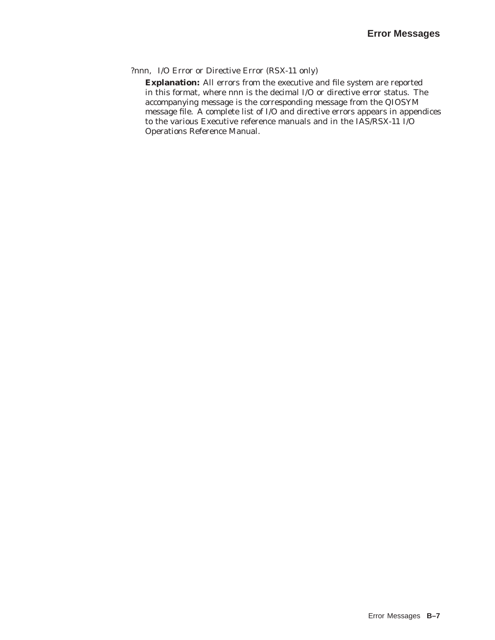## ?nnn, I/O Error or Directive Error (RSX-11 only)

**Explanation:** All errors from the executive and file system are reported in this format, where nnn is the decimal I/O or directive error status. The accompanying message is the corresponding message from the QIOSYM message file. A complete list of I/O and directive errors appears in appendices to the various Executive reference manuals and in the IAS/RSX-11 I/O Operations Reference Manual.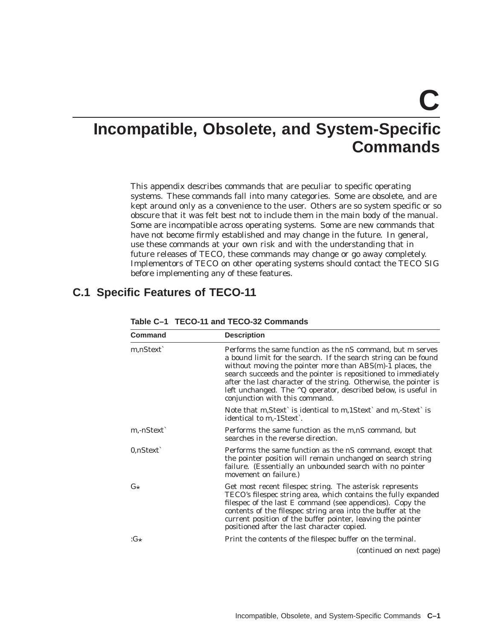**C**

# **Incompatible, Obsolete, and System-Specific Commands**

This appendix describes commands that are peculiar to specific operating systems. These commands fall into many categories. Some are obsolete, and are kept around only as a convenience to the user. Others are so system specific or so obscure that it was felt best not to include them in the main body of the manual. Some are incompatible across operating systems. Some are new commands that have not become firmly established and may change in the future. In general, use these commands at your own risk and with the understanding that in future releases of TECO, these commands may change or go away completely. Implementors of TECO on other operating systems should contact the TECO SIG before implementing any of these features.

# **C.1 Specific Features of TECO-11**

| <b>Command</b>   | <b>Description</b>                                                                                                                                                                                                                                                                                                                                                                                                                    |
|------------------|---------------------------------------------------------------------------------------------------------------------------------------------------------------------------------------------------------------------------------------------------------------------------------------------------------------------------------------------------------------------------------------------------------------------------------------|
| m,nStext`        | Performs the same function as the nS command, but m serves<br>a bound limit for the search. If the search string can be found<br>without moving the pointer more than ABS(m)-1 places, the<br>search succeeds and the pointer is repositioned to immediately<br>after the last character of the string. Otherwise, the pointer is<br>left unchanged. The ^Q operator, described below, is useful in<br>conjunction with this command. |
|                  | Note that m, Stext is identical to m, 1 Stext and m, -Stext is<br>identical to m, -1Stext.                                                                                                                                                                                                                                                                                                                                            |
| m,-nStext`       | Performs the same function as the m,nS command, but<br>searches in the reverse direction.                                                                                                                                                                                                                                                                                                                                             |
| $0$ , $n$ Stext` | Performs the same function as the nS command, except that<br>the pointer position will remain unchanged on search string<br>failure. (Essentially an unbounded search with no pointer<br>movement on failure.)                                                                                                                                                                                                                        |
| $G\star$         | Get most recent filespec string. The asterisk represents<br>TECO's filespec string area, which contains the fully expanded<br>filespec of the last E command (see appendices). Copy the<br>contents of the filespec string area into the buffer at the<br>current position of the buffer pointer, leaving the pointer<br>positioned after the last character copied.                                                                  |
| : $G*$           | Print the contents of the filespec buffer on the terminal.                                                                                                                                                                                                                                                                                                                                                                            |
|                  | (continued on next page)                                                                                                                                                                                                                                                                                                                                                                                                              |

**Table C–1 TECO-11 and TECO-32 Commands**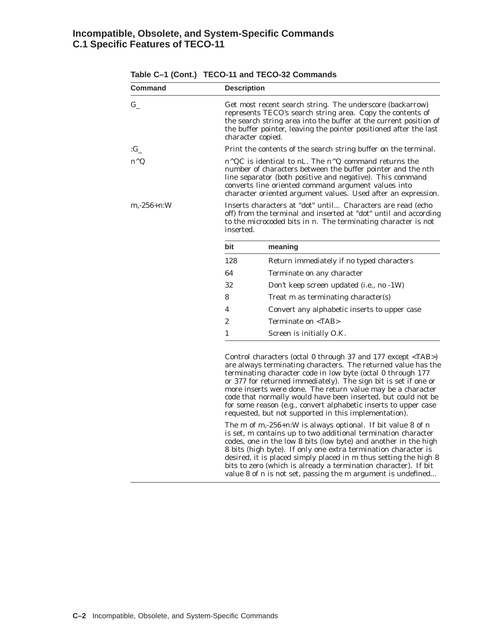# **Incompatible, Obsolete, and System-Specific Commands C.1 Specific Features of TECO-11**

| Command          | <b>Description</b>                                                                                                                                                                                                                                                                                                             |                                                                                                                                                                                                                                                                                                                                                                                                                                                                                                                                          |
|------------------|--------------------------------------------------------------------------------------------------------------------------------------------------------------------------------------------------------------------------------------------------------------------------------------------------------------------------------|------------------------------------------------------------------------------------------------------------------------------------------------------------------------------------------------------------------------------------------------------------------------------------------------------------------------------------------------------------------------------------------------------------------------------------------------------------------------------------------------------------------------------------------|
| $G_{-}$          | Get most recent search string. The underscore (backarrow)<br>represents TECO's search string area. Copy the contents of<br>the search string area into the buffer at the current position of<br>the buffer pointer, leaving the pointer positioned after the last<br>character copied.                                         |                                                                                                                                                                                                                                                                                                                                                                                                                                                                                                                                          |
| $G_{-}$          |                                                                                                                                                                                                                                                                                                                                | Print the contents of the search string buffer on the terminal.                                                                                                                                                                                                                                                                                                                                                                                                                                                                          |
| $n^{\wedge}Q$    | $n^{\wedge}$ QC is identical to nL. The $n^{\wedge}$ Q command returns the<br>number of characters between the buffer pointer and the nth<br>line separator (both positive and negative). This command<br>converts line oriented command argument values into<br>character oriented argument values. Used after an expression. |                                                                                                                                                                                                                                                                                                                                                                                                                                                                                                                                          |
| $m - 256 + n: W$ | Inserts characters at "dot" until Characters are read (echo<br>off) from the terminal and inserted at "dot" until and according<br>to the microcoded bits in n. The terminating character is not<br>inserted.                                                                                                                  |                                                                                                                                                                                                                                                                                                                                                                                                                                                                                                                                          |
|                  | bit                                                                                                                                                                                                                                                                                                                            | meaning                                                                                                                                                                                                                                                                                                                                                                                                                                                                                                                                  |
|                  | 128                                                                                                                                                                                                                                                                                                                            | Return immediately if no typed characters                                                                                                                                                                                                                                                                                                                                                                                                                                                                                                |
|                  | 64                                                                                                                                                                                                                                                                                                                             | Terminate on any character                                                                                                                                                                                                                                                                                                                                                                                                                                                                                                               |
|                  | 32                                                                                                                                                                                                                                                                                                                             | Don't keep screen updated (i.e., no -1W)                                                                                                                                                                                                                                                                                                                                                                                                                                                                                                 |
|                  | 8                                                                                                                                                                                                                                                                                                                              | Treat m as terminating character(s)                                                                                                                                                                                                                                                                                                                                                                                                                                                                                                      |
|                  | 4                                                                                                                                                                                                                                                                                                                              | Convert any alphabetic inserts to upper case                                                                                                                                                                                                                                                                                                                                                                                                                                                                                             |
|                  | $\overline{c}$                                                                                                                                                                                                                                                                                                                 | Terminate on <tab></tab>                                                                                                                                                                                                                                                                                                                                                                                                                                                                                                                 |
|                  | $\mathbf{1}$                                                                                                                                                                                                                                                                                                                   | Screen is initially O.K.                                                                                                                                                                                                                                                                                                                                                                                                                                                                                                                 |
|                  |                                                                                                                                                                                                                                                                                                                                | Control characters (octal 0 through 37 and 177 except <tab>)<br/>are always terminating characters. The returned value has the<br/>terminating character code in low byte (octal 0 through 177<br/>or 377 for returned immediately). The sign bit is set if one or<br/>more inserts were done. The return value may be a character<br/>code that normally would have been inserted, but could not be<br/>for some reason (e.g., convert alphabetic inserts to upper case<br/>requested, but not supported in this implementation).</tab> |
|                  |                                                                                                                                                                                                                                                                                                                                | The m of m,-256+n:W is always optional. If bit value 8 of n<br>is set, m contains up to two additional termination character<br>codes, one in the low 8 bits (low byte) and another in the high<br>8 bits (high byte). If only one extra termination character is<br>desired, it is placed simply placed in m thus setting the high 8<br>bits to zero (which is already a termination character). If bit                                                                                                                                 |

value 8 of n is not set, passing the m argument is undefined...

**Table C–1 (Cont.) TECO-11 and TECO-32 Commands**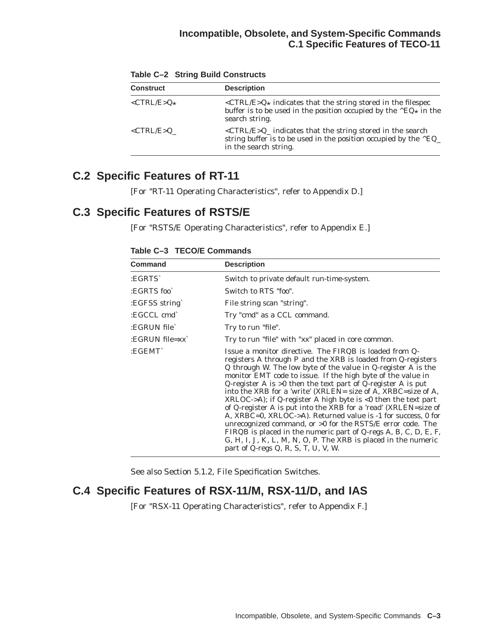| <b>Construct</b>                        | <b>Description</b>                                                                                                                                                                         |  |
|-----------------------------------------|--------------------------------------------------------------------------------------------------------------------------------------------------------------------------------------------|--|
| $\langle \text{CTRL/E} \rangle Q \star$ | <ctrl e="">Q<math>\star</math> indicates that the string stored in the filespec<br/>buffer is to be used in the position occupied by the <math>EQ*</math> in the<br/>search string.</ctrl> |  |
| <ctrl e="">Q</ctrl>                     | $\langle \text{CTRL/E} \rangle$ indicates that the string stored in the search<br>string buffer is to be used in the position occupied by the $EQ_{-}$<br>in the search string.            |  |

**Table C–2 String Build Constructs**

# **C.2 Specific Features of RT-11**

[For "RT-11 Operating Characteristics", refer to Appendix D.]

# **C.3 Specific Features of RSTS/E**

[For "RSTS/E Operating Characteristics", refer to Appendix E.]

**Table C–3 TECO/E Commands**

| <b>Command</b>   | <b>Description</b>                                                                                                                                                                                                                                                                                                                                                                                                                                                                                                                                                                                                                                                                                                                                                                                                                       |  |
|------------------|------------------------------------------------------------------------------------------------------------------------------------------------------------------------------------------------------------------------------------------------------------------------------------------------------------------------------------------------------------------------------------------------------------------------------------------------------------------------------------------------------------------------------------------------------------------------------------------------------------------------------------------------------------------------------------------------------------------------------------------------------------------------------------------------------------------------------------------|--|
| :EGRTS`          | Switch to private default run-time-system.                                                                                                                                                                                                                                                                                                                                                                                                                                                                                                                                                                                                                                                                                                                                                                                               |  |
| $EGRTS$ foo      | Switch to RTS "foo".                                                                                                                                                                                                                                                                                                                                                                                                                                                                                                                                                                                                                                                                                                                                                                                                                     |  |
| :EGFSS string`   | File string scan "string".                                                                                                                                                                                                                                                                                                                                                                                                                                                                                                                                                                                                                                                                                                                                                                                                               |  |
| :EGCCL cmd       | Try "cmd" as a CCL command.                                                                                                                                                                                                                                                                                                                                                                                                                                                                                                                                                                                                                                                                                                                                                                                                              |  |
| :EGRUN file`     | Try to run "file".                                                                                                                                                                                                                                                                                                                                                                                                                                                                                                                                                                                                                                                                                                                                                                                                                       |  |
| $:EGRUN file=xx$ | Try to run "file" with "xx" placed in core common.                                                                                                                                                                                                                                                                                                                                                                                                                                                                                                                                                                                                                                                                                                                                                                                       |  |
| :EGEMT`          | Issue a monitor directive. The FIRQB is loaded from Q-<br>registers A through P and the XRB is loaded from Q-registers<br>Q through W. The low byte of the value in Q-register A is the<br>monitor EMT code to issue. If the high byte of the value in<br>Q-register A is $>0$ then the text part of Q-register A is put<br>into the XRB for a 'write' (XRLEN= size of A, XRBC=size of A,<br>XRLOC->A); if Q-register A high byte is <0 then the text part<br>of Q-register A is put into the XRB for a 'read' (XRLEN=size of<br>A, XRBC=0, XRLOC->A). Returned value is -1 for success, 0 for<br>unrecognized command, or >0 for the RSTS/E error code. The<br>FIRQB is placed in the numeric part of Q-regs A, B, C, D, E, F,<br>G, H, I, J, K, L, M, N, O, P. The XRB is placed in the numeric<br>part of Q-regs Q, R, S, T, U, V, W. |  |

See also Section 5.1.2, File Specification Switches.

# **C.4 Specific Features of RSX-11/M, RSX-11/D, and IAS**

[For "RSX-11 Operating Characteristics", refer to Appendix F.]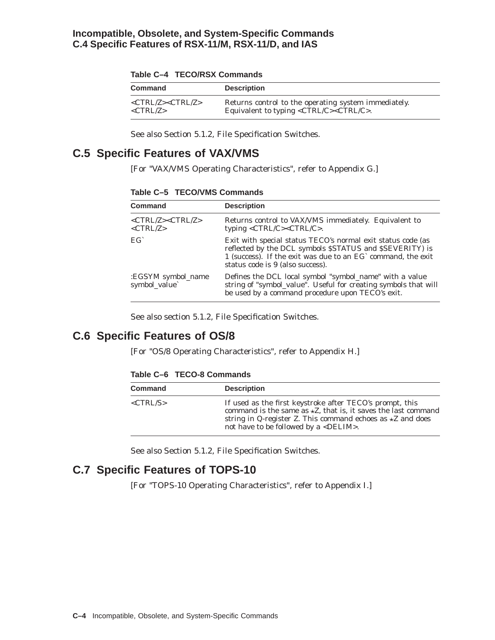| <b>Command</b>                       | <b>Description</b>                                                                   |
|--------------------------------------|--------------------------------------------------------------------------------------|
| <ctrl z=""><ctrl z=""></ctrl></ctrl> | Returns control to the operating system immediately.                                 |
| $\langle \text{CTRL/Z} \rangle$      | Equivalent to typing $\langle \text{CTRL/C} \rangle \langle \text{CTRL/C} \rangle$ . |

See also Section 5.1.2, File Specification Switches.

# **C.5 Specific Features of VAX/VMS**

[For "VAX/VMS Operating Characteristics", refer to Appendix G.]

**Table C–5 TECO/VMS Commands**

| <b>Command</b>                                                                                 | <b>Description</b>                                                                                                                                                                                                         |
|------------------------------------------------------------------------------------------------|----------------------------------------------------------------------------------------------------------------------------------------------------------------------------------------------------------------------------|
| $\langle \text{CTRL/Z}\rangle \langle \text{CTRL/Z}\rangle$<br>$\langle \text{CTRL/Z} \rangle$ | Returns control to VAX/VMS immediately. Equivalent to<br>typing < $CTRL/C$ >< $CTRL/C$ >.                                                                                                                                  |
| $EG^c$                                                                                         | Exit with special status TECO's normal exit status code (as<br>reflected by the DCL symbols \$STATUS and \$SEVERITY) is<br>1 (success). If the exit was due to an EG command, the exit<br>status code is 9 (also success). |
| :EGSYM symbol_name<br>symbol_value`                                                            | Defines the DCL local symbol "symbol_name" with a value<br>string of "symbol_value". Useful for creating symbols that will<br>be used by a command procedure upon TECO's exit.                                             |

See also section 5.1.2, File Specification Switches.

# **C.6 Specific Features of OS/8**

[For "OS/8 Operating Characteristics", refer to Appendix H.]

**Table C–6 TECO-8 Commands**

| Command                         | <b>Description</b>                                                                                                                                                                                                                                 |
|---------------------------------|----------------------------------------------------------------------------------------------------------------------------------------------------------------------------------------------------------------------------------------------------|
| $\langle \text{CTRL/S} \rangle$ | If used as the first keystroke after TECO's prompt, this<br>command is the same as $*Z$ , that is, it saves the last command<br>string in Q-register Z. This command echoes as $\star$ Z and does<br>not have to be followed by a <delim>.</delim> |

See also Section 5.1.2, File Specification Switches.

# **C.7 Specific Features of TOPS-10**

[For "TOPS-10 Operating Characteristics", refer to Appendix I.]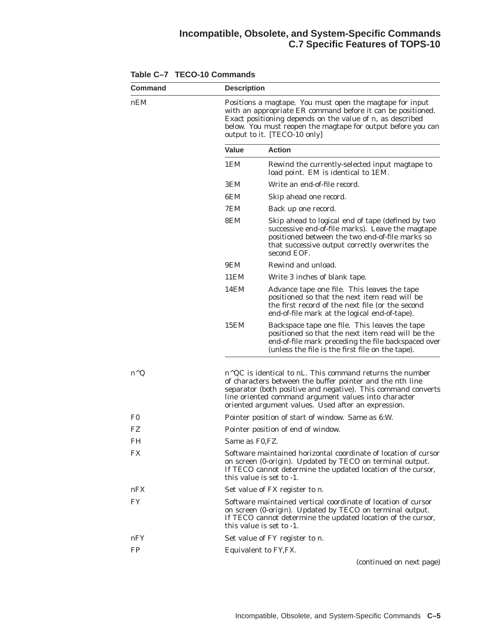# **Incompatible, Obsolete, and System-Specific Commands C.7 Specific Features of TOPS-10**

| Command        | <b>Description</b><br>Positions a magtape. You must open the magtape for input<br>with an appropriate ER command before it can be positioned.<br>Exact positioning depends on the value of n, as described<br>below. You must reopen the magtape for output before you can<br>output to it. [TECO-10 only] |                                                                                                                                                                                                                                                                                                                  |  |
|----------------|------------------------------------------------------------------------------------------------------------------------------------------------------------------------------------------------------------------------------------------------------------------------------------------------------------|------------------------------------------------------------------------------------------------------------------------------------------------------------------------------------------------------------------------------------------------------------------------------------------------------------------|--|
| nEM            |                                                                                                                                                                                                                                                                                                            |                                                                                                                                                                                                                                                                                                                  |  |
|                | Value                                                                                                                                                                                                                                                                                                      | <b>Action</b>                                                                                                                                                                                                                                                                                                    |  |
|                | 1EM                                                                                                                                                                                                                                                                                                        | Rewind the currently-selected input magtape to<br>load point. EM is identical to 1EM.                                                                                                                                                                                                                            |  |
|                | 3EM                                                                                                                                                                                                                                                                                                        | Write an end-of-file record.                                                                                                                                                                                                                                                                                     |  |
|                | 6EM                                                                                                                                                                                                                                                                                                        | Skip ahead one record.                                                                                                                                                                                                                                                                                           |  |
|                | 7EM                                                                                                                                                                                                                                                                                                        | Back up one record.                                                                                                                                                                                                                                                                                              |  |
|                | 8EM                                                                                                                                                                                                                                                                                                        | Skip ahead to logical end of tape (defined by two<br>successive end-of-file marks). Leave the magtape<br>positioned between the two end-of-file marks so<br>that successive output correctly overwrites the<br>second EOF.                                                                                       |  |
|                | 9EM                                                                                                                                                                                                                                                                                                        | Rewind and unload.                                                                                                                                                                                                                                                                                               |  |
|                | 11EM                                                                                                                                                                                                                                                                                                       | Write 3 inches of blank tape.                                                                                                                                                                                                                                                                                    |  |
|                | 14EM                                                                                                                                                                                                                                                                                                       | Advance tape one file. This leaves the tape<br>positioned so that the next item read will be<br>the first record of the next file (or the second<br>end-of-file mark at the logical end-of-tape).                                                                                                                |  |
|                | 15EM                                                                                                                                                                                                                                                                                                       | Backspace tape one file. This leaves the tape<br>positioned so that the next item read will be the<br>end-of-file mark preceding the file backspaced over<br>(unless the file is the first file on the tape).                                                                                                    |  |
| $n^{\wedge}Q$  |                                                                                                                                                                                                                                                                                                            | $n^{\wedge}$ QC is identical to nL. This command returns the number<br>of characters between the buffer pointer and the nth line<br>separator (both positive and negative). This command converts<br>line oriented command argument values into character<br>oriented argument values. Used after an expression. |  |
| F <sub>0</sub> |                                                                                                                                                                                                                                                                                                            | Pointer position of start of window. Same as 6:W.                                                                                                                                                                                                                                                                |  |
| FZ             | Pointer position of end of window.                                                                                                                                                                                                                                                                         |                                                                                                                                                                                                                                                                                                                  |  |
| FH             | Same as F0, FZ.                                                                                                                                                                                                                                                                                            |                                                                                                                                                                                                                                                                                                                  |  |
| FX             |                                                                                                                                                                                                                                                                                                            | Software maintained horizontal coordinate of location of cursor<br>on screen (0-origin). Updated by TECO on terminal output.<br>If TECO cannot determine the updated location of the cursor,<br>this value is set to -1.                                                                                         |  |
| nFX            |                                                                                                                                                                                                                                                                                                            | Set value of FX register to n.                                                                                                                                                                                                                                                                                   |  |
| FY.            |                                                                                                                                                                                                                                                                                                            | Software maintained vertical coordinate of location of cursor<br>on screen (0-origin). Updated by TECO on terminal output.<br>If TECO cannot determine the updated location of the cursor,<br>this value is set to -1.                                                                                           |  |
| nFY            |                                                                                                                                                                                                                                                                                                            | Set value of FY register to n.                                                                                                                                                                                                                                                                                   |  |
| FP             |                                                                                                                                                                                                                                                                                                            | Equivalent to FY, FX.                                                                                                                                                                                                                                                                                            |  |
|                |                                                                                                                                                                                                                                                                                                            | (continued on next page)                                                                                                                                                                                                                                                                                         |  |

**Table C–7 TECO-10 Commands**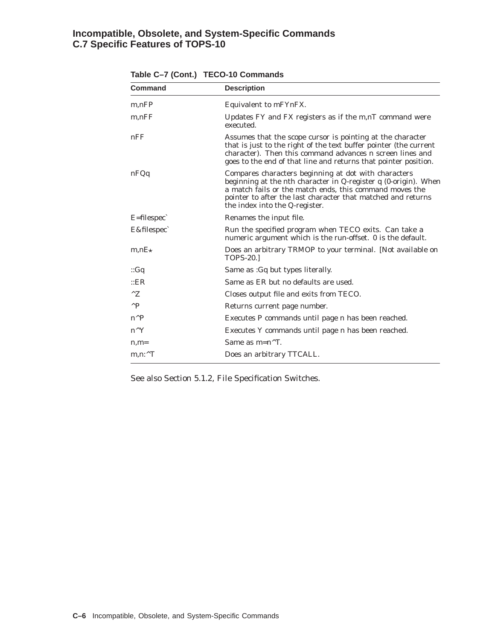# **Incompatible, Obsolete, and System-Specific Commands C.7 Specific Features of TOPS-10**

| <b>Command</b>       | <b>Description</b>                                                                                                                                                                                                                                                                   |
|----------------------|--------------------------------------------------------------------------------------------------------------------------------------------------------------------------------------------------------------------------------------------------------------------------------------|
| m,nFP                | Equivalent to mFYnFX.                                                                                                                                                                                                                                                                |
| m,nFF                | Updates FY and FX registers as if the m,nT command were<br>executed.                                                                                                                                                                                                                 |
| nFF                  | Assumes that the scope cursor is pointing at the character<br>that is just to the right of the text buffer pointer (the current<br>character). Then this command advances n screen lines and<br>goes to the end of that line and returns that pointer position.                      |
| nFQq                 | Compares characters beginning at dot with characters<br>beginning at the nth character in Q-register q (0-origin). When<br>a match fails or the match ends, this command moves the<br>pointer to after the last character that matched and returns<br>the index into the Q-register. |
| $E =$ filespec`      | Renames the input file.                                                                                                                                                                                                                                                              |
| E&filespec`          | Run the specified program when TECO exits. Can take a<br>numeric argument which is the run-offset. 0 is the default.                                                                                                                                                                 |
| $m,nE*$              | Does an arbitrary TRMOP to your terminal. [Not available on<br><b>TOPS-20.1</b>                                                                                                                                                                                                      |
| ::Gq                 | Same as : Gq but types literally.                                                                                                                                                                                                                                                    |
| ::ER                 | Same as ER but no defaults are used.                                                                                                                                                                                                                                                 |
| $^{\wedge}Z$         | Closes output file and exits from TECO.                                                                                                                                                                                                                                              |
| $^{\wedge}P$         | Returns current page number.                                                                                                                                                                                                                                                         |
| $n^{\wedge}P$        | Executes P commands until page n has been reached.                                                                                                                                                                                                                                   |
| $n^{\wedge}Y$        | Executes Y commands until page n has been reached.                                                                                                                                                                                                                                   |
| $n,m=$               | Same as $m=n^{\wedge}T$ .                                                                                                                                                                                                                                                            |
| $m.n$ : $^{\wedge}T$ | Does an arbitrary TTCALL.                                                                                                                                                                                                                                                            |

**Table C–7 (Cont.) TECO-10 Commands**

See also Section 5.1.2, File Specification Switches.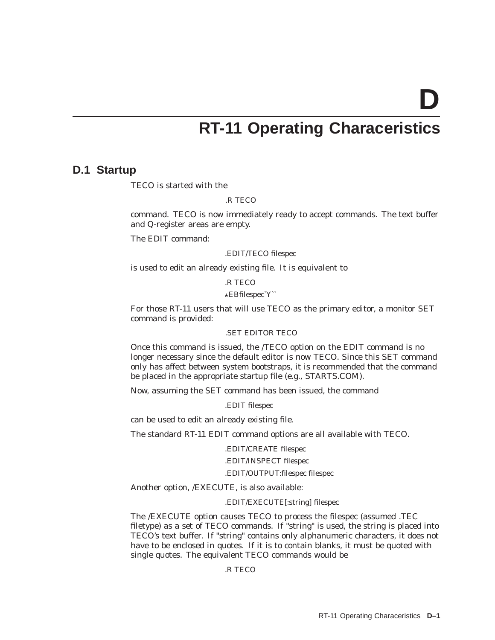**D**

# **RT-11 Operating Characeristics**

# **D.1 Startup**

TECO is started with the

### .R TECO

command. TECO is now immediately ready to accept commands. The text buffer and Q-register areas are empty.

The EDIT command:

.EDIT/TECO filespec

is used to edit an already existing file. It is equivalent to

.R TECO

?EBfilespec`Y``

For those RT-11 users that will use TECO as the primary editor, a monitor SET command is provided:

## .SET EDITOR TECO

Once this command is issued, the /TECO option on the EDIT command is no longer necessary since the default editor is now TECO. Since this SET command only has affect between system bootstraps, it is recommended that the command be placed in the appropriate startup file (e.g., STARTS.COM).

Now, assuming the SET command has been issued, the command

.EDIT filespec

can be used to edit an already existing file.

The standard RT-11 EDIT command options are all available with TECO.

#### .EDIT/CREATE filespec

### .EDIT/INSPECT filespec

.EDIT/OUTPUT:filespec filespec

Another option, /EXECUTE, is also available:

.EDIT/EXECUTE[:string] filespec

The /EXECUTE option causes TECO to process the filespec (assumed .TEC filetype) as a set of TECO commands. If "string" is used, the string is placed into TECO's text buffer. If "string" contains only alphanumeric characters, it does not have to be enclosed in quotes. If it is to contain blanks, it must be quoted with single quotes. The equivalent TECO commands would be

.R TECO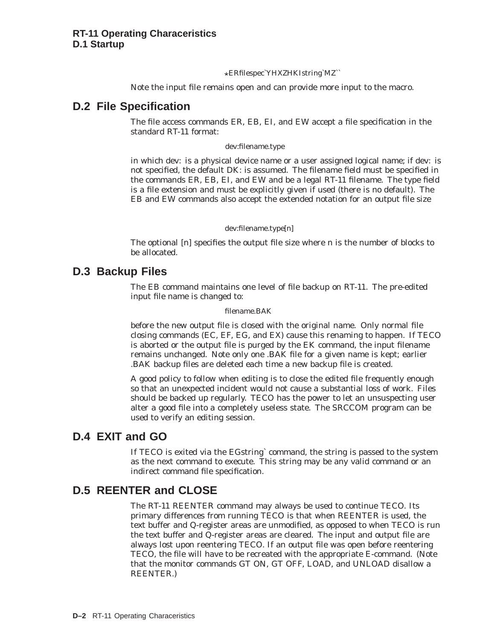## ?ERfilespec`YHXZHKIstring`MZ``

Note the input file remains open and can provide more input to the macro.

# **D.2 File Specification**

The file access commands ER, EB, EI, and EW accept a file specification in the standard RT-11 format:

### dev:filename.type

in which dev: is a physical device name or a user assigned logical name; if dev: is not specified, the default DK: is assumed. The filename field must be specified in the commands ER, EB, EI, and EW and be a legal RT-11 filename. The type field is a file extension and must be explicitly given if used (there is no default). The EB and EW commands also accept the extended notation for an output file size

### dev:filename.type[n]

The optional [n] specifies the output file size where n is the number of blocks to be allocated.

# **D.3 Backup Files**

The EB command maintains one level of file backup on RT-11. The pre-edited input file name is changed to:

### filename.BAK

before the new output file is closed with the original name. Only normal file closing commands (EC, EF, EG, and EX) cause this renaming to happen. If TECO is aborted or the output file is purged by the EK command, the input filename remains unchanged. Note only one .BAK file for a given name is kept; earlier .BAK backup files are deleted each time a new backup file is created.

A good policy to follow when editing is to close the edited file frequently enough so that an unexpected incident would not cause a substantial loss of work. Files should be backed up regularly. TECO has the power to let an unsuspecting user alter a good file into a completely useless state. The SRCCOM program can be used to verify an editing session.

# **D.4 EXIT and GO**

If TECO is exited via the EGstring` command, the string is passed to the system as the next command to execute. This string may be any valid command or an indirect command file specification.

# **D.5 REENTER and CLOSE**

The RT-11 REENTER command may always be used to continue TECO. Its primary differences from running TECO is that when REENTER is used, the text buffer and Q-register areas are unmodified, as opposed to when TECO is run the text buffer and Q-register areas are cleared. The input and output file are always lost upon reentering TECO. If an output file was open before reentering TECO, the file will have to be recreated with the appropriate E-command. (Note that the monitor commands GT ON, GT OFF, LOAD, and UNLOAD disallow a REENTER.)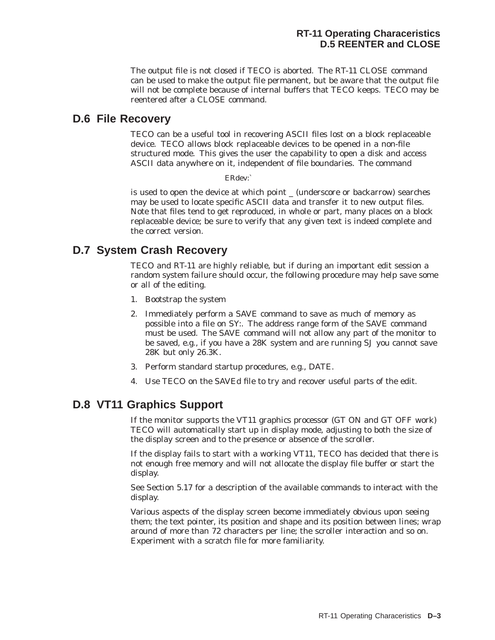The output file is not closed if TECO is aborted. The RT-11 CLOSE command can be used to make the output file permanent, but be aware that the output file will not be complete because of internal buffers that TECO keeps. TECO may be reentered after a CLOSE command.

# **D.6 File Recovery**

TECO can be a useful tool in recovering ASCII files lost on a block replaceable device. TECO allows block replaceable devices to be opened in a non-file structured mode. This gives the user the capability to open a disk and access ASCII data anywhere on it, independent of file boundaries. The command

# ERdev:`

is used to open the device at which point \_ (underscore or backarrow) searches may be used to locate specific ASCII data and transfer it to new output files. Note that files tend to get reproduced, in whole or part, many places on a block replaceable device; be sure to verify that any given text is indeed complete and the correct version.

# **D.7 System Crash Recovery**

TECO and RT-11 are highly reliable, but if during an important edit session a random system failure should occur, the following procedure may help save some or all of the editing.

- 1. Bootstrap the system
- 2. Immediately perform a SAVE command to save as much of memory as possible into a file on SY:. The address range form of the SAVE command must be used. The SAVE command will not allow any part of the monitor to be saved, e.g., if you have a 28K system and are running SJ you cannot save 28K but only 26.3K.
- 3. Perform standard startup procedures, e.g., DATE.
- 4. Use TECO on the SAVEd file to try and recover useful parts of the edit.

# **D.8 VT11 Graphics Support**

If the monitor supports the VT11 graphics processor (GT ON and GT OFF work) TECO will automatically start up in display mode, adjusting to both the size of the display screen and to the presence or absence of the scroller.

If the display fails to start with a working VT11, TECO has decided that there is not enough free memory and will not allocate the display file buffer or start the display.

See Section 5.17 for a description of the available commands to interact with the display.

Various aspects of the display screen become immediately obvious upon seeing them; the text pointer, its position and shape and its position between lines; wrap around of more than 72 characters per line; the scroller interaction and so on. Experiment with a scratch file for more familiarity.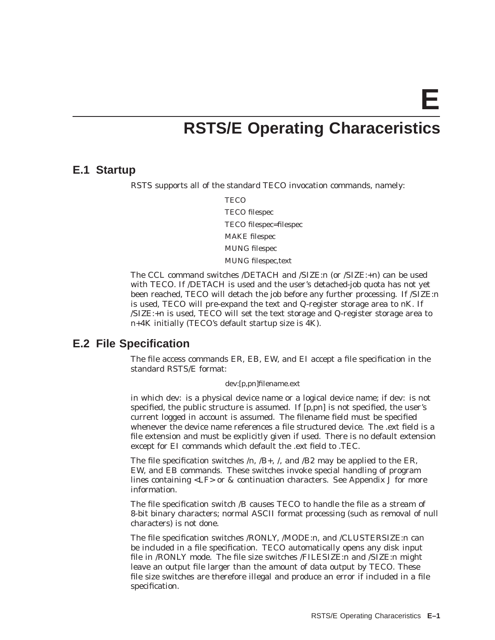**E**

# **RSTS/E Operating Characeristics**

# **E.1 Startup**

RSTS supports all of the standard TECO invocation commands, namely:

**TECO** TECO filespec TECO filespec=filespec MAKE filespec MUNG filespec MUNG filespec,text

The CCL command switches /DETACH and /SIZE:n (or /SIZE:+n) can be used with TECO. If /DETACH is used and the user's detached-job quota has not yet been reached, TECO will detach the job before any further processing. If /SIZE:n is used, TECO will pre-expand the text and Q-register storage area to nK. If /SIZE:+n is used, TECO will set the text storage and Q-register storage area to n+4K initially (TECO's default startup size is 4K).

# **E.2 File Specification**

The file access commands ER, EB, EW, and EI accept a file specification in the standard RSTS/E format:

### dev:[p,pn]filename.ext

in which dev: is a physical device name or a logical device name; if dev: is not specified, the public structure is assumed. If  $[p, pn]$  is not specified, the user's current logged in account is assumed. The filename field must be specified whenever the device name references a file structured device. The .ext field is a file extension and must be explicitly given if used. There is no default extension except for EI commands which default the .ext field to .TEC.

The file specification switches  $/n$ ,  $/B+$ ,  $\ell$ , and  $/B2$  may be applied to the ER, EW, and EB commands. These switches invoke special handling of program lines containing <LF> or & continuation characters. See Appendix J for more information.

The file specification switch /B causes TECO to handle the file as a stream of 8-bit binary characters; normal ASCII format processing (such as removal of null characters) is not done.

The file specification switches /RONLY, /MODE:n, and /CLUSTERSIZE:n can be included in a file specification. TECO automatically opens any disk input file in /RONLY mode. The file size switches /FILESIZE:n and /SIZE:n might leave an output file larger than the amount of data output by TECO. These file size switches are therefore illegal and produce an error if included in a file specification.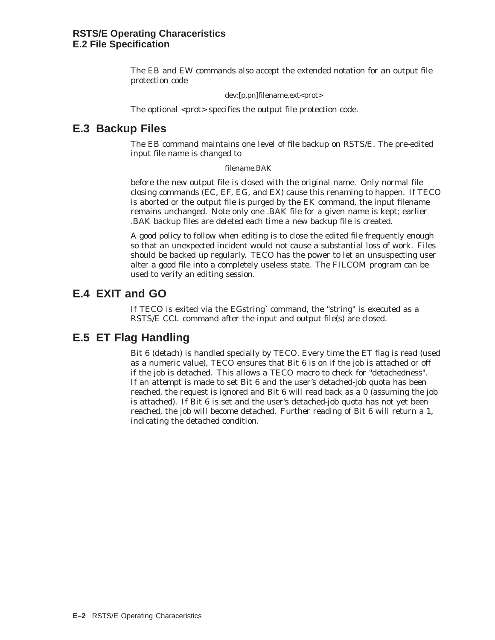The EB and EW commands also accept the extended notation for an output file protection code

dev:[p,pn]filename.ext<prot>

The optional <prot> specifies the output file protection code.

# **E.3 Backup Files**

The EB command maintains one level of file backup on RSTS/E. The pre-edited input file name is changed to

### filename.BAK

before the new output file is closed with the original name. Only normal file closing commands (EC, EF, EG, and EX) cause this renaming to happen. If TECO is aborted or the output file is purged by the EK command, the input filename remains unchanged. Note only one .BAK file for a given name is kept; earlier .BAK backup files are deleted each time a new backup file is created.

A good policy to follow when editing is to close the edited file frequently enough so that an unexpected incident would not cause a substantial loss of work. Files should be backed up regularly. TECO has the power to let an unsuspecting user alter a good file into a completely useless state. The FILCOM program can be used to verify an editing session.

# **E.4 EXIT and GO**

If TECO is exited via the EGstring` command, the "string" is executed as a RSTS/E CCL command after the input and output file(s) are closed.

# **E.5 ET Flag Handling**

Bit 6 (detach) is handled specially by TECO. Every time the ET flag is read (used as a numeric value), TECO ensures that Bit 6 is on if the job is attached or off if the job is detached. This allows a TECO macro to check for "detachedness". If an attempt is made to set Bit 6 and the user's detached-job quota has been reached, the request is ignored and Bit 6 will read back as a 0 (assuming the job is attached). If Bit 6 is set and the user's detached-job quota has not yet been reached, the job will become detached. Further reading of Bit 6 will return a 1, indicating the detached condition.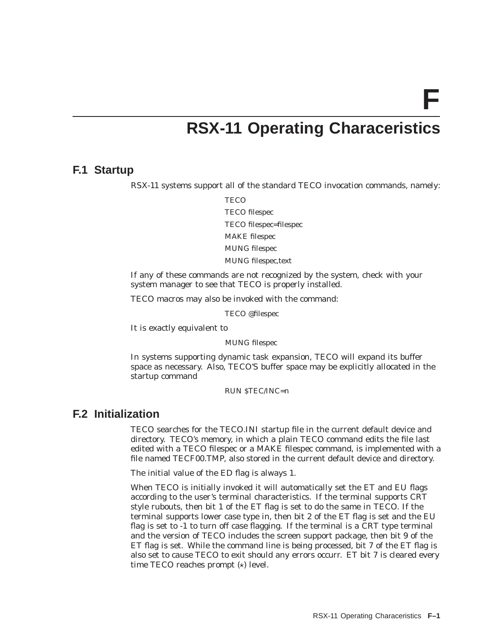**F**

# **RSX-11 Operating Characeristics**

# **F.1 Startup**

RSX-11 systems support all of the standard TECO invocation commands, namely:

**TECO** TECO filespec TECO filespec=filespec MAKE filespec MUNG filespec MUNG filespec,text

If any of these commands are not recognized by the system, check with your system manager to see that TECO is properly installed.

TECO macros may also be invoked with the command:

TECO @filespec

It is exactly equivalent to

MUNG filespec

In systems supporting dynamic task expansion, TECO will expand its buffer space as necessary. Also, TECO'S buffer space may be explicitly allocated in the startup command

RUN \$TEC/INC=n

# **F.2 Initialization**

TECO searches for the TECO.INI startup file in the current default device and directory. TECO's memory, in which a plain TECO command edits the file last edited with a TECO filespec or a MAKE filespec command, is implemented with a file named TECF00.TMP, also stored in the current default device and directory.

The initial value of the ED flag is always 1.

When TECO is initially invoked it will automatically set the ET and EU flags according to the user's terminal characteristics. If the terminal supports CRT style rubouts, then bit 1 of the ET flag is set to do the same in TECO. If the terminal supports lower case type in, then bit 2 of the ET flag is set and the EU flag is set to -1 to turn off case flagging. If the terminal is a CRT type terminal and the version of TECO includes the screen support package, then bit 9 of the ET flag is set. While the command line is being processed, bit 7 of the ET flag is also set to cause TECO to exit should any errors occurr. ET bit 7 is cleared every time TECO reaches prompt  $(\star)$  level.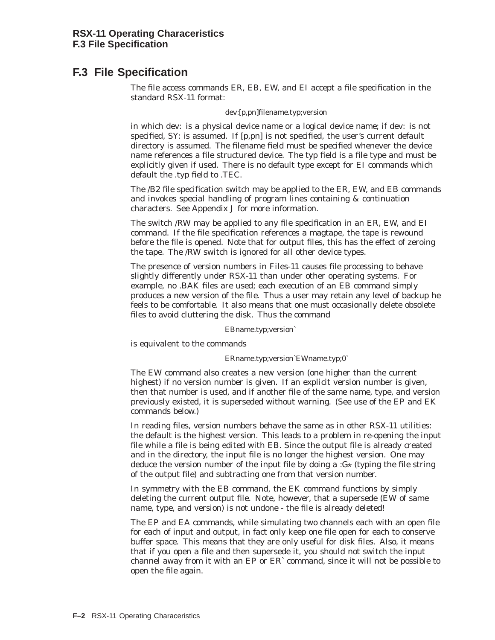# **F.3 File Specification**

The file access commands ER, EB, EW, and EI accept a file specification in the standard RSX-11 format:

### dev:[p,pn]filename.typ;version

in which dev: is a physical device name or a logical device name; if dev: is not specified, SY: is assumed. If [p,pn] is not specified, the user's current default directory is assumed. The filename field must be specified whenever the device name references a file structured device. The typ field is a file type and must be explicitly given if used. There is no default type except for EI commands which default the .typ field to .TEC.

The /B2 file specification switch may be applied to the ER, EW, and EB commands and invokes special handling of program lines containing & continuation characters. See Appendix J for more information.

The switch /RW may be applied to any file specification in an ER, EW, and EI command. If the file specification references a magtape, the tape is rewound before the file is opened. Note that for output files, this has the effect of zeroing the tape. The /RW switch is ignored for all other device types.

The presence of version numbers in Files-11 causes file processing to behave slightly differently under RSX-11 than under other operating systems. For example, no .BAK files are used; each execution of an EB command simply produces a new version of the file. Thus a user may retain any level of backup he feels to be comfortable. It also means that one must occasionally delete obsolete files to avoid cluttering the disk. Thus the command

EBname.typ;version`

is equivalent to the commands

### ERname.typ;version`EWname.typ;0`

The EW command also creates a new version (one higher than the current highest) if no version number is given. If an explicit version number is given, then that number is used, and if another file of the same name, type, and version previously existed, it is superseded without warning. (See use of the EP and EK commands below.)

In reading files, version numbers behave the same as in other RSX-11 utilities: the default is the highest version. This leads to a problem in re-opening the input file while a file is being edited with EB. Since the output file is already created and in the directory, the input file is no longer the highest version. One may deduce the version number of the input file by doing a : $G*$  (typing the file string of the output file) and subtracting one from that version number.

In symmetry with the EB command, the EK command functions by simply deleting the current output file. Note, however, that a supersede (EW of same name, type, and version) is not undone - the file is already deleted!

The EP and EA commands, while simulating two channels each with an open file for each of input and output, in fact only keep one file open for each to conserve buffer space. This means that they are only useful for disk files. Also, it means that if you open a file and then supersede it, you should not switch the input channel away from it with an EP or ER` command, since it will not be possible to open the file again.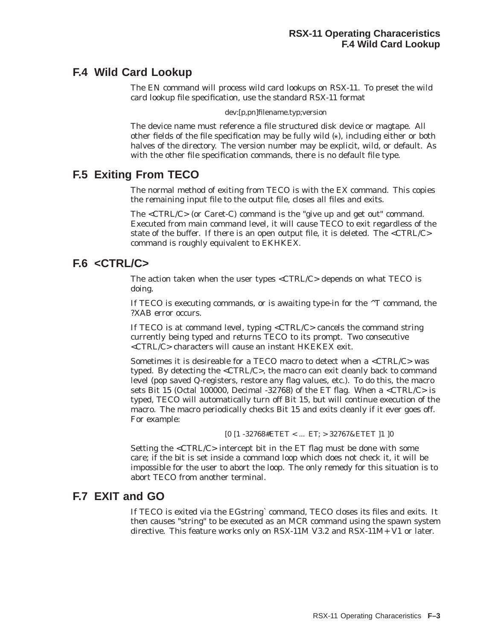# **F.4 Wild Card Lookup**

The EN command will process wild card lookups on RSX-11. To preset the wild card lookup file specification, use the standard RSX-11 format

dev:[p,pn]filename.typ;version

The device name must reference a file structured disk device or magtape. All other fields of the file specification may be fully wild  $(*)$ , including either or both halves of the directory. The version number may be explicit, wild, or default. As with the other file specification commands, there is no default file type.

# **F.5 Exiting From TECO**

The normal method of exiting from TECO is with the EX command. This copies the remaining input file to the output file, closes all files and exits.

The <CTRL/C> (or Caret-C) command is the "give up and get out" command. Executed from main command level, it will cause TECO to exit regardless of the state of the buffer. If there is an open output file, it is deleted. The <CTRL/C> command is roughly equivalent to EKHKEX.

# **F.6 <CTRL/C>**

The action taken when the user types <CTRL/C> depends on what TECO is doing.

If TECO is executing commands, or is awaiting type-in for the  $\Delta T$  command, the ?XAB error occurs.

If TECO is at command level, typing <CTRL/C> cancels the command string currently being typed and returns TECO to its prompt. Two consecutive <CTRL/C> characters will cause an instant HKEKEX exit.

Sometimes it is desireable for a TECO macro to detect when a <CTRL/C> was typed. By detecting the  $\langle \text{CTR} L / \text{C} \rangle$ , the macro can exit cleanly back to command level (pop saved Q-registers, restore any flag values, etc.). To do this, the macro sets Bit 15 (Octal 100000, Decimal -32768) of the ET flag. When a <CTRL/C> is typed, TECO will automatically turn off Bit 15, but will continue execution of the macro. The macro periodically checks Bit 15 and exits cleanly if it ever goes off. For example:

[0 [1 -32768#ETET < ... ET; > 32767&ETET ]1 ]0

Setting the <CTRL/C> intercept bit in the ET flag must be done with some care; if the bit is set inside a command loop which does not check it, it will be impossible for the user to abort the loop. The only remedy for this situation is to abort TECO from another terminal.

# **F.7 EXIT and GO**

If TECO is exited via the EGstring` command, TECO closes its files and exits. It then causes "string" to be executed as an MCR command using the spawn system directive. This feature works only on RSX-11M V3.2 and RSX-11M+ V1 or later.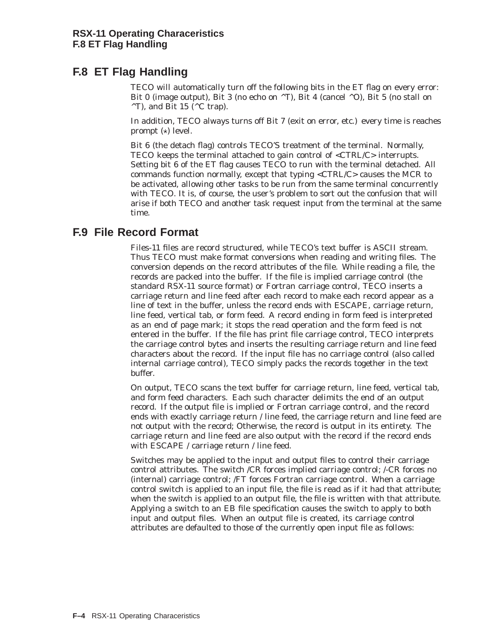# **F.8 ET Flag Handling**

TECO will automatically turn off the following bits in the ET flag on every error: Bit 0 (image output), Bit 3 (no echo on  $\wedge T$ ), Bit 4 (cancel  $\wedge$ O), Bit 5 (no stall on  $\uparrow$ T), and Bit 15 ( $\uparrow$ C trap).

In addition, TECO always turns off Bit 7 (exit on error, etc.) every time is reaches prompt  $(\star)$  level.

Bit 6 (the detach flag) controls TECO'S treatment of the terminal. Normally, TECO keeps the terminal attached to gain control of <CTRL/C> interrupts. Setting bit 6 of the ET flag causes TECO to run with the terminal detached. All commands function normally, except that typing <CTRL/C> causes the MCR to be activated, allowing other tasks to be run from the same terminal concurrently with TECO. It is, of course, the user's problem to sort out the confusion that will arise if both TECO and another task request input from the terminal at the same time.

# **F.9 File Record Format**

Files-11 files are record structured, while TECO's text buffer is ASCII stream. Thus TECO must make format conversions when reading and writing files. The conversion depends on the record attributes of the file. While reading a file, the records are packed into the buffer. If the file is implied carriage control (the standard RSX-11 source format) or Fortran carriage control, TECO inserts a carriage return and line feed after each record to make each record appear as a line of text in the buffer, unless the record ends with ESCAPE, carriage return, line feed, vertical tab, or form feed. A record ending in form feed is interpreted as an end of page mark; it stops the read operation and the form feed is not entered in the buffer. If the file has print file carriage control, TECO interprets the carriage control bytes and inserts the resulting carriage return and line feed characters about the record. If the input file has no carriage control (also called internal carriage control), TECO simply packs the records together in the text buffer.

On output, TECO scans the text buffer for carriage return, line feed, vertical tab, and form feed characters. Each such character delimits the end of an output record. If the output file is implied or Fortran carriage control, and the record ends with exactly carriage return / line feed, the carriage return and line feed are not output with the record; Otherwise, the record is output in its entirety. The carriage return and line feed are also output with the record if the record ends with ESCAPE / carriage return / line feed.

Switches may be applied to the input and output files to control their carriage control attributes. The switch /CR forces implied carriage control; /-CR forces no (internal) carriage control; /FT forces Fortran carriage control. When a carriage control switch is applied to an input file, the file is read as if it had that attribute; when the switch is applied to an output file, the file is written with that attribute. Applying a switch to an EB file specification causes the switch to apply to both input and output files. When an output file is created, its carriage control attributes are defaulted to those of the currently open input file as follows: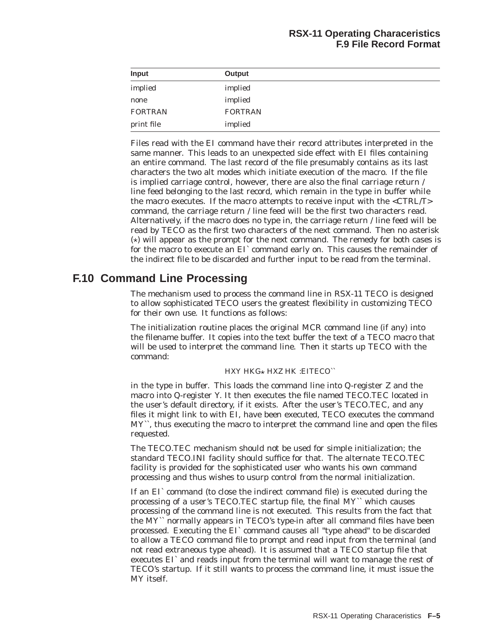| Input          | Output         |  |
|----------------|----------------|--|
| implied        | implied        |  |
| none           | implied        |  |
| <b>FORTRAN</b> | <b>FORTRAN</b> |  |
| print file     | implied        |  |

Files read with the EI command have their record attributes interpreted in the same manner. This leads to an unexpected side effect with EI files containing an entire command. The last record of the file presumably contains as its last characters the two alt modes which initiate execution of the macro. If the file is implied carriage control, however, there are also the final carriage return / line feed belonging to the last record, which remain in the type in buffer while the macro executes. If the macro attempts to receive input with the <CTRL/T> command, the carriage return / line feed will be the first two characters read. Alternatively, if the macro does no type in, the carriage return / line feed will be read by TECO as the first two characters of the next command. Then no asterisk  $(*)$  will appear as the prompt for the next command. The remedy for both cases is for the macro to execute an EI` command early on. This causes the remainder of the indirect file to be discarded and further input to be read from the terminal.

# **F.10 Command Line Processing**

The mechanism used to process the command line in RSX-11 TECO is designed to allow sophisticated TECO users the greatest flexibility in customizing TECO for their own use. It functions as follows:

The initialization routine places the original MCR command line (if any) into the filename buffer. It copies into the text buffer the text of a TECO macro that will be used to interpret the command line. Then it starts up TECO with the command:

### HXY HKG\* HXZ HK : EITECO ``

in the type in buffer. This loads the command line into Q-register Z and the macro into Q-register Y. It then executes the file named TECO.TEC located in the user's default directory, if it exists. After the user's TECO.TEC, and any files it might link to with EI, have been executed, TECO executes the command MY``, thus executing the macro to interpret the command line and open the files requested.

The TECO.TEC mechanism should not be used for simple initialization; the standard TECO.INI facility should suffice for that. The alternate TECO.TEC facility is provided for the sophisticated user who wants his own command processing and thus wishes to usurp control from the normal initialization.

If an EI` command (to close the indirect command file) is executed during the processing of a user's TECO.TEC startup file, the final MY`` which causes processing of the command line is not executed. This results from the fact that the MY`` normally appears in TECO's type-in after all command files have been processed. Executing the EI` command causes all "type ahead" to be discarded to allow a TECO command file to prompt and read input from the terminal (and not read extraneous type ahead). It is assumed that a TECO startup file that executes EI` and reads input from the terminal will want to manage the rest of TECO's startup. If it still wants to process the command line, it must issue the MY itself.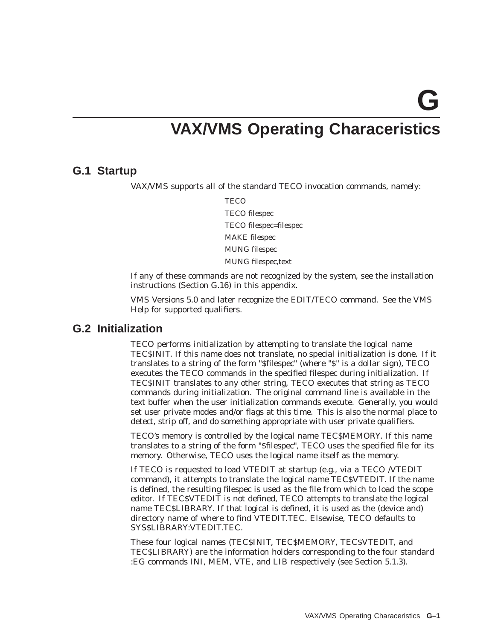**G**

# **VAX/VMS Operating Characeristics**

## **G.1 Startup**

VAX/VMS supports all of the standard TECO invocation commands, namely:

**TECO** TECO filespec TECO filespec=filespec MAKE filespec MUNG filespec MUNG filespec,text

If any of these commands are not recognized by the system, see the installation instructions (Section G.16) in this appendix.

VMS Versions 5.0 and later recognize the EDIT/TECO command. See the VMS Help for supported qualifiers.

## **G.2 Initialization**

TECO performs initialization by attempting to translate the logical name TEC\$INIT. If this name does not translate, no special initialization is done. If it translates to a string of the form "\$filespec" (where "\$" is a dollar sign), TECO executes the TECO commands in the specified filespec during initialization. If TEC\$INIT translates to any other string, TECO executes that string as TECO commands during initialization. The original command line is available in the text buffer when the user initialization commands execute. Generally, you would set user private modes and/or flags at this time. This is also the normal place to detect, strip off, and do something appropriate with user private qualifiers.

TECO's memory is controlled by the logical name TEC\$MEMORY. If this name translates to a string of the form "\$filespec", TECO uses the specified file for its memory. Otherwise, TECO uses the logical name itself as the memory.

If TECO is requested to load VTEDIT at startup (e.g., via a TECO /VTEDIT command), it attempts to translate the logical name TEC\$VTEDIT. If the name is defined, the resulting filespec is used as the file from which to load the scope editor. If TEC\$VTEDIT is not defined, TECO attempts to translate the logical name TEC\$LIBRARY. If that logical is defined, it is used as the (device and) directory name of where to find VTEDIT.TEC. Elsewise, TECO defaults to SYS\$LIBRARY:VTEDIT.TEC.

These four logical names (TEC\$INIT, TEC\$MEMORY, TEC\$VTEDIT, and TEC\$LIBRARY) are the information holders corresponding to the four standard :EG commands INI, MEM, VTE, and LIB respectively (see Section 5.1.3).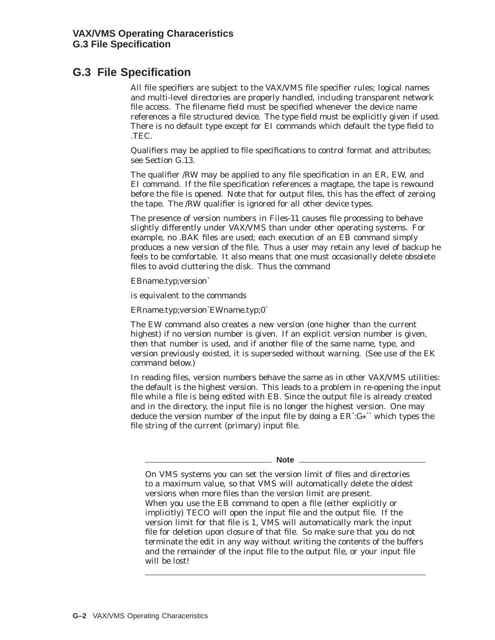# **G.3 File Specification**

All file specifiers are subject to the VAX/VMS file specifier rules; logical names and multi-level directories are properly handled, including transparent network file access. The filename field must be specified whenever the device name references a file structured device. The type field must be explicitly given if used. There is no default type except for EI commands which default the type field to .TEC.

Qualifiers may be applied to file specifications to control format and attributes; see Section G.13.

The qualifier /RW may be applied to any file specification in an ER, EW, and EI command. If the file specification references a magtape, the tape is rewound before the file is opened. Note that for output files, this has the effect of zeroing the tape. The /RW qualifier is ignored for all other device types.

The presence of version numbers in Files-11 causes file processing to behave slightly differently under VAX/VMS than under other operating systems. For example, no .BAK files are used; each execution of an EB command simply produces a new version of the file. Thus a user may retain any level of backup he feels to be comfortable. It also means that one must occasionally delete obsolete files to avoid cluttering the disk. Thus the command

EBname.typ;version`

is equivalent to the commands

ERname.typ;version`EWname.typ;0`

The EW command also creates a new version (one higher than the current highest) if no version number is given. If an explicit version number is given, then that number is used, and if another file of the same name, type, and version previously existed, it is superseded without warning. (See use of the EK command below.)

In reading files, version numbers behave the same as in other VAX/VMS utilities: the default is the highest version. This leads to a problem in re-opening the input file while a file is being edited with EB. Since the output file is already created and in the directory, the input file is no longer the highest version. One may deduce the version number of the input file by doing a  $ER:G<sup>*</sup>$  which types the file string of the current (primary) input file.

**Note** 

On VMS systems you can set the version limit of files and directories to a maximum value, so that VMS will automatically delete the oldest versions when more files than the version limit are present. When you use the EB command to open a file (either explicitly or implicitly) TECO will open the input file and the output file. If the version limit for that file is 1, VMS will automatically mark the input file for deletion upon closure of that file. So make sure that you do not terminate the edit in any way without writing the contents of the buffers and the remainder of the input file to the output file, or your input file will be lost!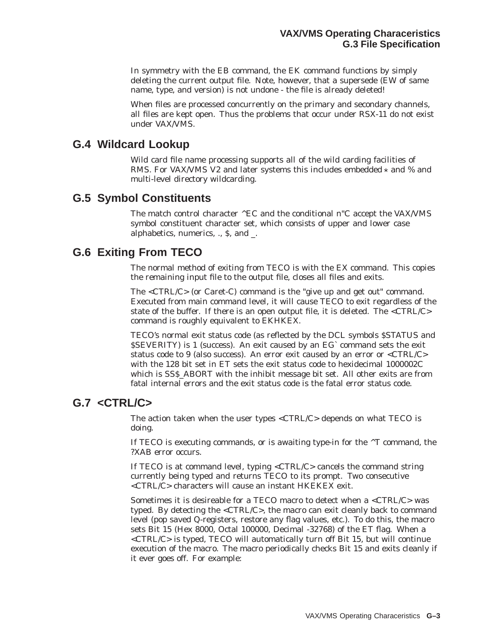In symmetry with the EB command, the EK command functions by simply deleting the current output file. Note, however, that a supersede (EW of same name, type, and version) is not undone - the file is already deleted!

When files are processed concurrently on the primary and secondary channels, all files are kept open. Thus the problems that occur under RSX-11 do not exist under VAX/VMS.

## **G.4 Wildcard Lookup**

Wild card file name processing supports all of the wild carding facilities of RMS. For VAX/VMS V2 and later systems this includes embedded  $\star$  and % and multi-level directory wildcarding.

## **G.5 Symbol Constituents**

The match control character ^EC and the conditional n"C accept the VAX/VMS symbol constituent character set, which consists of upper and lower case alphabetics, numerics, ., \$, and \_.

# **G.6 Exiting From TECO**

The normal method of exiting from TECO is with the EX command. This copies the remaining input file to the output file, closes all files and exits.

The <CTRL/C> (or Caret-C) command is the "give up and get out" command. Executed from main command level, it will cause TECO to exit regardless of the state of the buffer. If there is an open output file, it is deleted. The <CTRL/C> command is roughly equivalent to EKHKEX.

TECO's normal exit status code (as reflected by the DCL symbols \$STATUS and \$SEVERITY) is 1 (success). An exit caused by an EG` command sets the exit status code to 9 (also success). An error exit caused by an error or <CTRL/C> with the 128 bit set in ET sets the exit status code to hexidecimal 1000002C which is SS\$\_ABORT with the inhibit message bit set. All other exits are from fatal internal errors and the exit status code is the fatal error status code.

# **G.7 <CTRL/C>**

The action taken when the user types <CTRL/C> depends on what TECO is doing.

If TECO is executing commands, or is awaiting type-in for the ^T command, the ?XAB error occurs.

If TECO is at command level, typing <CTRL/C> cancels the command string currently being typed and returns TECO to its prompt. Two consecutive <CTRL/C> characters will cause an instant HKEKEX exit.

Sometimes it is desireable for a TECO macro to detect when a  $\langle \text{CTR} L / \text{C} \rangle$  was typed. By detecting the  $\langle \text{CTR} L / \text{C} \rangle$ , the macro can exit cleanly back to command level (pop saved Q-registers, restore any flag values, etc.). To do this, the macro sets Bit 15 (Hex 8000, Octal 100000, Decimal -32768) of the ET flag. When a <CTRL/C> is typed, TECO will automatically turn off Bit 15, but will continue execution of the macro. The macro periodically checks Bit 15 and exits cleanly if it ever goes off. For example: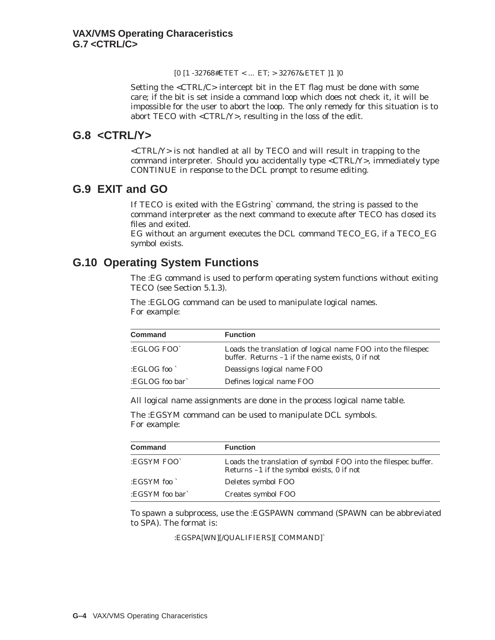[0 [1 -32768#ETET < ... ET; > 32767&ETET ]1 ]0

Setting the <CTRL/C> intercept bit in the ET flag must be done with some care; if the bit is set inside a command loop which does not check it, it will be impossible for the user to abort the loop. The only remedy for this situation is to abort TECO with <CTRL/Y>, resulting in the loss of the edit.

## **G.8 <CTRL/Y>**

 $\langle \text{CTRLY} \rangle$  is not handled at all by TECO and will result in trapping to the command interpreter. Should you accidentally type  $\langle \text{CTR} \rangle / \langle \text{Number} \rangle$  immediately type CONTINUE in response to the DCL prompt to resume editing.

# **G.9 EXIT and GO**

If TECO is exited with the EGstring` command, the string is passed to the command interpreter as the next command to execute after TECO has closed its files and exited.

EG without an argument executes the DCL command TECO\_EG, if a TECO\_EG symbol exists.

# **G.10 Operating System Functions**

The :EG command is used to perform operating system functions without exiting TECO (see Section 5.1.3).

The :EGLOG command can be used to manipulate logical names. For example:

| <b>Command</b>  | <b>Function</b>                                                                                                |
|-----------------|----------------------------------------------------------------------------------------------------------------|
| :EGLOG FOO'     | Loads the translation of logical name FOO into the filespec<br>buffer. Returns -1 if the name exists, 0 if not |
| :EGLOG foo      | Deassigns logical name FOO                                                                                     |
| :EGLOG foo bar` | Defines logical name FOO                                                                                       |

All logical name assignments are done in the process logical name table.

The :EGSYM command can be used to manipulate DCL symbols.

For example:

| Command         | <b>Function</b>                                                                                            |
|-----------------|------------------------------------------------------------------------------------------------------------|
| :EGSYM FOO`     | Loads the translation of symbol FOO into the filespec buffer.<br>Returns -1 if the symbol exists, 0 if not |
| :EGSYM foo      | Deletes symbol FOO                                                                                         |
| :EGSYM foo bar` | Creates symbol FOO                                                                                         |

To spawn a subprocess, use the :EGSPAWN command (SPAWN can be abbreviated to SPA). The format is:

:EGSPA[WN][/QUALIFIERS][ COMMAND]`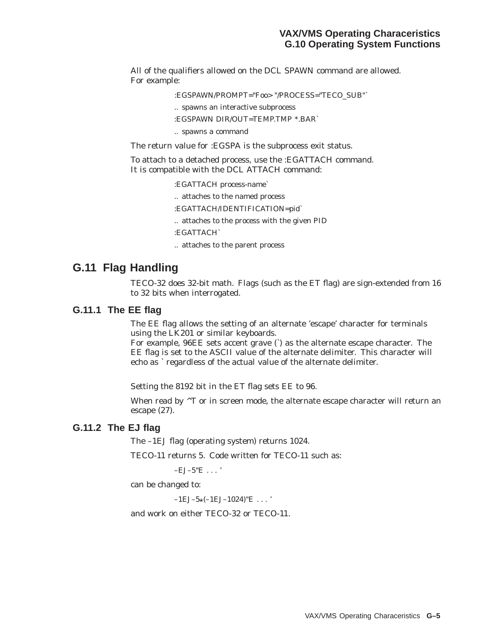All of the qualifiers allowed on the DCL SPAWN command are allowed. For example:

:EGSPAWN/PROMPT="Foo> "/PROCESS="TECO\_SUB"`

.. spawns an interactive subprocess

- :EGSPAWN DIR/OUT=TEMP.TMP \*.BAR`
- .. spawns a command

The return value for :EGSPA is the subprocess exit status.

To attach to a detached process, use the :EGATTACH command. It is compatible with the DCL ATTACH command:

:EGATTACH process-name`

.. attaches to the named process

:EGATTACH/IDENTIFICATION=pid`

.. attaches to the process with the given PID

:EGATTACH`

.. attaches to the parent process

# **G.11 Flag Handling**

TECO-32 does 32-bit math. Flags (such as the ET flag) are sign-extended from 16 to 32 bits when interrogated.

### **G.11.1 The EE flag**

The EE flag allows the setting of an alternate 'escape' character for terminals using the LK201 or similar keyboards.

For example, 96EE sets accent grave () as the alternate escape character. The EE flag is set to the ASCII value of the alternate delimiter. This character will echo as ` regardless of the actual value of the alternate delimiter.

Setting the 8192 bit in the ET flag sets EE to 96.

When read by  $\gamma$ T or in screen mode, the alternate escape character will return an escape (27).

## **G.11.2 The EJ flag**

The –1EJ flag (operating system) returns 1024.

TECO-11 returns 5. Code written for TECO-11 such as:

 $-EJ-5"E...'$ 

can be changed to:

 $-1EJ-5*(-1EJ-1024)$ "E...'

and work on either TECO-32 or TECO-11.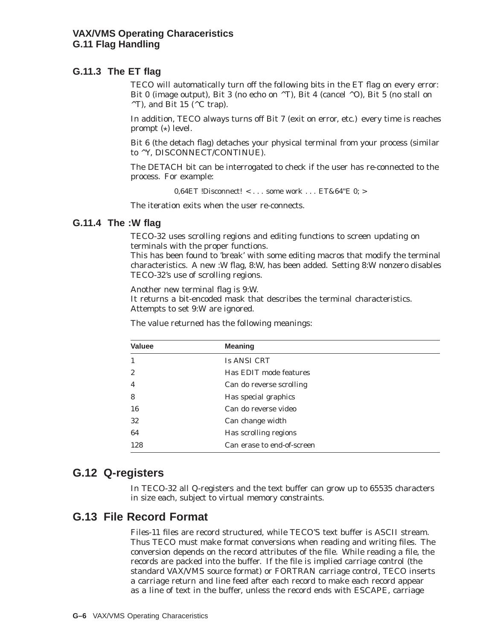## **G.11.3 The ET flag**

TECO will automatically turn off the following bits in the ET flag on every error: Bit 0 (image output), Bit 3 (no echo on  $\angle$ T), Bit 4 (cancel  $\angle$ O), Bit 5 (no stall on  $\textdegree$ T), and Bit 15 ( $\textdegree$ C trap).

In addition, TECO always turns off Bit 7 (exit on error, etc.) every time is reaches prompt  $(\star)$  level.

Bit 6 (the detach flag) detaches your physical terminal from your process (similar to ^Y, DISCONNECT/CONTINUE).

The DETACH bit can be interrogated to check if the user has re-connected to the process. For example:

0,64ET !Disconnect! < . . . some work . . . ET&64"E 0; >

The iteration exits when the user re-connects.

## **G.11.4 The :W flag**

TECO-32 uses scrolling regions and editing functions to screen updating on terminals with the proper functions.

This has been found to 'break' with some editing macros that modify the terminal characteristics. A new :W flag, 8:W, has been added. Setting 8:W nonzero disables TECO-32's use of scrolling regions.

Another new terminal flag is 9:W.

It returns a bit-encoded mask that describes the terminal characteristics. Attempts to set 9:W are ignored.

| <b>Valuee</b>  | <b>Meaning</b>             |
|----------------|----------------------------|
|                | Is ANSI CRT                |
| $\overline{c}$ | Has EDIT mode features     |
| 4              | Can do reverse scrolling   |
| 8              | Has special graphics       |
| 16             | Can do reverse video       |
| 32             | Can change width           |
| 64             | Has scrolling regions      |
| 128            | Can erase to end-of-screen |

The value returned has the following meanings:

# **G.12 Q-registers**

In TECO-32 all Q-registers and the text buffer can grow up to 65535 characters in size each, subject to virtual memory constraints.

# **G.13 File Record Format**

Files-11 files are record structured, while TECO'S text buffer is ASCII stream. Thus TECO must make format conversions when reading and writing files. The conversion depends on the record attributes of the file. While reading a file, the records are packed into the buffer. If the file is implied carriage control (the standard VAX/VMS source format) or FORTRAN carriage control, TECO inserts a carriage return and line feed after each record to make each record appear as a line of text in the buffer, unless the record ends with ESCAPE, carriage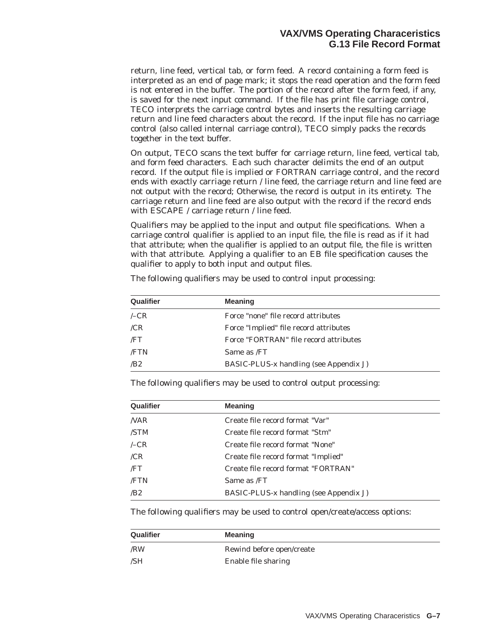return, line feed, vertical tab, or form feed. A record containing a form feed is interpreted as an end of page mark; it stops the read operation and the form feed is not entered in the buffer. The portion of the record after the form feed, if any, is saved for the next input command. If the file has print file carriage control, TECO interprets the carriage control bytes and inserts the resulting carriage return and line feed characters about the record. If the input file has no carriage control (also called internal carriage control), TECO simply packs the records together in the text buffer.

On output, TECO scans the text buffer for carriage return, line feed, vertical tab, and form feed characters. Each such character delimits the end of an output record. If the output file is implied or FORTRAN carriage control, and the record ends with exactly carriage return / line feed, the carriage return and line feed are not output with the record; Otherwise, the record is output in its entirety. The carriage return and line feed are also output with the record if the record ends with ESCAPE / carriage return / line feed.

Qualifiers may be applied to the input and output file specifications. When a carriage control qualifier is applied to an input file, the file is read as if it had that attribute; when the qualifier is applied to an output file, the file is written with that attribute. Applying a qualifier to an EB file specification causes the qualifier to apply to both input and output files.

| Qualifier | <b>Meaning</b>                         |
|-----------|----------------------------------------|
| $-CR$     | Force "none" file record attributes    |
| /CR       | Force "Implied" file record attributes |
| /FT       | Force "FORTRAN" file record attributes |
| /FTN      | Same as /FT                            |
| /B2       | BASIC-PLUS-x handling (see Appendix J) |

The following qualifiers may be used to control input processing:

The following qualifiers may be used to control output processing:

| Qualifier | <b>Meaning</b>                         |
|-----------|----------------------------------------|
| NAR       | Create file record format "Var"        |
| /STM      | Create file record format "Stm"        |
| $-CR$     | Create file record format "None"       |
| /CR       | Create file record format "Implied"    |
| /FT       | Create file record format "FORTRAN"    |
| /FTN      | Same as /FT                            |
| /B2       | BASIC-PLUS-x handling (see Appendix J) |

The following qualifiers may be used to control open/create/access options:

| Qualifier | <b>Meaning</b>            |
|-----------|---------------------------|
| /RW       | Rewind before open/create |
| /SH       | Enable file sharing       |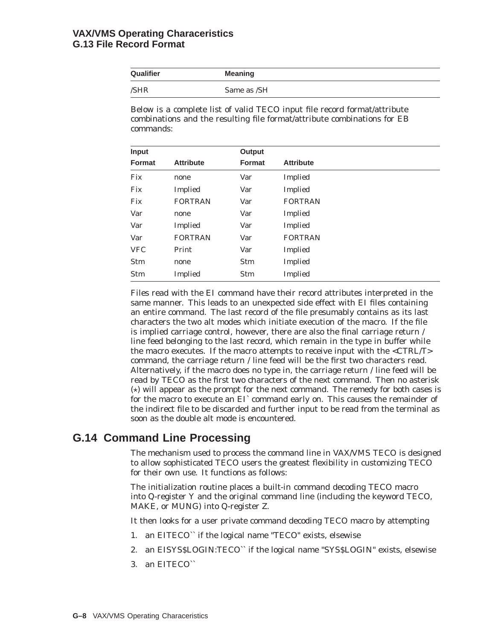## **VAX/VMS Operating Characeristics G.13 File Record Format**

| Qualifier | <b>Meaning</b> |
|-----------|----------------|
| /SHR      | Same as /SH    |

Below is a complete list of valid TECO input file record format/attribute combinations and the resulting file format/attribute combinations for EB commands:

| Input         |                  | Output        |                  |
|---------------|------------------|---------------|------------------|
| <b>Format</b> | <b>Attribute</b> | <b>Format</b> | <b>Attribute</b> |
| <b>Fix</b>    | none             | Var           | Implied          |
| <b>Fix</b>    | Implied          | Var           | Implied          |
| <b>Fix</b>    | <b>FORTRAN</b>   | Var           | <b>FORTRAN</b>   |
| Var           | none             | Var           | Implied          |
| Var           | Implied          | Var           | Implied          |
| Var           | <b>FORTRAN</b>   | Var           | <b>FORTRAN</b>   |
| <b>VFC</b>    | Print            | Var           | Implied          |
| <b>Stm</b>    | none             | Stm           | Implied          |
| <b>Stm</b>    | Implied          | <b>Stm</b>    | Implied          |

Files read with the EI command have their record attributes interpreted in the same manner. This leads to an unexpected side effect with EI files containing an entire command. The last record of the file presumably contains as its last characters the two alt modes which initiate execution of the macro. If the file is implied carriage control, however, there are also the final carriage return / line feed belonging to the last record, which remain in the type in buffer while the macro executes. If the macro attempts to receive input with the <CTRL/T> command, the carriage return / line feed will be the first two characters read. Alternatively, if the macro does no type in, the carriage return / line feed will be read by TECO as the first two characters of the next command. Then no asterisk  $(*)$  will appear as the prompt for the next command. The remedy for both cases is for the macro to execute an EI` command early on. This causes the remainder of the indirect file to be discarded and further input to be read from the terminal as soon as the double alt mode is encountered.

# **G.14 Command Line Processing**

The mechanism used to process the command line in VAX/VMS TECO is designed to allow sophisticated TECO users the greatest flexibility in customizing TECO for their own use. It functions as follows:

The initialization routine places a built-in command decoding TECO macro into Q-register Y and the original command line (including the keyword TECO, MAKE, or MUNG) into Q-register Z.

It then looks for a user private command decoding TECO macro by attempting

- 1. an EITECO`` if the logical name "TECO" exists, elsewise
- 2. an EISYS\$LOGIN:TECO`` if the logical name "SYS\$LOGIN" exists, elsewise
- 3. an EITECO<sup>"</sup>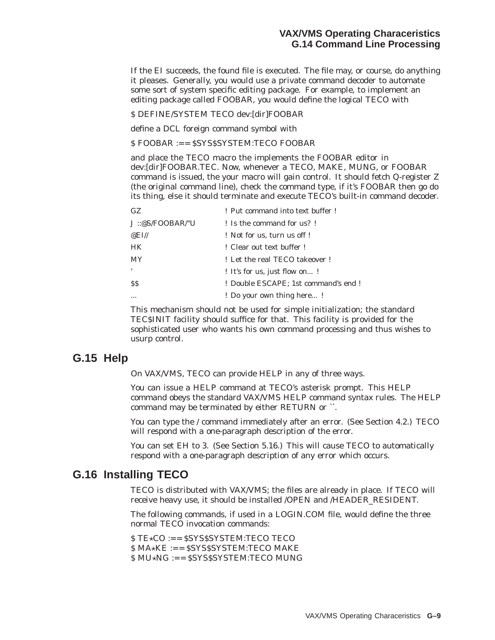## **VAX/VMS Operating Characeristics G.14 Command Line Processing**

If the EI succeeds, the found file is executed. The file may, or course, do anything it pleases. Generally, you would use a private command decoder to automate some sort of system specific editing package. For example, to implement an editing package called FOOBAR, you would define the logical TECO with

#### \$ DEFINE/SYSTEM TECO dev:[dir]FOOBAR

define a DCL foreign command symbol with

### \$ FOOBAR := = \$SYS\$SYSTEM:TECO FOOBAR

and place the TECO macro the implements the FOOBAR editor in dev:[dir]FOOBAR.TEC. Now, whenever a TECO, MAKE, MUNG, or FOOBAR command is issued, the your macro will gain control. It should fetch Q-register Z (the original command line), check the command type, if it's FOOBAR then go do its thing, else it should terminate and execute TECO's built-in command decoder.

| GZ                 | ! Put command into text buffer!      |
|--------------------|--------------------------------------|
| J::@S/FOOBAR/"U    | ! Is the command for us?!            |
| @ $\mathrm{EI}$ // | ! Not for us, turn us off!           |
| <b>HK</b>          | ! Clear out text buffer!             |
| <b>MY</b>          | ! Let the real TECO takeover!        |
| $\cdot$            | ! It's for us, just flow on!         |
| <b>SS</b>          | ! Double ESCAPE: 1st command's end ! |
|                    | ! Do your own thing here!            |
|                    |                                      |

This mechanism should not be used for simple initialization; the standard TEC\$INIT facility should suffice for that. This facility is provided for the sophisticated user who wants his own command processing and thus wishes to usurp control.

## **G.15 Help**

On VAX/VMS, TECO can provide HELP in any of three ways.

You can issue a HELP command at TECO's asterisk prompt. This HELP command obeys the standard VAX/VMS HELP command syntax rules. The HELP command may be terminated by either RETURN or ``.

You can type the / command immediately after an error. (See Section 4.2.) TECO will respond with a one-paragraph description of the error.

You can set EH to 3. (See Section 5.16.) This will cause TECO to automatically respond with a one-paragraph description of any error which occurs.

## **G.16 Installing TECO**

TECO is distributed with VAX/VMS; the files are already in place. If TECO will receive heavy use, it should be installed /OPEN and /HEADER\_RESIDENT.

The following commands, if used in a LOGIN.COM file, would define the three normal TECO invocation commands:

 $$ TE*CO := = $SYSSSYSTEM:TECO TECO$  $$ MA*KE := $S}$ SYS\$SYSTEM:TECO MAKE  $$ MU*NG := $SYS$S}$ SYS\$SYSTEM:TECO MUNG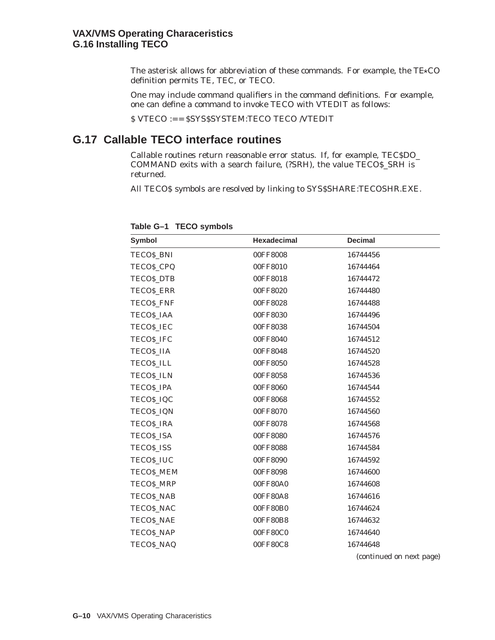The asterisk allows for abbreviation of these commands. For example, the  $TE \times CO$ definition permits TE, TEC, or TECO.

One may include command qualifiers in the command definitions. For example, one can define a command to invoke TECO with VTEDIT as follows:

\$ VTECO := = \$SYS\$SYSTEM:TECO TECO /VTEDIT

# **G.17 Callable TECO interface routines**

Callable routines return reasonable error status. If, for example, TEC\$DO\_ COMMAND exits with a search failure, (?SRH), the value TECO\$\_SRH is returned.

All TECO\$ symbols are resolved by linking to SYS\$SHARE:TECOSHR.EXE.

| <b>Symbol</b>     | Hexadecimal | <b>Decimal</b>           |
|-------------------|-------------|--------------------------|
| TECO\$_BNI        | 00FF8008    | 16744456                 |
| TECOS_CPQ         | 00FF8010    | 16744464                 |
| <b>TECO\$ DTB</b> | 00FF8018    | 16744472                 |
| TECO\$_ERR        | 00FF8020    | 16744480                 |
| TECO\$_FNF        | 00FF8028    | 16744488                 |
| TECO\$_IAA        | 00FF8030    | 16744496                 |
| TECO\$_IEC        | 00FF8038    | 16744504                 |
| TECO\$_IFC        | 00FF8040    | 16744512                 |
| TECOS_IIA         | 00FF8048    | 16744520                 |
| TECO\$_ILL        | 00FF8050    | 16744528                 |
| TECO\$_ILN        | 00FF8058    | 16744536                 |
| TECO\$_IPA        | 00FF8060    | 16744544                 |
| TECOS_IQC         | 00FF8068    | 16744552                 |
| TECOS_IQN         | 00FF8070    | 16744560                 |
| TECO\$_IRA        | 00FF8078    | 16744568                 |
| TECO\$_ISA        | 00FF8080    | 16744576                 |
| <b>TECOS_ISS</b>  | 00FF8088    | 16744584                 |
| TECO\$_IUC        | 00FF8090    | 16744592                 |
| TECO\$_MEM        | 00FF8098    | 16744600                 |
| TECO\$_MRP        | 00FF80A0    | 16744608                 |
| TECO\$_NAB        | 00FF80A8    | 16744616                 |
| TECO\$_NAC        | 00FF80B0    | 16744624                 |
| TECO\$_NAE        | 00FF80B8    | 16744632                 |
| TECO\$_NAP        | 00FF80C0    | 16744640                 |
| TECO\$_NAQ        | 00FF80C8    | 16744648                 |
|                   |             | (continued on next page) |

**Table G–1 TECO symbols**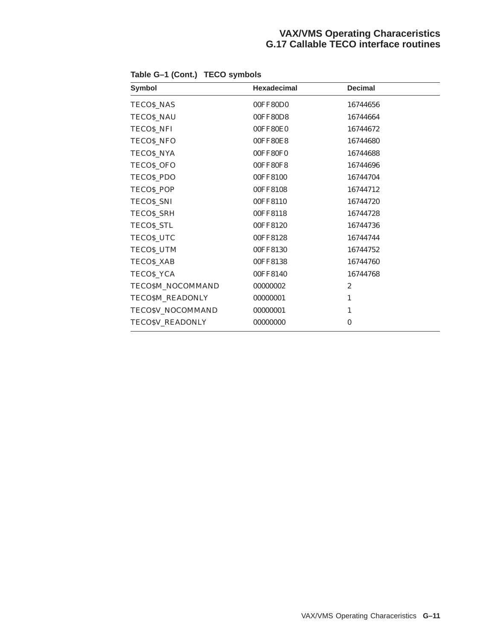## **VAX/VMS Operating Characeristics G.17 Callable TECO interface routines**

| $100000$ $(00111)$ $100000$ |             |                  |  |  |
|-----------------------------|-------------|------------------|--|--|
| <b>Symbol</b>               | Hexadecimal | <b>Decimal</b>   |  |  |
| TECO\$_NAS                  | 00FF80D0    | 16744656         |  |  |
| <b>TECO\$_NAU</b>           | 00FF80D8    | 16744664         |  |  |
| TECOS_NFI                   | 00FF80E0    | 16744672         |  |  |
| TECO\$_NFO                  | 00FF80E8    | 16744680         |  |  |
| TECO\$_NYA                  | 00FF80F0    | 16744688         |  |  |
| TECOS_OFO                   | 00FF80F8    | 16744696         |  |  |
| TECO\$_PDO                  | 00FF8100    | 16744704         |  |  |
| TECO\$_POP                  | 00FF8108    | 16744712         |  |  |
| TECO\$_SNI                  | 00FF8110    | 16744720         |  |  |
| TECOS_SRH                   | 00FF8118    | 16744728         |  |  |
| TECOS_STL                   | 00FF8120    | 16744736         |  |  |
| TECOS_UTC                   | 00FF8128    | 16744744         |  |  |
| TECO\$_UTM                  | 00FF8130    | 16744752         |  |  |
| TECO\$_XAB                  | 00FF8138    | 16744760         |  |  |
| TECO\$_YCA                  | 00FF8140    | 16744768         |  |  |
| TECO\$M_NOCOMMAND           | 00000002    | $\boldsymbol{2}$ |  |  |
| TECO\$M_READONLY            | 00000001    | $\mathbf{1}$     |  |  |
| TECO\$V_NOCOMMAND           | 00000001    | $\mathbf{1}$     |  |  |
| TECO\$V_READONLY            | 00000000    | $\bf{0}$         |  |  |
|                             |             |                  |  |  |

**Table G–1 (Cont.) TECO symbols**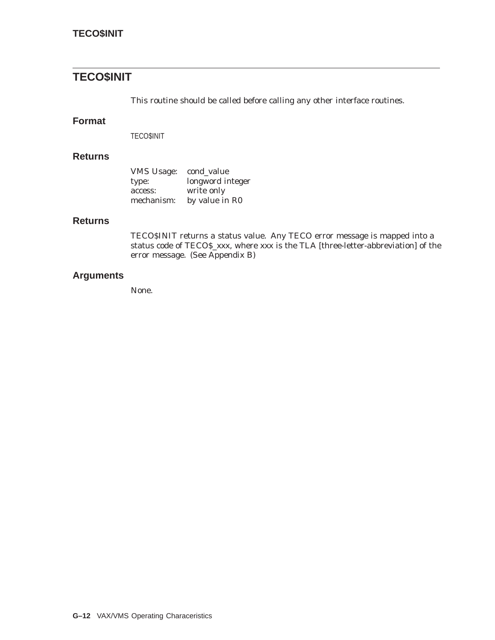# **TECO\$INIT**

This routine should be called before calling any other interface routines.

## **Format**

TECO\$INIT

### **Returns**

| <b>VMS Usage:</b> | cond value       |
|-------------------|------------------|
| type:             | longword integer |
| access:           | write only       |
| mechanism:        | by value in R0   |

### **Returns**

TECO\$INIT returns a status value. Any TECO error message is mapped into a status code of TECO\$\_xxx, where xxx is the TLA [three-letter-abbreviation] of the error message. (See Appendix B)

## **Arguments**

None.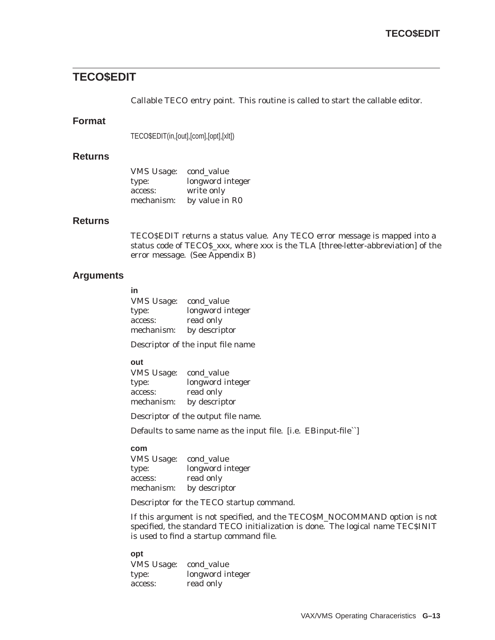# **TECO\$EDIT**

Callable TECO entry point. This routine is called to start the callable editor.

### **Format**

TECO\$EDIT(in,[out],[com],[opt],[xlt])

### **Returns**

| <b>VMS Usage:</b> | cond value       |
|-------------------|------------------|
| type:             | longword integer |
| access:           | write only       |
| mechanism:        | by value in R0   |

### **Returns**

TECO\$EDIT returns a status value. Any TECO error message is mapped into a status code of TECO\$\_xxx, where xxx is the TLA [three-letter-abbreviation] of the error message. (See Appendix B)

### **Arguments**

**in** VMS Usage: cond\_value type: longword integer access: read only mechanism: by descriptor

Descriptor of the input file name

### **out**

VMS Usage: cond\_value type: longword integer access: read only mechanism: by descriptor

Descriptor of the output file name.

Defaults to same name as the input file. [i.e. EBinput-file``]

#### **com**

VMS Usage: cond\_value type: longword integer access: read only mechanism: by descriptor

Descriptor for the TECO startup command.

If this argument is not specified, and the TECO\$M\_NOCOMMAND option is not specified, the standard TECO initialization is done. The logical name TEC\$INIT is used to find a startup command file.

#### **opt**

VMS Usage: cond\_value type: longword integer access: read only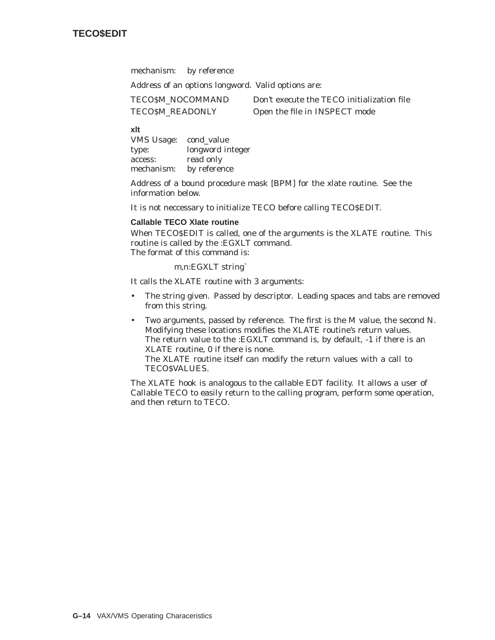mechanism: by reference

Address of an options longword. Valid options are:

TECO\$M\_NOCOMMAND Don't execute the TECO initialization file TECO\$M\_READONLY Open the file in INSPECT mode

**xlt**

VMS Usage: cond\_value type: longword integer access: read only mechanism: by reference

Address of a bound procedure mask [BPM] for the xlate routine. See the information below.

It is not neccessary to initialize TECO before calling TECO\$EDIT.

### **Callable TECO Xlate routine**

When TECO\$EDIT is called, one of the arguments is the XLATE routine. This routine is called by the :EGXLT command. The format of this command is:

m,n:EGXLT string`

It calls the XLATE routine with 3 arguments:

- The string given. Passed by descriptor. Leading spaces and tabs are removed from this string.
- Two arguments, passed by reference. The first is the M value, the second N. Modifying these locations modifies the XLATE routine's return values. The return value to the :EGXLT command is, by default, -1 if there is an XLATE routine, 0 if there is none. The XLATE routine itself can modify the return values with a call to TECO\$VALUES.

The XLATE hook is analogous to the callable EDT facility. It allows a user of Callable TECO to easily return to the calling program, perform some operation, and then return to TECO.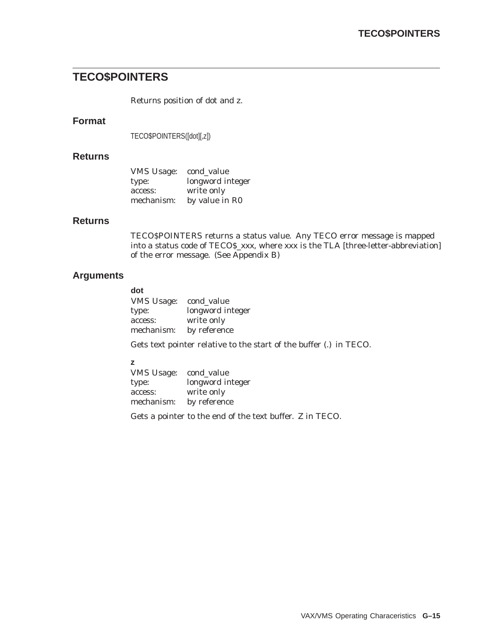# **TECO\$POINTERS**

Returns position of dot and z.

## **Format**

TECO\$POINTERS([dot][,z])

## **Returns**

| <b>VMS Usage:</b> | cond_value       |
|-------------------|------------------|
| type:             | longword integer |
| access:           | write only       |
| mechanism:        | by value in R0   |

### **Returns**

TECO\$POINTERS returns a status value. Any TECO error message is mapped into a status code of TECO\$\_xxx, where xxx is the TLA [three-letter-abbreviation] of the error message. (See Appendix B)

## **Arguments**

### **dot**

| VMS Usage: cond_value |                  |
|-----------------------|------------------|
| type:                 | longword integer |
| access:               | write only       |
| mechanism:            | by reference     |

Gets text pointer relative to the start of the buffer (.) in TECO.

### **z**

VMS Usage: cond\_value type: longword integer access: write only mechanism: by reference

Gets a pointer to the end of the text buffer. Z in TECO.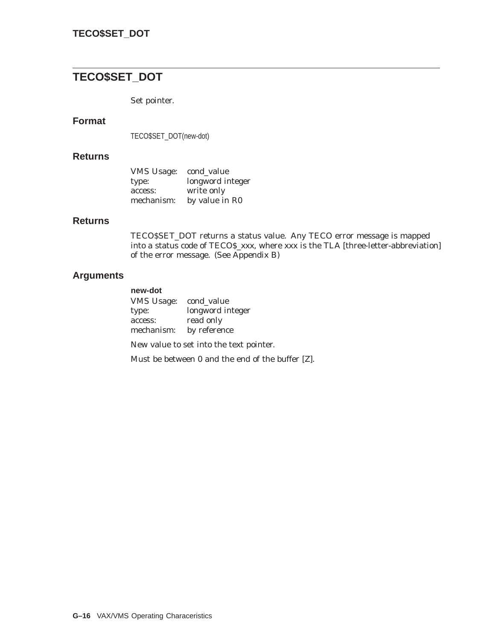# **TECO\$SET\_DOT**

Set pointer.

## **Format**

TECO\$SET\_DOT(new-dot)

## **Returns**

| <b>VMS</b> Usage: | cond_value       |
|-------------------|------------------|
| type:             | longword integer |
| access:           | write only       |
| mechanism:        | by value in R0   |

### **Returns**

TECO\$SET\_DOT returns a status value. Any TECO error message is mapped into a status code of TECO\$\_xxx, where xxx is the TLA [three-letter-abbreviation] of the error message. (See Appendix B)

## **Arguments**

### **new-dot**

| cond value       |
|------------------|
| longword integer |
| read only        |
| by reference     |
|                  |

New value to set into the text pointer.

Must be between 0 and the end of the buffer [Z].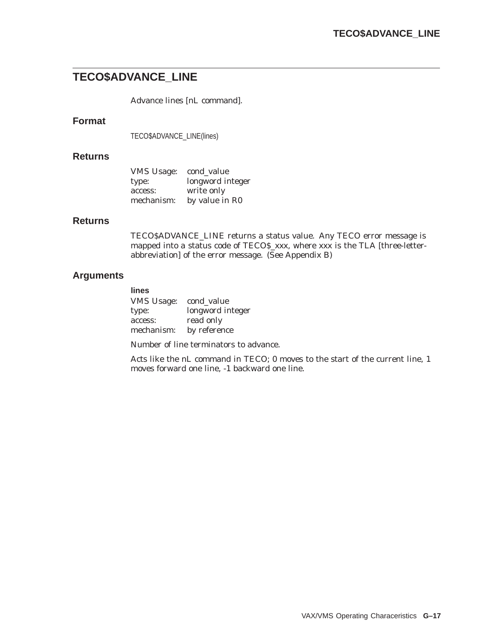# **TECO\$ADVANCE\_LINE**

Advance lines [nL command].

## **Format**

TECO\$ADVANCE\_LINE(lines)

### **Returns**

| <b>VMS Usage:</b> | cond value       |
|-------------------|------------------|
| type:             | longword integer |
| access:           | write only       |
| mechanism:        | by value in R0   |

### **Returns**

TECO\$ADVANCE\_LINE returns a status value. Any TECO error message is mapped into a status code of TECO\$\_xxx, where xxx is the TLA [three-letterabbreviation] of the error message. (See Appendix B)

## **Arguments**

| lines             |                  |
|-------------------|------------------|
| <b>VMS Usage:</b> | cond value       |
| type:             | longword integer |
| access:           | read only        |
| mechanism:        | by reference     |

Number of line terminators to advance.

Acts like the nL command in TECO; 0 moves to the start of the current line, 1 moves forward one line, -1 backward one line.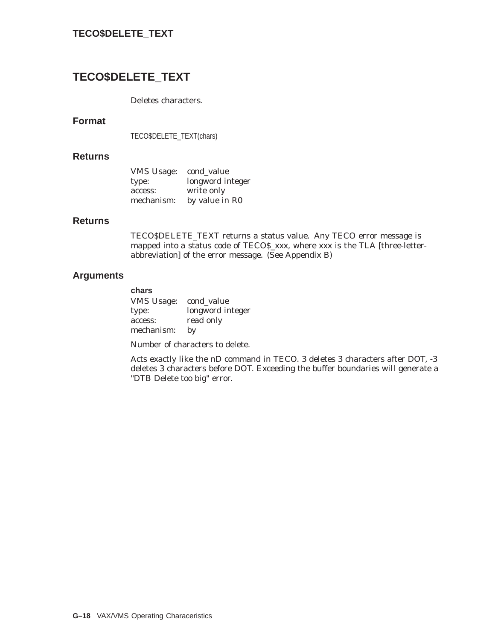# **TECO\$DELETE\_TEXT**

Deletes characters.

### **Format**

TECO\$DELETE\_TEXT(chars)

### **Returns**

| <b>VMS Usage:</b> | cond value       |
|-------------------|------------------|
| type:             | longword integer |
| access:           | write only       |
| mechanism:        | by value in R0   |

### **Returns**

TECO\$DELETE\_TEXT returns a status value. Any TECO error message is mapped into a status code of TECO\$\_xxx, where xxx is the TLA [three-letterabbreviation] of the error message. (See Appendix B)

### **Arguments**

**chars** VMS Usage: cond\_value type: longword integer access: read only mechanism: by

Number of characters to delete.

Acts exactly like the nD command in TECO. 3 deletes 3 characters after DOT, -3 deletes 3 characters before DOT. Exceeding the buffer boundaries will generate a "DTB Delete too big" error.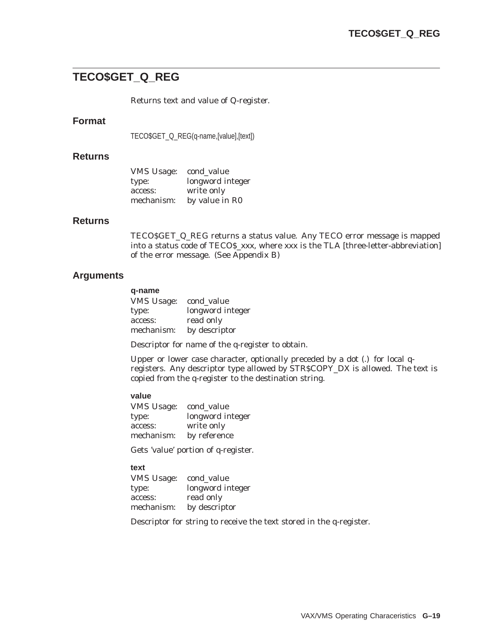# **TECO\$GET\_Q\_REG**

Returns text and value of Q-register.

### **Format**

TECO\$GET\_Q\_REG(q-name,[value],[text])

### **Returns**

| <b>VMS Usage:</b> | cond value       |
|-------------------|------------------|
| type:             | longword integer |
| access:           | write only       |
| mechanism:        | by value in R0   |

### **Returns**

TECO\$GET\_Q\_REG returns a status value. Any TECO error message is mapped into a status code of TECO\$\_xxx, where xxx is the TLA [three-letter-abbreviation] of the error message. (See Appendix B)

### **Arguments**

#### **q-name**

VMS Usage: cond\_value type: longword integer access: read only mechanism: by descriptor

Descriptor for name of the q-register to obtain.

Upper or lower case character, optionally preceded by a dot (.) for local qregisters. Any descriptor type allowed by STR\$COPY\_DX is allowed. The text is copied from the q-register to the destination string.

#### **value**

VMS Usage: cond\_value type: longword integer access: write only mechanism: by reference

Gets 'value' portion of q-register.

## **text**

VMS Usage: cond\_value type: longword integer access: read only mechanism: by descriptor

Descriptor for string to receive the text stored in the q-register.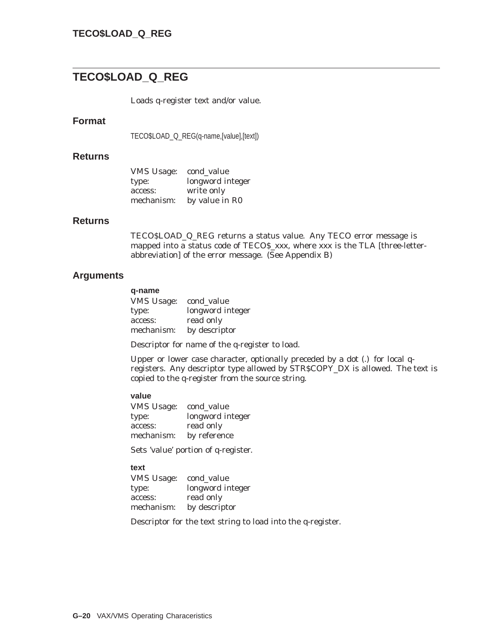# **TECO\$LOAD\_Q\_REG**

Loads q-register text and/or value.

### **Format**

TECO\$LOAD\_Q\_REG(q-name,[value],[text])

### **Returns**

| <b>VMS Usage:</b> | cond value       |
|-------------------|------------------|
| type:             | longword integer |
| access:           | write only       |
| mechanism:        | by value in R0   |

### **Returns**

TECO\$LOAD\_Q\_REG returns a status value. Any TECO error message is mapped into a status code of TECO\$\_xxx, where xxx is the TLA [three-letterabbreviation] of the error message. (See Appendix B)

### **Arguments**

#### **q-name**

| <b>VMS Usage:</b> | cond_value       |
|-------------------|------------------|
| type:             | longword integer |
| access:           | read only        |
| mechanism:        | by descriptor    |

Descriptor for name of the q-register to load.

Upper or lower case character, optionally preceded by a dot (.) for local qregisters. Any descriptor type allowed by STR\$COPY\_DX is allowed. The text is copied to the q-register from the source string.

#### **value**

VMS Usage: cond\_value type: longword integer access: read only mechanism: by reference

Sets 'value' portion of q-register.

## **text**

VMS Usage: cond\_value type: longword integer access: read only mechanism: by descriptor

Descriptor for the text string to load into the q-register.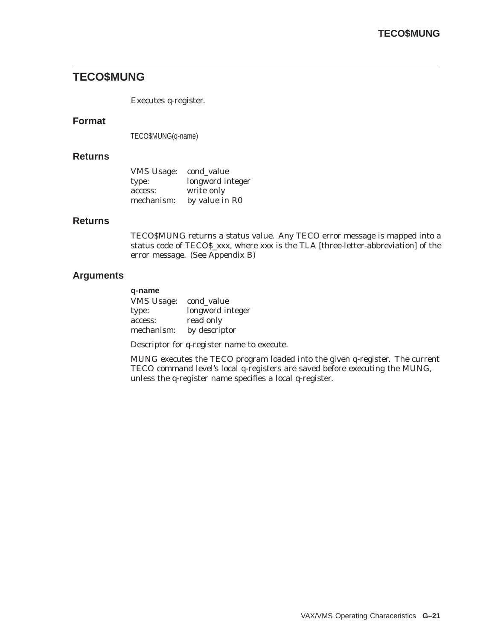# **TECO\$MUNG**

Executes q-register.

## **Format**

TECO\$MUNG(q-name)

### **Returns**

| <b>VMS Usage:</b> | cond value       |
|-------------------|------------------|
| type:             | longword integer |
| access:           | write only       |
| mechanism:        | by value in R0   |

### **Returns**

TECO\$MUNG returns a status value. Any TECO error message is mapped into a status code of TECO\$\_xxx, where xxx is the TLA [three-letter-abbreviation] of the error message. (See Appendix B)

## **Arguments**

### **q-name**

| <b>VMS Usage:</b> | cond_value       |
|-------------------|------------------|
| type:             | longword integer |
| access:           | read only        |
| mechanism:        | by descriptor    |

Descriptor for q-register name to execute.

MUNG executes the TECO program loaded into the given q-register. The current TECO command level's local q-registers are saved before executing the MUNG, unless the q-register name specifies a local q-register.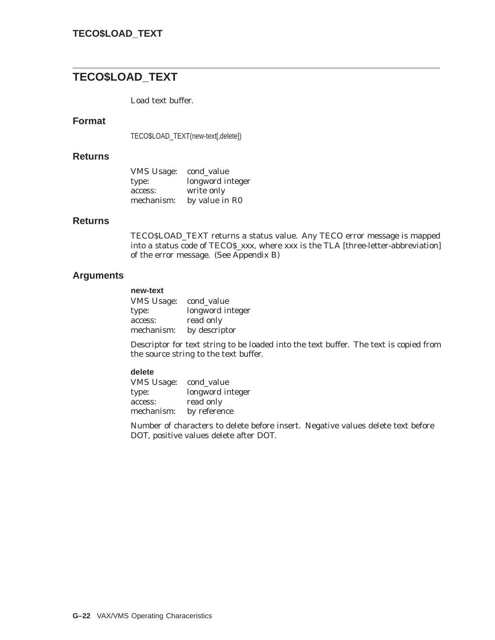# **TECO\$LOAD\_TEXT**

Load text buffer.

## **Format**

TECO\$LOAD\_TEXT(new-text[,delete])

### **Returns**

| <b>VMS</b> Usage: | cond_value       |
|-------------------|------------------|
| type:             | longword integer |
| access:           | write only       |
| mechanism:        | by value in R0   |

### **Returns**

TECO\$LOAD\_TEXT returns a status value. Any TECO error message is mapped into a status code of TECO\$\_xxx, where xxx is the TLA [three-letter-abbreviation] of the error message. (See Appendix B)

## **Arguments**

### **new-text**

| <b>VMS Usage:</b> | cond value       |
|-------------------|------------------|
| type:             | longword integer |
| access:           | read only        |
| mechanism:        | by descriptor    |

Descriptor for text string to be loaded into the text buffer. The text is copied from the source string to the text buffer.

### **delete**

| <b>VMS</b> Usage: | cond_value       |
|-------------------|------------------|
| type:             | longword integer |
| access:           | read only        |
| mechanism:        | by reference     |

Number of characters to delete before insert. Negative values delete text before DOT, positive values delete after DOT.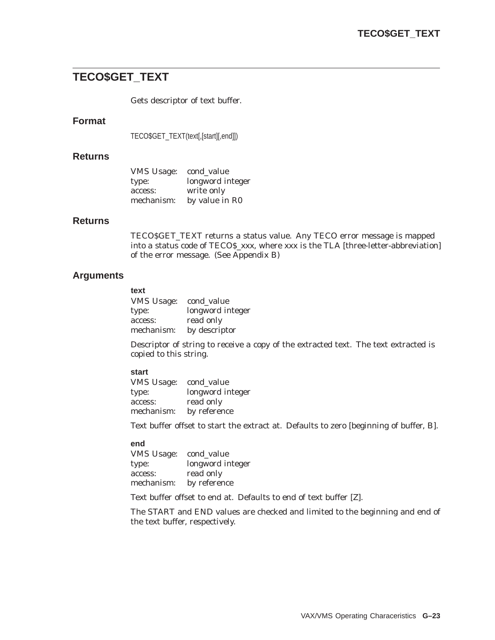# **TECO\$GET\_TEXT**

Gets descriptor of text buffer.

### **Format**

TECO\$GET\_TEXT(text[,[start][,end]])

### **Returns**

| <b>VMS Usage:</b> | cond value       |
|-------------------|------------------|
| type:             | longword integer |
| access:           | write only       |
| mechanism:        | by value in R0   |

### **Returns**

TECO\$GET\_TEXT returns a status value. Any TECO error message is mapped into a status code of TECO\$\_xxx, where xxx is the TLA [three-letter-abbreviation] of the error message. (See Appendix B)

## **Arguments**

### **text**

VMS Usage: cond\_value type: longword integer access: read only mechanism: by descriptor

Descriptor of string to receive a copy of the extracted text. The text extracted is copied to this string.

### **start**

VMS Usage: cond\_value type: longword integer access: read only mechanism: by reference

Text buffer offset to start the extract at. Defaults to zero [beginning of buffer, B].

### **end**

| <b>VMS Usage:</b> | cond_value       |
|-------------------|------------------|
| type:             | longword integer |
| access:           | read only        |
| mechanism:        | by reference     |

Text buffer offset to end at. Defaults to end of text buffer [Z].

The START and END values are checked and limited to the beginning and end of the text buffer, respectively.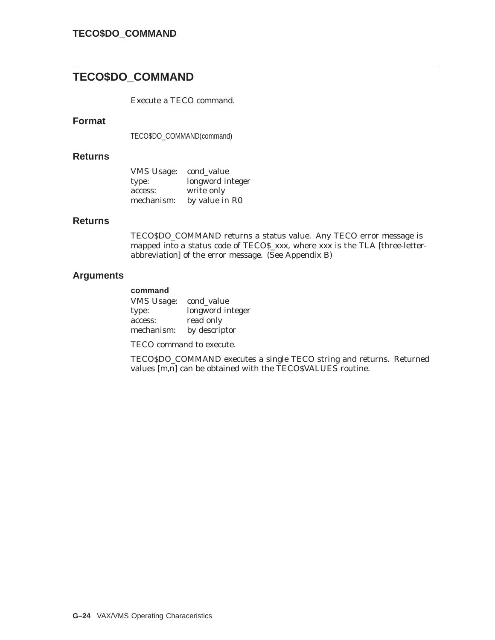# **TECO\$DO\_COMMAND**

Execute a TECO command.

## **Format**

TECO\$DO\_COMMAND(command)

### **Returns**

| <b>VMS Usage:</b> | cond value       |
|-------------------|------------------|
| type:             | longword integer |
| access:           | write only       |
| mechanism:        | by value in R0   |

### **Returns**

TECO\$DO\_COMMAND returns a status value. Any TECO error message is mapped into a status code of TECO\$\_xxx, where xxx is the TLA [three-letterabbreviation] of the error message. (See Appendix B)

## **Arguments**

### **command**

| <b>VMS Usage:</b> | cond value       |
|-------------------|------------------|
| type:             | longword integer |
| access:           | read only        |
| mechanism:        | by descriptor    |

TECO command to execute.

TECO\$DO\_COMMAND executes a single TECO string and returns. Returned values [m,n] can be obtained with the TECO\$VALUES routine.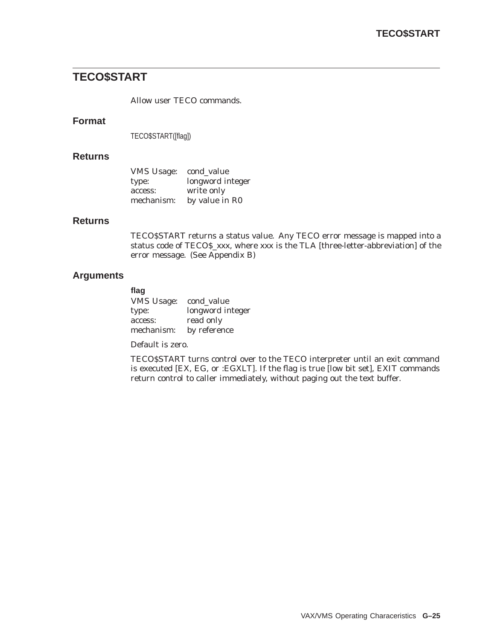# **TECO\$START**

Allow user TECO commands.

### **Format**

TECO\$START([flag])

### **Returns**

| <b>VMS Usage:</b> | cond value       |
|-------------------|------------------|
| type:             | longword integer |
| access:           | write only       |
| mechanism:        | by value in R0   |

### **Returns**

TECO\$START returns a status value. Any TECO error message is mapped into a status code of TECO\$\_xxx, where xxx is the TLA [three-letter-abbreviation] of the error message. (See Appendix B)

## **Arguments**

**flag** VMS Usage: cond\_value type: longword integer access: read only<br>mechanism: by referer by reference

Default is zero.

TECO\$START turns control over to the TECO interpreter until an exit command is executed [EX, EG, or :EGXLT]. If the flag is true [low bit set], EXIT commands return control to caller immediately, without paging out the text buffer.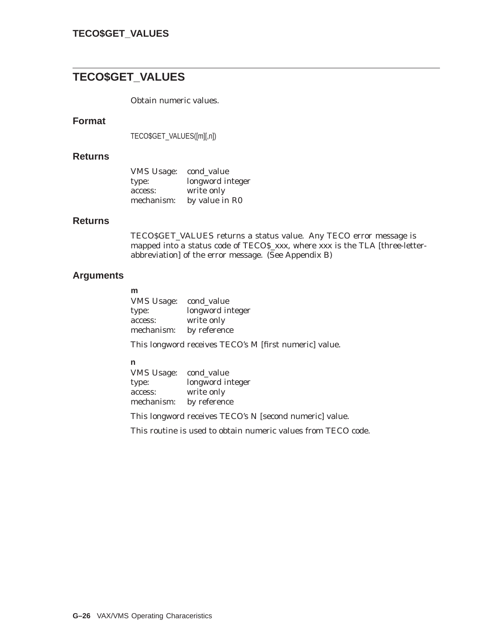# **TECO\$GET\_VALUES**

Obtain numeric values.

### **Format**

TECO\$GET\_VALUES([m][,n])

### **Returns**

| <b>VMS Usage:</b> | cond_value       |
|-------------------|------------------|
| type:             | longword integer |
| access:           | write only       |
| mechanism:        | by value in R0   |

### **Returns**

TECO\$GET\_VALUES returns a status value. Any TECO error message is mapped into a status code of TECO\$\_xxx, where xxx is the TLA [three-letterabbreviation] of the error message. (See Appendix B)

## **Arguments**

| VMS Usage: cond_value |                  |
|-----------------------|------------------|
| type:                 | longword integer |
| access:               | write only       |
| mechanism:            | by reference     |

This longword receives TECO's M [first numeric] value.

### **n**

VMS Usage: cond\_value type: longword integer access: write only mechanism: by reference

This longword receives TECO's N [second numeric] value.

This routine is used to obtain numeric values from TECO code.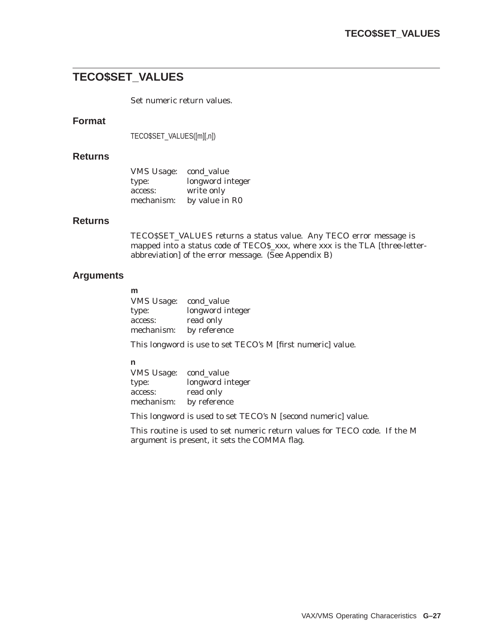# **TECO\$SET\_VALUES**

Set numeric return values.

### **Format**

TECO\$SET\_VALUES([m][,n])

### **Returns**

| <b>VMS</b> Usage: | cond_value       |
|-------------------|------------------|
| type:             | longword integer |
| access:           | write only       |
| mechanism:        | by value in R0   |

### **Returns**

TECO\$SET\_VALUES returns a status value. Any TECO error message is mapped into a status code of TECO\$\_xxx, where xxx is the TLA [three-letterabbreviation] of the error message. (See Appendix B)

## **Arguments**

| ٠ |  |  |
|---|--|--|
|   |  |  |
|   |  |  |

| VMS Usage: cond_value |                  |
|-----------------------|------------------|
| type:                 | longword integer |
| access:               | read only        |
| mechanism:            | by reference     |

This longword is use to set TECO's M [first numeric] value.

### **n**

VMS Usage: cond\_value type: longword integer access: read only mechanism: by reference

This longword is used to set TECO's N [second numeric] value.

This routine is used to set numeric return values for TECO code. If the M argument is present, it sets the COMMA flag.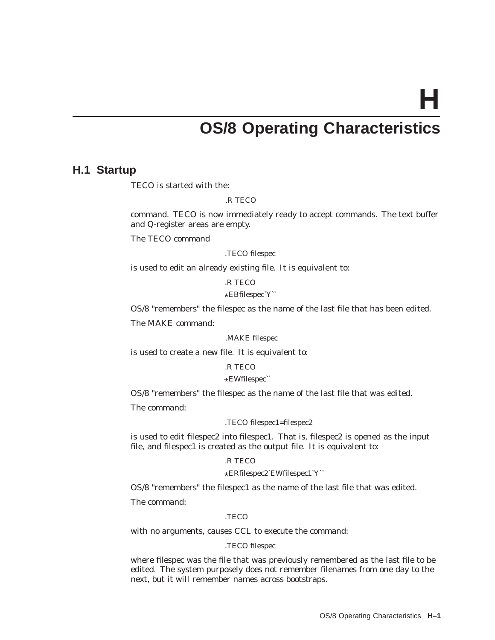**H**

# **OS/8 Operating Characteristics**

## **H.1 Startup**

TECO is started with the:

.R TECO

command. TECO is now immediately ready to accept commands. The text buffer and Q-register areas are empty.

The TECO command

.TECO filespec

is used to edit an already existing file. It is equivalent to:

.R TECO

?EBfilespec`Y``

OS/8 "remembers" the filespec as the name of the last file that has been edited.

The MAKE command:

.MAKE filespec

is used to create a new file. It is equivalent to:

.R TECO

?EWfilespec``

OS/8 "remembers" the filespec as the name of the last file that was edited.

The command:

.TECO filespec1=filespec2

is used to edit filespec2 into filespec1. That is, filespec2 is opened as the input file, and filespec1 is created as the output file. It is equivalent to:

.R TECO

?ERfilespec2`EWfilespec1`Y``

OS/8 "remembers" the filespec1 as the name of the last file that was edited.

The command:

#### .TECO

with no arguments, causes CCL to execute the command:

.TECO filespec

where filespec was the file that was previously remembered as the last file to be edited. The system purposely does not remember filenames from one day to the next, but it will remember names across bootstraps.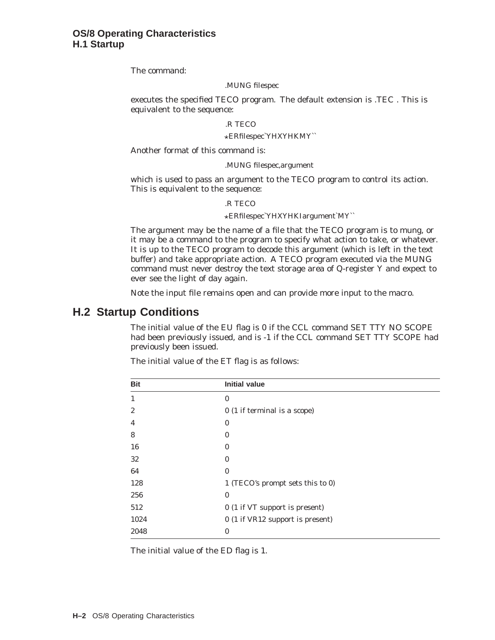The command:

#### .MUNG filespec

executes the specified TECO program. The default extension is .TEC . This is equivalent to the sequence:

### .R TECO

#### ?ERfilespec`YHXYHKMY``

Another format of this command is:

#### .MUNG filespec,argument

which is used to pass an argument to the TECO program to control its action. This is equivalent to the sequence:

#### .R TECO

#### ?ERfilespec`YHXYHKIargument`MY``

The argument may be the name of a file that the TECO program is to mung, or it may be a command to the program to specify what action to take, or whatever. It is up to the TECO program to decode this argument (which is left in the text buffer) and take appropriate action. A TECO program executed via the MUNG command must never destroy the text storage area of Q-register Y and expect to ever see the light of day again.

Note the input file remains open and can provide more input to the macro.

# **H.2 Startup Conditions**

The initial value of the EU flag is 0 if the CCL command SET TTY NO SCOPE had been previously issued, and is -1 if the CCL command SET TTY SCOPE had previously been issued.

| <b>Bit</b>     | <b>Initial value</b>             |
|----------------|----------------------------------|
| 1              | $\mathbf{0}$                     |
| $\overline{2}$ | 0 (1 if terminal is a scope)     |
| 4              | $\mathbf{0}$                     |
| 8              | 0                                |
| 16             | 0                                |
| 32             | $\mathbf{0}$                     |
| 64             | $\mathbf{0}$                     |
| 128            | 1 (TECO's prompt sets this to 0) |
| 256            | $\mathbf{0}$                     |
| 512            | 0 (1 if VT support is present)   |
| 1024           | 0 (1 if VR12 support is present) |
| 2048           | $\bf{0}$                         |

The initial value of the ET flag is as follows:

The initial value of the ED flag is 1.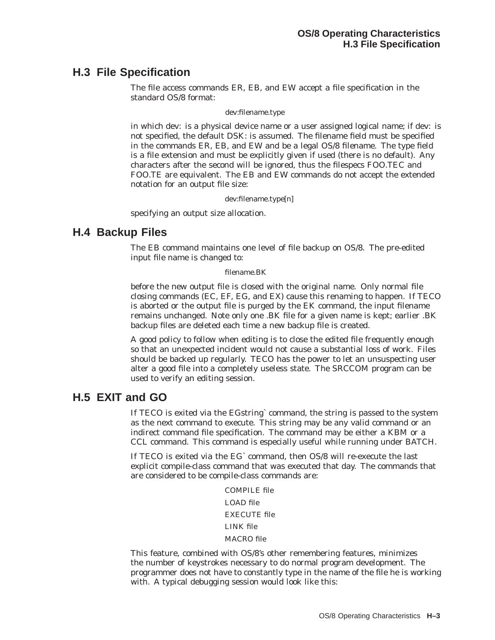# **H.3 File Specification**

The file access commands ER, EB, and EW accept a file specification in the standard OS/8 format:

### dev:filename.type

in which dev: is a physical device name or a user assigned logical name; if dev: is not specified, the default DSK: is assumed. The filename field must be specified in the commands ER, EB, and EW and be a legal OS/8 filename. The type field is a file extension and must be explicitly given if used (there is no default). Any characters after the second will be ignored, thus the filespecs FOO.TEC and FOO.TE are equivalent. The EB and EW commands do not accept the extended notation for an output file size:

#### dev:filename.type[n]

specifying an output size allocation.

## **H.4 Backup Files**

The EB command maintains one level of file backup on OS/8. The pre-edited input file name is changed to:

### filename.BK

before the new output file is closed with the original name. Only normal file closing commands (EC, EF, EG, and EX) cause this renaming to happen. If TECO is aborted or the output file is purged by the EK command, the input filename remains unchanged. Note only one .BK file for a given name is kept; earlier .BK backup files are deleted each time a new backup file is created.

A good policy to follow when editing is to close the edited file frequently enough so that an unexpected incident would not cause a substantial loss of work. Files should be backed up regularly. TECO has the power to let an unsuspecting user alter a good file into a completely useless state. The SRCCOM program can be used to verify an editing session.

# **H.5 EXIT and GO**

If TECO is exited via the EGstring` command, the string is passed to the system as the next command to execute. This string may be any valid command or an indirect command file specification. The command may be either a KBM or a CCL command. This command is especially useful while running under BATCH.

If TECO is exited via the EG` command, then OS/8 will re-execute the last explicit compile-class command that was executed that day. The commands that are considered to be compile-class commands are:

> COMPILE file LOAD file EXECUTE file LINK file MACRO file

This feature, combined with OS/8's other remembering features, minimizes the number of keystrokes necessary to do normal program development. The programmer does not have to constantly type in the name of the file he is working with. A typical debugging session would look like this: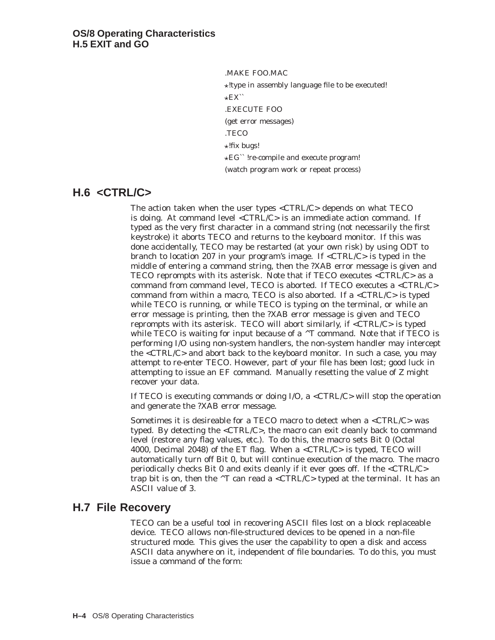.MAKE FOO.MAC

 $\star$ !type in assembly language file to be executed!  $\star$ EX`` .EXECUTE FOO (get error messages) .TECO ?!fix bugs!  $\star$ EG $\cdot$  !re-compile and execute program! (watch program work or repeat process)

# **H.6 <CTRL/C>**

The action taken when the user types <CTRL/C> depends on what TECO is doing. At command level <CTRL/C> is an immediate action command. If typed as the very first character in a command string (not necessarily the first keystroke) it aborts TECO and returns to the keyboard monitor. If this was done accidentally, TECO may be restarted (at your own risk) by using ODT to branch to location 207 in your program's image. If <CTRL/C> is typed in the middle of entering a command string, then the ?XAB error message is given and TECO reprompts with its asterisk. Note that if TECO executes <CTRL/C> as a command from command level, TECO is aborted. If TECO executes a <CTRL/C> command from within a macro, TECO is also aborted. If a  $\langle \text{CTR} \mid \text{C} \rangle$  is typed while TECO is running, or while TECO is typing on the terminal, or while an error message is printing, then the ?XAB error message is given and TECO reprompts with its asterisk. TECO will abort similarly, if <CTRL/C> is typed while TECO is waiting for input because of a  $\Delta T$  command. Note that if TECO is performing I/O using non-system handlers, the non-system handler may intercept the <CTRL/C> and abort back to the keyboard monitor. In such a case, you may attempt to re-enter TECO. However, part of your file has been lost; good luck in attempting to issue an EF command. Manually resetting the value of Z might recover your data.

If TECO is executing commands or doing  $I/O$ , a <CTRL/C> will stop the operation and generate the ?XAB error message.

Sometimes it is desireable for a TECO macro to detect when a <CTRL/C> was typed. By detecting the <CTRL/C>, the macro can exit cleanly back to command level (restore any flag values, etc.). To do this, the macro sets Bit 0 (Octal 4000, Decimal 2048) of the ET flag. When a <CTRL/C> is typed, TECO will automatically turn off Bit 0, but will continue execution of the macro. The macro periodically checks Bit 0 and exits cleanly if it ever goes off. If the <CTRL/C> trap bit is on, then the  $\textdegree T$  can read a <CTRL/C> typed at the terminal. It has an ASCII value of 3.

# **H.7 File Recovery**

TECO can be a useful tool in recovering ASCII files lost on a block replaceable device. TECO allows non-file-structured devices to be opened in a non-file structured mode. This gives the user the capability to open a disk and access ASCII data anywhere on it, independent of file boundaries. To do this, you must issue a command of the form: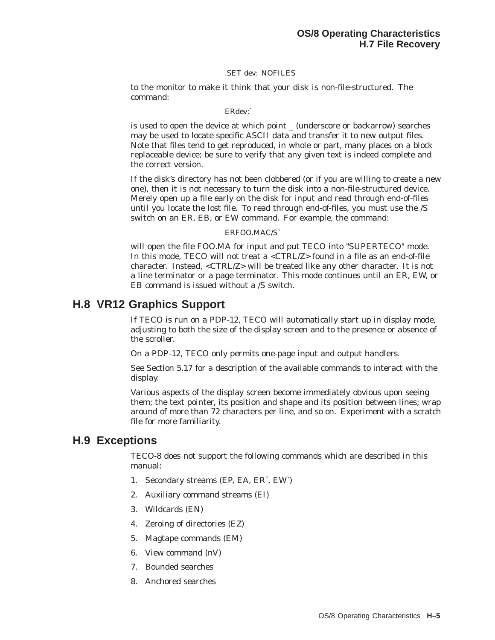### .SET dev: NOFILES

to the monitor to make it think that your disk is non-file-structured. The command:

### ERdev:`

is used to open the device at which point \_ (underscore or backarrow) searches may be used to locate specific ASCII data and transfer it to new output files. Note that files tend to get reproduced, in whole or part, many places on a block replaceable device; be sure to verify that any given text is indeed complete and the correct version.

If the disk's directory has not been clobbered (or if you are willing to create a new one), then it is not necessary to turn the disk into a non-file-structured device. Merely open up a file early on the disk for input and read through end-of-files until you locate the lost file. To read through end-of-files, you must use the /S switch on an ER, EB, or EW command. For example, the command:

#### ERFOO.MAC/S`

will open the file FOO.MA for input and put TECO into "SUPERTECO" mode. In this mode, TECO will not treat a <CTRL/Z> found in a file as an end-of-file character. Instead, <CTRL/Z> will be treated like any other character. It is not a line terminator or a page terminator. This mode continues until an ER, EW, or EB command is issued without a /S switch.

## **H.8 VR12 Graphics Support**

If TECO is run on a PDP-12, TECO will automatically start up in display mode, adjusting to both the size of the display screen and to the presence or absence of the scroller.

On a PDP-12, TECO only permits one-page input and output handlers.

See Section 5.17 for a description of the available commands to interact with the display.

Various aspects of the display screen become immediately obvious upon seeing them; the text pointer, its position and shape and its position between lines; wrap around of more than 72 characters per line, and so on. Experiment with a scratch file for more familiarity.

## **H.9 Exceptions**

TECO-8 does not support the following commands which are described in this manual:

- 1. Secondary streams (EP, EA, ER`, EW`)
- 2. Auxiliary command streams (EI)
- 3. Wildcards (EN)
- 4. Zeroing of directories (EZ)
- 5. Magtape commands (EM)
- 6. View command (nV)
- 7. Bounded searches
- 8. Anchored searches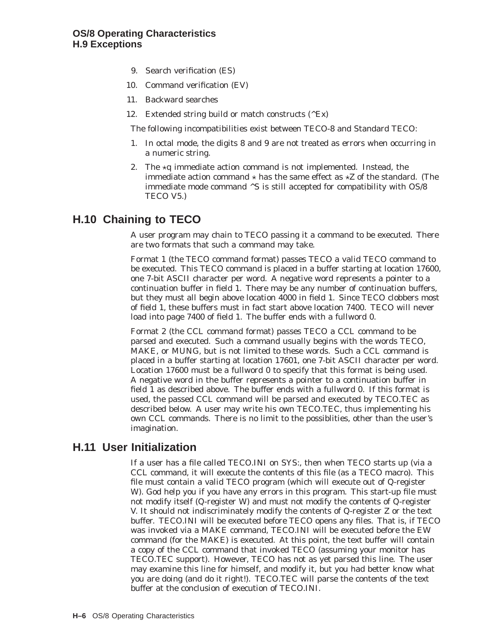- 9. Search verification (ES)
- 10. Command verification (EV)
- 11. Backward searches
- 12. Extended string build or match constructs  $(^{\wedge}Ex)$

The following incompatibilities exist between TECO-8 and Standard TECO:

- 1. In octal mode, the digits 8 and 9 are not treated as errors when occurring in a numeric string.
- 2. The  $\star q$  immediate action command is not implemented. Instead, the immediate action command  $\star$  has the same effect as  $\star Z$  of the standard. (The immediate mode command  $^{\wedge}S$  is still accepted for compatibility with OS/8 TECO V5.)

# **H.10 Chaining to TECO**

A user program may chain to TECO passing it a command to be executed. There are two formats that such a command may take.

Format 1 (the TECO command format) passes TECO a valid TECO command to be executed. This TECO command is placed in a buffer starting at location 17600, one 7-bit ASCII character per word. A negative word represents a pointer to a continuation buffer in field 1. There may be any number of continuation buffers, but they must all begin above location 4000 in field 1. Since TECO clobbers most of field 1, these buffers must in fact start above location 7400. TECO will never load into page 7400 of field 1. The buffer ends with a fullword 0.

Format 2 (the CCL command format) passes TECO a CCL command to be parsed and executed. Such a command usually begins with the words TECO, MAKE, or MUNG, but is not limited to these words. Such a CCL command is placed in a buffer starting at location 17601, one 7-bit ASCII character per word. Location 17600 must be a fullword 0 to specify that this format is being used. A negative word in the buffer represents a pointer to a continuation buffer in field 1 as described above. The buffer ends with a fullword 0. If this format is used, the passed CCL command will be parsed and executed by TECO.TEC as described below. A user may write his own TECO.TEC, thus implementing his own CCL commands. There is no limit to the possiblities, other than the user's imagination.

# **H.11 User Initialization**

If a user has a file called TECO.INI on SYS:, then when TECO starts up (via a CCL command, it will execute the contents of this file (as a TECO macro). This file must contain a valid TECO program (which will execute out of Q-register W). God help you if you have any errors in this program. This start-up file must not modify itself (Q-register W) and must not modify the contents of Q-register V. It should not indiscriminately modify the contents of Q-register Z or the text buffer. TECO.INI will be executed before TECO opens any files. That is, if TECO was invoked via a MAKE command, TECO.INI will be executed before the EW command (for the MAKE) is executed. At this point, the text buffer will contain a copy of the CCL command that invoked TECO (assuming your monitor has TECO.TEC support). However, TECO has not as yet parsed this line. The user may examine this line for himself, and modify it, but you had better know what you are doing (and do it right!). TECO.TEC will parse the contents of the text buffer at the conclusion of execution of TECO.INI.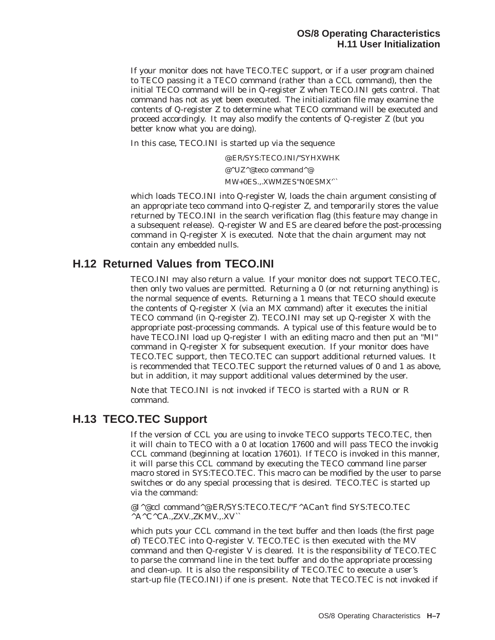If your monitor does not have TECO.TEC support, or if a user program chained to TECO passing it a TECO command (rather than a CCL command), then the initial TECO command will be in Q-register Z when TECO.INI gets control. That command has not as yet been executed. The initialization file may examine the contents of Q-register Z to determine what TECO command will be executed and proceed accordingly. It may also modify the contents of Q-register Z (but you better know what you are doing).

In this case, TECO.INI is started up via the sequence

@:ER/SYS:TECO.INI/"SYHXWHK @^UZ^@teco command^@ MW+0ES.,.XWMZES"N0ESMX'``

which loads TECO.INI into Q-register W, loads the chain argument consisting of an appropriate teco command into Q-register Z, and temporarily stores the value returned by TECO.INI in the search verification flag (this feature may change in a subsequent release). Q-register W and ES are cleared before the post-processing command in Q-register X is executed. Note that the chain argument may not contain any embedded nulls.

# **H.12 Returned Values from TECO.INI**

TECO.INI may also return a value. If your monitor does not support TECO.TEC, then only two values are permitted. Returning a 0 (or not returning anything) is the normal sequence of events. Returning a 1 means that TECO should execute the contents of Q-register X (via an MX command) after it executes the initial TECO command (in Q-register Z). TECO.INI may set up Q-register X with the appropriate post-processing commands. A typical use of this feature would be to have TECO.INI load up Q-register I with an editing macro and then put an "MI" command in Q-register X for subsequent execution. If your monitor does have TECO.TEC support, then TECO.TEC can support additional returned values. It is recommended that TECO.TEC support the returned values of 0 and 1 as above, but in addition, it may support additional values determined by the user.

Note that TECO.INI is not invoked if TECO is started with a RUN or R command.

# **H.13 TECO.TEC Support**

If the version of CCL you are using to invoke TECO supports TECO.TEC, then it will chain to TECO with a 0 at location 17600 and will pass TECO the invokig CCL command (beginning at location 17601). If TECO is invoked in this manner, it will parse this CCL command by executing the TECO command line parser macro stored in SYS:TECO.TEC. This macro can be modified by the user to parse switches or do any special processing that is desired. TECO.TEC is started up via the command:

@I^@ccl command^@:ER/SYS:TECO.TEC/"F^ACan't find SYS:TECO.TEC ^A^C^CA.,ZXV.,ZKMV.,.XV``

which puts your CCL command in the text buffer and then loads (the first page of) TECO.TEC into Q-register V. TECO.TEC is then executed with the MV command and then Q-register V is cleared. It is the responsibility of TECO.TEC to parse the command line in the text buffer and do the appropriate processing and clean-up. It is also the responsibility of TECO.TEC to execute a user's start-up file (TECO.INI) if one is present. Note that TECO.TEC is not invoked if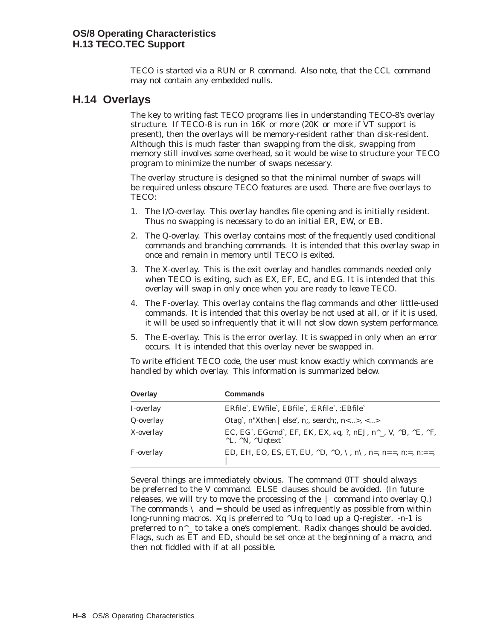TECO is started via a RUN or R command. Also note, that the CCL command may not contain any embedded nulls.

## **H.14 Overlays**

The key to writing fast TECO programs lies in understanding TECO-8's overlay structure. If TECO-8 is run in 16K or more (20K or more if VT support is present), then the overlays will be memory-resident rather than disk-resident. Although this is much faster than swapping from the disk, swapping from memory still involves some overhead, so it would be wise to structure your TECO program to minimize the number of swaps necessary.

The overlay structure is designed so that the minimal number of swaps will be required unless obscure TECO features are used. There are five overlays to TECO:

- 1. The I/O-overlay. This overlay handles file opening and is initially resident. Thus no swapping is necessary to do an initial ER, EW, or EB.
- 2. The Q-overlay. This overlay contains most of the frequently used conditional commands and branching commands. It is intended that this overlay swap in once and remain in memory until TECO is exited.
- 3. The X-overlay. This is the exit overlay and handles commands needed only when TECO is exiting, such as EX, EF, EC, and EG. It is intended that this overlay will swap in only once when you are ready to leave TECO.
- 4. The F-overlay. This overlay contains the flag commands and other little-used commands. It is intended that this overlay be not used at all, or if it is used, it will be used so infrequently that it will not slow down system performance.
- 5. The E-overlay. This is the error overlay. It is swapped in only when an error occurs. It is intended that this overlay never be swapped in.

To write efficient TECO code, the user must know exactly which commands are handled by which overlay. This information is summarized below.

| Overlay   | <b>Commands</b>                                                                                                    |  |
|-----------|--------------------------------------------------------------------------------------------------------------------|--|
| I-overlay | ERfile`, EWfile`, EBfile`, :ERfile`, :EBfile`                                                                      |  |
| Q-overlay | Otag`, n"Xthen   else', n;, search;, n<>, <>                                                                       |  |
| X-overlay | EC, EG`, EGcmd`, EF, EK, EX, $\star q$ , ?, nEJ, n^_, V, ^B, ^E, ^F,<br>$\Lambda$ L, $\Lambda$ N, $\Lambda$ Uqtext |  |
| F-overlay | ED, EH, EO, ES, ET, EU, $\Delta D$ , $\Delta D$ , $\Delta D$ , $n = n = 1$ , $n = 1$ , $n = 1$                     |  |

Several things are immediately obvious. The command 0TT should always be preferred to the V command. ELSE clauses should be avoided. (In future releases, we will try to move the processing of the | command into overlay Q.) The commands  $\setminus$  and = should be used as infrequently as possible from within long-running macros. Xq is preferred to  $\sim Uq$  to load up a Q-register. -n-1 is preferred to n<sup>^</sup> to take a one's complement. Radix changes should be avoided. Flags, such as ET and ED, should be set once at the beginning of a macro, and then not fiddled with if at all possible.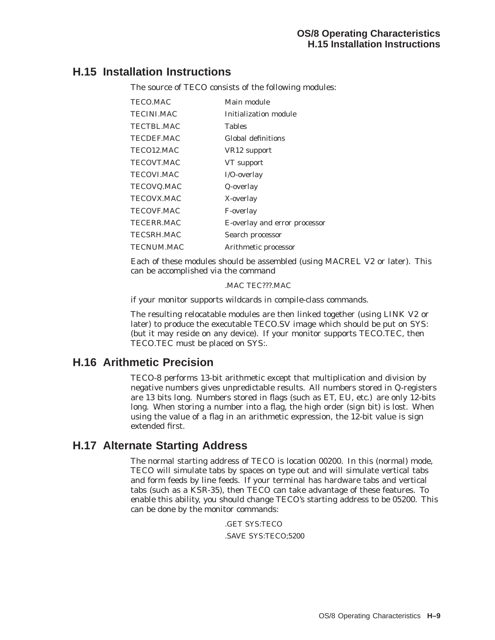# **H.15 Installation Instructions**

The source of TECO consists of the following modules:

| TECO MAC               | Main module                   |
|------------------------|-------------------------------|
| <b>TECINI.MAC</b>      | Initialization module         |
| <b>TECTBL.MAC</b>      | Tables                        |
| <b>TECDEFMAC</b>       | Global definitions            |
| TECO <sub>12</sub> MAC | VR12 support                  |
| <b>TECOVTMAC</b>       | VT support                    |
| TECOVI.MAC             | I/O-overlay                   |
| TECOVQ.MAC             | Q-overlay                     |
| TECOVX.MAC             | X-overlay                     |
| <b>TECOVE MAC</b>      | F-overlay                     |
| TECERR MAC             | E-overlay and error processor |
| <b>TECSRH.MAC</b>      | Search processor              |
| <b>TECNUM MAC</b>      | Arithmetic processor          |
|                        |                               |

Each of these modules should be assembled (using MACREL V2 or later). This can be accomplished via the command

### .MAC TEC???.MAC

if your monitor supports wildcards in compile-class commands.

The resulting relocatable modules are then linked together (using LINK V2 or later) to produce the executable TECO.SV image which should be put on SYS: (but it may reside on any device). If your monitor supports TECO.TEC, then TECO.TEC must be placed on SYS:.

## **H.16 Arithmetic Precision**

TECO-8 performs 13-bit arithmetic except that multiplication and division by negative numbers gives unpredictable results. All numbers stored in Q-registers are 13 bits long. Numbers stored in flags (such as ET, EU, etc.) are only 12-bits long. When storing a number into a flag, the high order (sign bit) is lost. When using the value of a flag in an arithmetic expression, the 12-bit value is sign extended first.

# **H.17 Alternate Starting Address**

The normal starting address of TECO is location 00200. In this (normal) mode, TECO will simulate tabs by spaces on type out and will simulate vertical tabs and form feeds by line feeds. If your terminal has hardware tabs and vertical tabs (such as a KSR-35), then TECO can take advantage of these features. To enable this ability, you should change TECO's starting address to be 05200. This can be done by the monitor commands:

.GET SYS:TECO

.SAVE SYS:TECO;5200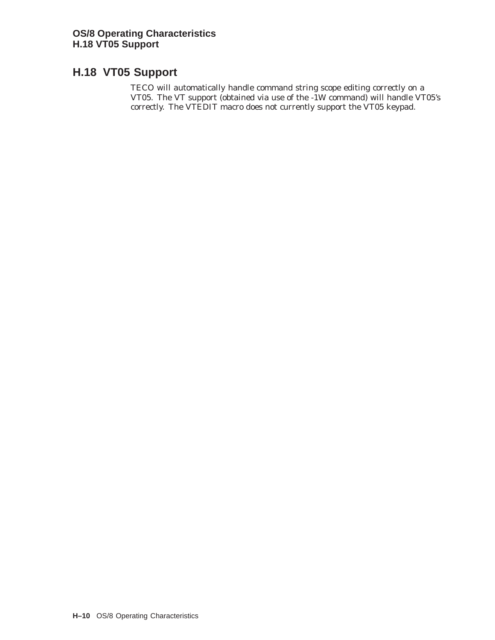# **H.18 VT05 Support**

TECO will automatically handle command string scope editing correctly on a VT05. The VT support (obtained via use of the -1W command) will handle VT05's correctly. The VTEDIT macro does not currently support the VT05 keypad.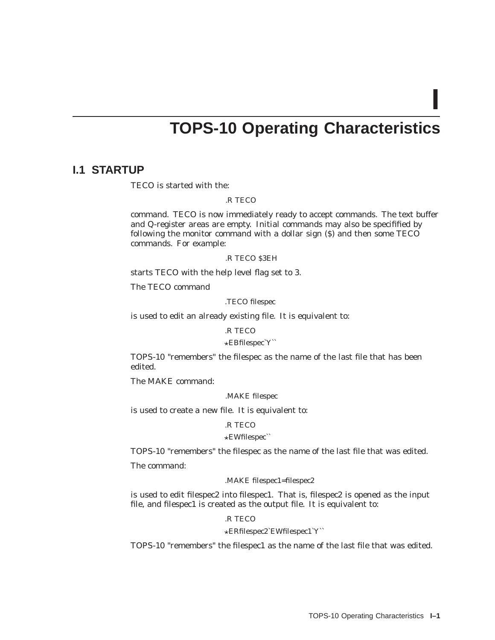**I**

# **TOPS-10 Operating Characteristics**

### **I.1 STARTUP**

TECO is started with the:

### .R TECO

command. TECO is now immediately ready to accept commands. The text buffer and Q-register areas are empty. Initial commands may also be specifified by following the monitor command with a dollar sign (\$) and then some TECO commands. For example:

### .R TECO \$3EH

starts TECO with the help level flag set to 3.

The TECO command

### .TECO filespec

is used to edit an already existing file. It is equivalent to:

#### .R TECO

### ?EBfilespec`Y``

TOPS-10 "remembers" the filespec as the name of the last file that has been edited.

The MAKE command:

#### .MAKE filespec

is used to create a new file. It is equivalent to:

#### .R TECO

### ?EWfilespec``

TOPS-10 "remembers" the filespec as the name of the last file that was edited.

The command:

### .MAKE filespec1=filespec2

is used to edit filespec2 into filespec1. That is, filespec2 is opened as the input file, and filespec1 is created as the output file. It is equivalent to:

### .R TECO

?ERfilespec2`EWfilespec1`Y``

TOPS-10 "remembers" the filespec1 as the name of the last file that was edited.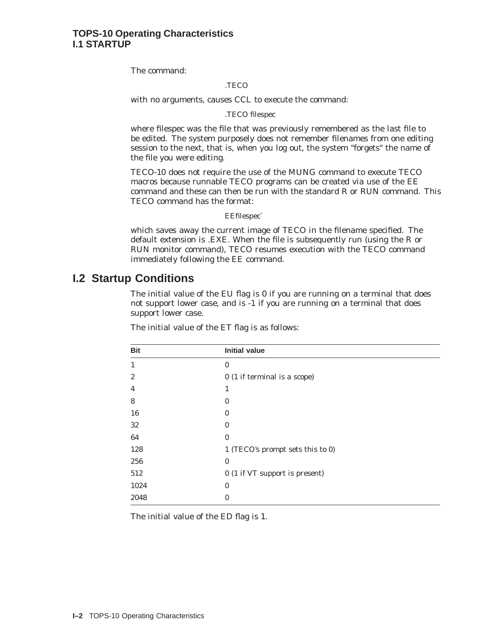The command:

### .TECO

with no arguments, causes CCL to execute the command:

.TECO filespec

where filespec was the file that was previously remembered as the last file to be edited. The system purposely does not remember filenames from one editing session to the next, that is, when you log out, the system "forgets" the name of the file you were editing.

TECO-10 does not require the use of the MUNG command to execute TECO macros because runnable TECO programs can be created via use of the EE command and these can then be run with the standard R or RUN command. This TECO command has the format:

### EEfilespec`

which saves away the current image of TECO in the filename specified. The default extension is .EXE. When the file is subsequently run (using the R or RUN monitor command), TECO resumes execution with the TECO command immediately following the EE command.

# **I.2 Startup Conditions**

The initial value of the EU flag is 0 if you are running on a terminal that does not support lower case, and is -1 if you are running on a terminal that does support lower case.

| <b>Bit</b> | <b>Initial value</b>             |
|------------|----------------------------------|
| 1          | $\bf{0}$                         |
| 2          | 0 (1 if terminal is a scope)     |
| 4          | 1                                |
| 8          | $\Omega$                         |
| 16         | $\Omega$                         |
| 32         | $\mathbf{0}$                     |
| 64         | $\mathbf{0}$                     |
| 128        | 1 (TECO's prompt sets this to 0) |
| 256        | $\mathbf{0}$                     |
| 512        | 0 (1 if VT support is present)   |
| 1024       | $\mathbf{0}$                     |
| 2048       | $\Omega$                         |

The initial value of the ET flag is as follows:

The initial value of the ED flag is 1.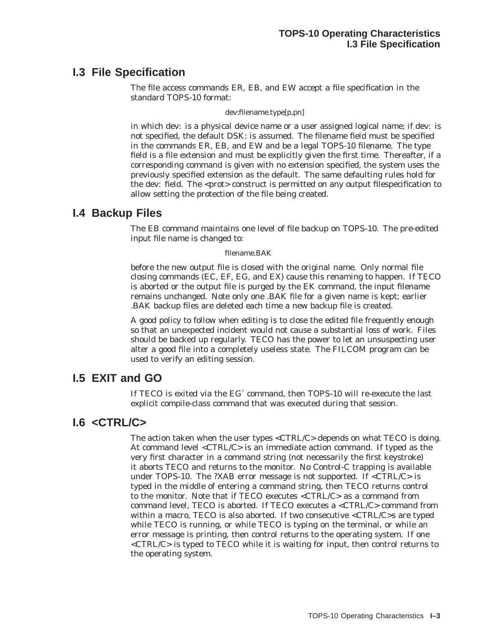# **I.3 File Specification**

The file access commands ER, EB, and EW accept a file specification in the standard TOPS-10 format:

dev:filename.type[p,pn]

in which dev: is a physical device name or a user assigned logical name; if dev: is not specified, the default DSK: is assumed. The filename field must be specified in the commands ER, EB, and EW and be a legal TOPS-10 filename. The type field is a file extension and must be explicitly given the first time. Thereafter, if a corresponding command is given with no extension specified, the system uses the previously specified extension as the default. The same defaulting rules hold for the dev: field. The <prot> construct is permitted on any output filespecification to allow setting the protection of the file being created.

# **I.4 Backup Files**

The EB command maintains one level of file backup on TOPS-10. The pre-edited input file name is changed to:

### filename.BAK

before the new output file is closed with the original name. Only normal file closing commands (EC, EF, EG, and EX) cause this renaming to happen. If TECO is aborted or the output file is purged by the EK command, the input filename remains unchanged. Note only one .BAK file for a given name is kept; earlier .BAK backup files are deleted each time a new backup file is created.

A good policy to follow when editing is to close the edited file frequently enough so that an unexpected incident would not cause a substantial loss of work. Files should be backed up regularly. TECO has the power to let an unsuspecting user alter a good file into a completely useless state. The FILCOM program can be used to verify an editing session.

# **I.5 EXIT and GO**

If TECO is exited via the EG` command, then TOPS-10 will re-execute the last explicit compile-class command that was executed during that session.

# **I.6 <CTRL/C>**

The action taken when the user types <CTRL/C> depends on what TECO is doing. At command level <CTRL/C> is an immediate action command. If typed as the very first character in a command string (not necessarily the first keystroke) it aborts TECO and returns to the monitor. No Control-C trapping is available under TOPS-10. The ?XAB error message is not supported. If  $\langle \text{CTR} \mid \text{CC} \rangle$  is typed in the middle of entering a command string, then TECO returns control to the monitor. Note that if TECO executes <CTRL/C> as a command from command level, TECO is aborted. If TECO executes a <CTRL/C> command from within a macro, TECO is also aborted. If two consecutive <CTRL/C>s are typed while TECO is running, or while TECO is typing on the terminal, or while an error message is printing, then control returns to the operating system. If one <CTRL/C> is typed to TECO while it is waiting for input, then control returns to the operating system.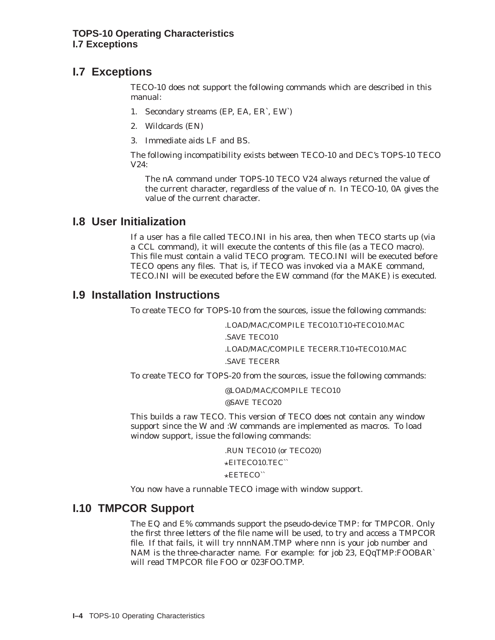# **I.7 Exceptions**

TECO-10 does not support the following commands which are described in this manual:

- 1. Secondary streams (EP, EA, ER`, EW`)
- 2. Wildcards (EN)
- 3. Immediate aids LF and BS.

The following incompatibility exists between TECO-10 and DEC's TOPS-10 TECO V24:

The nA command under TOPS-10 TECO V24 always returned the value of the current character, regardless of the value of n. In TECO-10, 0A gives the value of the current character.

# **I.8 User Initialization**

If a user has a file called TECO.INI in his area, then when TECO starts up (via a CCL command), it will execute the contents of this file (as a TECO macro). This file must contain a valid TECO program. TECO.INI will be executed before TECO opens any files. That is, if TECO was invoked via a MAKE command, TECO.INI will be executed before the EW command (for the MAKE) is executed.

## **I.9 Installation Instructions**

To create TECO for TOPS-10 from the sources, issue the following commands:

.LOAD/MAC/COMPILE TECO10.T10+TECO10.MAC .SAVE TECO10 .LOAD/MAC/COMPILE TECERR.T10+TECO10.MAC .SAVE TECERR

To create TECO for TOPS-20 from the sources, issue the following commands:

@LOAD/MAC/COMPILE TECO10

@SAVE TECO20

This builds a raw TECO. This version of TECO does not contain any window support since the W and :W commands are implemented as macros. To load window support, issue the following commands:

> .RUN TECO10 (or TECO20) ?EITECO10.TEC`` ?EETECO``

You now have a runnable TECO image with window support.

# **I.10 TMPCOR Support**

The EQ and E% commands support the pseudo-device TMP: for TMPCOR. Only the first three letters of the file name will be used, to try and access a TMPCOR file. If that fails, it will try nnnNAM.TMP where nnn is your job number and NAM is the three-character name. For example: for job 23, EQqTMP:FOOBAR` will read TMPCOR file FOO or 023FOO.TMP.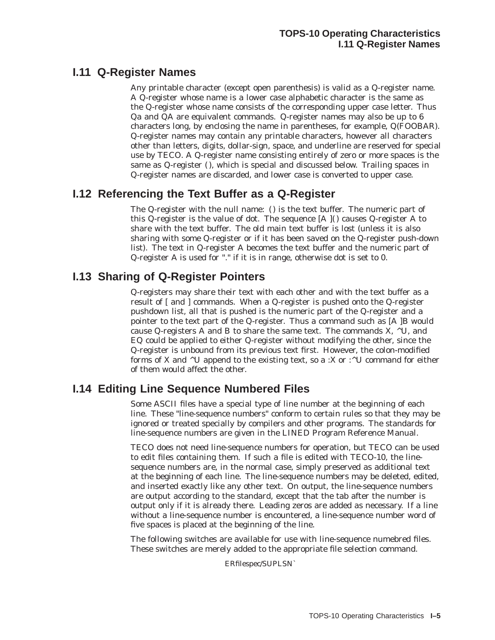# **I.11 Q-Register Names**

Any printable character (except open parenthesis) is valid as a Q-register name. A Q-register whose name is a lower case alphabetic character is the same as the Q-register whose name consists of the corresponding upper case letter. Thus Qa and QA are equivalent commands. Q-register names may also be up to 6 characters long, by enclosing the name in parentheses, for example, Q(FOOBAR). Q-register names may contain any printable characters, however all characters other than letters, digits, dollar-sign, space, and underline are reserved for special use by TECO. A Q-register name consisting entirely of zero or more spaces is the same as Q-register (), which is special and discussed below. Trailing spaces in Q-register names are discarded, and lower case is converted to upper case.

# **I.12 Referencing the Text Buffer as a Q-Register**

The Q-register with the null name: () is the text buffer. The numeric part of this Q-register is the value of dot. The sequence  $[A]$  () causes Q-register A to share with the text buffer. The old main text buffer is lost (unless it is also sharing with some Q-register or if it has been saved on the Q-register push-down list). The text in Q-register A becomes the text buffer and the numeric part of Q-register A is used for "." if it is in range, otherwise dot is set to 0.

# **I.13 Sharing of Q-Register Pointers**

Q-registers may share their text with each other and with the text buffer as a result of [ and ] commands. When a Q-register is pushed onto the Q-register pushdown list, all that is pushed is the numeric part of the Q-register and a pointer to the text part of the Q-register. Thus a command such as [A ]B would cause Q-registers A and B to share the same text. The commands  $X, \Delta U$ , and EQ could be applied to either Q-register without modifying the other, since the Q-register is unbound from its previous text first. However, the colon-modified forms of X and  $\Delta U$  append to the existing text, so a :X or : $\Delta U$  command for either of them would affect the other.

# **I.14 Editing Line Sequence Numbered Files**

Some ASCII files have a special type of line number at the beginning of each line. These "line-sequence numbers" conform to certain rules so that they may be ignored or treated specially by compilers and other programs. The standards for line-sequence numbers are given in the LINED Program Reference Manual.

TECO does not need line-sequence numbers for operation, but TECO can be used to edit files containing them. If such a file is edited with TECO-10, the linesequence numbers are, in the normal case, simply preserved as additional text at the beginning of each line. The line-sequence numbers may be deleted, edited, and inserted exactly like any other text. On output, the line-sequence numbers are output according to the standard, except that the tab after the number is output only if it is already there. Leading zeros are added as necessary. If a line without a line-sequence number is encountered, a line-sequence number word of five spaces is placed at the beginning of the line.

The following switches are available for use with line-sequence numebred files. These switches are merely added to the appropriate file selection command.

ERfilespec/SUPLSN`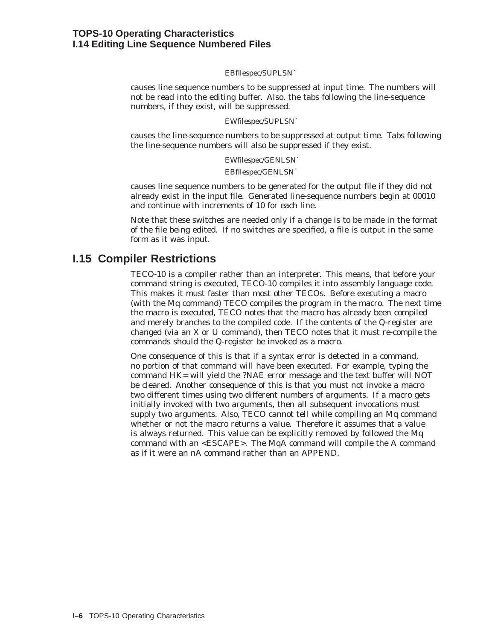### EBfilespec/SUPLSN`

causes line sequence numbers to be suppressed at input time. The numbers will not be read into the editing buffer. Also, the tabs following the line-sequence numbers, if they exist, will be suppressed.

### EWfilespec/SUPLSN`

causes the line-sequence numbers to be suppressed at output time. Tabs following the line-sequence numbers will also be suppressed if they exist.

### EWfilespec/GENLSN`

### EBfilespec/GENLSN`

causes line sequence numbers to be generated for the output file if they did not already exist in the input file. Generated line-sequence numbers begin at 00010 and continue with increments of 10 for each line.

Note that these switches are needed only if a change is to be made in the format of the file being edited. If no switches are specified, a file is output in the same form as it was input.

## **I.15 Compiler Restrictions**

TECO-10 is a compiler rather than an interpreter. This means, that before your command string is executed, TECO-10 compiles it into assembly language code. This makes it must faster than most other TECOs. Before executing a macro (with the Mq command) TECO compiles the program in the macro. The next time the macro is executed, TECO notes that the macro has already been compiled and merely branches to the compiled code. If the contents of the Q-register are changed (via an X or U command), then TECO notes that it must re-compile the commands should the Q-register be invoked as a macro.

One consequence of this is that if a syntax error is detected in a command, no portion of that command will have been executed. For example, typing the command HK= will yield the ?NAE error message and the text buffer will NOT be cleared. Another consequence of this is that you must not invoke a macro two different times using two different numbers of arguments. If a macro gets initially invoked with two arguments, then all subsequent invocations must supply two arguments. Also, TECO cannot tell while compiling an Mq command whether or not the macro returns a value. Therefore it assumes that a value is always returned. This value can be explicitly removed by followed the Mq command with an <ESCAPE>. The MqA command will compile the A command as if it were an nA command rather than an APPEND.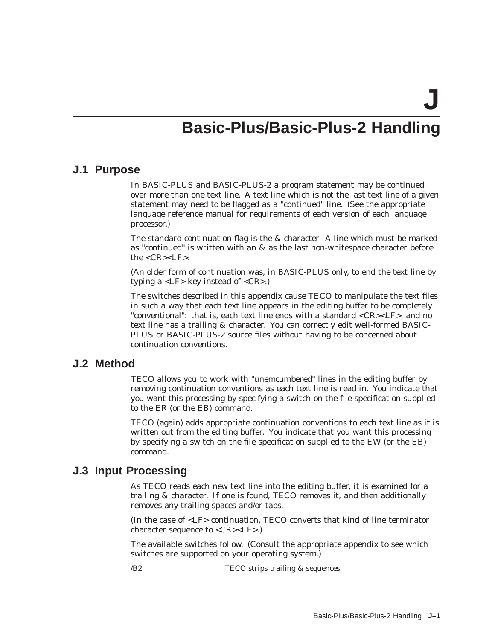**J**

# **Basic-Plus/Basic-Plus-2 Handling**

### **J.1 Purpose**

In BASIC-PLUS and BASIC-PLUS-2 a program statement may be continued over more than one text line. A text line which is not the last text line of a given statement may need to be flagged as a "continued" line. (See the appropriate language reference manual for requirements of each version of each language processor.)

The standard continuation flag is the & character. A line which must be marked as "continued" is written with an & as the last non-whitespace character before the <CR><LF>.

(An older form of continuation was, in BASIC-PLUS only, to end the text line by typing a  $\langle LF \rangle$  key instead of  $\langle CR \rangle$ .)

The switches described in this appendix cause TECO to manipulate the text files in such a way that each text line appears in the editing buffer to be completely "conventional": that is, each text line ends with a standard <CR><LF>, and no text line has a trailing & character. You can correctly edit well-formed BASIC-PLUS or BASIC-PLUS-2 source files without having to be concerned about continuation conventions.

### **J.2 Method**

TECO allows you to work with "unemcumbered" lines in the editing buffer by removing continuation conventions as each text line is read in. You indicate that you want this processing by specifying a switch on the file specification supplied to the ER (or the EB) command.

TECO (again) adds appropriate continuation conventions to each text line as it is written out from the editing buffer. You indicate that you want this processing by specifying a switch on the file specification supplied to the EW (or the EB) command.

### **J.3 Input Processing**

As TECO reads each new text line into the editing buffer, it is examined for a trailing & character. If one is found, TECO removes it, and then additionally removes any trailing spaces and/or tabs.

(In the case of <LF> continuation, TECO converts that kind of line terminator character sequence to  $\langle CR \rangle \langle LF \rangle$ .

The available switches follow. (Consult the appropriate appendix to see which switches are supported on your operating system.)

/B2 TECO strips trailing & sequences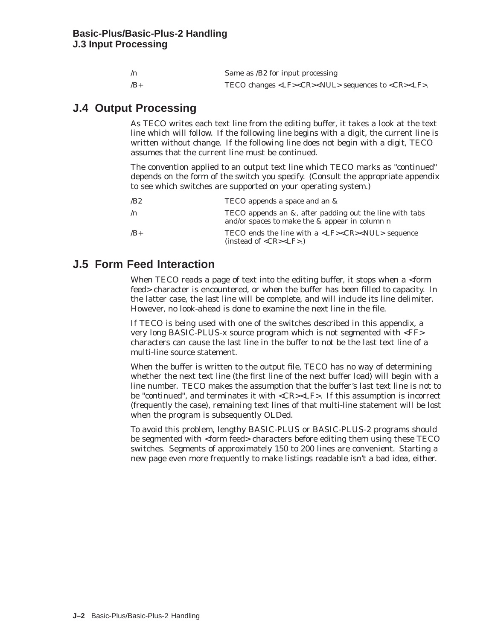|       | Same as /B2 for input processing                                                                                                |
|-------|---------------------------------------------------------------------------------------------------------------------------------|
| $/B+$ | TECO changes $\langle LF \rangle \langle CR \rangle \langle NUL \rangle$ sequences to $\langle CR \rangle \langle LF \rangle$ . |

# **J.4 Output Processing**

As TECO writes each text line from the editing buffer, it takes a look at the text line which will follow. If the following line begins with a digit, the current line is written without change. If the following line does not begin with a digit, TECO assumes that the current line must be continued.

The convention applied to an output text line which TECO marks as "continued" depends on the form of the switch you specify. (Consult the appropriate appendix to see which switches are supported on your operating system.)

| /B2 | TECO appends a space and an &                                                                                                         |
|-----|---------------------------------------------------------------------------------------------------------------------------------------|
| /n  | TECO appends an &, after padding out the line with tabs<br>and/or spaces to make the & appear in column n                             |
| /B+ | TECO ends the line with a <lf><cr><nul> sequence<br/>(instead of <math>\langle CR \rangle \langle LF \rangle</math>.)</nul></cr></lf> |

# **J.5 Form Feed Interaction**

When TECO reads a page of text into the editing buffer, it stops when a <form feed> character is encountered, or when the buffer has been filled to capacity. In the latter case, the last line will be complete, and will include its line delimiter. However, no look-ahead is done to examine the next line in the file.

If TECO is being used with one of the switches described in this appendix, a very long BASIC-PLUS-x source program which is not segmented with <FF> characters can cause the last line in the buffer to not be the last text line of a multi-line source statement.

When the buffer is written to the output file, TECO has no way of determining whether the next text line (the first line of the next buffer load) will begin with a line number. TECO makes the assumption that the buffer's last text line is not to be "continued", and terminates it with <CR><LF>. If this assumption is incorrect (frequently the case), remaining text lines of that multi-line statement will be lost when the program is subsequently OLDed.

To avoid this problem, lengthy BASIC-PLUS or BASIC-PLUS-2 programs should be segmented with <form feed> characters before editing them using these TECO switches. Segments of approximately 150 to 200 lines are convenient. Starting a new page even more frequently to make listings readable isn't a bad idea, either.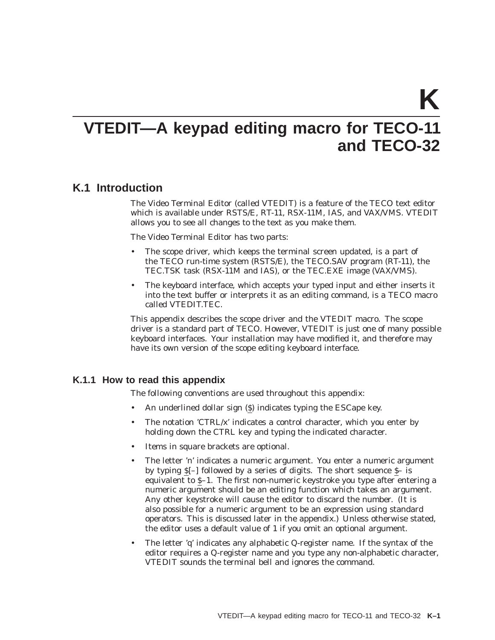**K**

# **VTEDIT—A keypad editing macro for TECO-11 and TECO-32**

## **K.1 Introduction**

The Video Terminal Editor (called VTEDIT) is a feature of the TECO text editor which is available under RSTS/E, RT-11, RSX-11M, IAS, and VAX/VMS. VTEDIT allows you to see all changes to the text as you make them.

The Video Terminal Editor has two parts:

- The scope driver, which keeps the terminal screen updated, is a part of the TECO run-time system (RSTS/E), the TECO.SAV program (RT-11), the TEC.TSK task (RSX-11M and IAS), or the TEC.EXE image (VAX/VMS).
- The keyboard interface, which accepts your typed input and either inserts it into the text buffer or interprets it as an editing command, is a TECO macro called VTEDIT.TEC.

This appendix describes the scope driver and the VTEDIT macro. The scope driver is a standard part of TECO. However, VTEDIT is just one of many possible keyboard interfaces. Your installation may have modified it, and therefore may have its own version of the scope editing keyboard interface.

### **K.1.1 How to read this appendix**

The following conventions are used throughout this appendix:

- An underlined dollar sign (\$) indicates typing the ESCape key.
- The notation 'CTRL/x' indicates a control character, which you enter by holding down the CTRL key and typing the indicated character.
- Items in square brackets are optional.
- The letter 'n' indicates a numeric argument. You enter a numeric argument by typing \$[–] followed by a series of digits. The short sequence \$– is equivalent to \$–1. The first non-numeric keystroke you type after entering a numeric argument should be an editing function which takes an argument. Any other keystroke will cause the editor to discard the number. (It is also possible for a numeric argument to be an expression using standard operators. This is discussed later in the appendix.) Unless otherwise stated, the editor uses a default value of 1 if you omit an optional argument.
- The letter 'q' indicates any alphabetic Q-register name. If the syntax of the editor requires a Q-register name and you type any non-alphabetic character, VTEDIT sounds the terminal bell and ignores the command.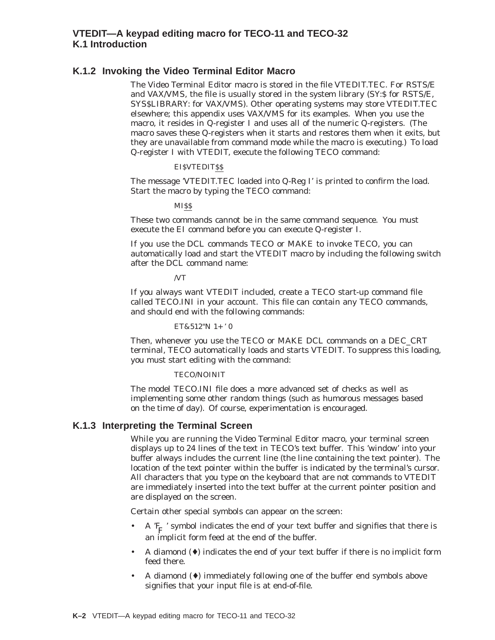### **K.1.2 Invoking the Video Terminal Editor Macro**

The Video Terminal Editor macro is stored in the file VTEDIT.TEC. For RSTS/E and VAX/VMS, the file is usually stored in the system library (SY:\$ for RSTS/E, SYS\$LIBRARY: for VAX/VMS). Other operating systems may store VTEDIT.TEC elsewhere; this appendix uses VAX/VMS for its examples. When you use the macro, it resides in Q-register I and uses all of the numeric Q-registers. (The macro saves these Q-registers when it starts and restores them when it exits, but they are unavailable from command mode while the macro is executing.) To load Q-register I with VTEDIT, execute the following TECO command:

### EI\$VTEDIT\$\$

The message 'VTEDIT.TEC loaded into Q-Reg I' is printed to confirm the load. Start the macro by typing the TECO command:

### MI\$\$

These two commands cannot be in the same command sequence. You must execute the EI command before you can execute Q-register I.

If you use the DCL commands TECO or MAKE to invoke TECO, you can automatically load and start the VTEDIT macro by including the following switch after the DCL command name:

/VT

If you always want VTEDIT included, create a TECO start-up command file called TECO.INI in your account. This file can contain any TECO commands, and should end with the following commands:

ET&512"N 1+ ' 0

Then, whenever you use the TECO or MAKE DCL commands on a DEC\_CRT terminal, TECO automatically loads and starts VTEDIT. To suppress this loading, you must start editing with the command:

### TECO/NOINIT

The model TECO.INI file does a more advanced set of checks as well as implementing some other random things (such as humorous messages based on the time of day). Of course, experimentation is encouraged.

### **K.1.3 Interpreting the Terminal Screen**

While you are running the Video Terminal Editor macro, your terminal screen displays up to 24 lines of the text in TECO's text buffer. This 'window' into your buffer always includes the current line (the line containing the text pointer). The location of the text pointer within the buffer is indicated by the terminal's cursor. All characters that you type on the keyboard that are not commands to VTEDIT are immediately inserted into the text buffer at the current pointer position and are displayed on the screen.

Certain other special symbols can appear on the screen:

- A  $F_F$  ' symbol indicates the end of your text buffer and signifies that there is an implicit form feed at the end of the buffer.
- A diamond  $(*)$  indicates the end of your text buffer if there is no implicit form feed there.
- A diamond  $(\bullet)$  immediately following one of the buffer end symbols above signifies that your input file is at end-of-file.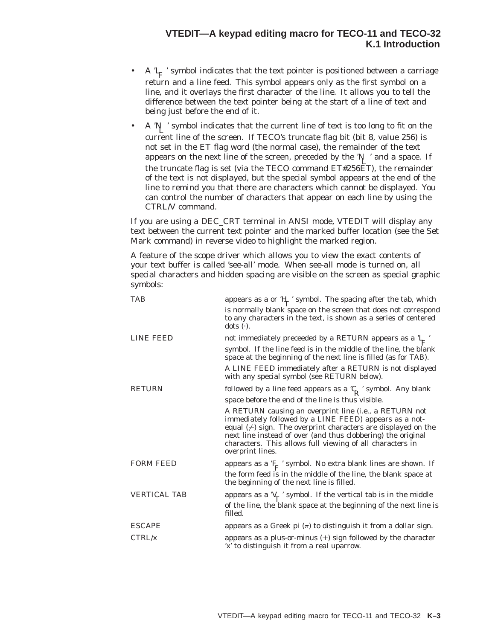- A  $I_F$  ' symbol indicates that the text pointer is positioned between a carriage return and a line feed. This symbol appears only as the first symbol on a line, and it overlays the first character of the line. It allows you to tell the difference between the text pointer being at the start of a line of text and being just before the end of it.
- A 'N ' symbol indicates that the current line of text is too long to fit on the current line of the screen. If TECO's truncate flag bit (bit 8, value 256) is not set in the ET flag word (the normal case), the remainder of the text appears on the next line of the screen, preceded by the 'N  $\cdot$ ' and a space. If the truncate flag is set (via the TECO command ET#256ET), the remainder of the text is not displayed, but the special symbol appears at the end of the line to remind you that there are characters which cannot be displayed. You can control the number of characters that appear on each line by using the CTRL/V command.

If you are using a DEC\_CRT terminal in ANSI mode, VTEDIT will display any text between the current text pointer and the marked buffer location (see the Set Mark command) in reverse video to highlight the marked region.

A feature of the scope driver which allows you to view the exact contents of your text buffer is called 'see-all' mode. When see-all mode is turned on, all special characters and hidden spacing are visible on the screen as special graphic symbols:

| <b>TAB</b>          | appears as a or ' $H_r$ ' symbol. The spacing after the tab, which                                                                                                                                                                                                                                                                      |
|---------------------|-----------------------------------------------------------------------------------------------------------------------------------------------------------------------------------------------------------------------------------------------------------------------------------------------------------------------------------------|
|                     | is normally blank space on the screen that does not correspond<br>to any characters in the text, is shown as a series of centered<br>dots $(\cdot)$ .                                                                                                                                                                                   |
| <b>LINE FEED</b>    | not immediately preceeded by a RETURN appears as a $I_{\text{F}}$ .                                                                                                                                                                                                                                                                     |
|                     | symbol. If the line feed is in the middle of the line, the blank<br>space at the beginning of the next line is filled (as for TAB).                                                                                                                                                                                                     |
|                     | A LINE FEED immediately after a RETURN is not displayed<br>with any special symbol (see RETURN below).                                                                                                                                                                                                                                  |
| <b>RETURN</b>       | followed by a line feed appears as a $C_{\mathsf{R}}$ ' symbol. Any blank                                                                                                                                                                                                                                                               |
|                     | space before the end of the line is thus visible.                                                                                                                                                                                                                                                                                       |
|                     | A RETURN causing an overprint line (i.e., a RETURN not<br>immediately followed by a LINE FEED) appears as a not-<br>equal $(\neq)$ sign. The overprint characters are displayed on the<br>next line instead of over (and thus clobbering) the original<br>characters. This allows full viewing of all characters in<br>overprint lines. |
| <b>FORM FEED</b>    | appears as a $F_{\overline{k}}$ ' symbol. No extra blank lines are shown. If                                                                                                                                                                                                                                                            |
|                     | the form feed is in the middle of the line, the blank space at<br>the beginning of the next line is filled.                                                                                                                                                                                                                             |
| <b>VERTICAL TAB</b> | appears as a $V_{\Gamma}$ ' symbol. If the vertical tab is in the middle                                                                                                                                                                                                                                                                |
|                     | of the line, the blank space at the beginning of the next line is<br>filled.                                                                                                                                                                                                                                                            |
| <b>ESCAPE</b>       | appears as a Greek pi $(\pi)$ to distinguish it from a dollar sign.                                                                                                                                                                                                                                                                     |
| CTRL/x              | appears as a plus-or-minus $(\pm)$ sign followed by the character<br>'x' to distinguish it from a real uparrow.                                                                                                                                                                                                                         |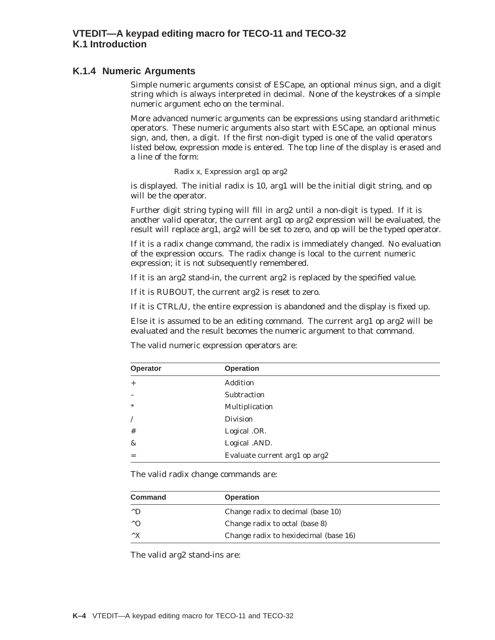### **K.1.4 Numeric Arguments**

Simple numeric arguments consist of ESCape, an optional minus sign, and a digit string which is always interpreted in decimal. None of the keystrokes of a simple numeric argument echo on the terminal.

More advanced numeric arguments can be expressions using standard arithmetic operators. These numeric arguments also start with ESCape, an optional minus sign, and, then, a digit. If the first non-digit typed is one of the valid operators listed below, expression mode is entered. The top line of the display is erased and a line of the form:

Radix x, Expression arg1 op arg2

is displayed. The initial radix is 10, arg1 will be the initial digit string, and op will be the operator.

Further digit string typing will fill in arg2 until a non-digit is typed. If it is another valid operator, the current arg1 op arg2 expression will be evaluated, the result will replace arg1, arg2 will be set to zero, and op will be the typed operator.

If it is a radix change command, the radix is immediately changed. No evaluation of the expression occurs. The radix change is local to the current numeric expression; it is not subsequently remembered.

If it is an arg2 stand-in, the current arg2 is replaced by the specified value.

If it is RUBOUT, the current arg2 is reset to zero.

If it is CTRL/U, the entire expression is abandoned and the display is fixed up.

Else it is assumed to be an editing command. The current arg1 op arg2 will be evaluated and the result becomes the numeric argument to that command.

The valid numeric expression operators are:

| Operator | <b>Operation</b>              |  |
|----------|-------------------------------|--|
| $^{+}$   | Addition                      |  |
|          | <b>Subtraction</b>            |  |
| $\ast$   | Multiplication                |  |
|          | <b>Division</b>               |  |
| #        | Logical .OR.                  |  |
| &        | Logical .AND.                 |  |
| $=$      | Evaluate current arg1 op arg2 |  |

The valid radix change commands are:

| <b>Command</b> | <b>Operation</b>                      |  |
|----------------|---------------------------------------|--|
| $^{\wedge}D$   | Change radix to decimal (base 10)     |  |
| $^{\wedge}$ O  | Change radix to octal (base 8)        |  |
| $\wedge$ X     | Change radix to hexidecimal (base 16) |  |

The valid arg2 stand-ins are: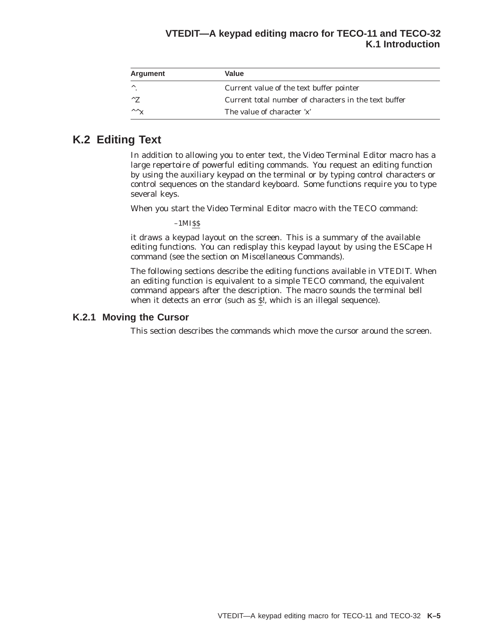### **VTEDIT—A keypad editing macro for TECO-11 and TECO-32 K.1 Introduction**

| Argument                     | Value                                                 |
|------------------------------|-------------------------------------------------------|
| $\lambda$                    | Current value of the text buffer pointer              |
| $^{\wedge}7$                 | Current total number of characters in the text buffer |
| $\wedge \wedge_{\mathbf{X}}$ | The value of character 'x'                            |

# **K.2 Editing Text**

In addition to allowing you to enter text, the Video Terminal Editor macro has a large repertoire of powerful editing commands. You request an editing function by using the auxiliary keypad on the terminal or by typing control characters or control sequences on the standard keyboard. Some functions require you to type several keys.

When you start the Video Terminal Editor macro with the TECO command:

 $-1MISS$ 

it draws a keypad layout on the screen. This is a summary of the available editing functions. You can redisplay this keypad layout by using the ESCape H command (see the section on Miscellaneous Commands).

The following sections describe the editing functions available in VTEDIT. When an editing function is equivalent to a simple TECO command, the equivalent command appears after the description. The macro sounds the terminal bell when it detects an error (such as \$!, which is an illegal sequence).

### **K.2.1 Moving the Cursor**

This section describes the commands which move the cursor around the screen.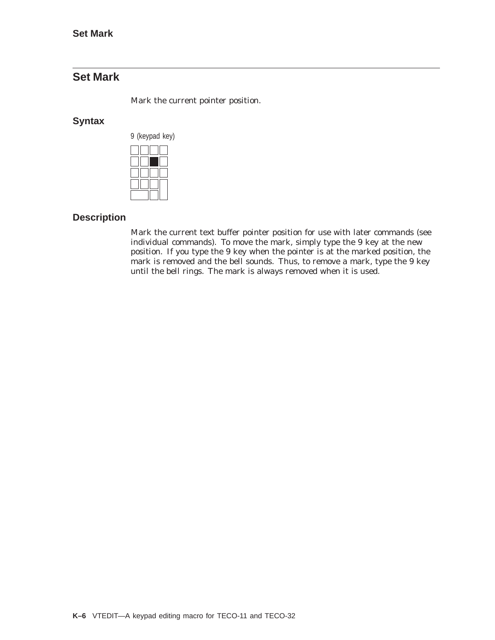# **Set Mark**

Mark the current pointer position.

### **Syntax**



### **Description**

Mark the current text buffer pointer position for use with later commands (see individual commands). To move the mark, simply type the 9 key at the new position. If you type the 9 key when the pointer is at the marked position, the mark is removed and the bell sounds. Thus, to remove a mark, type the 9 key until the bell rings. The mark is always removed when it is used.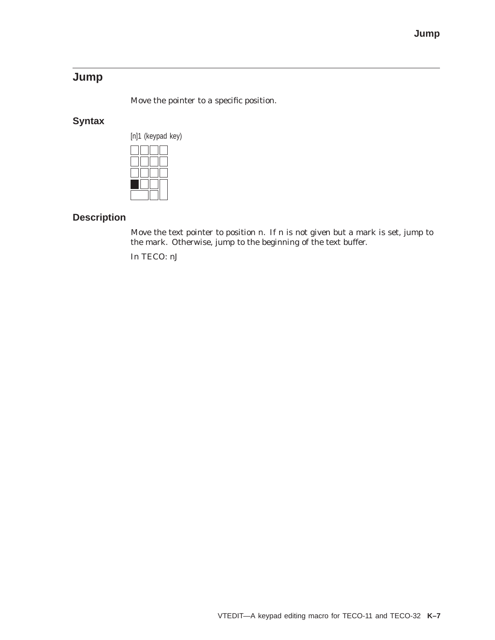# **Jump**

Move the pointer to a specific position.

# **Syntax**



## **Description**

Move the text pointer to position n. If n is not given but a mark is set, jump to the mark. Otherwise, jump to the beginning of the text buffer.

In TECO: nJ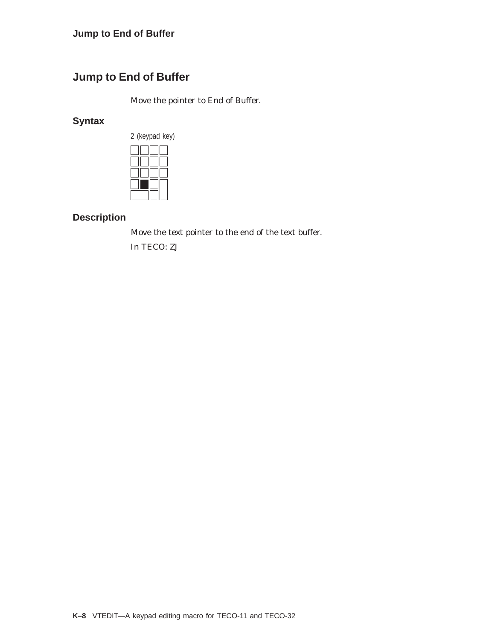# **Jump to End of Buffer**

Move the pointer to End of Buffer.

## **Syntax**



## **Description**

Move the text pointer to the end of the text buffer.

In TECO: ZJ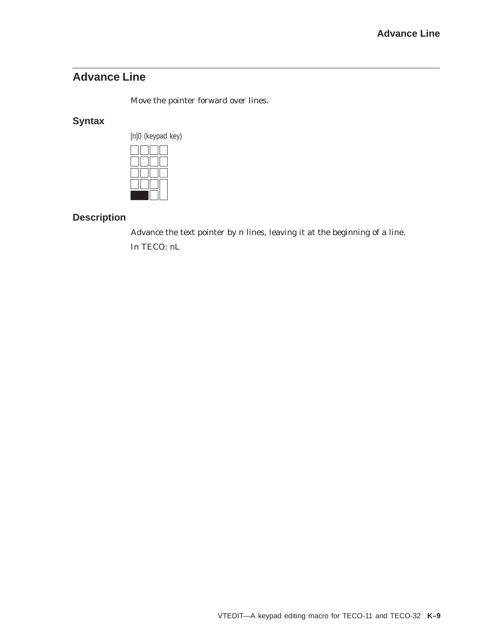# **Advance Line**

Move the pointer forward over lines.

## **Syntax**



## **Description**

Advance the text pointer by n lines, leaving it at the beginning of a line. In TECO: nL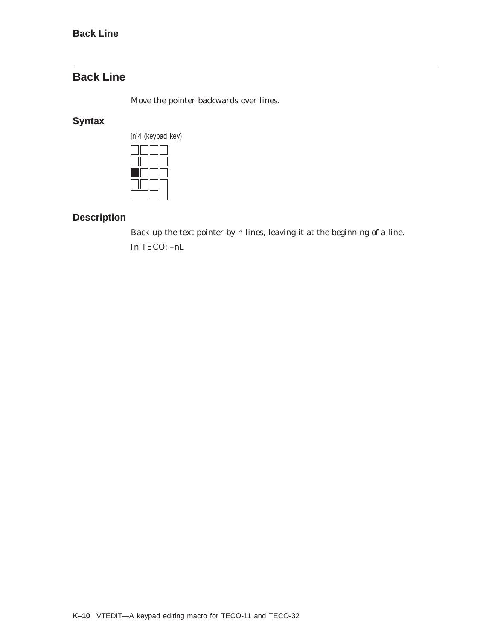# **Back Line**

Move the pointer backwards over lines.

## **Syntax**



# **Description**

Back up the text pointer by n lines, leaving it at the beginning of a line. In TECO: –nL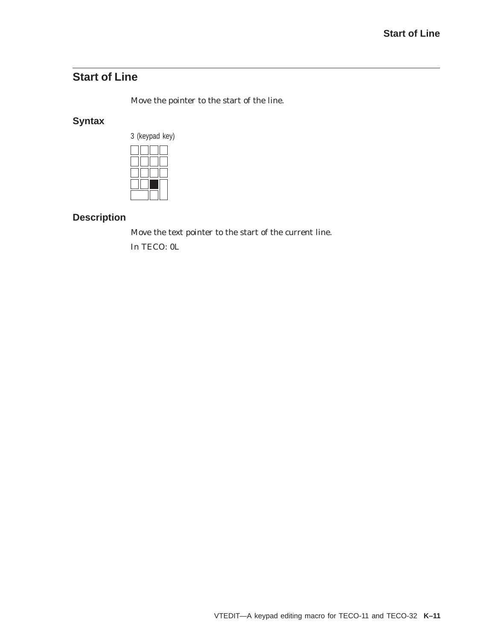# **Start of Line**

Move the pointer to the start of the line.

## **Syntax**



## **Description**

Move the text pointer to the start of the current line.

In TECO: 0L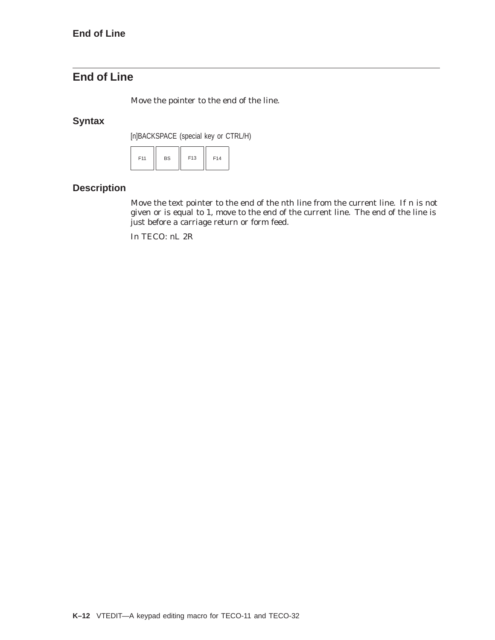# **End of Line**

Move the pointer to the end of the line.

## **Syntax**

[n]BACKSPACE (special key or CTRL/H)

| <b>BS</b><br>F11 | F13 | F14 |  |
|------------------|-----|-----|--|
|------------------|-----|-----|--|

## **Description**

Move the text pointer to the end of the nth line from the current line. If n is not given or is equal to 1, move to the end of the current line. The end of the line is just before a carriage return or form feed.

In TECO: nL 2R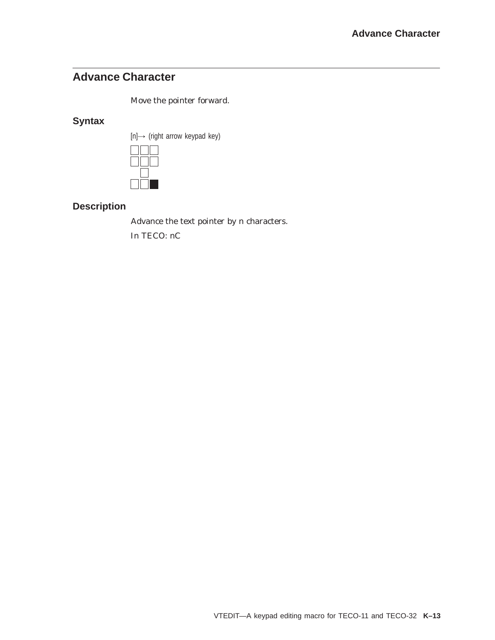# **Advance Character**

Move the pointer forward.

## **Syntax**





# **Description**

Advance the text pointer by n characters.

In TECO: nC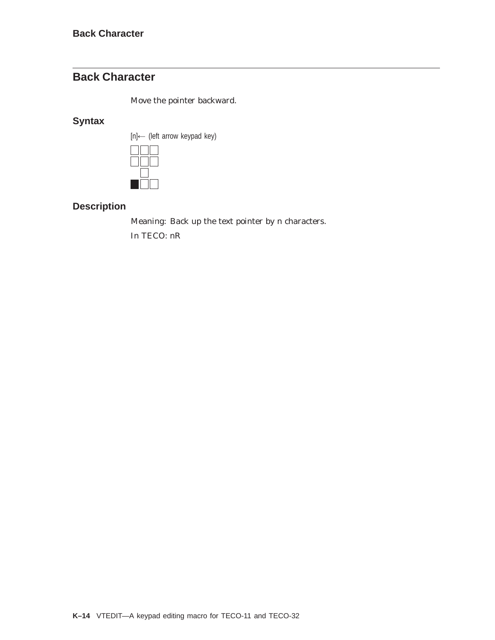# **Back Character**

Move the pointer backward.

## **Syntax**





# **Description**

Meaning: Back up the text pointer by n characters.

In TECO: nR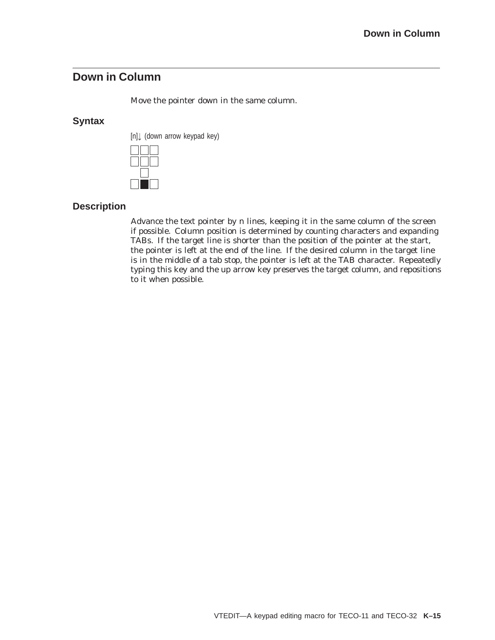# **Down in Column**

Move the pointer down in the same column.

### **Syntax**





### **Description**

Advance the text pointer by n lines, keeping it in the same column of the screen if possible. Column position is determined by counting characters and expanding TABs. If the target line is shorter than the position of the pointer at the start, the pointer is left at the end of the line. If the desired column in the target line is in the middle of a tab stop, the pointer is left at the TAB character. Repeatedly typing this key and the up arrow key preserves the target column, and repositions to it when possible.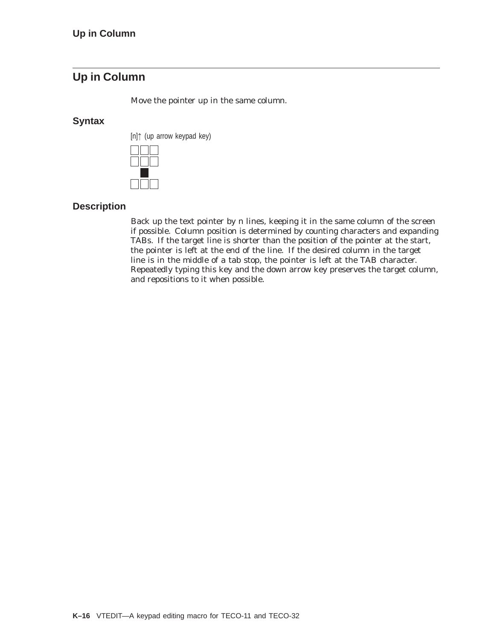# **Up in Column**

Move the pointer up in the same column.

### **Syntax**





### **Description**

Back up the text pointer by n lines, keeping it in the same column of the screen if possible. Column position is determined by counting characters and expanding TABs. If the target line is shorter than the position of the pointer at the start, the pointer is left at the end of the line. If the desired column in the target line is in the middle of a tab stop, the pointer is left at the TAB character. Repeatedly typing this key and the down arrow key preserves the target column, and repositions to it when possible.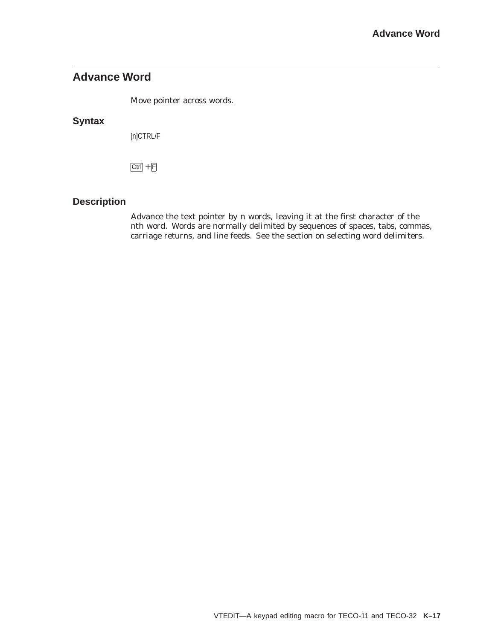# **Advance Word**

Move pointer across words.

## **Syntax**

[n]CTRL/F

 $Ctrl + F$ 

## **Description**

Advance the text pointer by n words, leaving it at the first character of the nth word. Words are normally delimited by sequences of spaces, tabs, commas, carriage returns, and line feeds. See the section on selecting word delimiters.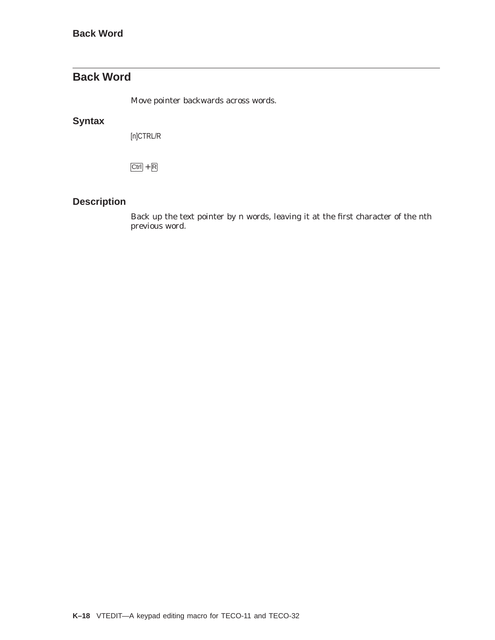# **Back Word**

Move pointer backwards across words.

## **Syntax**

[n]CTRL/R

 $Ctrl + R$ 

# **Description**

Back up the text pointer by n words, leaving it at the first character of the nth previous word.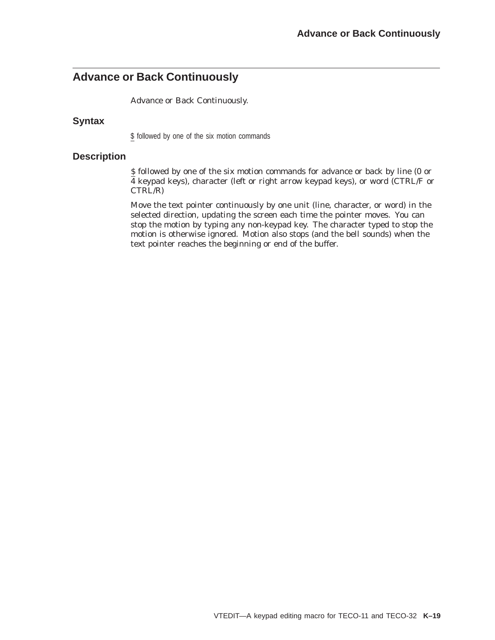# **Advance or Back Continuously**

Advance or Back Continuously.

### **Syntax**

\$ followed by one of the six motion commands

### **Description**

\$ followed by one of the six motion commands for advance or back by line (0 or 4 keypad keys), character (left or right arrow keypad keys), or word (CTRL/F or CTRL/R)

Move the text pointer continuously by one unit (line, character, or word) in the selected direction, updating the screen each time the pointer moves. You can stop the motion by typing any non-keypad key. The character typed to stop the motion is otherwise ignored. Motion also stops (and the bell sounds) when the text pointer reaches the beginning or end of the buffer.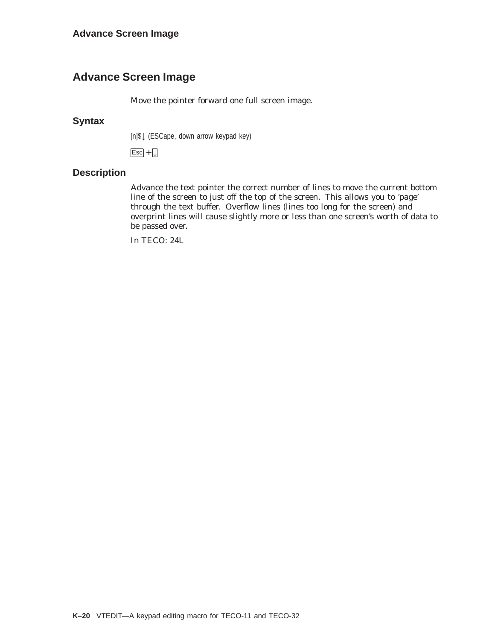# **Advance Screen Image**

Move the pointer forward one full screen image.

### **Syntax**

[n]\$ $\downarrow$  (ESCape, down arrow keypad key)

 $\text{Esc}$  +  $\Box$ 

### **Description**

Advance the text pointer the correct number of lines to move the current bottom line of the screen to just off the top of the screen. This allows you to 'page' through the text buffer. Overflow lines (lines too long for the screen) and overprint lines will cause slightly more or less than one screen's worth of data to be passed over.

In TECO: 24L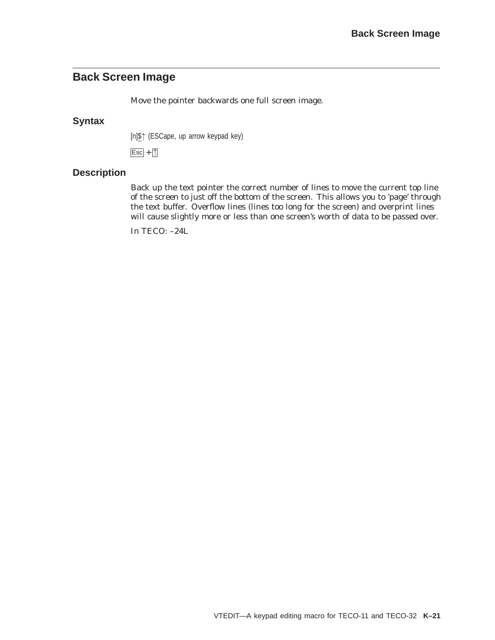## **Back Screen Image**

Move the pointer backwards one full screen image.

### **Syntax**

[n]\$ $\uparrow$  (ESCape, up arrow keypad key)

 $\mathsf{Esc} + \mathbb{1}$ 

### **Description**

Back up the text pointer the correct number of lines to move the current top line of the screen to just off the bottom of the screen. This allows you to 'page' through the text buffer. Overflow lines (lines too long for the screen) and overprint lines will cause slightly more or less than one screen's worth of data to be passed over.

In TECO: –24L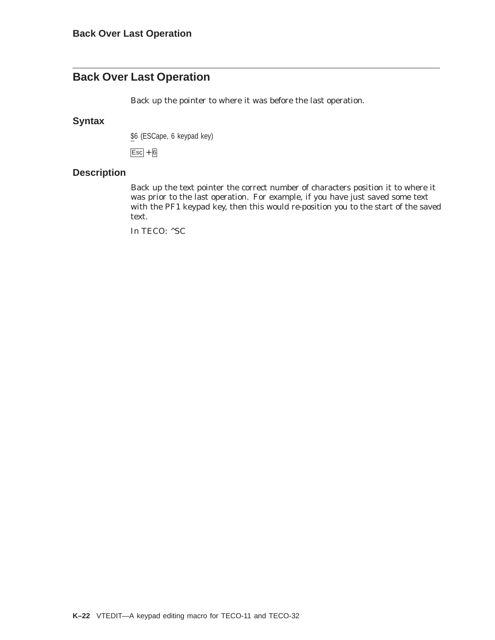# **Back Over Last Operation**

Back up the pointer to where it was before the last operation.

### **Syntax**

\$6 (ESCape, 6 keypad key)

 $\textsf{Esc}$  +  $6$ 

### **Description**

Back up the text pointer the correct number of characters position it to where it was prior to the last operation. For example, if you have just saved some text with the PF1 keypad key, then this would re-position you to the start of the saved text.

In TECO: ^SC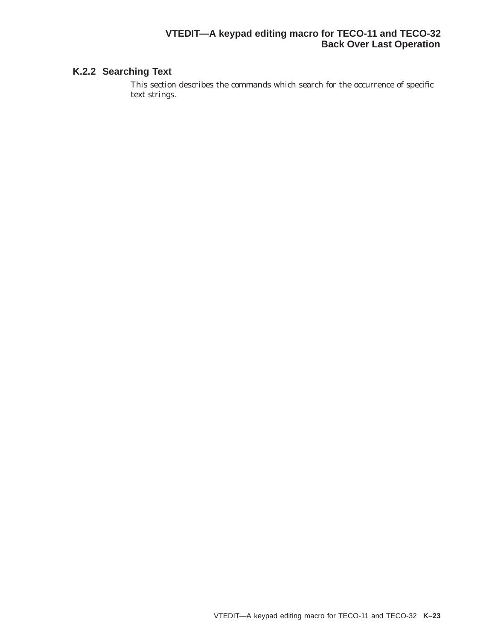## **K.2.2 Searching Text**

This section describes the commands which search for the occurrence of specific text strings.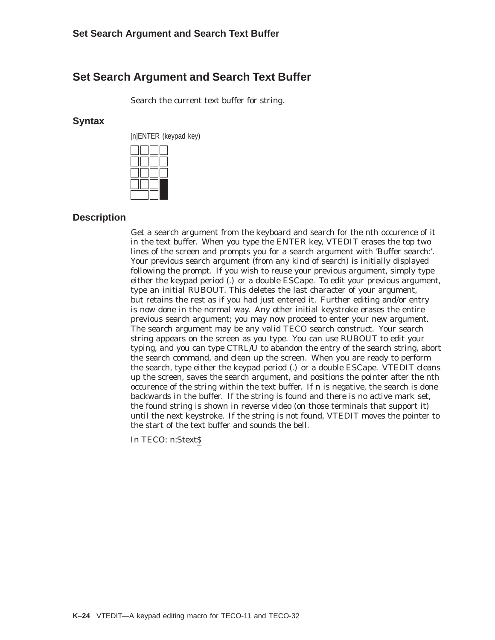# **Set Search Argument and Search Text Buffer**

Search the current text buffer for string.

### **Syntax**



### **Description**

Get a search argument from the keyboard and search for the nth occurence of it in the text buffer. When you type the ENTER key, VTEDIT erases the top two lines of the screen and prompts you for a search argument with 'Buffer search:'. Your previous search argument (from any kind of search) is initially displayed following the prompt. If you wish to reuse your previous argument, simply type either the keypad period (.) or a double ESCape. To edit your previous argument, type an initial RUBOUT. This deletes the last character of your argument, but retains the rest as if you had just entered it. Further editing and/or entry is now done in the normal way. Any other initial keystroke erases the entire previous search argument; you may now proceed to enter your new argument. The search argument may be any valid TECO search construct. Your search string appears on the screen as you type. You can use RUBOUT to edit your typing, and you can type CTRL/U to abandon the entry of the search string, abort the search command, and clean up the screen. When you are ready to perform the search, type either the keypad period (.) or a double ESCape. VTEDIT cleans up the screen, saves the search argument, and positions the pointer after the nth occurence of the string within the text buffer. If n is negative, the search is done backwards in the buffer. If the string is found and there is no active mark set, the found string is shown in reverse video (on those terminals that support it) until the next keystroke. If the string is not found, VTEDIT moves the pointer to the start of the text buffer and sounds the bell.

In TECO: n:Stext\$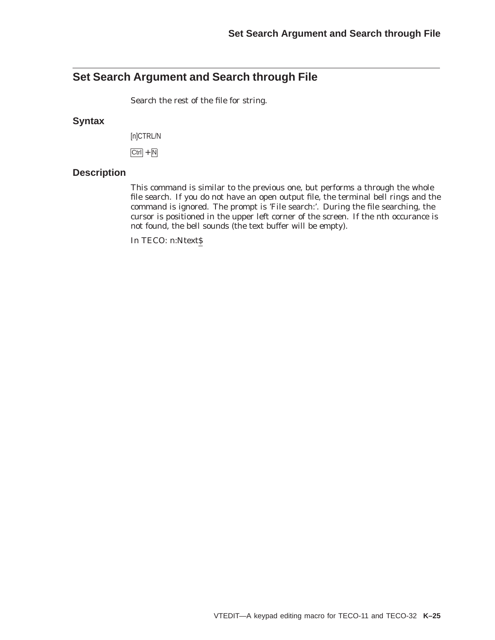## **Set Search Argument and Search through File**

Search the rest of the file for string.

#### **Syntax**

[n]CTRL/N

 $Ctrl + N$ 

### **Description**

This command is similar to the previous one, but performs a through the whole file search. If you do not have an open output file, the terminal bell rings and the command is ignored. The prompt is 'File search:'. During the file searching, the cursor is positioned in the upper left corner of the screen. If the nth occurance is not found, the bell sounds (the text buffer will be empty).

In TECO: n:Ntext\$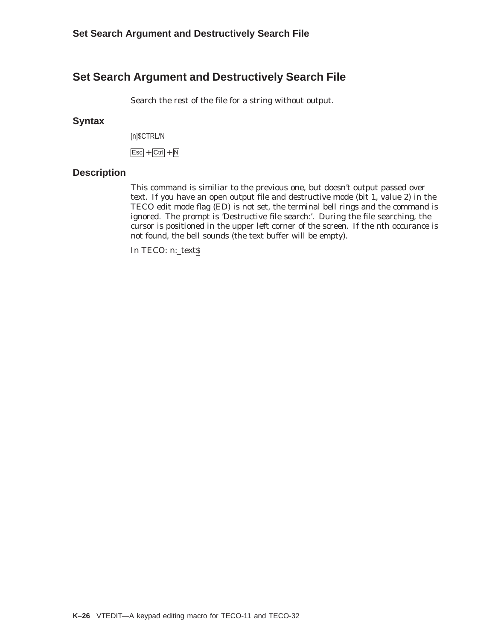## **Set Search Argument and Destructively Search File**

Search the rest of the file for a string without output.

#### **Syntax**

[n]\$CTRL/N

 $\overline{|\text{Esc}|} + \overline{|\text{Ctrl}|} + \overline{|\text{N}|}$ 

#### **Description**

This command is similiar to the previous one, but doesn't output passed over text. If you have an open output file and destructive mode (bit 1, value 2) in the TECO edit mode flag (ED) is not set, the terminal bell rings and the command is ignored. The prompt is 'Destructive file search:'. During the file searching, the cursor is positioned in the upper left corner of the screen. If the nth occurance is not found, the bell sounds (the text buffer will be empty).

In TECO: n:\_text\$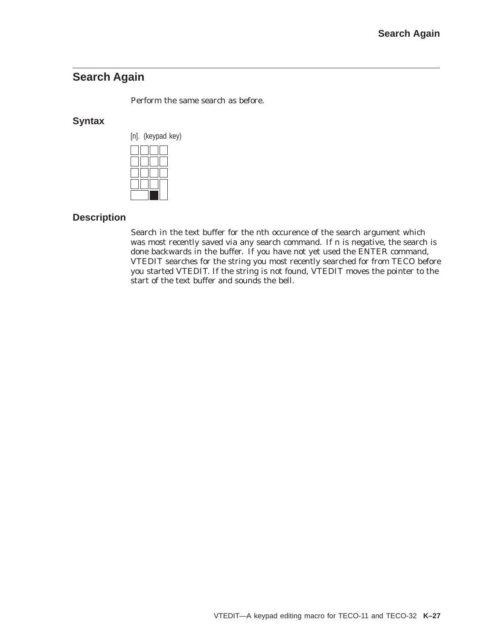# **Search Again**

Perform the same search as before.

### **Syntax**



#### **Description**

Search in the text buffer for the nth occurence of the search argument which was most recently saved via any search command. If n is negative, the search is done backwards in the buffer. If you have not yet used the ENTER command, VTEDIT searches for the string you most recently searched for from TECO before you started VTEDIT. If the string is not found, VTEDIT moves the pointer to the start of the text buffer and sounds the bell.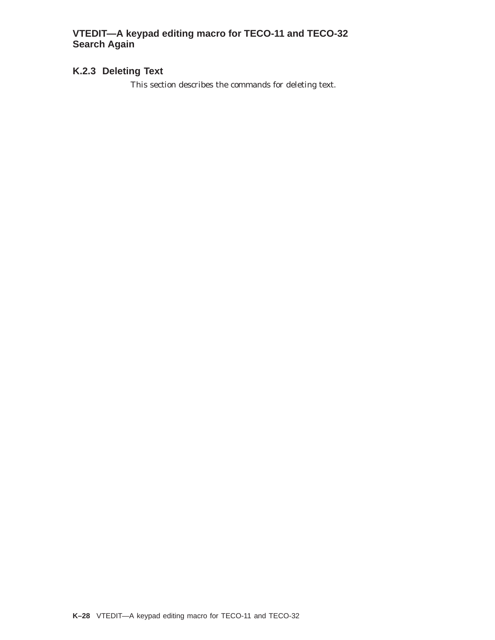## **K.2.3 Deleting Text**

This section describes the commands for deleting text.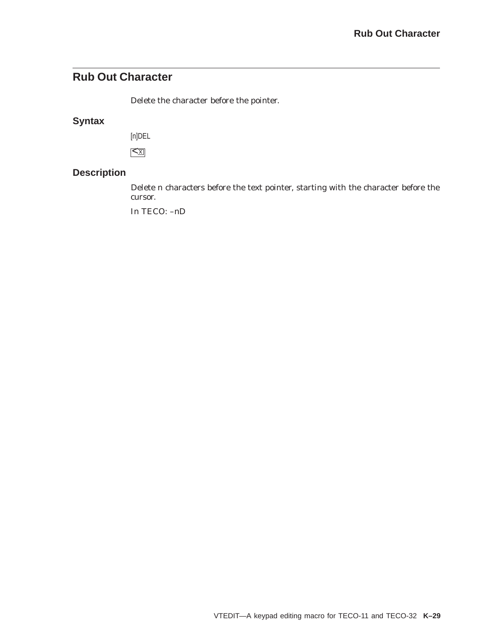# **Rub Out Character**

Delete the character before the pointer.

## **Syntax**

[n]DEL

 $\overline{$ 

## **Description**

Delete n characters before the text pointer, starting with the character before the cursor.

In TECO: –nD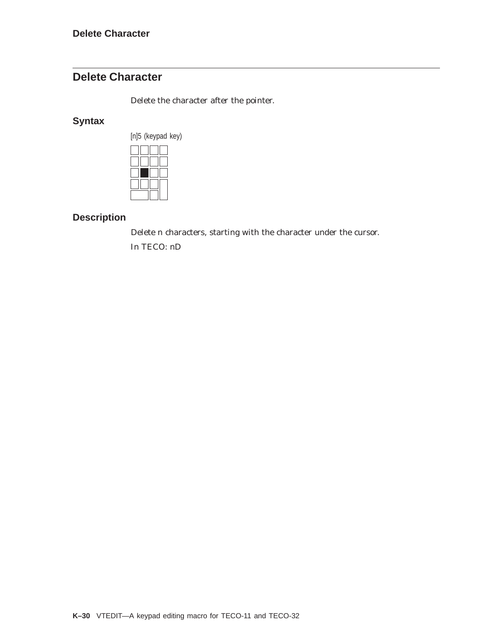# **Delete Character**

Delete the character after the pointer.

## **Syntax**



## **Description**

Delete n characters, starting with the character under the cursor.

In TECO: nD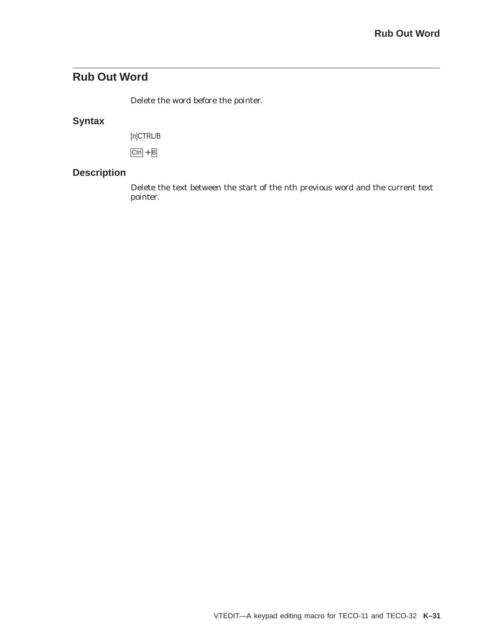# **Rub Out Word**

Delete the word before the pointer.

## **Syntax**

[n]CTRL/B

 $Ctrl + B$ 

### **Description**

Delete the text between the start of the nth previous word and the current text pointer.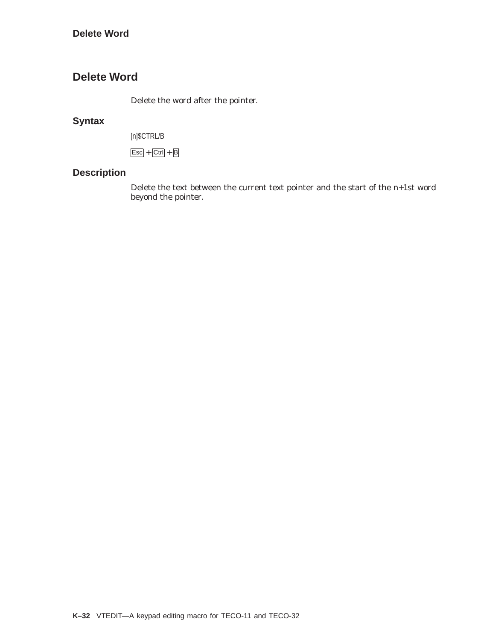# **Delete Word**

Delete the word after the pointer.

## **Syntax**

[n]\$CTRL/B

 $\overline{Esc}$  +  $\overline{Ctrl}$  +  $\overline{B}$ 

## **Description**

Delete the text between the current text pointer and the start of the n+1st word beyond the pointer.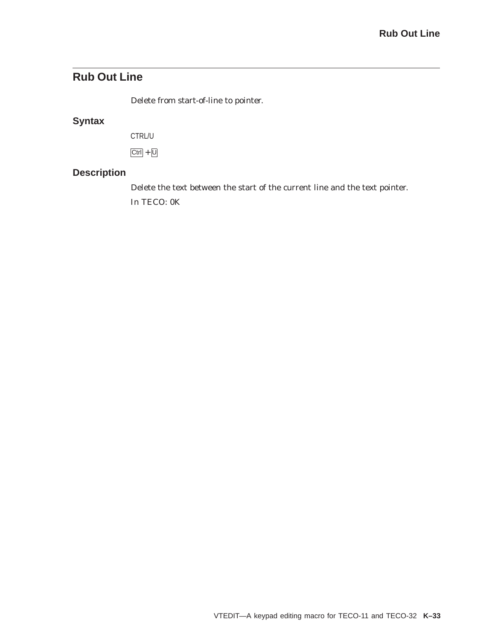# **Rub Out Line**

Delete from start-of-line to pointer.

## **Syntax**

CTRL/U

 $Ctrl + U$ 

### **Description**

Delete the text between the start of the current line and the text pointer. In TECO: 0K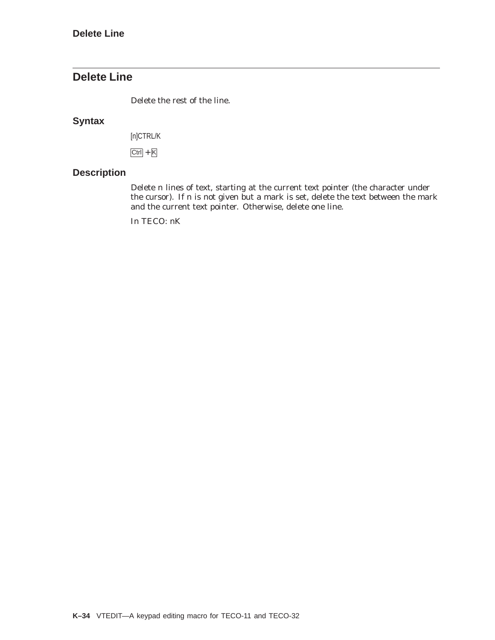# **Delete Line**

Delete the rest of the line.

## **Syntax**

[n]CTRL/K

 $Ctrl + K$ 

## **Description**

Delete n lines of text, starting at the current text pointer (the character under the cursor). If n is not given but a mark is set, delete the text between the mark and the current text pointer. Otherwise, delete one line.

In TECO: nK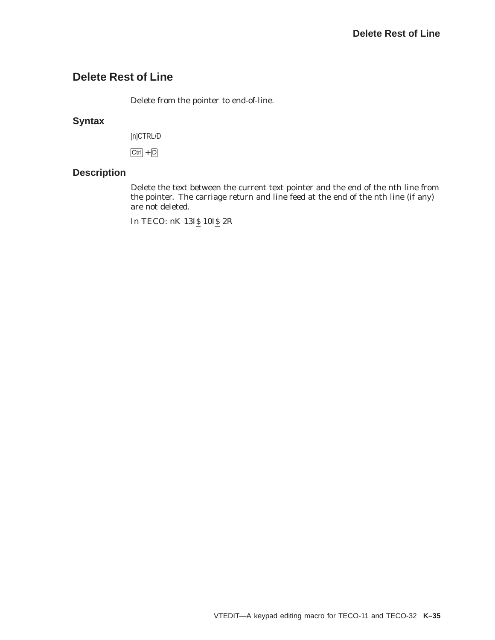## **Delete Rest of Line**

Delete from the pointer to end-of-line.

### **Syntax**

[n]CTRL/D

 $Ctrl + D$ 

### **Description**

Delete the text between the current text pointer and the end of the nth line from the pointer. The carriage return and line feed at the end of the nth line (if any) are not deleted.

In TECO: nK 13IS 10IS 2R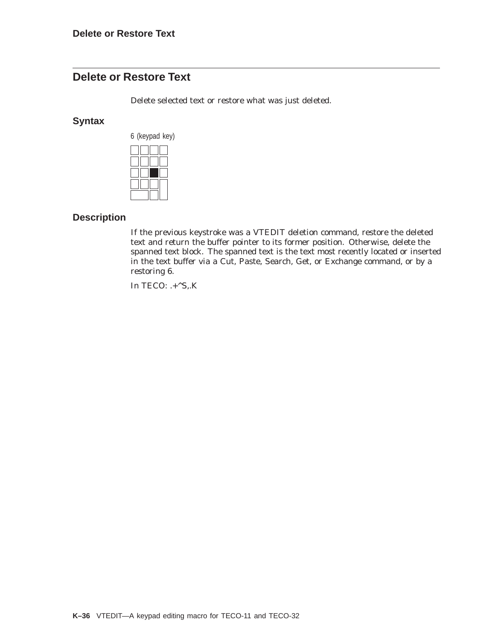# **Delete or Restore Text**

Delete selected text or restore what was just deleted.

### **Syntax**



### **Description**

If the previous keystroke was a VTEDIT deletion command, restore the deleted text and return the buffer pointer to its former position. Otherwise, delete the spanned text block. The spanned text is the text most recently located or inserted in the text buffer via a Cut, Paste, Search, Get, or Exchange command, or by a restoring 6.

In TECO:  $+^{\wedge}$ S,.K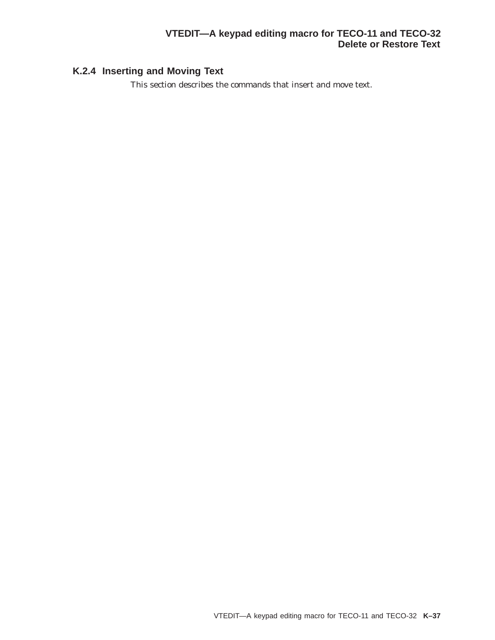## **K.2.4 Inserting and Moving Text**

This section describes the commands that insert and move text.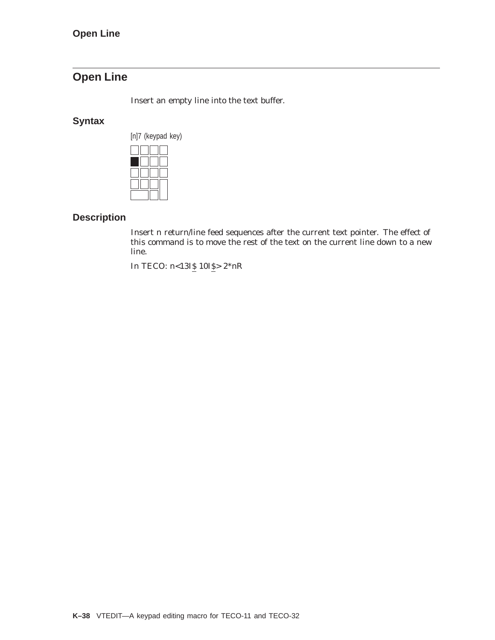# **Open Line**

Insert an empty line into the text buffer.

## **Syntax**



## **Description**

Insert n return/line feed sequences after the current text pointer. The effect of this command is to move the rest of the text on the current line down to a new line.

In TECO: n<13I\$ 10I\$> 2\*nR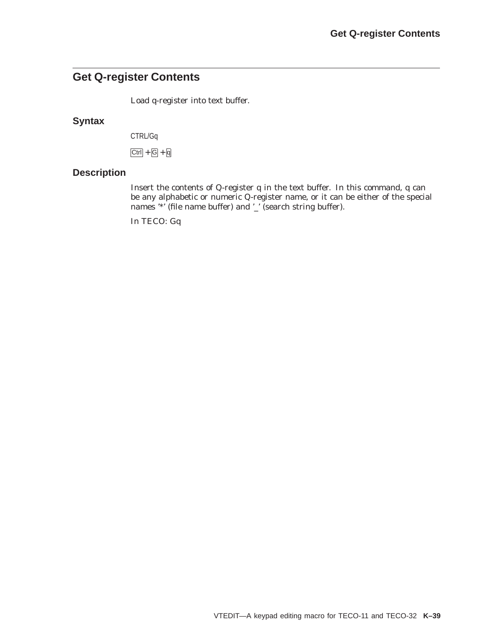## **Get Q-register Contents**

Load q-register into text buffer.

### **Syntax**

CTRL/Gq

 $\overline{C}$ trl +  $\overline{G}$  +  $\overline{q}$ 

### **Description**

Insert the contents of Q-register q in the text buffer. In this command, q can be any alphabetic or numeric Q-register name, or it can be either of the special names '\*' (file name buffer) and '\_' (search string buffer).

In TECO: Gq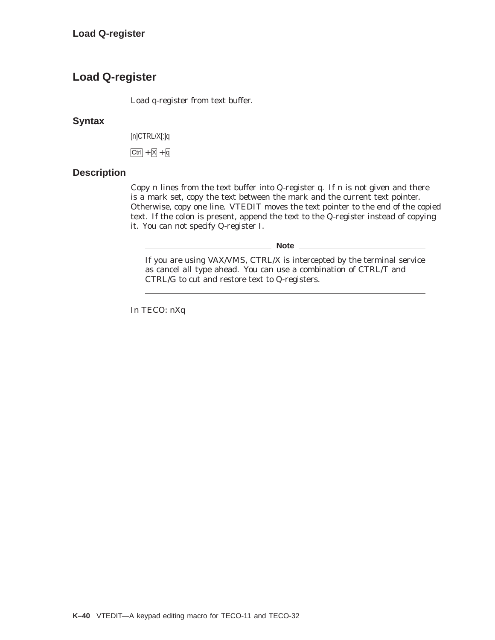# **Load Q-register**

Load q-register from text buffer.

#### **Syntax**

[n]CTRL/X[:]q

 $Ctrl + X + q$ 

### **Description**

Copy n lines from the text buffer into Q-register q. If n is not given and there is a mark set, copy the text between the mark and the current text pointer. Otherwise, copy one line. VTEDIT moves the text pointer to the end of the copied text. If the colon is present, append the text to the Q-register instead of copying it. You can not specify Q-register I.

**Note**

If you are using VAX/VMS, CTRL/X is intercepted by the terminal service as cancel all type ahead. You can use a combination of CTRL/T and CTRL/G to cut and restore text to Q-registers.

In TECO: nXq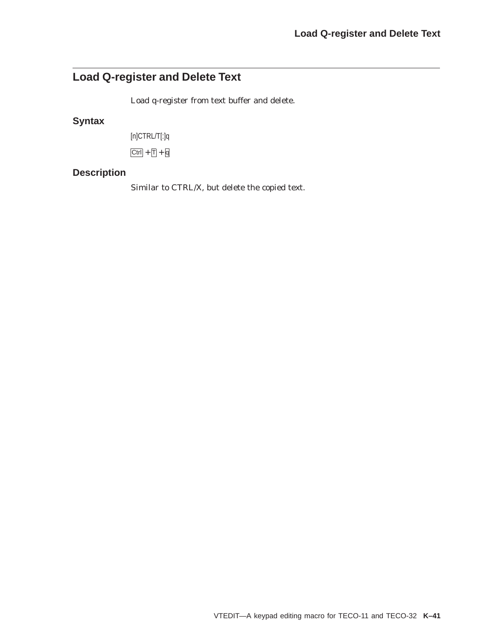# **Load Q-register and Delete Text**

Load q-register from text buffer and delete.

## **Syntax**

[n]CTRL/T[:]q

 $Ctrl + T + q$ 

## **Description**

Similar to CTRL/X, but delete the copied text.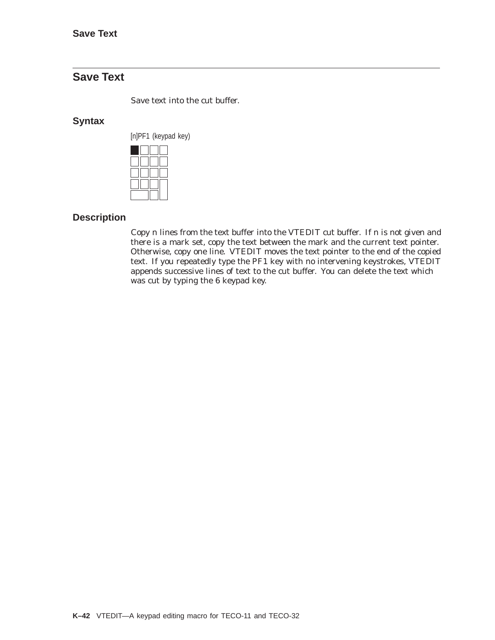# **Save Text**

Save text into the cut buffer.

#### **Syntax**



#### **Description**

Copy n lines from the text buffer into the VTEDIT cut buffer. If n is not given and there is a mark set, copy the text between the mark and the current text pointer. Otherwise, copy one line. VTEDIT moves the text pointer to the end of the copied text. If you repeatedly type the PF1 key with no intervening keystrokes, VTEDIT appends successive lines of text to the cut buffer. You can delete the text which was cut by typing the 6 keypad key.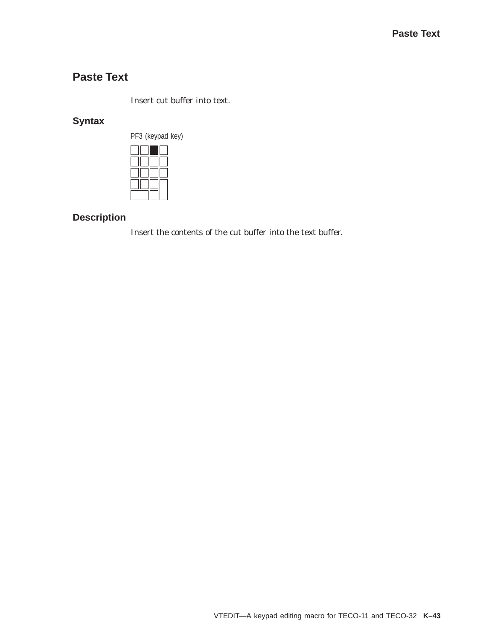# **Paste Text**

Insert cut buffer into text.

## **Syntax**



## **Description**

Insert the contents of the cut buffer into the text buffer.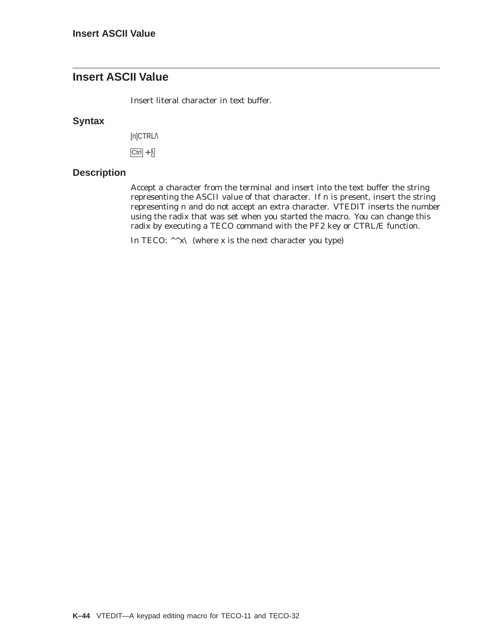# **Insert ASCII Value**

Insert literal character in text buffer.

#### **Syntax**

[n]CTRL/\

 $Ctrl + \n$ 

### **Description**

Accept a character from the terminal and insert into the text buffer the string representing the ASCII value of that character. If n is present, insert the string representing n and do not accept an extra character. VTEDIT inserts the number using the radix that was set when you started the macro. You can change this radix by executing a TECO command with the PF2 key or CTRL/E function.

In TECO:  $\wedge \wedge x \wedge$  (where x is the next character you type)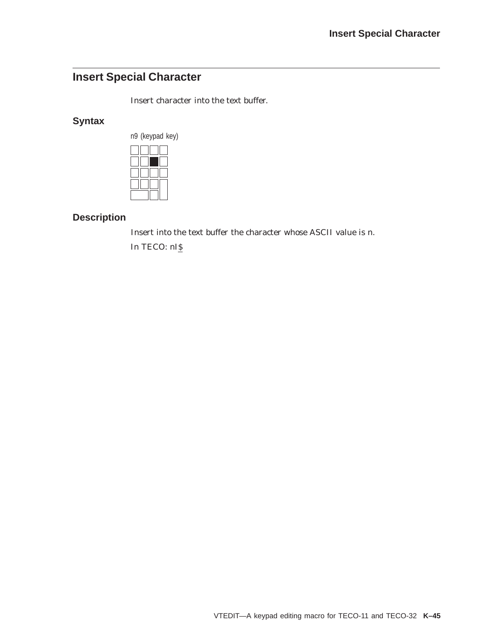# **Insert Special Character**

Insert character into the text buffer.

## **Syntax**



### **Description**

Insert into the text buffer the character whose ASCII value is n.

In TECO: nIS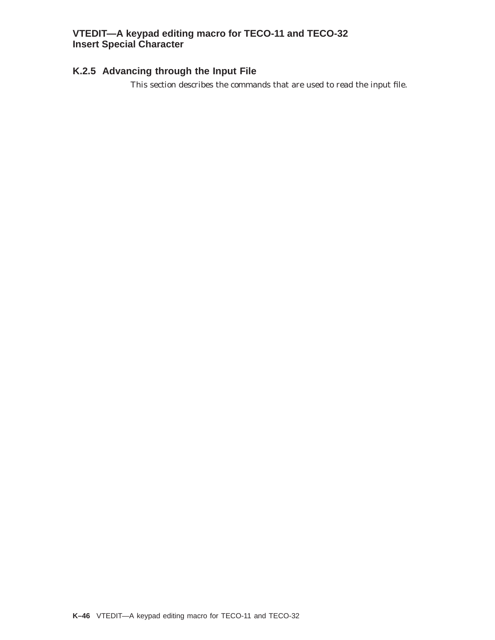### **VTEDIT—A keypad editing macro for TECO-11 and TECO-32 Insert Special Character**

## **K.2.5 Advancing through the Input File**

This section describes the commands that are used to read the input file.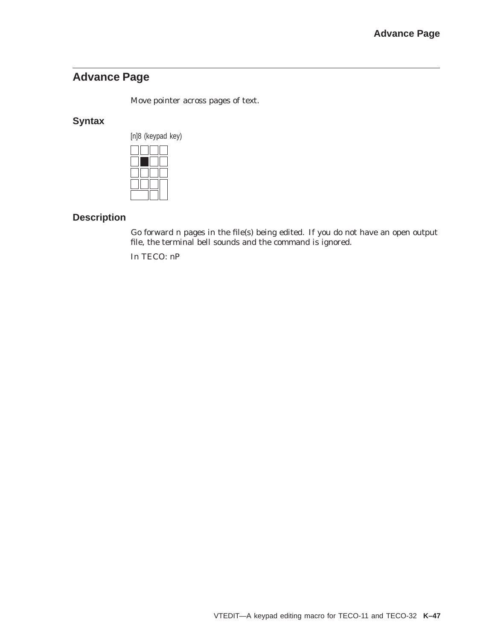# **Advance Page**

Move pointer across pages of text.

## **Syntax**



### **Description**

Go forward n pages in the file(s) being edited. If you do not have an open output file, the terminal bell sounds and the command is ignored.

In TECO: nP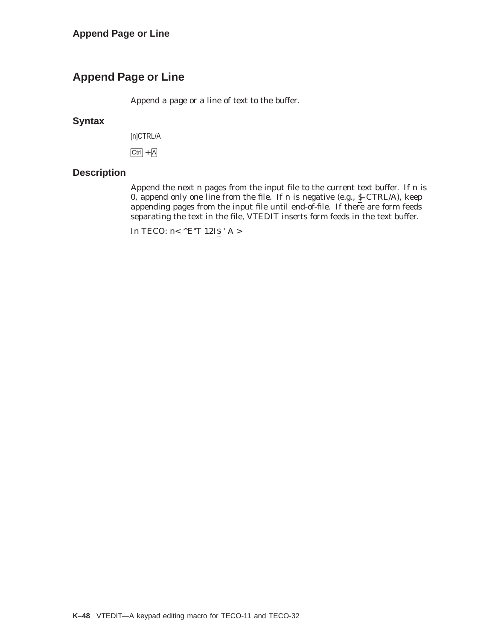# **Append Page or Line**

Append a page or a line of text to the buffer.

#### **Syntax**

[n]CTRL/A

 $Ctrl + A$ 

### **Description**

Append the next n pages from the input file to the current text buffer. If n is 0, append only one line from the file. If n is negative (e.g., \$–CTRL/A), keep appending pages from the input file until end-of-file. If there are form feeds separating the text in the file, VTEDIT inserts form feeds in the text buffer.

In TECO: n< ^E"T 12I\$ ' A >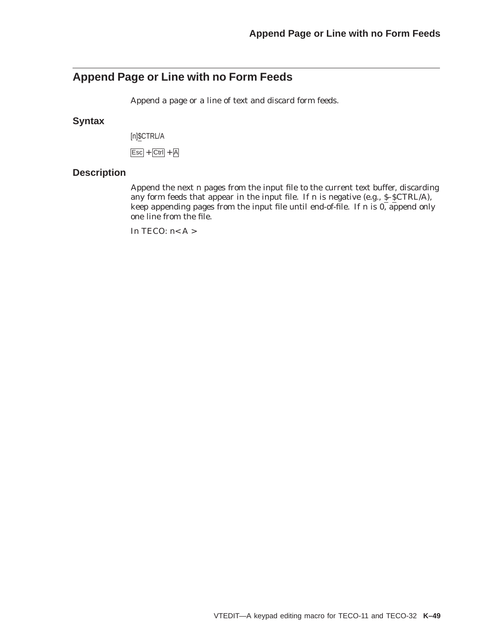# **Append Page or Line with no Form Feeds**

Append a page or a line of text and discard form feeds.

#### **Syntax**

[n]\$CTRL/A

 $\left| \mathsf{Esc} \right| + \left| \mathsf{Ctrl} \right| + \left| \mathsf{A} \right|$ 

### **Description**

Append the next n pages from the input file to the current text buffer, discarding any form feeds that appear in the input file. If n is negative (e.g., \$–\$CTRL/A), keep appending pages from the input file until end-of-file. If n is 0, append only one line from the file.

In TECO:  $n < A >$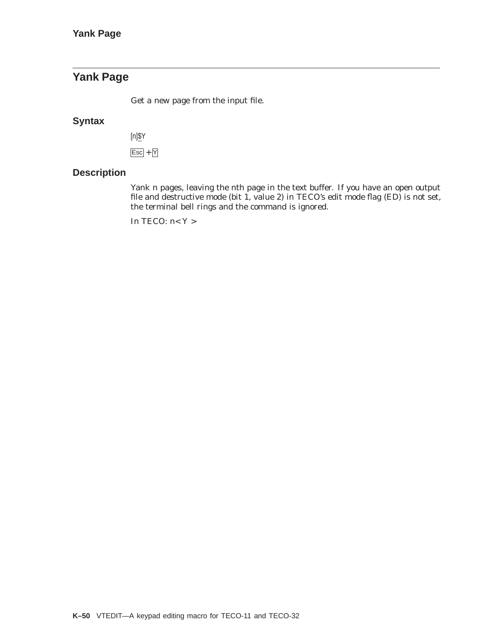# **Yank Page**

Get a new page from the input file.

### **Syntax**

[n]\$Y

 $\overline{Esc}$  +  $\overline{Y}$ 

### **Description**

Yank n pages, leaving the nth page in the text buffer. If you have an open output file and destructive mode (bit 1, value 2) in TECO's edit mode flag (ED) is not set, the terminal bell rings and the command is ignored.

In TECO:  $n < Y >$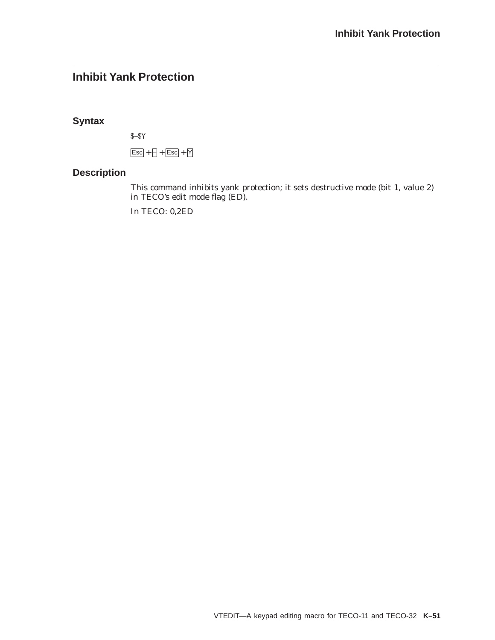## **Inhibit Yank Protection**

**Syntax**

 $\underline{$-\$Y}$  $\overline{Esc} + \overline{+}$  Esc +  $\overline{Y}$ 

### **Description**

This command inhibits yank protection; it sets destructive mode (bit 1, value 2) in TECO's edit mode flag (ED).

In TECO: 0,2ED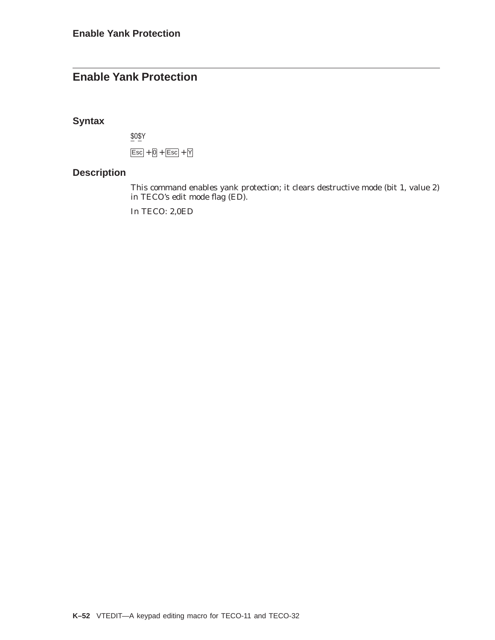# **Enable Yank Protection**

**Syntax**

\$0\$Y  $\overline{L}$  Esc +  $\overline{0}$  +  $\overline{L}$  Esc +  $\overline{Y}$ 

### **Description**

This command enables yank protection; it clears destructive mode (bit 1, value 2) in TECO's edit mode flag (ED).

In TECO: 2,0ED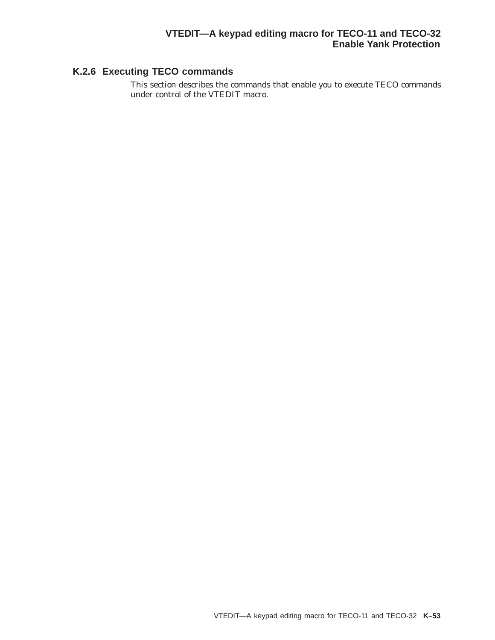## **K.2.6 Executing TECO commands**

This section describes the commands that enable you to execute TECO commands under control of the VTEDIT macro.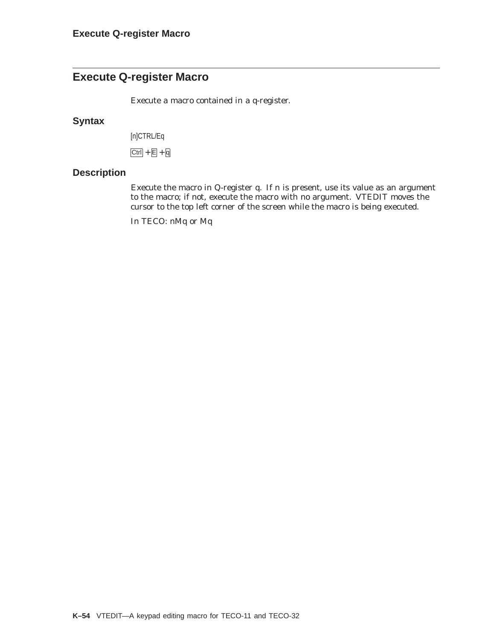# **Execute Q-register Macro**

Execute a macro contained in a q-register.

### **Syntax**

[n]CTRL/Eq

 $Ctrl + E + q$ 

### **Description**

Execute the macro in Q-register q. If n is present, use its value as an argument to the macro; if not, execute the macro with no argument. VTEDIT moves the cursor to the top left corner of the screen while the macro is being executed.

In TECO: nMq or Mq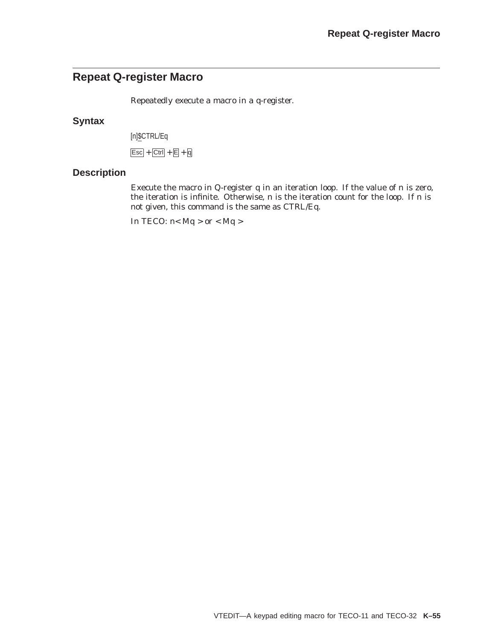## **Repeat Q-register Macro**

Repeatedly execute a macro in a q-register.

### **Syntax**

[n]\$CTRL/Eq

 $\boxed{\mathsf{Esc}} + \boxed{\mathsf{Ctrl}} + \boxed{\mathsf{E}} + \boxed{\mathsf{q}}$ 

### **Description**

Execute the macro in Q-register q in an iteration loop. If the value of n is zero, the iteration is infinite. Otherwise, n is the iteration count for the loop. If n is not given, this command is the same as CTRL/Eq.

In TECO:  $n < Mq > or < Mq >$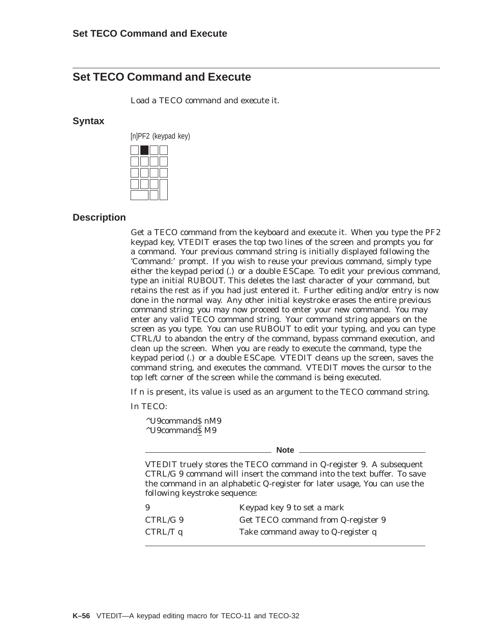## **Set TECO Command and Execute**

Load a TECO command and execute it.

#### **Syntax**



#### **Description**

Get a TECO command from the keyboard and execute it. When you type the PF2 keypad key, VTEDIT erases the top two lines of the screen and prompts you for a command. Your previous command string is initially displayed following the 'Command:' prompt. If you wish to reuse your previous command, simply type either the keypad period (.) or a double ESCape. To edit your previous command, type an initial RUBOUT. This deletes the last character of your command, but retains the rest as if you had just entered it. Further editing and/or entry is now done in the normal way. Any other initial keystroke erases the entire previous command string; you may now proceed to enter your new command. You may enter any valid TECO command string. Your command string appears on the screen as you type. You can use RUBOUT to edit your typing, and you can type CTRL/U to abandon the entry of the command, bypass command execution, and clean up the screen. When you are ready to execute the command, type the keypad period (.) or a double ESCape. VTEDIT cleans up the screen, saves the command string, and executes the command. VTEDIT moves the cursor to the top left corner of the screen while the command is being executed.

If n is present, its value is used as an argument to the TECO command string.

In TECO:

^U9command\$ nM9 ^U9command\$ M9

**Note**

VTEDIT truely stores the TECO command in Q-register 9. A subsequent CTRL/G 9 command will insert the command into the text buffer. To save the command in an alphabetic Q-register for later usage, You can use the following keystroke sequence:

| 9        | Keypad key 9 to set a mark         |
|----------|------------------------------------|
| CTRL/G 9 | Get TECO command from Q-register 9 |
| CTRL/T q | Take command away to Q-register q  |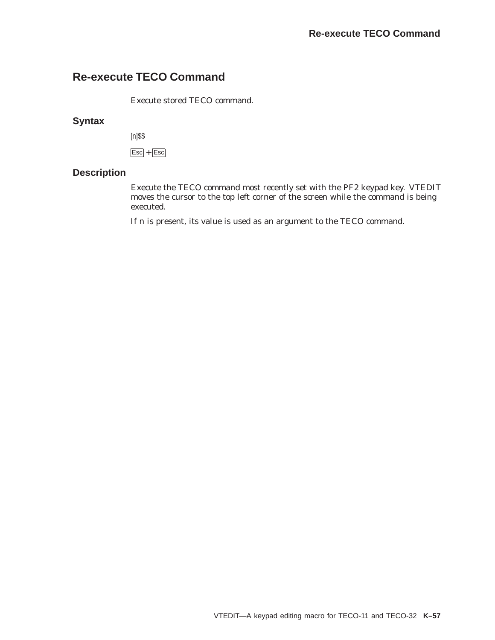# **Re-execute TECO Command**

Execute stored TECO command.

### **Syntax**

 $[n]$ \$\$

 $\overline{Esc}$  +  $\overline{Esc}$ 

### **Description**

Execute the TECO command most recently set with the PF2 keypad key. VTEDIT moves the cursor to the top left corner of the screen while the command is being executed.

If n is present, its value is used as an argument to the TECO command.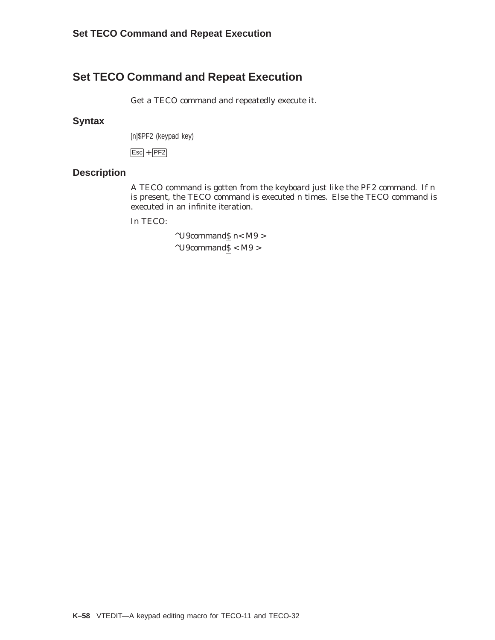## **Set TECO Command and Repeat Execution**

Get a TECO command and repeatedly execute it.

#### **Syntax**

[n]\$PF2 (keypad key)

 $\overline{Esc}$  +  $\overline{PF2}$ 

### **Description**

A TECO command is gotten from the keyboard just like the PF2 command. If n is present, the TECO command is executed n times. Else the TECO command is executed in an infinite iteration.

In TECO:

^U9command\$ n< M9 >  $^\wedge$  U9command<br>\$  $<$  M9  $>$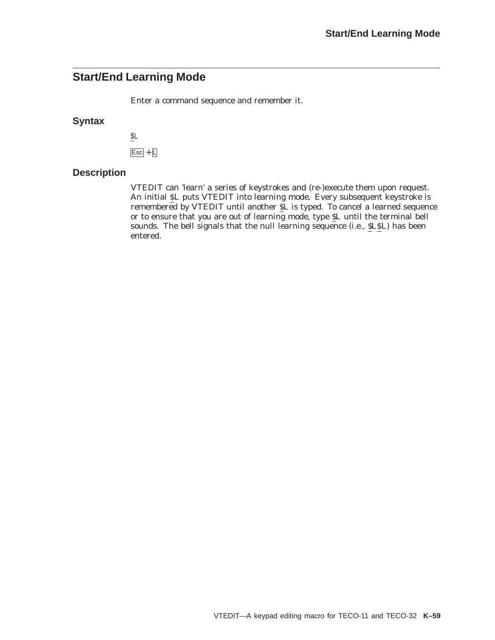# **Start/End Learning Mode**

Enter a command sequence and remember it.

#### **Syntax**

```
\underline{\$L}
```

```
\text{Esc} + \Box
```
### **Description**

VTEDIT can 'learn' a series of keystrokes and (re-)execute them upon request. An initial \$L puts VTEDIT into learning mode. Every subsequent keystroke is remembered by VTEDIT until another \$L is typed. To cancel a learned sequence or to ensure that you are out of learning mode, type \$L until the terminal bell sounds. The bell signals that the null learning sequence (i.e., \$L\$L) has been entered.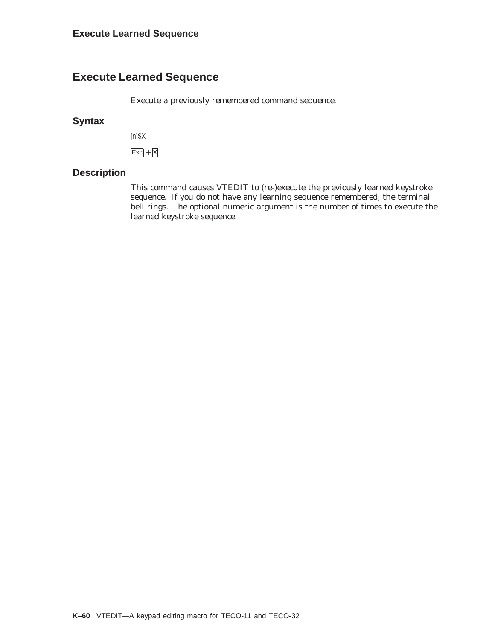## **Execute Learned Sequence**

Execute a previously remembered command sequence.

#### **Syntax**

 $[n]$  $X$ 

 $\overline{Esc}$  +  $\overline{X}$ 

### **Description**

This command causes VTEDIT to (re-)execute the previously learned keystroke sequence. If you do not have any learning sequence remembered, the terminal bell rings. The optional numeric argument is the number of times to execute the learned keystroke sequence.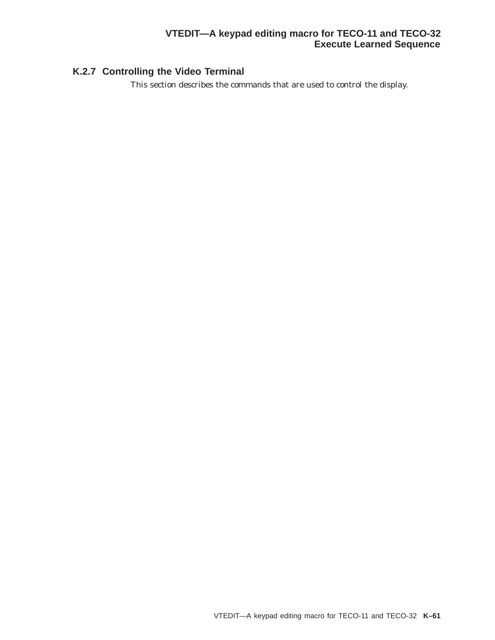### **VTEDIT—A keypad editing macro for TECO-11 and TECO-32 Execute Learned Sequence**

### **K.2.7 Controlling the Video Terminal**

This section describes the commands that are used to control the display.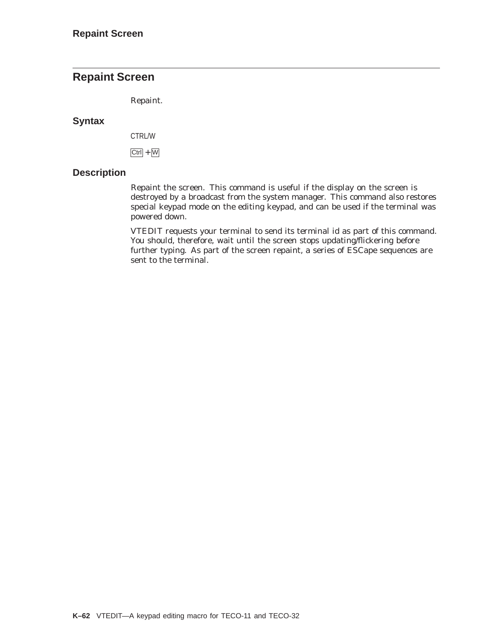## **Repaint Screen**

Repaint.

#### **Syntax**

CTRL/W

 $Ctrl + W$ 

### **Description**

Repaint the screen. This command is useful if the display on the screen is destroyed by a broadcast from the system manager. This command also restores special keypad mode on the editing keypad, and can be used if the terminal was powered down.

VTEDIT requests your terminal to send its terminal id as part of this command. You should, therefore, wait until the screen stops updating/flickering before further typing. As part of the screen repaint, a series of ESCape sequences are sent to the terminal.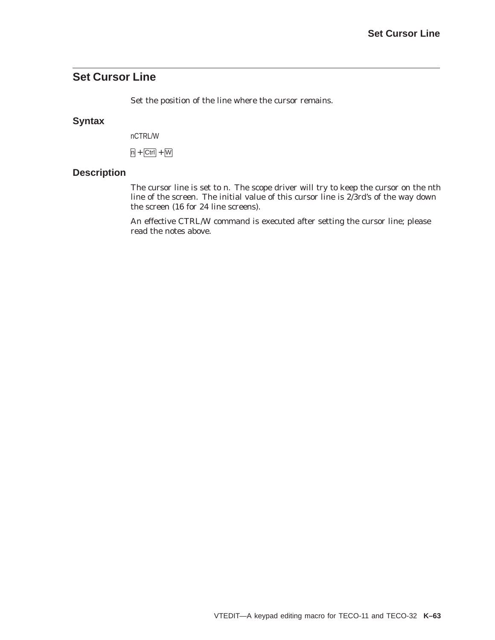## **Set Cursor Line**

Set the position of the line where the cursor remains.

### **Syntax**

nCTRL/W

 $n + |Ctrl| + |W|$ 

### **Description**

The cursor line is set to n. The scope driver will try to keep the cursor on the nth line of the screen. The initial value of this cursor line is 2/3rd's of the way down the screen (16 for 24 line screens).

An effective CTRL/W command is executed after setting the cursor line; please read the notes above.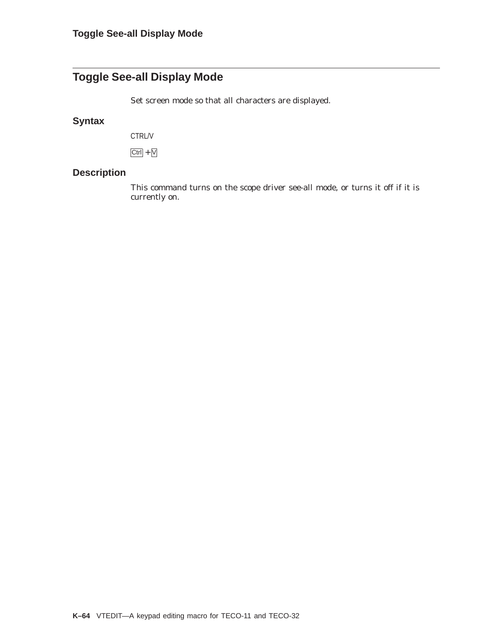## **Toggle See-all Display Mode**

Set screen mode so that all characters are displayed.

### **Syntax**

CTRL/V

 $Ctrl + V$ 

### **Description**

This command turns on the scope driver see-all mode, or turns it off if it is currently on.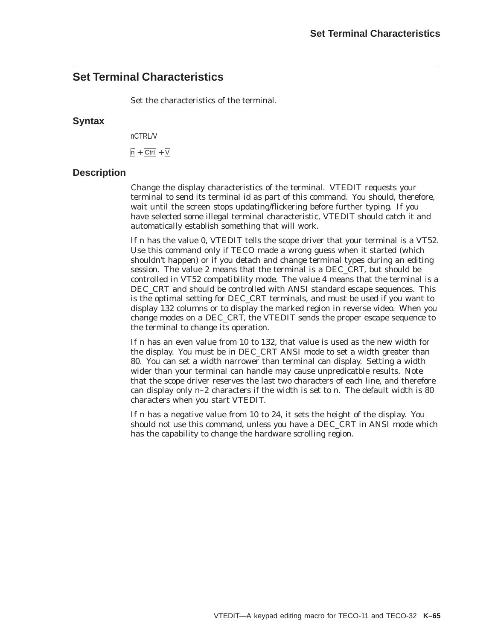## **Set Terminal Characteristics**

Set the characteristics of the terminal.

#### **Syntax**

nCTRL/V

 $n + |Ctrl + \nabla$ 

#### **Description**

Change the display characteristics of the terminal. VTEDIT requests your terminal to send its terminal id as part of this command. You should, therefore, wait until the screen stops updating/flickering before further typing. If you have selected some illegal terminal characteristic, VTEDIT should catch it and automatically establish something that will work.

If n has the value 0, VTEDIT tells the scope driver that your terminal is a VT52. Use this command only if TECO made a wrong guess when it started (which shouldn't happen) or if you detach and change terminal types during an editing session. The value 2 means that the terminal is a DEC\_CRT, but should be controlled in VT52 compatibility mode. The value 4 means that the terminal is a DEC\_CRT and should be controlled with ANSI standard escape sequences. This is the optimal setting for DEC\_CRT terminals, and must be used if you want to display 132 columns or to display the marked region in reverse video. When you change modes on a DEC\_CRT, the VTEDIT sends the proper escape sequence to the terminal to change its operation.

If n has an even value from 10 to 132, that value is used as the new width for the display. You must be in DEC\_CRT ANSI mode to set a width greater than 80. You can set a width narrower than terminal can display. Setting a width wider than your terminal can handle may cause unpredicatble results. Note that the scope driver reserves the last two characters of each line, and therefore can display only n–2 characters if the width is set to n. The default width is 80 characters when you start VTEDIT.

If n has a negative value from 10 to 24, it sets the height of the display. You should not use this command, unless you have a DEC\_CRT in ANSI mode which has the capability to change the hardware scrolling region.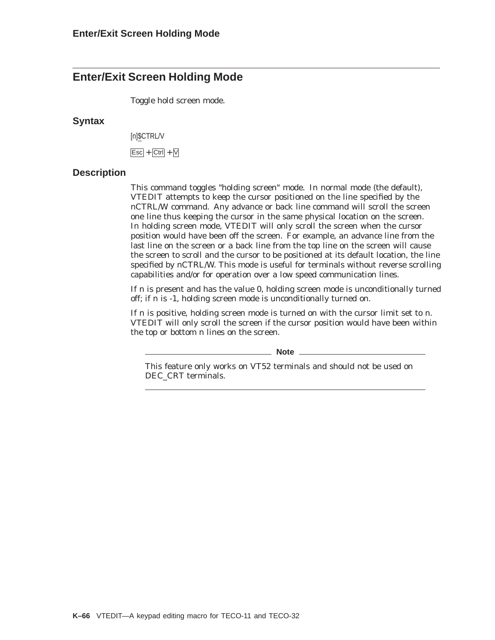### **Enter/Exit Screen Holding Mode**

Toggle hold screen mode.

#### **Syntax**

[n]\$CTRL/V

 $\overline{\text{Esc}}$  +  $\overline{\text{Ctrl}}$  +  $\overline{\text{VI}}$ 

### **Description**

This command toggles "holding screen" mode. In normal mode (the default), VTEDIT attempts to keep the cursor positioned on the line specified by the nCTRL/W command. Any advance or back line command will scroll the screen one line thus keeping the cursor in the same physical location on the screen. In holding screen mode, VTEDIT will only scroll the screen when the cursor position would have been off the screen. For example, an advance line from the last line on the screen or a back line from the top line on the screen will cause the screen to scroll and the cursor to be positioned at its default location, the line specified by nCTRL/W. This mode is useful for terminals without reverse scrolling capabilities and/or for operation over a low speed communication lines.

If n is present and has the value 0, holding screen mode is unconditionally turned off; if n is -1, holding screen mode is unconditionally turned on.

If n is positive, holding screen mode is turned on with the cursor limit set to n. VTEDIT will only scroll the screen if the cursor position would have been within the top or bottom n lines on the screen.

**Note**

This feature only works on VT52 terminals and should not be used on DEC\_CRT terminals.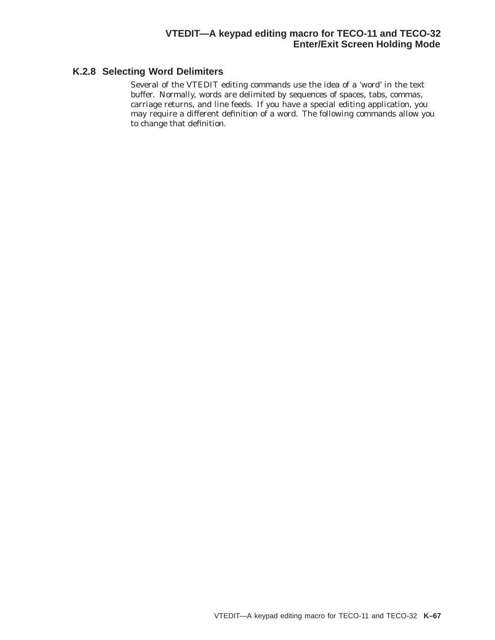### **K.2.8 Selecting Word Delimiters**

Several of the VTEDIT editing commands use the idea of a 'word' in the text buffer. Normally, words are delimited by sequences of spaces, tabs, commas, carriage returns, and line feeds. If you have a special editing application, you may require a different definition of a word. The following commands allow you to change that definition.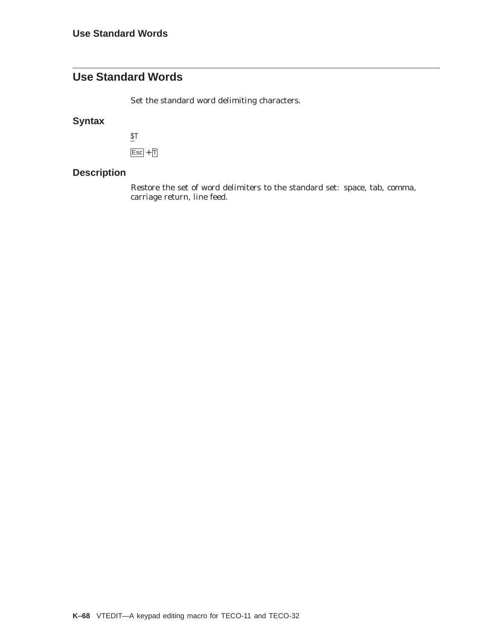## **Use Standard Words**

Set the standard word delimiting characters.

### **Syntax**

```
T\textsf{Esc} + \overline{\textsf{T}}
```
### **Description**

Restore the set of word delimiters to the standard set: space, tab, comma, carriage return, line feed.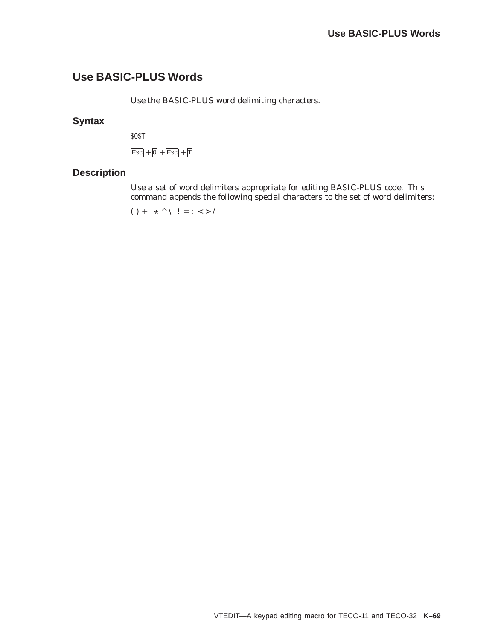## **Use BASIC-PLUS Words**

Use the BASIC-PLUS word delimiting characters.

### **Syntax**

\$0\$T  $\overline{Esc} + 0 + \overline{Esc} + 1$ 

### **Description**

Use a set of word delimiters appropriate for editing BASIC-PLUS code. This command appends the following special characters to the set of word delimiters:

 $() + - * ^ \wedge \ \vdots = : \ \ < \ \gt/$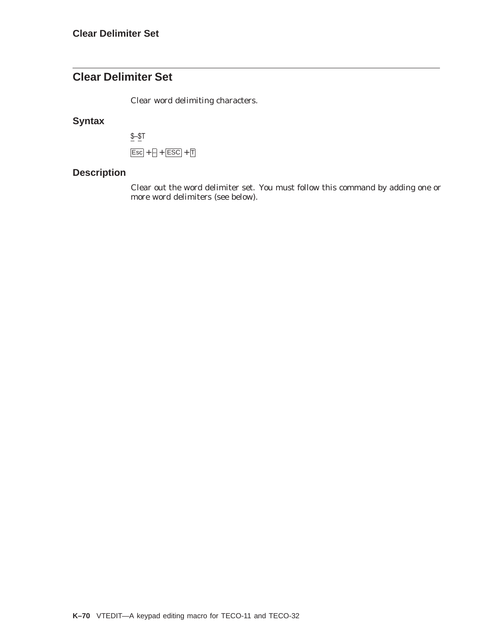## **Clear Delimiter Set**

Clear word delimiting characters.

### **Syntax**

 $\underline{\$ -\$T}$  $\boxed{\text{Esc}} + \boxed{+ \boxed{\text{ESC}}} + \boxed{1}$ 

### **Description**

Clear out the word delimiter set. You must follow this command by adding one or more word delimiters (see below).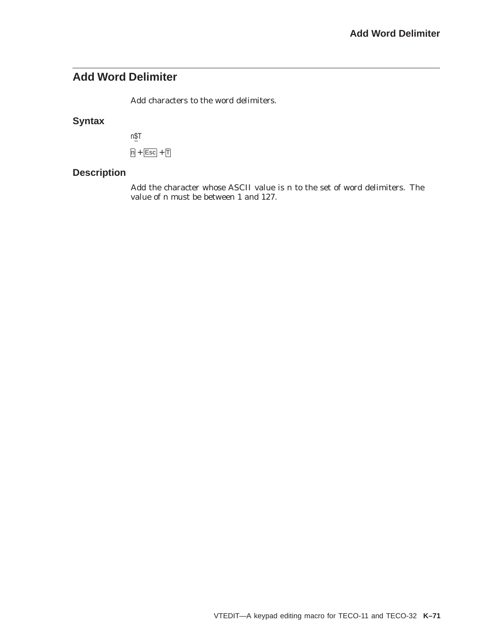## **Add Word Delimiter**

Add characters to the word delimiters.

### **Syntax**

n\$T

 $n + \boxed{\text{Esc}} + \boxed{\text{T}}$ 

### **Description**

Add the character whose ASCII value is n to the set of word delimiters. The value of n must be between 1 and 127.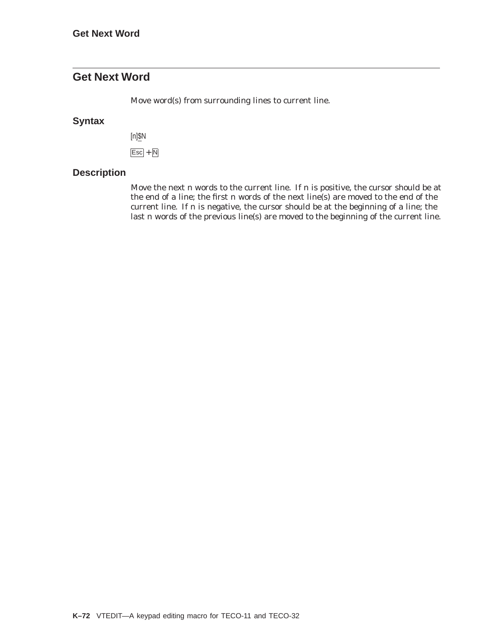## **Get Next Word**

Move word(s) from surrounding lines to current line.

#### **Syntax**

[n]\$N

 $\text{Esc}$  +  $\overline{\text{N}}$ 

### **Description**

Move the next n words to the current line. If n is positive, the cursor should be at the end of a line; the first n words of the next line(s) are moved to the end of the current line. If n is negative, the cursor should be at the beginning of a line; the last n words of the previous line(s) are moved to the beginning of the current line.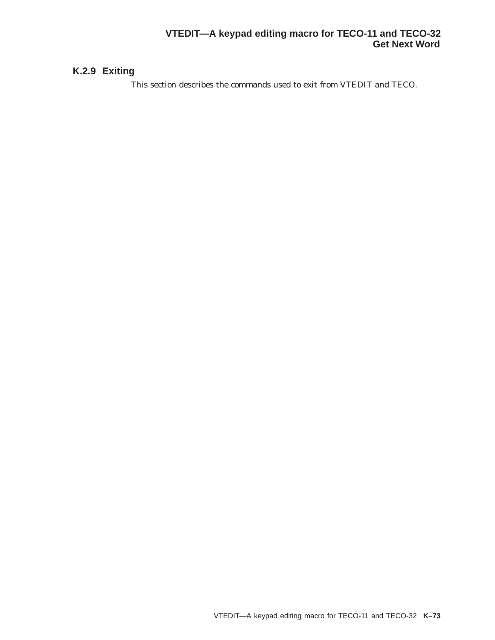### **K.2.9 Exiting**

This section describes the commands used to exit from VTEDIT and TECO.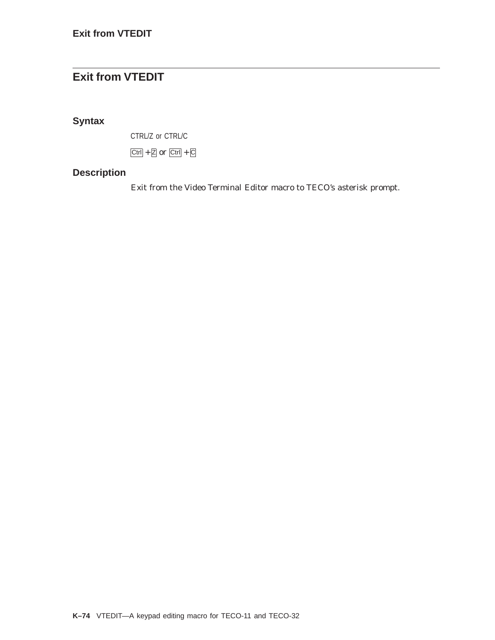## **Exit from VTEDIT**

**Syntax**

CTRL/Z or CTRL/C

 $Ctrl + 2 or$  Ctrl + C

### **Description**

Exit from the Video Terminal Editor macro to TECO's asterisk prompt.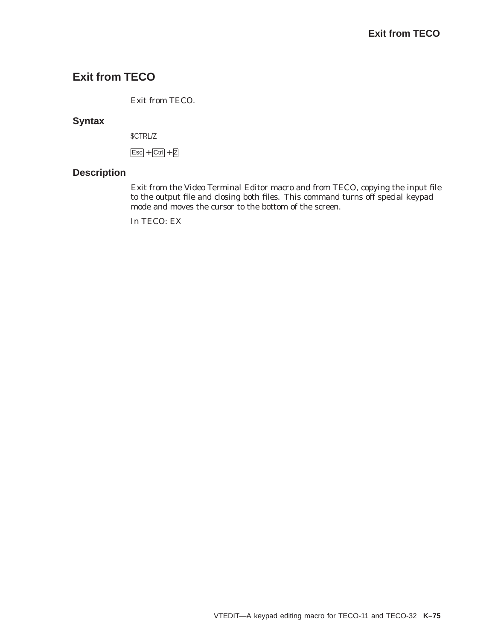## **Exit from TECO**

Exit from TECO.

### **Syntax**

\$CTRL/Z

 $\textsf{Esc} + \textsf{Ctrl} + \textsf{Z}$ 

### **Description**

Exit from the Video Terminal Editor macro and from TECO, copying the input file to the output file and closing both files. This command turns off special keypad mode and moves the cursor to the bottom of the screen.

In TECO: EX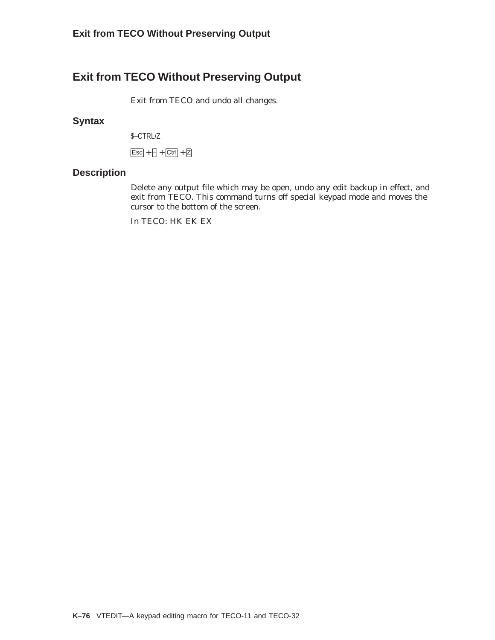## **Exit from TECO Without Preserving Output**

Exit from TECO and undo all changes.

### **Syntax**

\$–CTRL/Z

 $\overline{Esc} + \overline{+}$  Ctrl +  $\overline{Z}$ 

### **Description**

Delete any output file which may be open, undo any edit backup in effect, and exit from TECO. This command turns off special keypad mode and moves the cursor to the bottom of the screen.

In TECO: HK EK EX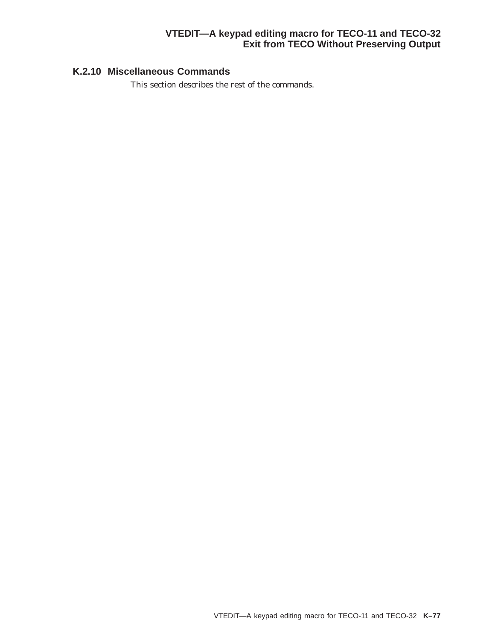### **VTEDIT—A keypad editing macro for TECO-11 and TECO-32 Exit from TECO Without Preserving Output**

### **K.2.10 Miscellaneous Commands**

This section describes the rest of the commands.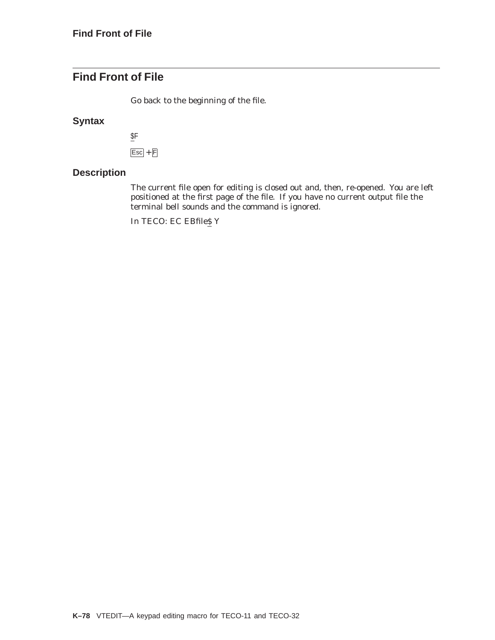## **Find Front of File**

Go back to the beginning of the file.

### **Syntax**

\$F  $\text{Esc}$  +  $\text{F}$ 

### **Description**

The current file open for editing is closed out and, then, re-opened. You are left positioned at the first page of the file. If you have no current output file the terminal bell sounds and the command is ignored.

In TECO: EC EBfileS Y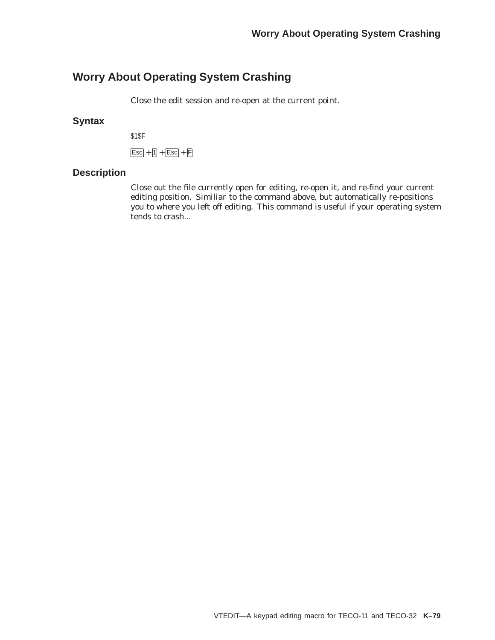## **Worry About Operating System Crashing**

Close the edit session and re-open at the current point.

### **Syntax**

\$1\$F  $\overline{Esc}$  +  $\overline{1}$  +  $\overline{Esc}$  +  $\overline{F}$ 

### **Description**

Close out the file currently open for editing, re-open it, and re-find your current editing position. Similiar to the command above, but automatically re-positions you to where you left off editing. This command is useful if your operating system tends to crash...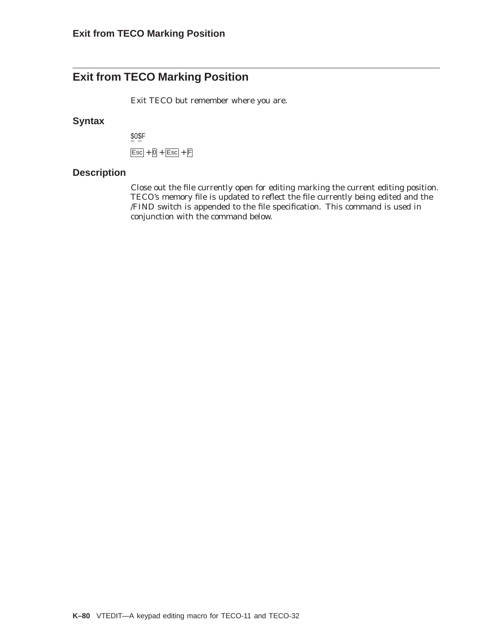## **Exit from TECO Marking Position**

Exit TECO but remember where you are.

#### **Syntax**

\$0\$F  $\overline{Esc} + \overline{0} + \overline{Esc} + \overline{F}$ 

### **Description**

Close out the file currently open for editing marking the current editing position. TECO's memory file is updated to reflect the file currently being edited and the /FIND switch is appended to the file specification. This command is used in conjunction with the command below.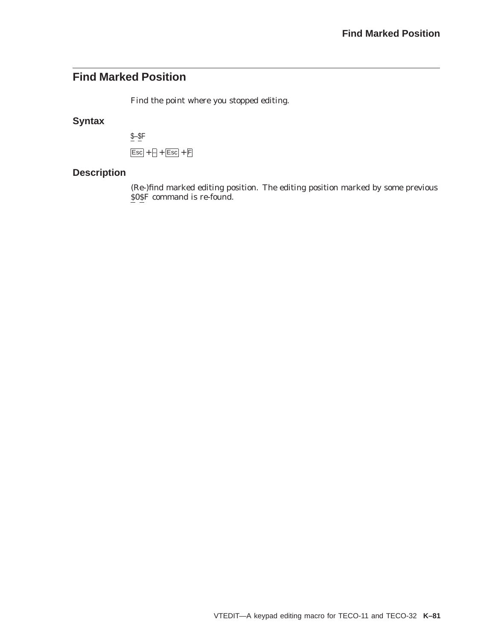## **Find Marked Position**

Find the point where you stopped editing.

### **Syntax**

$$
\frac{\$-\$F}{\$ESO} + \frac{F}{\$F} + \frac{F}{\$E} + \frac{F}{\$F}
$$

### **Description**

(Re-)find marked editing position. The editing position marked by some previous \$0\$F command is re-found.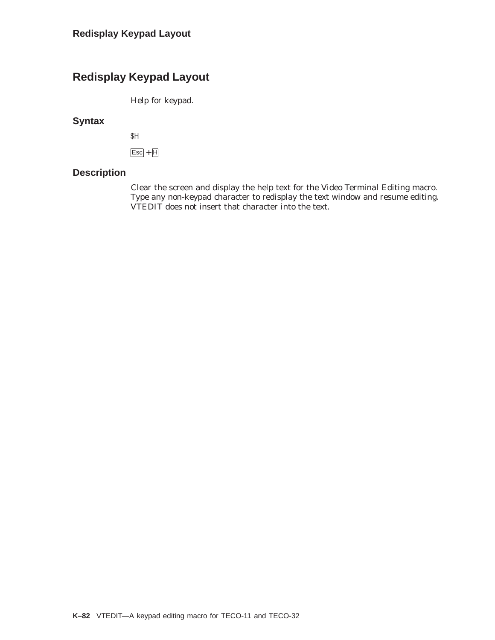## **Redisplay Keypad Layout**

Help for keypad.

**Syntax**

 $\underline{\$H}$ 

 $\overline{Esc}$  +  $\overline{H}$ 

### **Description**

Clear the screen and display the help text for the Video Terminal Editing macro. Type any non-keypad character to redisplay the text window and resume editing. VTEDIT does not insert that character into the text.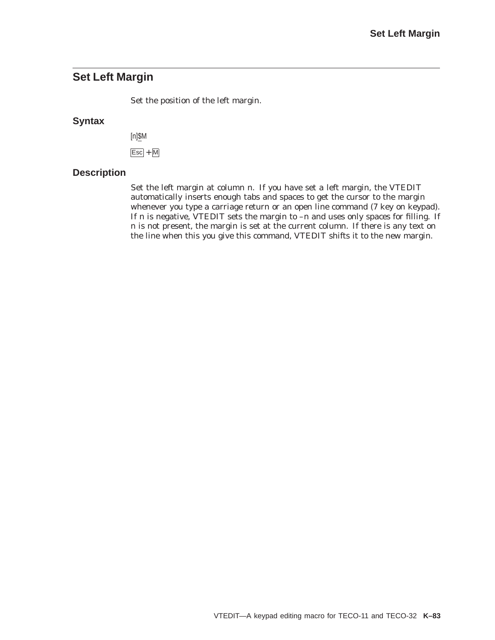## **Set Left Margin**

Set the position of the left margin.

#### **Syntax**

[n]\$M

 $Esc + M$ 

#### **Description**

Set the left margin at column n. If you have set a left margin, the VTEDIT automatically inserts enough tabs and spaces to get the cursor to the margin whenever you type a carriage return or an open line command (7 key on keypad). If n is negative, VTEDIT sets the margin to –n and uses only spaces for filling. If n is not present, the margin is set at the current column. If there is any text on the line when this you give this command, VTEDIT shifts it to the new margin.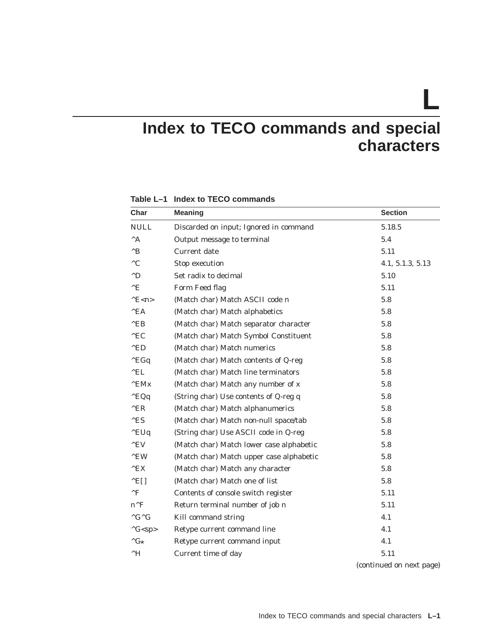**L**

# **Index to TECO commands and special characters**

| Char                 | <b>Meaning</b>                           | <b>Section</b>   |
|----------------------|------------------------------------------|------------------|
| <b>NULL</b>          | Discarded on input; Ignored in command   | 5.18.5           |
| $^{\wedge}$ A        | Output message to terminal               | 5.4              |
| $^{\wedge}B$         | Current date                             | 5.11             |
| $^{\wedge}{\rm C}$   | Stop execution                           | 4.1, 5.1.3, 5.13 |
| $^{\wedge}D$         | Set radix to decimal                     | 5.10             |
| $^{\wedge}E$         | Form Feed flag                           | 5.11             |
| $E$ <n></n>          | (Match char) Match ASCII code n          | 5.8              |
| $^{\wedge}EA$        | (Match char) Match alphabetics           | 5.8              |
| $^{\wedge}EB$        | (Match char) Match separator character   | 5.8              |
| $^\wedge \text{EC}$  | (Match char) Match Symbol Constituent    | 5.8              |
| $^\wedge \text{ED}$  | (Match char) Match numerics              | 5.8              |
| $^{\wedge}EGq$       | (Match char) Match contents of Q-reg     | 5.8              |
| $^{\wedge}{\rm EL}$  | (Match char) Match line terminators      | 5.8              |
| $^{\wedge}$ EMx      | (Match char) Match any number of x       | 5.8              |
| $^{\wedge}$ EQq      | (String char) Use contents of Q-reg q    | 5.8              |
| $^\wedge \text{ER}$  | (Match char) Match alphanumerics         | 5.8              |
| $^{\wedge}{\rm ES}$  | (Match char) Match non-null space/tab    | 5.8              |
| $^{\wedge}$ EUq      | (String char) Use ASCII code in Q-reg    | 5.8              |
| $^{\wedge}{\rm EV}$  | (Match char) Match lower case alphabetic | 5.8              |
| $^{\wedge}$ EW       | (Match char) Match upper case alphabetic | 5.8              |
| $^{\wedge}$ EX       | (Match char) Match any character         | 5.8              |
| E[]                  | (Match char) Match one of list           | 5.8              |
| $\mathsf{P}$         | Contents of console switch register      | 5.11             |
| $n^{\wedge}F$        | Return terminal number of job n          | 5.11             |
| $\mathcal{C} \cap G$ | Kill command string                      | 4.1              |
| $\wedge$ G <sp></sp> | Retype current command line              | 4.1              |
| $\wedge$ G*          | Retype current command input             | 4.1              |
| $^\wedge\text{H}$    | Current time of day                      | 5.11             |

**Table L–1 Index to TECO commands**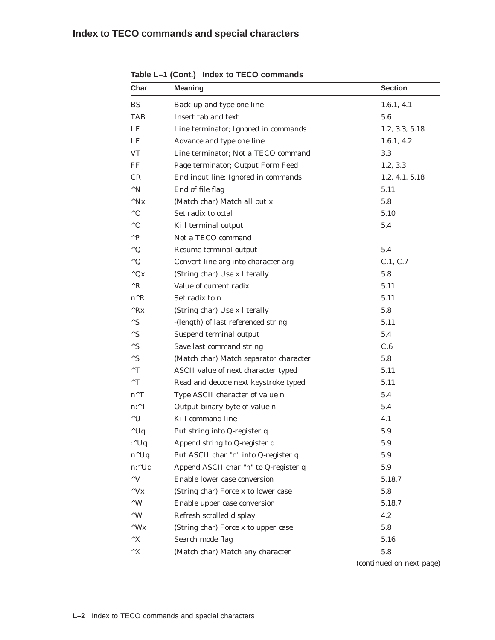### **Index to TECO commands and special characters**

| Char                       | <b>Meaning</b>                         | <b>Section</b> |
|----------------------------|----------------------------------------|----------------|
| <b>BS</b>                  | Back up and type one line              | 1.6.1, 4.1     |
| TAB                        | Insert tab and text                    | 5.6            |
| LF                         | Line terminator; Ignored in commands   | 1.2, 3.3, 5.18 |
| LF                         | Advance and type one line              | 1.6.1, 4.2     |
| <b>VT</b>                  | Line terminator; Not a TECO command    | 3.3            |
| FF                         | Page terminator; Output Form Feed      | 1.2, 3.3       |
| CR                         | End input line; Ignored in commands    | 1.2, 4.1, 5.18 |
| $^{\wedge}$ N              | End of file flag                       | 5.11           |
| $^{\wedge}$ Nx             | (Match char) Match all but x           | 5.8            |
| $^{\wedge}$ O              | Set radix to octal                     | 5.10           |
| $^{\wedge}$ O              | Kill terminal output                   | 5.4            |
| $^{\wedge}P$               | Not a TECO command                     |                |
| $^{\wedge}Q$               | Resume terminal output                 | 5.4            |
| $^{\wedge}Q$               | Convert line arg into character arg    | C.1, C.7       |
| $^{\wedge}Qx$              | (String char) Use x literally          | 5.8            |
| $^{\wedge}R$               | Value of current radix                 | 5.11           |
| $n^{\wedge}R$              | Set radix to n                         | 5.11           |
| $^{\wedge}Rx$              | (String char) Use x literally          | 5.8            |
| $^{\wedge}{\rm S}$         | -(length) of last referenced string    | 5.11           |
| $^{\wedge}S$               | Suspend terminal output                | 5.4            |
| $^{\wedge}S$               | Save last command string               | C.6            |
| $^{\wedge}S$               | (Match char) Match separator character | 5.8            |
| $\mathbf{r}$               | ASCII value of next character typed    | 5.11           |
| $\mathbf{r}$               | Read and decode next keystroke typed   | 5.11           |
| $n^{\wedge}T$              | Type ASCII character of value n        | 5.4            |
| $n:\hat{T}$                | Output binary byte of value n          | 5.4            |
| $\mathcal{N}$              | Kill command line                      | 4.1            |
| $^{\wedge}$ Uq             | Put string into Q-register q           | 5.9            |
| : $^{\wedge}$ Uq           | Append string to Q-register q          | 5.9            |
| $n^{\wedge}Uq$             | Put ASCII char "n" into Q-register q   | 5.9            |
| $n$ : $^{\wedge}$ Uq       | Append ASCII char "n" to Q-register q  | 5.9            |
| $\mathcal{N}$              | Enable lower case conversion           | 5.18.7         |
| $\mathcal{N}$ $\mathbf{V}$ | (String char) Force x to lower case    | 5.8            |
| $\mathcal{N}$              | Enable upper case conversion           | 5.18.7         |
| $\wedge$ W                 | Refresh scrolled display               | 4.2            |
| $^{\wedge}$ Wx             | (String char) Force x to upper case    | 5.8            |
| $^{\wedge}X$               | Search mode flag                       | 5.16           |
| $\mathbf{X}$               | (Match char) Match any character       | 5.8            |

**Table L–1 (Cont.) Index to TECO commands**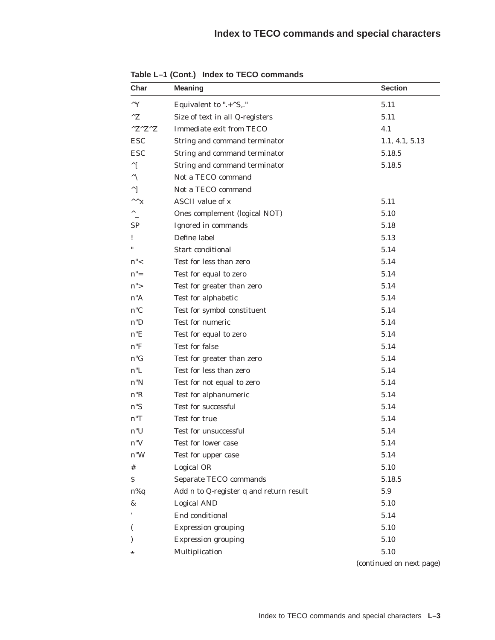| Char                             | <b>Meaning</b>                          | <b>Section</b> |
|----------------------------------|-----------------------------------------|----------------|
| $\mathsf{A} \mathbf{Y}$          | Equivalent to ".+ $^{\wedge}$ S,."      | 5.11           |
| $^{\wedge}Z$                     | Size of text in all Q-registers         | 5.11           |
| $^{\wedge}Z^{\wedge}Z^{\wedge}Z$ | Immediate exit from TECO                | 4.1            |
| <b>ESC</b>                       | String and command terminator           | 1.1, 4.1, 5.13 |
| <b>ESC</b>                       | String and command terminator           | 5.18.5         |
| $\sim$ [                         | String and command terminator           | 5.18.5         |
| $\wedge$                         | Not a TECO command                      |                |
| $^{\wedge}$                      | Not a TECO command                      |                |
| $\wedge \wedge_{\mathbf{X}}$     | ASCII value of x                        | 5.11           |
| $\wedge$                         | Ones complement (logical NOT)           | 5.10           |
| SP                               | Ignored in commands                     | 5.18           |
| Ţ                                | Define label                            | 5.13           |
|                                  | <b>Start conditional</b>                | 5.14           |
| n''<                             | Test for less than zero                 | 5.14           |
| $n" =$                           | Test for equal to zero                  | 5.14           |
| $n$ ">                           | Test for greater than zero              | 5.14           |
| n''A                             | Test for alphabetic                     | 5.14           |
| $n^nC$                           | Test for symbol constituent             | 5.14           |
| n"D                              | Test for numeric                        | 5.14           |
| n"E                              | Test for equal to zero                  | 5.14           |
| $\rm n^{\shortparallel}F$        | Test for false                          | 5.14           |
| $n^nG$                           | Test for greater than zero              | 5.14           |
| n"L                              | Test for less than zero                 | 5.14           |
| n''N                             | Test for not equal to zero              | 5.14           |
| n"R                              | Test for alphanumeric                   | 5.14           |
| $n$ "S                           | Test for successful                     | 5.14           |
| n''T                             | Test for true                           | 5.14           |
| n"U                              | Test for unsuccessful                   | 5.14           |
| n"V                              | Test for lower case                     | 5.14           |
| $n^{\prime\prime}W$              | Test for upper case                     | 5.14           |
| #                                | Logical OR                              | 5.10           |
| \$                               | Separate TECO commands                  | 5.18.5         |
| $n\%q$                           | Add n to Q-register q and return result | 5.9            |
| &                                | <b>Logical AND</b>                      | 5.10           |
|                                  | End conditional                         | 5.14           |
|                                  | <b>Expression grouping</b>              | 5.10           |
|                                  | <b>Expression grouping</b>              | 5.10           |
| $^\star$                         | Multiplication                          | 5.10           |

**Table L–1 (Cont.) Index to TECO commands**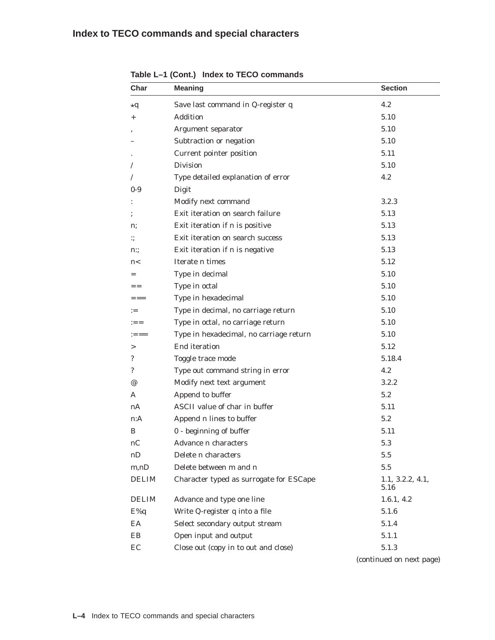### **Index to TECO commands and special characters**

| Char         | <b>Meaning</b>                          | <b>Section</b>           |
|--------------|-----------------------------------------|--------------------------|
| ∗q           | Save last command in Q-register q       | 4.2                      |
| $\hbox{ }$   | Addition                                | 5.10                     |
|              | Argument separator                      | 5.10                     |
|              | Subtraction or negation                 | 5.10                     |
|              | Current pointer position                | 5.11                     |
| $\prime$     | <b>Division</b>                         | 5.10                     |
| $\sqrt{2}$   | Type detailed explanation of error      | 4.2                      |
| $0-9$        | Digit                                   |                          |
|              | Modify next command                     | 3.2.3                    |
| ;            | Exit iteration on search failure        | 5.13                     |
| n;           | Exit iteration if n is positive         | 5.13                     |
| :;           | Exit iteration on search success        | 5.13                     |
| n::          | Exit iteration if n is negative         | 5.13                     |
| n<           | Iterate n times                         | 5.12                     |
|              | Type in decimal                         | 5.10                     |
| $=$ $=$      | Type in octal                           | 5.10                     |
| $=$ $==$     | Type in hexadecimal                     | 5.10                     |
| ∶≔           | Type in decimal, no carriage return     | 5.10                     |
| $:=$         | Type in octal, no carriage return       | 5.10                     |
| $:= ==$      | Type in hexadecimal, no carriage return | 5.10                     |
| >            | End iteration                           | 5.12                     |
| ?            | Toggle trace mode                       | 5.18.4                   |
| ?            | Type out command string in error        | 4.2                      |
| @            | Modify next text argument               | 3.2.2                    |
| A            | Append to buffer                        | 5.2                      |
| nA           | ASCII value of char in buffer           | 5.11                     |
| n:A          | Append n lines to buffer                | 5.2                      |
| B            | 0 - beginning of buffer                 | 5.11                     |
| nC           | Advance n characters                    | 5.3                      |
| nD           | Delete n characters                     | $5.5\,$                  |
| m, nD        | Delete between m and n                  | 5.5                      |
| <b>DELIM</b> | Character typed as surrogate for ESCape | 1.1, 3.2.2, 4.1,<br>5.16 |
| <b>DELIM</b> | Advance and type one line               | 1.6.1, 4.2               |
| E%q          | Write Q-register q into a file          | 5.1.6                    |
| EA           | Select secondary output stream          | 5.1.4                    |
| EB           | Open input and output                   | 5.1.1                    |
| EC           | Close out (copy in to out and close)    | 5.1.3                    |
|              |                                         |                          |

**Table L–1 (Cont.) Index to TECO commands**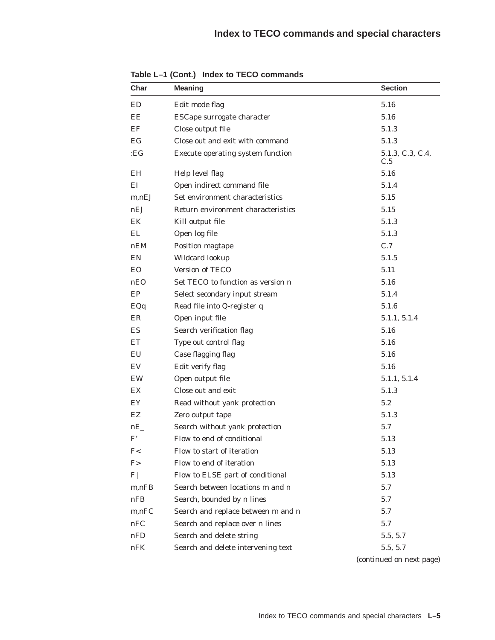| Char        | <b>Meaning</b>                     | <b>Section</b>          |
|-------------|------------------------------------|-------------------------|
| ED          | Edit mode flag                     | 5.16                    |
| EE          | ESCape surrogate character         | 5.16                    |
| EF          | Close output file                  | 5.1.3                   |
| EG          | Close out and exit with command    | 5.1.3                   |
| :EG         | Execute operating system function  | 5.1.3, C.3, C.4,<br>C.5 |
| EH          | Help level flag                    | 5.16                    |
| ΕI          | Open indirect command file         | 5.1.4                   |
| $m$ , $nEJ$ | Set environment characteristics    | 5.15                    |
| nEJ         | Return environment characteristics | 5.15                    |
| EK          | Kill output file                   | 5.1.3                   |
| EL          | Open log file                      | 5.1.3                   |
| nEM         | Position magtape                   | C.7                     |
| EN          | Wildcard lookup                    | 5.1.5                   |
| EO.         | Version of TECO                    | 5.11                    |
| nEO         | Set TECO to function as version n  | 5.16                    |
| EP          | Select secondary input stream      | 5.1.4                   |
| EQq         | Read file into Q-register q        | 5.1.6                   |
| ER          | Open input file                    | 5.1.1, 5.1.4            |
| ES          | Search verification flag           | 5.16                    |
| ЕT          | Type out control flag              | 5.16                    |
| EU          | Case flagging flag                 | 5.16                    |
| EV.         | Edit verify flag                   | 5.16                    |
| EW          | Open output file                   | 5.1.1, 5.1.4            |
| EX          | Close out and exit                 | 5.1.3                   |
| EY          | Read without yank protection       | 5.2                     |
| EZ          | Zero output tape                   | 5.1.3                   |
| nE          | Search without yank protection     | 5.7                     |
| F'          | Flow to end of conditional         | 5.13                    |
| F<          | Flow to start of iteration         | 5.13                    |
| F >         | Flow to end of iteration           | 5.13                    |
| F           | Flow to ELSE part of conditional   | 5.13                    |
| m,nFB       | Search between locations m and n   | 5.7                     |
| nFB         | Search, bounded by n lines         | 5.7                     |
| m,nFC       | Search and replace between m and n | 5.7                     |
| nFC         | Search and replace over n lines    | 5.7                     |
| nFD         | Search and delete string           | 5.5, 5.7                |
| nFK         | Search and delete intervening text | 5.5, 5.7                |

**Table L–1 (Cont.) Index to TECO commands**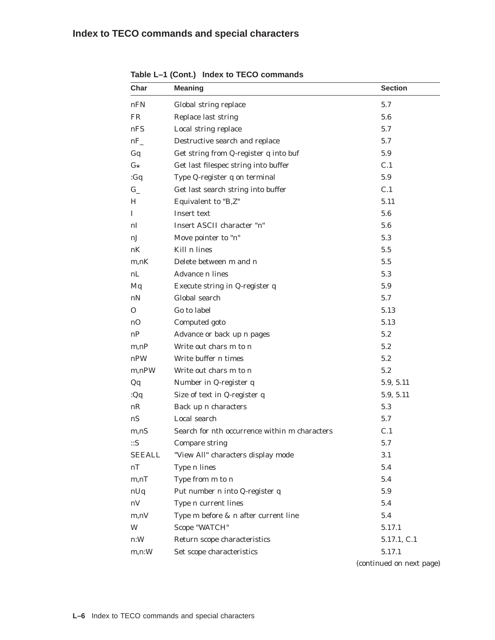### **Index to TECO commands and special characters**

| Char          | <b>Meaning</b>                                | <b>Section</b>           |
|---------------|-----------------------------------------------|--------------------------|
| nFN           | Global string replace                         | 5.7                      |
| FR            | Replace last string                           | 5.6                      |
| nFS           | Local string replace                          | 5.7                      |
| nF            | Destructive search and replace                | 5.7                      |
| Gq            | Get string from Q-register q into buf         | 5.9                      |
| $G\star$      | Get last filespec string into buffer          | C.1                      |
| : $Gq$        | Type Q-register q on terminal                 | 5.9                      |
| $G_{-}$       | Get last search string into buffer            | C.1                      |
| H             | Equivalent to "B,Z"                           | 5.11                     |
| 1             | Insert text                                   | 5.6                      |
| nI            | Insert ASCII character "n"                    | 5.6                      |
| nJ            | Move pointer to "n"                           | 5.3                      |
| nК            | Kill n lines                                  | 5.5                      |
| m,nK          | Delete between m and n                        | 5.5                      |
| nL            | Advance n lines                               | 5.3                      |
| Mq            | Execute string in Q-register q                | 5.9                      |
| nN            | Global search                                 | 5.7                      |
| 0             | Go to label                                   | 5.13                     |
| nO            | Computed goto                                 | 5.13                     |
| nP            | Advance or back up n pages                    | 5.2                      |
| m, nP         | Write out chars m to n                        | 5.2                      |
| nPW           | Write buffer n times                          | 5.2                      |
| $m, n$ PW     | Write out chars m to n                        | 5.2                      |
| Qq            | Number in Q-register q                        | 5.9, 5.11                |
| Qq            | Size of text in Q-register q                  | 5.9, 5.11                |
| nR            | Back up n characters                          | 5.3                      |
| nS            | Local search                                  | 5.7                      |
| m,nS          | Search for nth occurrence within m characters | C.1                      |
| ::S           | <b>Compare string</b>                         | 5.7                      |
| <b>SEEALL</b> | "View All" characters display mode            | 3.1                      |
| nT            | Type n lines                                  | 5.4                      |
| m, nT         | Type from m to n                              | 5.4                      |
| nUq           | Put number n into Q-register q                | 5.9                      |
| nV            | Type n current lines                          | 5.4                      |
| m, nV         | Type m before & n after current line          | 5.4                      |
| W             | Scope "WATCH"                                 | 5.17.1                   |
| n:W           | Return scope characteristics                  | 5.17.1, C.1              |
| m,n:W         | Set scope characteristics                     | 5.17.1                   |
|               |                                               | (continued on next page) |

**Table L–1 (Cont.) Index to TECO commands**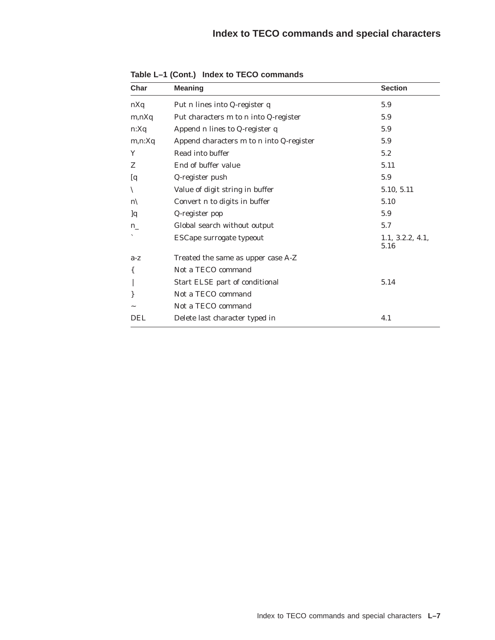| Char               | <b>Meaning</b>                           | <b>Section</b>           |
|--------------------|------------------------------------------|--------------------------|
| nXq                | Put n lines into Q-register q            | 5.9                      |
| m, nXq             | Put characters m to n into Q-register    | 5.9                      |
| n:Xq               | Append n lines to Q-register q           | 5.9                      |
| m,n:Xq             | Append characters m to n into Q-register | 5.9                      |
| Y                  | Read into buffer                         | 5.2                      |
| Z                  | End of buffer value                      | 5.11                     |
| $\left[ q \right]$ | Q-register push                          | 5.9                      |
| $\setminus$        | Value of digit string in buffer          | 5.10, 5.11               |
| $n\setminus$       | Convert n to digits in buffer            | 5.10                     |
| $\mathbf{q}$       | Q-register pop                           | 5.9                      |
| $n_{-}$            | Global search without output             | 5.7                      |
|                    | ESCape surrogate typeout                 | 1.1, 3.2.2, 4.1,<br>5.16 |
| $a-z$              | Treated the same as upper case A-Z       |                          |
| {                  | Not a TECO command                       |                          |
|                    | Start ELSE part of conditional           | 5.14                     |
| ∤                  | Not a TECO command                       |                          |
|                    | Not a TECO command                       |                          |
| DEL                | Delete last character typed in           | 4.1                      |

**Table L–1 (Cont.) Index to TECO commands**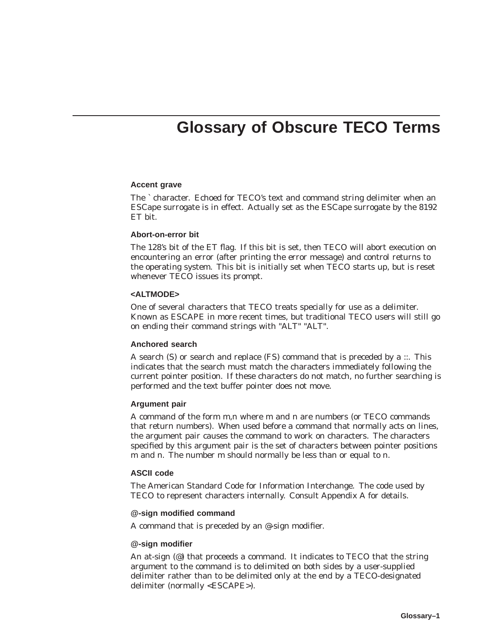# **Glossary of Obscure TECO Terms**

#### **Accent grave**

The ` character. Echoed for TECO's text and command string delimiter when an ESCape surrogate is in effect. Actually set as the ESCape surrogate by the 8192 ET bit.

#### **Abort-on-error bit**

The 128's bit of the ET flag. If this bit is set, then TECO will abort execution on encountering an error (after printing the error message) and control returns to the operating system. This bit is initially set when TECO starts up, but is reset whenever TECO issues its prompt.

#### **<ALTMODE>**

One of several characters that TECO treats specially for use as a delimiter. Known as ESCAPE in more recent times, but traditional TECO users will still go on ending their command strings with "ALT" "ALT".

#### **Anchored search**

A search (S) or search and replace (FS) command that is preceded by a ::. This indicates that the search must match the characters immediately following the current pointer position. If these characters do not match, no further searching is performed and the text buffer pointer does not move.

#### **Argument pair**

A command of the form m,n where m and n are numbers (or TECO commands that return numbers). When used before a command that normally acts on lines, the argument pair causes the command to work on characters. The characters specified by this argument pair is the set of characters between pointer positions m and n. The number m should normally be less than or equal to n.

#### **ASCII code**

The American Standard Code for Information Interchange. The code used by TECO to represent characters internally. Consult Appendix A for details.

#### **@-sign modified command**

A command that is preceded by an @-sign modifier.

#### **@-sign modifier**

An at-sign (@) that proceeds a command. It indicates to TECO that the string argument to the command is to delimited on both sides by a user-supplied delimiter rather than to be delimited only at the end by a TECO-designated delimiter (normally <ESCAPE>).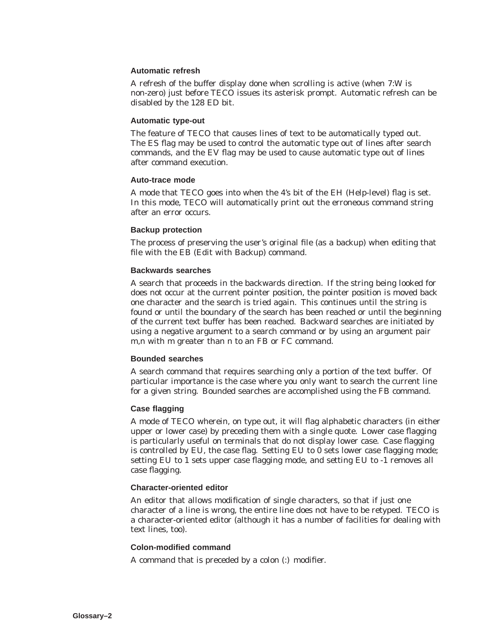#### **Automatic refresh**

A refresh of the buffer display done when scrolling is active (when 7:W is non-zero) just before TECO issues its asterisk prompt. Automatic refresh can be disabled by the 128 ED bit.

#### **Automatic type-out**

The feature of TECO that causes lines of text to be automatically typed out. The ES flag may be used to control the automatic type out of lines after search commands, and the EV flag may be used to cause automatic type out of lines after command execution.

#### **Auto-trace mode**

A mode that TECO goes into when the 4's bit of the EH (Help-level) flag is set. In this mode, TECO will automatically print out the erroneous command string after an error occurs.

#### **Backup protection**

The process of preserving the user's original file (as a backup) when editing that file with the EB (Edit with Backup) command.

#### **Backwards searches**

A search that proceeds in the backwards direction. If the string being looked for does not occur at the current pointer position, the pointer position is moved back one character and the search is tried again. This continues until the string is found or until the boundary of the search has been reached or until the beginning of the current text buffer has been reached. Backward searches are initiated by using a negative argument to a search command or by using an argument pair m,n with m greater than n to an FB or FC command.

#### **Bounded searches**

A search command that requires searching only a portion of the text buffer. Of particular importance is the case where you only want to search the current line for a given string. Bounded searches are accomplished using the FB command.

#### **Case flagging**

A mode of TECO wherein, on type out, it will flag alphabetic characters (in either upper or lower case) by preceding them with a single quote. Lower case flagging is particularly useful on terminals that do not display lower case. Case flagging is controlled by EU, the case flag. Setting EU to 0 sets lower case flagging mode; setting EU to 1 sets upper case flagging mode, and setting EU to -1 removes all case flagging.

#### **Character-oriented editor**

An editor that allows modification of single characters, so that if just one character of a line is wrong, the entire line does not have to be retyped. TECO is a character-oriented editor (although it has a number of facilities for dealing with text lines, too).

#### **Colon-modified command**

A command that is preceded by a colon (:) modifier.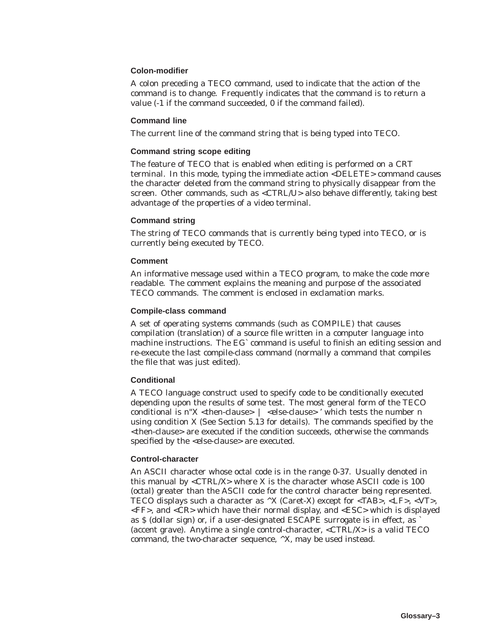#### **Colon-modifier**

A colon preceding a TECO command, used to indicate that the action of the command is to change. Frequently indicates that the command is to return a value (-1 if the command succeeded, 0 if the command failed).

#### **Command line**

The current line of the command string that is being typed into TECO.

#### **Command string scope editing**

The feature of TECO that is enabled when editing is performed on a CRT terminal. In this mode, typing the immediate action <DELETE> command causes the character deleted from the command string to physically disappear from the screen. Other commands, such as <CTRL/U> also behave differently, taking best advantage of the properties of a video terminal.

#### **Command string**

The string of TECO commands that is currently being typed into TECO, or is currently being executed by TECO.

#### **Comment**

An informative message used within a TECO program, to make the code more readable. The comment explains the meaning and purpose of the associated TECO commands. The comment is enclosed in exclamation marks.

#### **Compile-class command**

A set of operating systems commands (such as COMPILE) that causes compilation (translation) of a source file written in a computer language into machine instructions. The EG` command is useful to finish an editing session and re-execute the last compile-class command (normally a command that compiles the file that was just edited).

#### **Conditional**

A TECO language construct used to specify code to be conditionally executed depending upon the results of some test. The most general form of the TECO conditional is  $n''X$  <then-clause> | <else-clause> ' which tests the number  $n$ using condition X (See Section 5.13 for details). The commands specified by the <then-clause> are executed if the condition succeeds, otherwise the commands specified by the <else-clause> are executed.

#### **Control-character**

An ASCII character whose octal code is in the range 0-37. Usually denoted in this manual by  $\langle \text{CTR} \mid X \rangle$  where X is the character whose ASCII code is 100 (octal) greater than the ASCII code for the control character being represented. TECO displays such a character as  $\Delta X$  (Caret-X) except for  $\Delta X$ ,  $\Delta Y$ ,  $\Delta Y$ ,  $\Delta Y$ ,  $\Delta Y$ ,  $\Delta Y$ ,  $\Delta Y$ ,  $\Delta Y$ ,  $\Delta Y$ ,  $\Delta Y$ <FF>, and <CR> which have their normal display, and <ESC> which is displayed as \$ (dollar sign) or, if a user-designated ESCAPE surrogate is in effect, as ` (accent grave). Anytime a single control-character, <CTRL/X> is a valid TECO command, the two-character sequence,  $^{\wedge}X$ , may be used instead.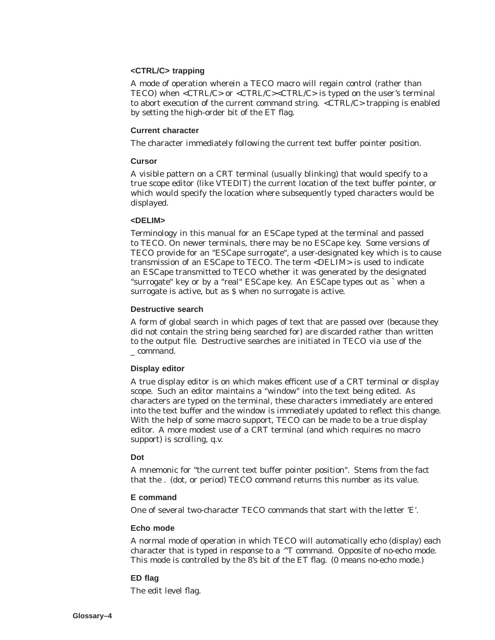#### **<CTRL/C> trapping**

A mode of operation wherein a TECO macro will regain control (rather than TECO) when <CTRL/C> or <CTRL/C><CTRL/C> is typed on the user's terminal to abort execution of the current command string. <CTRL/C> trapping is enabled by setting the high-order bit of the ET flag.

#### **Current character**

The character immediately following the current text buffer pointer position.

#### **Cursor**

A visible pattern on a CRT terminal (usually blinking) that would specify to a true scope editor (like VTEDIT) the current location of the text buffer pointer, or which would specify the location where subsequently typed characters would be displayed.

#### **<DELIM>**

Terminology in this manual for an ESCape typed at the terminal and passed to TECO. On newer terminals, there may be no ESCape key. Some versions of TECO provide for an "ESCape surrogate", a user-designated key which is to cause transmission of an ESCape to TECO. The term <DELIM> is used to indicate an ESCape transmitted to TECO whether it was generated by the designated "surrogate" key or by a "real" ESCape key. An ESCape types out as ` when a surrogate is active, but as \$ when no surrogate is active.

#### **Destructive search**

A form of global search in which pages of text that are passed over (because they did not contain the string being searched for) are discarded rather than written to the output file. Destructive searches are initiated in TECO via use of the \_ command.

#### **Display editor**

A true display editor is on which makes efficent use of a CRT terminal or display scope. Such an editor maintains a "window" into the text being edited. As characters are typed on the terminal, these characters immediately are entered into the text buffer and the window is immediately updated to reflect this change. With the help of some macro support, TECO can be made to be a true display editor. A more modest use of a CRT terminal (and which requires no macro support) is scrolling, q.v.

#### **Dot**

A mnemonic for "the current text buffer pointer position". Stems from the fact that the . (dot, or period) TECO command returns this number as its value.

#### **E command**

One of several two-character TECO commands that start with the letter 'E'.

#### **Echo mode**

A normal mode of operation in which TECO will automatically echo (display) each character that is typed in response to a  $\wedge T$  command. Opposite of no-echo mode. This mode is controlled by the 8's bit of the ET flag. (0 means no-echo mode.)

#### **ED flag**

The edit level flag.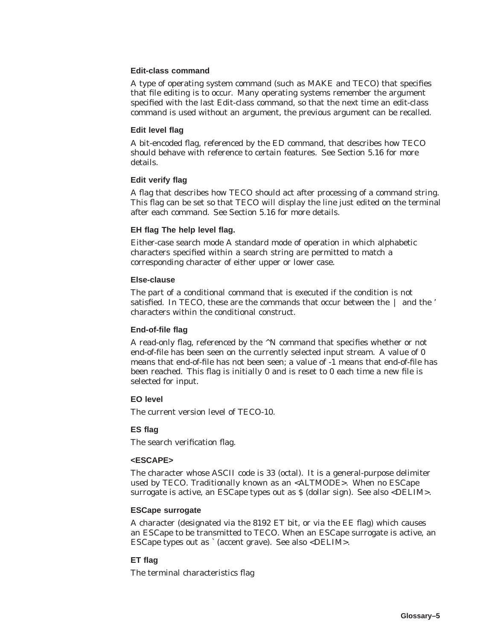# **Edit-class command**

A type of operating system command (such as MAKE and TECO) that specifies that file editing is to occur. Many operating systems remember the argument specified with the last Edit-class command, so that the next time an edit-class command is used without an argument, the previous argument can be recalled.

# **Edit level flag**

A bit-encoded flag, referenced by the ED command, that describes how TECO should behave with reference to certain features. See Section 5.16 for more details.

### **Edit verify flag**

A flag that describes how TECO should act after processing of a command string. This flag can be set so that TECO will display the line just edited on the terminal after each command. See Section 5.16 for more details.

# **EH flag The help level flag.**

Either-case search mode A standard mode of operation in which alphabetic characters specified within a search string are permitted to match a corresponding character of either upper or lower case.

## **Else-clause**

The part of a conditional command that is executed if the condition is not satisfied. In TECO, these are the commands that occur between the | and the ' characters within the conditional construct.

# **End-of-file flag**

A read-only flag, referenced by the ^N command that specifies whether or not end-of-file has been seen on the currently selected input stream. A value of 0 means that end-of-file has not been seen; a value of -1 means that end-of-file has been reached. This flag is initially 0 and is reset to 0 each time a new file is selected for input.

## **EO level**

The current version level of TECO-10.

# **ES flag**

The search verification flag.

### **<ESCAPE>**

The character whose ASCII code is 33 (octal). It is a general-purpose delimiter used by TECO. Traditionally known as an <ALTMODE>. When no ESCape surrogate is active, an ESCape types out as \$ (dollar sign). See also <DELIM>.

### **ESCape surrogate**

A character (designated via the 8192 ET bit, or via the EE flag) which causes an ESCape to be transmitted to TECO. When an ESCape surrogate is active, an ESCape types out as ` (accent grave). See also <DELIM>.

# **ET flag**

The terminal characteristics flag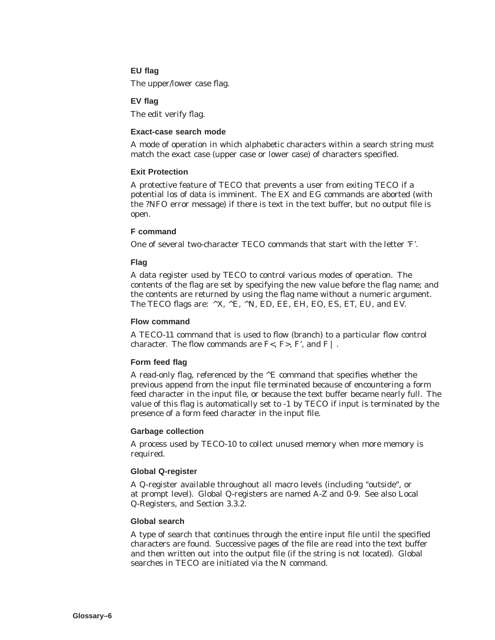# **EU flag**

The upper/lower case flag.

# **EV flag**

The edit verify flag.

# **Exact-case search mode**

A mode of operation in which alphabetic characters within a search string must match the exact case (upper case or lower case) of characters specified.

# **Exit Protection**

A protective feature of TECO that prevents a user from exiting TECO if a potential los of data is imminent. The EX and EG commands are aborted (with the ?NFO error message) if there is text in the text buffer, but no output file is open.

# **F command**

One of several two-character TECO commands that start with the letter 'F'.

# **Flag**

A data register used by TECO to control various modes of operation. The contents of the flag are set by specifying the new value before the flag name; and the contents are returned by using the flag name without a numeric argument. The TECO flags are:  $\Delta X$ ,  $\Delta E$ ,  $\Delta N$ , ED, EE, EH, EO, ES, ET, EU, and EV.

## **Flow command**

A TECO-11 command that is used to flow (branch) to a particular flow control character. The flow commands are  $F<$ ,  $F>$ ,  $F'$ , and  $F$  | .

# **Form feed flag**

A read-only flag, referenced by the  $\wedge$ E command that specifies whether the previous append from the input file terminated because of encountering a form feed character in the input file, or because the text buffer became nearly full. The value of this flag is automatically set to -1 by TECO if input is terminated by the presence of a form feed character in the input file.

## **Garbage collection**

A process used by TECO-10 to collect unused memory when more memory is required.

## **Global Q-register**

A Q-register available throughout all macro levels (including "outside", or at prompt level). Global Q-registers are named A-Z and 0-9. See also Local Q-Registers, and Section 3.3.2.

### **Global search**

A type of search that continues through the entire input file until the specified characters are found. Successive pages of the file are read into the text buffer and then written out into the output file (if the string is not located). Global searches in TECO are initiated via the N command.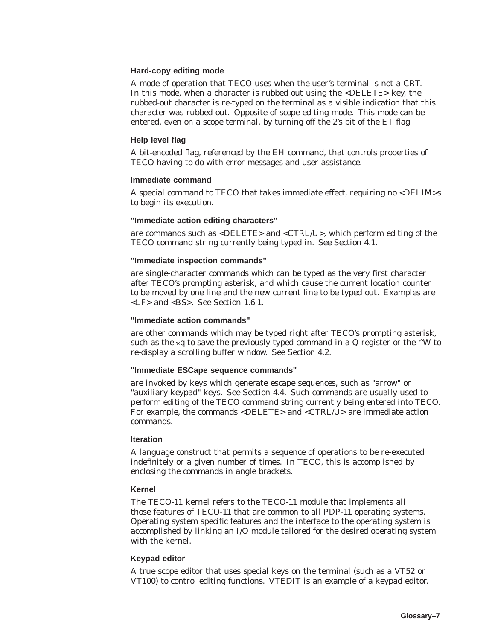# **Hard-copy editing mode**

A mode of operation that TECO uses when the user's terminal is not a CRT. In this mode, when a character is rubbed out using the <DELETE> key, the rubbed-out character is re-typed on the terminal as a visible indication that this character was rubbed out. Opposite of scope editing mode. This mode can be entered, even on a scope terminal, by turning off the 2's bit of the ET flag.

#### **Help level flag**

A bit-encoded flag, referenced by the EH command, that controls properties of TECO having to do with error messages and user assistance.

#### **Immediate command**

A special command to TECO that takes immediate effect, requiring no <DELIM>s to begin its execution.

### **"Immediate action editing characters"**

are commands such as <DELETE> and <CTRL/U>, which perform editing of the TECO command string currently being typed in. See Section 4.1.

### **"Immediate inspection commands"**

are single-character commands which can be typed as the very first character after TECO's prompting asterisk, and which cause the current location counter to be moved by one line and the new current line to be typed out. Examples are <LF> and <BS>. See Section 1.6.1.

#### **"Immediate action commands"**

are other commands which may be typed right after TECO's prompting asterisk, such as the  $\star q$  to save the previously-typed command in a Q-register or the  $\wedge W$  to re-display a scrolling buffer window. See Section 4.2.

#### **"Immediate ESCape sequence commands"**

are invoked by keys which generate escape sequences, such as "arrow" or "auxiliary keypad" keys. See Section 4.4. Such commands are usually used to perform editing of the TECO command string currently being entered into TECO. For example, the commands <DELETE> and <CTRL/U> are immediate action commands.

## **Iteration**

A language construct that permits a sequence of operations to be re-executed indefinitely or a given number of times. In TECO, this is accomplished by enclosing the commands in angle brackets.

#### **Kernel**

The TECO-11 kernel refers to the TECO-11 module that implements all those features of TECO-11 that are common to all PDP-11 operating systems. Operating system specific features and the interface to the operating system is accomplished by linking an I/O module tailored for the desired operating system with the kernel.

### **Keypad editor**

A true scope editor that uses special keys on the terminal (such as a VT52 or VT100) to control editing functions. VTEDIT is an example of a keypad editor.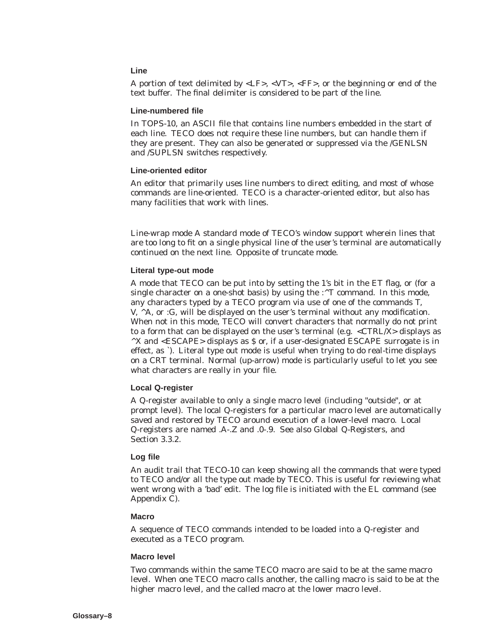# **Line**

A portion of text delimited by  $\langle LF \rangle$ ,  $\langle VT \rangle$ ,  $\langle FF \rangle$ , or the beginning or end of the text buffer. The final delimiter is considered to be part of the line.

## **Line-numbered file**

In TOPS-10, an ASCII file that contains line numbers embedded in the start of each line. TECO does not require these line numbers, but can handle them if they are present. They can also be generated or suppressed via the /GENLSN and /SUPLSN switches respectively.

# **Line-oriented editor**

An editor that primarily uses line numbers to direct editing, and most of whose commands are line-oriented. TECO is a character-oriented editor, but also has many facilities that work with lines.

Line-wrap mode A standard mode of TECO's window support wherein lines that are too long to fit on a single physical line of the user's terminal are automatically continued on the next line. Opposite of truncate mode.

# **Literal type-out mode**

A mode that TECO can be put into by setting the 1's bit in the ET flag, or (for a single character on a one-shot basis) by using the :^T command. In this mode, any characters typed by a TECO program via use of one of the commands T, V, ^A, or :G, will be displayed on the user's terminal without any modification. When not in this mode, TECO will convert characters that normally do not print to a form that can be displayed on the user's terminal (e.g.  $\langle \text{CTRL/X} \rangle$  displays as  $\Delta$ X and <ESCAPE> displays as \$ or, if a user-designated ESCAPE surrogate is in effect, as `). Literal type out mode is useful when trying to do real-time displays on a CRT terminal. Normal (up-arrow) mode is particularly useful to let you see what characters are really in your file.

# **Local Q-register**

A Q-register available to only a single macro level (including "outside", or at prompt level). The local Q-registers for a particular macro level are automatically saved and restored by TECO around execution of a lower-level macro. Local Q-registers are named .A-.Z and .0-.9. See also Global Q-Registers, and Section 3.3.2.

# **Log file**

An audit trail that TECO-10 can keep showing all the commands that were typed to TECO and/or all the type out made by TECO. This is useful for reviewing what went wrong with a 'bad' edit. The log file is initiated with the EL command (see Appendix C).

### **Macro**

A sequence of TECO commands intended to be loaded into a Q-register and executed as a TECO program.

# **Macro level**

Two commands within the same TECO macro are said to be at the same macro level. When one TECO macro calls another, the calling macro is said to be at the higher macro level, and the called macro at the lower macro level.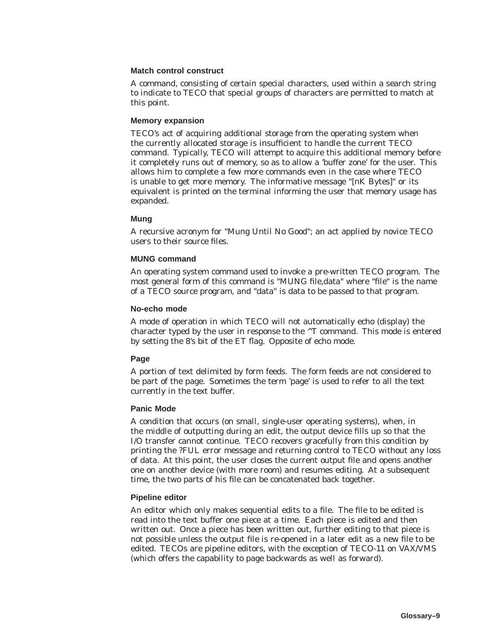# **Match control construct**

A command, consisting of certain special characters, used within a search string to indicate to TECO that special groups of characters are permitted to match at this point.

### **Memory expansion**

TECO's act of acquiring additional storage from the operating system when the currently allocated storage is insufficient to handle the current TECO command. Typically, TECO will attempt to acquire this additional memory before it completely runs out of memory, so as to allow a 'buffer zone' for the user. This allows him to complete a few more commands even in the case where TECO is unable to get more memory. The informative message "[nK Bytes]" or its equivalent is printed on the terminal informing the user that memory usage has expanded.

# **Mung**

A recursive acronym for "Mung Until No Good"; an act applied by novice TECO users to their source files.

## **MUNG command**

An operating system command used to invoke a pre-written TECO program. The most general form of this command is "MUNG file,data" where "file" is the name of a TECO source program, and "data" is data to be passed to that program.

### **No-echo mode**

A mode of operation in which TECO will not automatically echo (display) the character typed by the user in response to the ^T command. This mode is entered by setting the 8's bit of the ET flag. Opposite of echo mode.

# **Page**

A portion of text delimited by form feeds. The form feeds are not considered to be part of the page. Sometimes the term 'page' is used to refer to all the text currently in the text buffer.

### **Panic Mode**

A condition that occurs (on small, single-user operating systems), when, in the middle of outputting during an edit, the output device fills up so that the I/O transfer cannot continue. TECO recovers gracefully from this condition by printing the ?FUL error message and returning control to TECO without any loss of data. At this point, the user closes the current output file and opens another one on another device (with more room) and resumes editing. At a subsequent time, the two parts of his file can be concatenated back together.

# **Pipeline editor**

An editor which only makes sequential edits to a file. The file to be edited is read into the text buffer one piece at a time. Each piece is edited and then written out. Once a piece has been written out, further editing to that piece is not possible unless the output file is re-opened in a later edit as a new file to be edited. TECOs are pipeline editors, with the exception of TECO-11 on VAX/VMS (which offers the capability to page backwards as well as forward).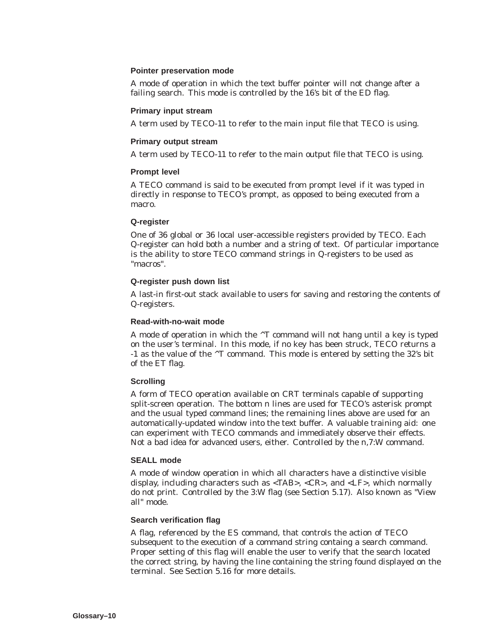# **Pointer preservation mode**

A mode of operation in which the text buffer pointer will not change after a failing search. This mode is controlled by the 16's bit of the ED flag.

## **Primary input stream**

A term used by TECO-11 to refer to the main input file that TECO is using.

## **Primary output stream**

A term used by TECO-11 to refer to the main output file that TECO is using.

# **Prompt level**

A TECO command is said to be executed from prompt level if it was typed in directly in response to TECO's prompt, as opposed to being executed from a macro.

# **Q-register**

One of 36 global or 36 local user-accessible registers provided by TECO. Each Q-register can hold both a number and a string of text. Of particular importance is the ability to store TECO command strings in Q-registers to be used as "macros".

# **Q-register push down list**

A last-in first-out stack available to users for saving and restoring the contents of Q-registers.

## **Read-with-no-wait mode**

A mode of operation in which the  $\Delta T$  command will not hang until a key is typed on the user's terminal. In this mode, if no key has been struck, TECO returns a -1 as the value of the ^T command. This mode is entered by setting the 32's bit of the ET flag.

# **Scrolling**

A form of TECO operation available on CRT terminals capable of supporting split-screen operation. The bottom n lines are used for TECO's asterisk prompt and the usual typed command lines; the remaining lines above are used for an automatically-updated window into the text buffer. A valuable training aid: one can experiment with TECO commands and immediately observe their effects. Not a bad idea for advanced users, either. Controlled by the n,7:W command.

### **SEALL mode**

A mode of window operation in which all characters have a distinctive visible display, including characters such as <TAB>, <CR>, and <LF>, which normally do not print. Controlled by the 3:W flag (see Section 5.17). Also known as "View all" mode.

# **Search verification flag**

A flag, referenced by the ES command, that controls the action of TECO subsequent to the execution of a command string containg a search command. Proper setting of this flag will enable the user to verify that the search located the correct string, by having the line containing the string found displayed on the terminal. See Section 5.16 for more details.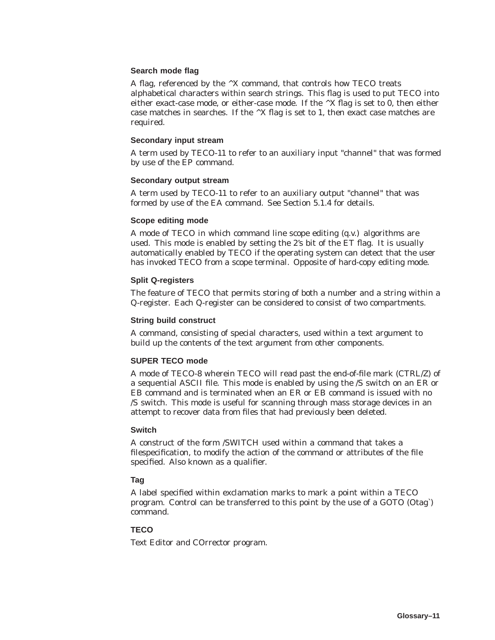# **Search mode flag**

A flag, referenced by the  $^{\wedge}X$  command, that controls how TECO treats alphabetical characters within search strings. This flag is used to put TECO into either exact-case mode, or either-case mode. If the  $^{\wedge}X$  flag is set to 0, then either case matches in searches. If the  $^{\wedge}X$  flag is set to 1, then exact case matches are required.

# **Secondary input stream**

A term used by TECO-11 to refer to an auxiliary input "channel" that was formed by use of the EP command.

### **Secondary output stream**

A term used by TECO-11 to refer to an auxiliary output "channel" that was formed by use of the EA command. See Section 5.1.4 for details.

# **Scope editing mode**

A mode of TECO in which command line scope editing (q.v.) algorithms are used. This mode is enabled by setting the 2's bit of the ET flag. It is usually automatically enabled by TECO if the operating system can detect that the user has invoked TECO from a scope terminal. Opposite of hard-copy editing mode.

# **Split Q-registers**

The feature of TECO that permits storing of both a number and a string within a Q-register. Each Q-register can be considered to consist of two compartments.

## **String build construct**

A command, consisting of special characters, used within a text argument to build up the contents of the text argument from other components.

# **SUPER TECO mode**

A mode of TECO-8 wherein TECO will read past the end-of-file mark (CTRL/Z) of a sequential ASCII file. This mode is enabled by using the /S switch on an ER or EB command and is terminated when an ER or EB command is issued with no /S switch. This mode is useful for scanning through mass storage devices in an attempt to recover data from files that had previously been deleted.

### **Switch**

A construct of the form /SWITCH used within a command that takes a filespecification, to modify the action of the command or attributes of the file specified. Also known as a qualifier.

# **Tag**

A label specified within exclamation marks to mark a point within a TECO program. Control can be transferred to this point by the use of a GOTO (Otag`) command.

# **TECO**

Text Editor and COrrector program.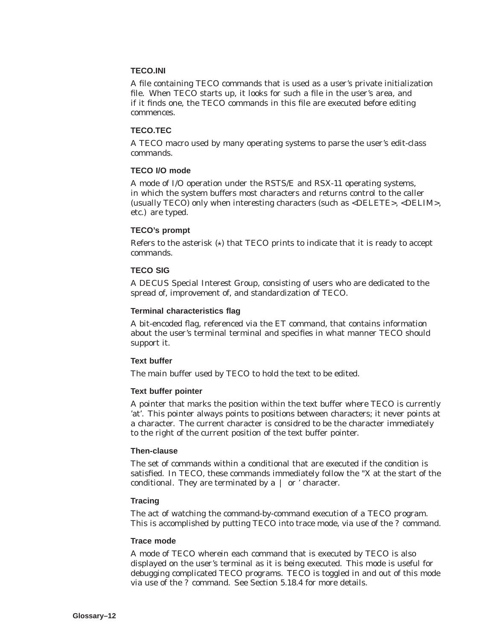## **TECO.INI**

A file containing TECO commands that is used as a user's private initialization file. When TECO starts up, it looks for such a file in the user's area, and if it finds one, the TECO commands in this file are executed before editing commences.

## **TECO.TEC**

A TECO macro used by many operating systems to parse the user's edit-class commands.

### **TECO I/O mode**

A mode of I/O operation under the RSTS/E and RSX-11 operating systems, in which the system buffers most characters and returns control to the caller (usually TECO) only when interesting characters (such as <DELETE>, <DELIM>, etc.) are typed.

## **TECO's prompt**

Refers to the asterisk  $(*)$  that TECO prints to indicate that it is ready to accept commands.

# **TECO SIG**

A DECUS Special Interest Group, consisting of users who are dedicated to the spread of, improvement of, and standardization of TECO.

# **Terminal characteristics flag**

A bit-encoded flag, referenced via the ET command, that contains information about the user's terminal terminal and specifies in what manner TECO should support it.

## **Text buffer**

The main buffer used by TECO to hold the text to be edited.

### **Text buffer pointer**

A pointer that marks the position within the text buffer where TECO is currently 'at'. This pointer always points to positions between characters; it never points at a character. The current character is considred to be the character immediately to the right of the current position of the text buffer pointer.

# **Then-clause**

The set of commands within a conditional that are executed if the condition is satisfied. In TECO, these commands immediately follow the "X at the start of the conditional. They are terminated by a | or ' character.

### **Tracing**

The act of watching the command-by-command execution of a TECO program. This is accomplished by putting TECO into trace mode, via use of the ? command.

### **Trace mode**

A mode of TECO wherein each command that is executed by TECO is also displayed on the user's terminal as it is being executed. This mode is useful for debugging complicated TECO programs. TECO is toggled in and out of this mode via use of the ? command. See Section 5.18.4 for more details.